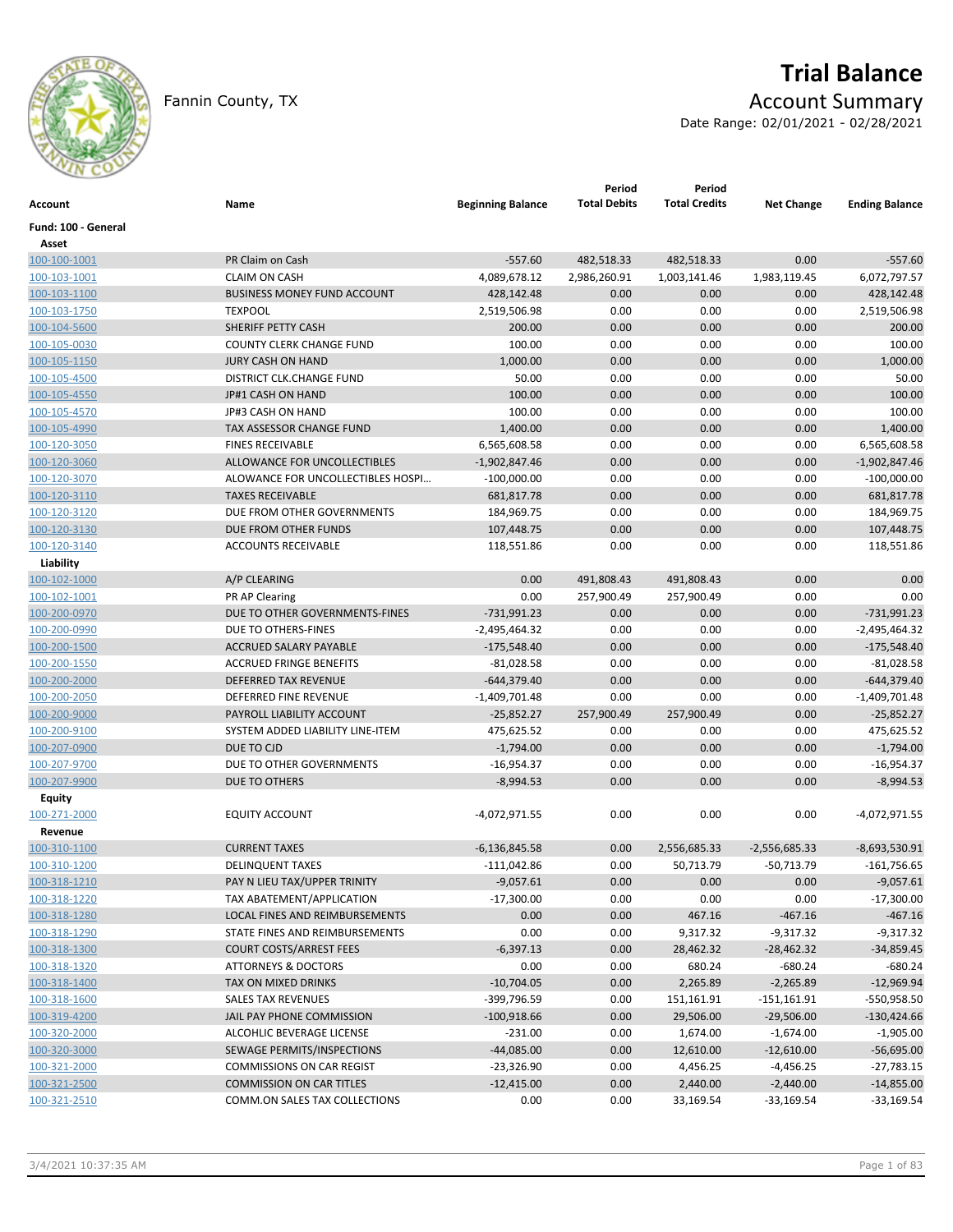

# **Trial Balance**

Fannin County, TX **Account Summary** 

Date Range: 02/01/2021 - 02/28/2021

| Account             | Name                               | <b>Beginning Balance</b> | Period<br><b>Total Debits</b> | Period<br><b>Total Credits</b> | <b>Net Change</b> | <b>Ending Balance</b> |
|---------------------|------------------------------------|--------------------------|-------------------------------|--------------------------------|-------------------|-----------------------|
| Fund: 100 - General |                                    |                          |                               |                                |                   |                       |
| Asset               |                                    |                          |                               |                                |                   |                       |
| 100-100-1001        | PR Claim on Cash                   | $-557.60$                | 482,518.33                    | 482,518.33                     | 0.00              | $-557.60$             |
| 100-103-1001        | <b>CLAIM ON CASH</b>               | 4,089,678.12             | 2,986,260.91                  | 1,003,141.46                   | 1,983,119.45      | 6,072,797.57          |
| 100-103-1100        | <b>BUSINESS MONEY FUND ACCOUNT</b> | 428,142.48               | 0.00                          | 0.00                           | 0.00              | 428,142.48            |
| 100-103-1750        | <b>TEXPOOL</b>                     | 2,519,506.98             | 0.00                          | 0.00                           | 0.00              | 2,519,506.98          |
| 100-104-5600        | SHERIFF PETTY CASH                 | 200.00                   | 0.00                          | 0.00                           | 0.00              | 200.00                |
| 100-105-0030        | <b>COUNTY CLERK CHANGE FUND</b>    | 100.00                   | 0.00                          | 0.00                           | 0.00              | 100.00                |
| 100-105-1150        | <b>JURY CASH ON HAND</b>           | 1,000.00                 | 0.00                          | 0.00                           | 0.00              | 1,000.00              |
| 100-105-4500        | DISTRICT CLK.CHANGE FUND           | 50.00                    | 0.00                          | 0.00                           | 0.00              | 50.00                 |
| 100-105-4550        | JP#1 CASH ON HAND                  | 100.00                   | 0.00                          | 0.00                           | 0.00              | 100.00                |
| 100-105-4570        | JP#3 CASH ON HAND                  | 100.00                   | 0.00                          | 0.00                           | 0.00              | 100.00                |
| 100-105-4990        | <b>TAX ASSESSOR CHANGE FUND</b>    | 1,400.00                 | 0.00                          | 0.00                           | 0.00              | 1,400.00              |
| 100-120-3050        | <b>FINES RECEIVABLE</b>            | 6,565,608.58             | 0.00                          | 0.00                           | 0.00              | 6,565,608.58          |
| 100-120-3060        | ALLOWANCE FOR UNCOLLECTIBLES       | $-1,902,847.46$          | 0.00                          | 0.00                           | 0.00              | $-1,902,847.46$       |
| 100-120-3070        | ALOWANCE FOR UNCOLLECTIBLES HOSPI  | $-100,000.00$            | 0.00                          | 0.00                           | 0.00              | $-100,000.00$         |
| 100-120-3110        | <b>TAXES RECEIVABLE</b>            | 681,817.78               | 0.00                          | 0.00                           | 0.00              | 681,817.78            |
| 100-120-3120        | DUE FROM OTHER GOVERNMENTS         | 184,969.75               | 0.00                          | 0.00                           | 0.00              | 184,969.75            |
| 100-120-3130        | DUE FROM OTHER FUNDS               | 107,448.75               | 0.00                          | 0.00                           | 0.00              | 107,448.75            |
| 100-120-3140        | <b>ACCOUNTS RECEIVABLE</b>         | 118,551.86               | 0.00                          | 0.00                           | 0.00              | 118,551.86            |
| Liability           |                                    |                          |                               |                                |                   |                       |
| 100-102-1000        | A/P CLEARING                       | 0.00                     | 491,808.43                    | 491,808.43                     | 0.00              | 0.00                  |
| 100-102-1001        | <b>PR AP Clearing</b>              | 0.00                     | 257,900.49                    | 257,900.49                     | 0.00              | 0.00                  |
| 100-200-0970        | DUE TO OTHER GOVERNMENTS-FINES     | -731,991.23              | 0.00                          | 0.00                           | 0.00              | $-731,991.23$         |
| 100-200-0990        | DUE TO OTHERS-FINES                | -2,495,464.32            | 0.00                          | 0.00                           | 0.00              | $-2,495,464.32$       |
| 100-200-1500        | ACCRUED SALARY PAYABLE             | $-175,548.40$            | 0.00                          | 0.00                           | 0.00              | $-175,548.40$         |
| 100-200-1550        | <b>ACCRUED FRINGE BENEFITS</b>     | $-81,028.58$             | 0.00                          | 0.00                           | 0.00              | $-81,028.58$          |
| 100-200-2000        | <b>DEFERRED TAX REVENUE</b>        | -644,379.40              | 0.00                          | 0.00                           | 0.00              | $-644,379.40$         |
| 100-200-2050        | DEFERRED FINE REVENUE              | $-1,409,701.48$          | 0.00                          | 0.00                           | 0.00              | $-1,409,701.48$       |
| 100-200-9000        | PAYROLL LIABILITY ACCOUNT          | $-25,852.27$             | 257,900.49                    | 257,900.49                     | 0.00              | $-25,852.27$          |
| 100-200-9100        | SYSTEM ADDED LIABILITY LINE-ITEM   | 475,625.52               | 0.00                          | 0.00                           | 0.00              | 475,625.52            |
| 100-207-0900        | DUE TO CJD                         | $-1,794.00$              | 0.00                          | 0.00                           | 0.00              | $-1,794.00$           |
| 100-207-9700        | DUE TO OTHER GOVERNMENTS           | -16,954.37               | 0.00                          | 0.00                           | 0.00              | $-16,954.37$          |
| 100-207-9900        | DUE TO OTHERS                      | $-8,994.53$              | 0.00                          | 0.00                           | 0.00              | $-8,994.53$           |
| Equity              |                                    |                          |                               |                                |                   |                       |
| 100-271-2000        | <b>EQUITY ACCOUNT</b>              | -4,072,971.55            | 0.00                          | 0.00                           | 0.00              | $-4,072,971.55$       |
| Revenue             |                                    |                          |                               |                                |                   |                       |
| 100-310-1100        | <b>CURRENT TAXES</b>               | $-6,136,845.58$          | 0.00                          | 2,556,685.33                   | $-2,556,685.33$   | $-8,693,530.91$       |
| 100-310-1200        | <b>DELINQUENT TAXES</b>            | $-111,042.86$            | 0.00                          | 50,713.79                      | $-50,713.79$      | $-161,756.65$         |
| 100-318-1210        | PAY N LIEU TAX/UPPER TRINITY       | $-9,057.61$              | 0.00                          | 0.00                           | 0.00              | $-9,057.61$           |
| 100-318-1220        | TAX ABATEMENT/APPLICATION          | $-17,300.00$             | 0.00                          | 0.00                           | 0.00              | $-17,300.00$          |
| 100-318-1280        | LOCAL FINES AND REIMBURSEMENTS     | 0.00                     | 0.00                          | 467.16                         | $-467.16$         | $-467.16$             |
| 100-318-1290        | STATE FINES AND REIMBURSEMENTS     | 0.00                     | 0.00                          | 9,317.32                       | $-9,317.32$       | $-9,317.32$           |
| 100-318-1300        | <b>COURT COSTS/ARREST FEES</b>     | $-6,397.13$              | 0.00                          | 28,462.32                      | $-28,462.32$      | $-34,859.45$          |
| 100-318-1320        | <b>ATTORNEYS &amp; DOCTORS</b>     | 0.00                     | 0.00                          | 680.24                         | $-680.24$         | $-680.24$             |
| 100-318-1400        | TAX ON MIXED DRINKS                | $-10,704.05$             | 0.00                          | 2,265.89                       | $-2,265.89$       | $-12,969.94$          |
| 100-318-1600        | <b>SALES TAX REVENUES</b>          | -399,796.59              | 0.00                          | 151,161.91                     | $-151,161.91$     | -550,958.50           |
| 100-319-4200        | JAIL PAY PHONE COMMISSION          | $-100,918.66$            | 0.00                          | 29,506.00                      | $-29,506.00$      | $-130,424.66$         |
| 100-320-2000        | ALCOHLIC BEVERAGE LICENSE          | $-231.00$                | 0.00                          | 1,674.00                       | $-1,674.00$       | $-1,905.00$           |
| 100-320-3000        | SEWAGE PERMITS/INSPECTIONS         | $-44,085.00$             | 0.00                          | 12,610.00                      | $-12,610.00$      | $-56,695.00$          |
|                     | <b>COMMISSIONS ON CAR REGIST</b>   |                          |                               |                                |                   |                       |
| 100-321-2000        |                                    | $-23,326.90$             | 0.00                          | 4,456.25                       | $-4,456.25$       | $-27,783.15$          |
| 100-321-2500        | <b>COMMISSION ON CAR TITLES</b>    | $-12,415.00$             | 0.00                          | 2,440.00                       | $-2,440.00$       | $-14,855.00$          |
| 100-321-2510        | COMM.ON SALES TAX COLLECTIONS      | 0.00                     | 0.00                          | 33,169.54                      | $-33,169.54$      | $-33,169.54$          |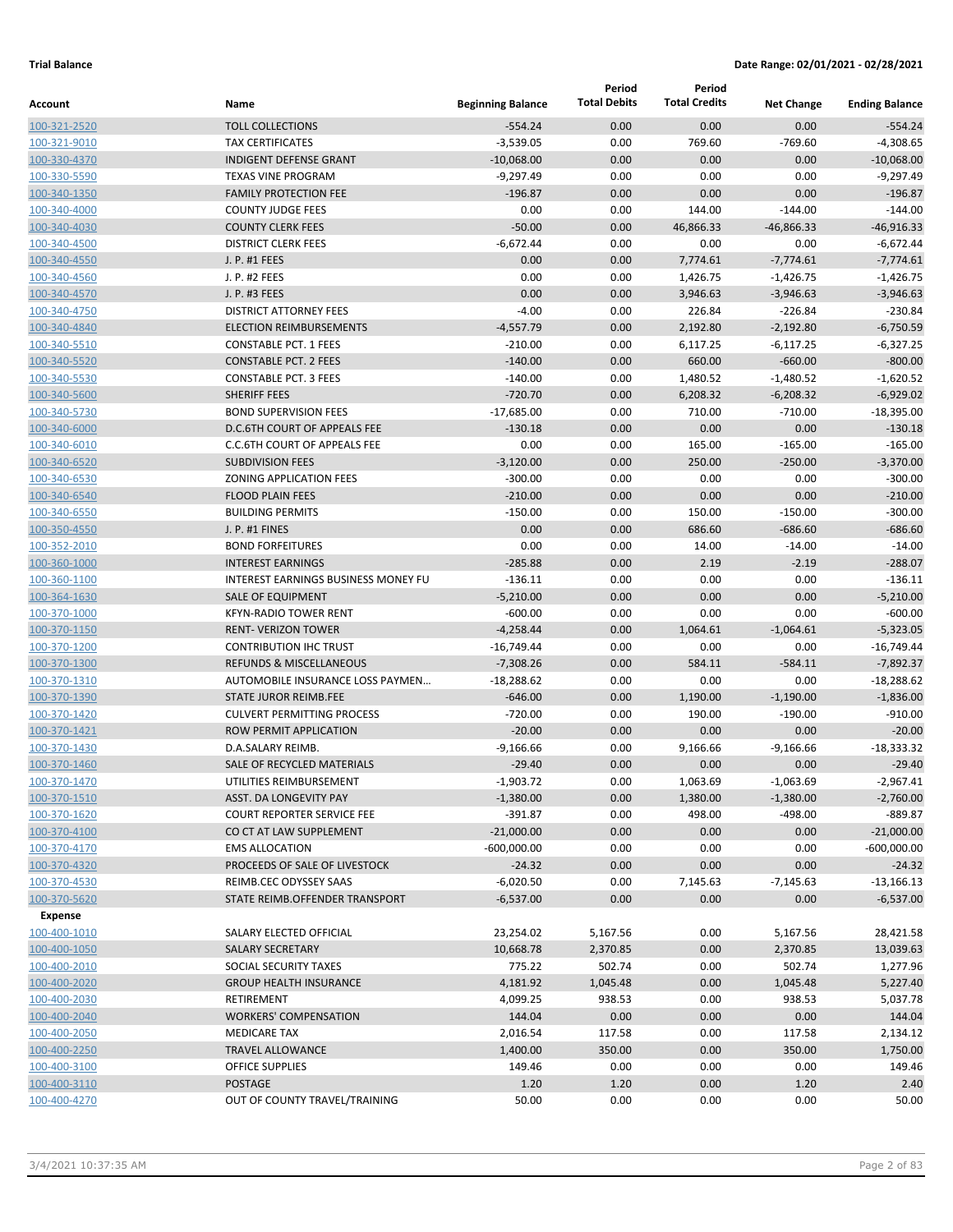|                              |                                                     |                          | Period              | Period               |                   |                             |
|------------------------------|-----------------------------------------------------|--------------------------|---------------------|----------------------|-------------------|-----------------------------|
| Account                      | Name                                                | <b>Beginning Balance</b> | <b>Total Debits</b> | <b>Total Credits</b> | <b>Net Change</b> | <b>Ending Balance</b>       |
| 100-321-2520                 | <b>TOLL COLLECTIONS</b>                             | $-554.24$                | 0.00                | 0.00                 | 0.00              | $-554.24$                   |
| 100-321-9010                 | <b>TAX CERTIFICATES</b>                             | $-3,539.05$              | 0.00                | 769.60               | $-769.60$         | $-4,308.65$                 |
| 100-330-4370                 | <b>INDIGENT DEFENSE GRANT</b>                       | $-10,068.00$             | 0.00                | 0.00                 | 0.00              | $-10,068.00$                |
| 100-330-5590                 | <b>TEXAS VINE PROGRAM</b>                           | $-9,297.49$              | 0.00                | 0.00                 | 0.00              | $-9,297.49$                 |
| 100-340-1350                 | <b>FAMILY PROTECTION FEE</b>                        | $-196.87$                | 0.00                | 0.00                 | 0.00              | $-196.87$                   |
| 100-340-4000                 | <b>COUNTY JUDGE FEES</b>                            | 0.00                     | 0.00                | 144.00               | $-144.00$         | $-144.00$                   |
| 100-340-4030                 | <b>COUNTY CLERK FEES</b>                            | $-50.00$                 | 0.00                | 46,866.33            | $-46,866.33$      | $-46,916.33$                |
| 100-340-4500                 | <b>DISTRICT CLERK FEES</b>                          | $-6,672.44$              | 0.00                | 0.00                 | 0.00              | $-6,672.44$                 |
| 100-340-4550                 | J. P. #1 FEES                                       | 0.00                     | 0.00                | 7,774.61             | $-7,774.61$       | $-7,774.61$                 |
| 100-340-4560                 | J. P. #2 FEES                                       | 0.00                     | 0.00                | 1,426.75             | $-1,426.75$       | $-1,426.75$                 |
| 100-340-4570                 | J. P. #3 FEES                                       | 0.00                     | 0.00                | 3,946.63             | $-3,946.63$       | $-3,946.63$                 |
| 100-340-4750                 | <b>DISTRICT ATTORNEY FEES</b>                       | $-4.00$                  | 0.00                | 226.84               | $-226.84$         | $-230.84$                   |
| 100-340-4840                 | <b>ELECTION REIMBURSEMENTS</b>                      | $-4,557.79$              | 0.00                | 2,192.80             | $-2,192.80$       | $-6,750.59$                 |
| 100-340-5510                 | <b>CONSTABLE PCT. 1 FEES</b>                        | $-210.00$                | 0.00                | 6,117.25             | $-6,117.25$       | $-6,327.25$                 |
| 100-340-5520                 | <b>CONSTABLE PCT. 2 FEES</b>                        | $-140.00$                | 0.00                | 660.00               | $-660.00$         | $-800.00$                   |
| 100-340-5530                 | <b>CONSTABLE PCT. 3 FEES</b><br><b>SHERIFF FEES</b> | $-140.00$<br>$-720.70$   | 0.00                | 1,480.52<br>6,208.32 | $-1,480.52$       | $-1,620.52$                 |
| 100-340-5600                 | <b>BOND SUPERVISION FEES</b>                        | $-17,685.00$             | 0.00<br>0.00        | 710.00               | $-6,208.32$       | $-6,929.02$<br>$-18,395.00$ |
| 100-340-5730<br>100-340-6000 | <b>D.C.6TH COURT OF APPEALS FEE</b>                 | $-130.18$                | 0.00                | 0.00                 | $-710.00$<br>0.00 | $-130.18$                   |
| 100-340-6010                 | C.C.6TH COURT OF APPEALS FEE                        | 0.00                     | 0.00                | 165.00               | $-165.00$         | $-165.00$                   |
| 100-340-6520                 | <b>SUBDIVISION FEES</b>                             | $-3,120.00$              | 0.00                | 250.00               | $-250.00$         | $-3,370.00$                 |
| 100-340-6530                 | <b>ZONING APPLICATION FEES</b>                      | $-300.00$                | 0.00                | 0.00                 | 0.00              | $-300.00$                   |
| 100-340-6540                 | <b>FLOOD PLAIN FEES</b>                             | $-210.00$                | 0.00                | 0.00                 | 0.00              | $-210.00$                   |
| 100-340-6550                 | <b>BUILDING PERMITS</b>                             | $-150.00$                | 0.00                | 150.00               | $-150.00$         | $-300.00$                   |
| 100-350-4550                 | J. P. #1 FINES                                      | 0.00                     | 0.00                | 686.60               | $-686.60$         | $-686.60$                   |
| 100-352-2010                 | <b>BOND FORFEITURES</b>                             | 0.00                     | 0.00                | 14.00                | $-14.00$          | $-14.00$                    |
| 100-360-1000                 | <b>INTEREST EARNINGS</b>                            | $-285.88$                | 0.00                | 2.19                 | $-2.19$           | $-288.07$                   |
| 100-360-1100                 | <b>INTEREST EARNINGS BUSINESS MONEY FU</b>          | $-136.11$                | 0.00                | 0.00                 | 0.00              | $-136.11$                   |
| 100-364-1630                 | <b>SALE OF EQUIPMENT</b>                            | $-5,210.00$              | 0.00                | 0.00                 | 0.00              | $-5,210.00$                 |
| 100-370-1000                 | <b>KFYN-RADIO TOWER RENT</b>                        | $-600.00$                | 0.00                | 0.00                 | 0.00              | $-600.00$                   |
| 100-370-1150                 | <b>RENT- VERIZON TOWER</b>                          | $-4,258.44$              | 0.00                | 1,064.61             | $-1,064.61$       | $-5,323.05$                 |
| 100-370-1200                 | <b>CONTRIBUTION IHC TRUST</b>                       | $-16,749.44$             | 0.00                | 0.00                 | 0.00              | $-16,749.44$                |
| 100-370-1300                 | <b>REFUNDS &amp; MISCELLANEOUS</b>                  | $-7,308.26$              | 0.00                | 584.11               | $-584.11$         | $-7,892.37$                 |
| 100-370-1310                 | AUTOMOBILE INSURANCE LOSS PAYMEN                    | $-18,288.62$             | 0.00                | 0.00                 | 0.00              | $-18,288.62$                |
| 100-370-1390                 | <b>STATE JUROR REIMB.FEE</b>                        | $-646.00$                | 0.00                | 1,190.00             | $-1,190.00$       | $-1,836.00$                 |
| 100-370-1420                 | <b>CULVERT PERMITTING PROCESS</b>                   | $-720.00$                | 0.00                | 190.00               | $-190.00$         | $-910.00$                   |
| 100-370-1421                 | ROW PERMIT APPLICATION                              | $-20.00$                 | 0.00                | 0.00                 | 0.00              | $-20.00$                    |
| 100-370-1430                 | D.A.SALARY REIMB.                                   | $-9,166.66$              | 0.00                | 9,166.66             | $-9,166.66$       | $-18,333.32$                |
| 100-370-1460                 | SALE OF RECYCLED MATERIALS                          | $-29.40$                 | 0.00                | 0.00                 | 0.00              | $-29.40$                    |
| 100-370-1470                 | UTILITIES REIMBURSEMENT                             | $-1,903.72$              | 0.00                | 1,063.69             | $-1,063.69$       | $-2,967.41$                 |
| 100-370-1510                 | ASST. DA LONGEVITY PAY                              | $-1,380.00$              | 0.00                | 1,380.00             | $-1,380.00$       | $-2,760.00$                 |
| 100-370-1620                 | <b>COURT REPORTER SERVICE FEE</b>                   | $-391.87$                | 0.00                | 498.00               | $-498.00$         | $-889.87$                   |
| 100-370-4100                 | CO CT AT LAW SUPPLEMENT                             | $-21,000.00$             | 0.00                | 0.00                 | 0.00              | $-21,000.00$                |
| 100-370-4170                 | <b>EMS ALLOCATION</b>                               | $-600,000.00$            | 0.00                | 0.00                 | 0.00              | $-600,000.00$               |
| 100-370-4320                 | PROCEEDS OF SALE OF LIVESTOCK                       | $-24.32$                 | 0.00                | 0.00                 | 0.00              | $-24.32$                    |
| 100-370-4530                 | REIMB.CEC ODYSSEY SAAS                              | $-6,020.50$              | 0.00                | 7,145.63             | $-7,145.63$       | $-13,166.13$                |
| 100-370-5620                 | STATE REIMB.OFFENDER TRANSPORT                      | $-6,537.00$              | 0.00                | 0.00                 | 0.00              | $-6,537.00$                 |
| Expense                      |                                                     |                          |                     |                      |                   |                             |
| 100-400-1010                 | SALARY ELECTED OFFICIAL                             | 23,254.02                | 5,167.56            | 0.00                 | 5,167.56          | 28,421.58                   |
| 100-400-1050                 | SALARY SECRETARY                                    | 10,668.78                | 2,370.85            | 0.00                 | 2,370.85          | 13,039.63                   |
| 100-400-2010                 | SOCIAL SECURITY TAXES                               | 775.22                   | 502.74              | 0.00                 | 502.74            | 1,277.96                    |
| 100-400-2020                 | <b>GROUP HEALTH INSURANCE</b>                       | 4,181.92                 | 1,045.48            | 0.00                 | 1,045.48          | 5,227.40                    |
| 100-400-2030                 | RETIREMENT                                          | 4,099.25                 | 938.53              | 0.00                 | 938.53            | 5,037.78                    |
| 100-400-2040                 | <b>WORKERS' COMPENSATION</b>                        | 144.04                   | 0.00                | 0.00                 | 0.00              | 144.04                      |
| 100-400-2050                 | <b>MEDICARE TAX</b>                                 | 2,016.54                 | 117.58              | 0.00                 | 117.58            | 2,134.12                    |
| 100-400-2250                 | <b>TRAVEL ALLOWANCE</b>                             | 1,400.00                 | 350.00              | 0.00                 | 350.00            | 1,750.00                    |
| 100-400-3100                 | OFFICE SUPPLIES                                     | 149.46                   | 0.00                | 0.00                 | 0.00              | 149.46                      |
| 100-400-3110                 | POSTAGE                                             | 1.20                     | 1.20                | 0.00                 | 1.20              | 2.40                        |
| 100-400-4270                 | OUT OF COUNTY TRAVEL/TRAINING                       | 50.00                    | 0.00                | 0.00                 | 0.00              | 50.00                       |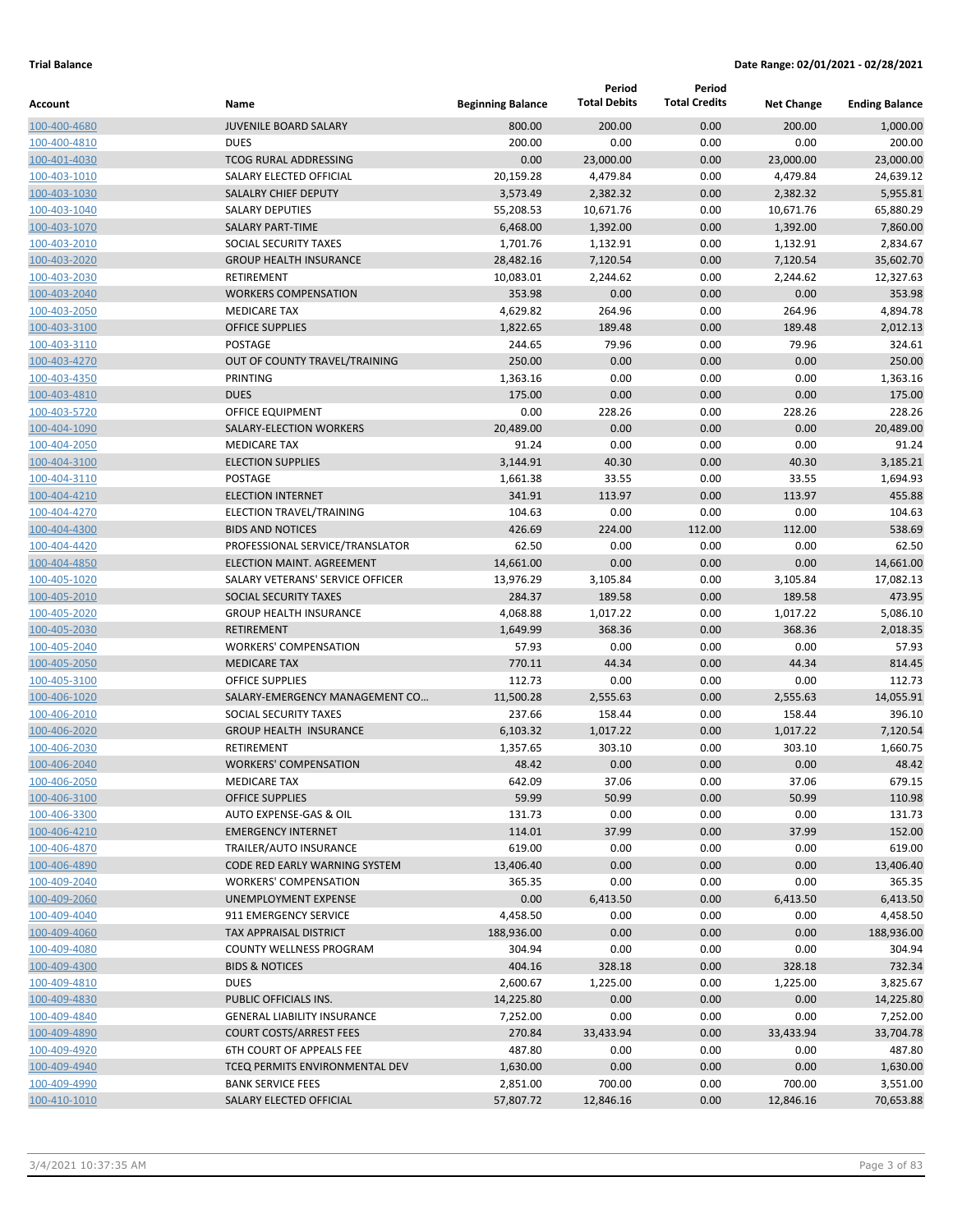|              |                                      |                          | Period              | Period               |                   |                       |
|--------------|--------------------------------------|--------------------------|---------------------|----------------------|-------------------|-----------------------|
| Account      | Name                                 | <b>Beginning Balance</b> | <b>Total Debits</b> | <b>Total Credits</b> | <b>Net Change</b> | <b>Ending Balance</b> |
| 100-400-4680 | <b>JUVENILE BOARD SALARY</b>         | 800.00                   | 200.00              | 0.00                 | 200.00            | 1,000.00              |
| 100-400-4810 | <b>DUES</b>                          | 200.00                   | 0.00                | 0.00                 | 0.00              | 200.00                |
| 100-401-4030 | <b>TCOG RURAL ADDRESSING</b>         | 0.00                     | 23,000.00           | 0.00                 | 23,000.00         | 23,000.00             |
| 100-403-1010 | SALARY ELECTED OFFICIAL              | 20,159.28                | 4,479.84            | 0.00                 | 4,479.84          | 24,639.12             |
| 100-403-1030 | <b>SALALRY CHIEF DEPUTY</b>          | 3,573.49                 | 2,382.32            | 0.00                 | 2,382.32          | 5,955.81              |
| 100-403-1040 | <b>SALARY DEPUTIES</b>               | 55,208.53                | 10,671.76           | 0.00                 | 10,671.76         | 65,880.29             |
| 100-403-1070 | <b>SALARY PART-TIME</b>              | 6,468.00                 | 1,392.00            | 0.00                 | 1,392.00          | 7,860.00              |
| 100-403-2010 | SOCIAL SECURITY TAXES                | 1,701.76                 | 1,132.91            | 0.00                 | 1,132.91          | 2,834.67              |
| 100-403-2020 | <b>GROUP HEALTH INSURANCE</b>        | 28,482.16                | 7,120.54            | 0.00                 | 7,120.54          | 35,602.70             |
| 100-403-2030 | <b>RETIREMENT</b>                    | 10,083.01                | 2,244.62            | 0.00                 | 2,244.62          | 12,327.63             |
| 100-403-2040 | <b>WORKERS COMPENSATION</b>          | 353.98                   | 0.00                | 0.00                 | 0.00              | 353.98                |
| 100-403-2050 | <b>MEDICARE TAX</b>                  | 4,629.82                 | 264.96              | 0.00                 | 264.96            | 4,894.78              |
| 100-403-3100 | <b>OFFICE SUPPLIES</b>               | 1,822.65                 | 189.48              | 0.00                 | 189.48            | 2,012.13              |
| 100-403-3110 | POSTAGE                              | 244.65                   | 79.96               | 0.00                 | 79.96             | 324.61                |
| 100-403-4270 | OUT OF COUNTY TRAVEL/TRAINING        | 250.00                   | 0.00                | 0.00                 | 0.00              | 250.00                |
| 100-403-4350 | PRINTING                             | 1,363.16                 | 0.00                | 0.00                 | 0.00              | 1,363.16              |
| 100-403-4810 | <b>DUES</b>                          | 175.00                   | 0.00                | 0.00                 | 0.00              | 175.00                |
| 100-403-5720 | OFFICE EQUIPMENT                     | 0.00                     | 228.26              | 0.00                 | 228.26            | 228.26                |
| 100-404-1090 | SALARY-ELECTION WORKERS              | 20,489.00                | 0.00                | 0.00                 | 0.00              | 20,489.00             |
| 100-404-2050 | <b>MEDICARE TAX</b>                  | 91.24                    | 0.00                | 0.00                 | 0.00              | 91.24                 |
| 100-404-3100 | <b>ELECTION SUPPLIES</b>             | 3,144.91                 | 40.30               | 0.00                 | 40.30             | 3,185.21              |
| 100-404-3110 | POSTAGE                              | 1,661.38                 | 33.55               | 0.00                 | 33.55             | 1,694.93              |
| 100-404-4210 | <b>ELECTION INTERNET</b>             | 341.91                   | 113.97              | 0.00                 | 113.97            | 455.88                |
| 100-404-4270 | ELECTION TRAVEL/TRAINING             | 104.63                   | 0.00                | 0.00                 | 0.00              | 104.63                |
| 100-404-4300 | <b>BIDS AND NOTICES</b>              | 426.69                   | 224.00              | 112.00               | 112.00            | 538.69                |
| 100-404-4420 | PROFESSIONAL SERVICE/TRANSLATOR      | 62.50                    | 0.00                | 0.00                 | 0.00              | 62.50                 |
| 100-404-4850 | ELECTION MAINT. AGREEMENT            | 14,661.00                | 0.00                | 0.00                 | 0.00              | 14,661.00             |
| 100-405-1020 | SALARY VETERANS' SERVICE OFFICER     | 13,976.29                | 3,105.84            | 0.00                 | 3,105.84          | 17,082.13             |
| 100-405-2010 | SOCIAL SECURITY TAXES                | 284.37                   | 189.58              | 0.00                 | 189.58            | 473.95                |
| 100-405-2020 | <b>GROUP HEALTH INSURANCE</b>        | 4,068.88                 | 1,017.22            | 0.00                 | 1,017.22          | 5,086.10              |
| 100-405-2030 | <b>RETIREMENT</b>                    | 1,649.99                 | 368.36              | 0.00                 | 368.36            | 2,018.35              |
| 100-405-2040 | <b>WORKERS' COMPENSATION</b>         | 57.93                    | 0.00                | 0.00                 | 0.00              | 57.93                 |
| 100-405-2050 | <b>MEDICARE TAX</b>                  | 770.11                   | 44.34               | 0.00                 | 44.34             | 814.45                |
| 100-405-3100 | <b>OFFICE SUPPLIES</b>               | 112.73                   | 0.00                | 0.00                 | 0.00              | 112.73                |
| 100-406-1020 | SALARY-EMERGENCY MANAGEMENT CO       | 11,500.28                | 2,555.63            | 0.00                 | 2,555.63          | 14.055.91             |
| 100-406-2010 | SOCIAL SECURITY TAXES                | 237.66                   | 158.44              | 0.00                 | 158.44            | 396.10                |
| 100-406-2020 | <b>GROUP HEALTH INSURANCE</b>        | 6,103.32                 | 1,017.22            | 0.00                 | 1,017.22          | 7,120.54              |
| 100-406-2030 | RETIREMENT                           | 1,357.65                 | 303.10              | 0.00                 | 303.10            | 1,660.75              |
| 100-406-2040 | <b>WORKERS' COMPENSATION</b>         | 48.42                    | 0.00                | 0.00                 | 0.00              | 48.42                 |
| 100-406-2050 | <b>MEDICARE TAX</b>                  | 642.09                   | 37.06               | 0.00                 | 37.06             | 679.15                |
| 100-406-3100 | <b>OFFICE SUPPLIES</b>               | 59.99                    | 50.99               | 0.00                 | 50.99             | 110.98                |
| 100-406-3300 | AUTO EXPENSE-GAS & OIL               | 131.73                   | 0.00                | 0.00                 | 0.00              | 131.73                |
| 100-406-4210 | <b>EMERGENCY INTERNET</b>            | 114.01                   | 37.99               | 0.00                 | 37.99             | 152.00                |
| 100-406-4870 | TRAILER/AUTO INSURANCE               | 619.00                   | 0.00                | 0.00                 | 0.00              | 619.00                |
| 100-406-4890 | <b>CODE RED EARLY WARNING SYSTEM</b> | 13,406.40                | 0.00                | 0.00                 | 0.00              | 13,406.40             |
| 100-409-2040 | <b>WORKERS' COMPENSATION</b>         | 365.35                   | 0.00                | 0.00                 | 0.00              | 365.35                |
| 100-409-2060 | <b>UNEMPLOYMENT EXPENSE</b>          | 0.00                     | 6,413.50            | 0.00                 | 6,413.50          | 6,413.50              |
| 100-409-4040 | 911 EMERGENCY SERVICE                | 4,458.50                 | 0.00                | 0.00                 | 0.00              | 4,458.50              |
| 100-409-4060 | TAX APPRAISAL DISTRICT               | 188,936.00               | 0.00                | 0.00                 | 0.00              | 188,936.00            |
| 100-409-4080 | COUNTY WELLNESS PROGRAM              | 304.94                   | 0.00                | 0.00                 | 0.00              | 304.94                |
| 100-409-4300 | <b>BIDS &amp; NOTICES</b>            | 404.16                   | 328.18              | 0.00                 | 328.18            | 732.34                |
| 100-409-4810 | <b>DUES</b>                          | 2,600.67                 | 1,225.00            | 0.00                 | 1,225.00          | 3,825.67              |
| 100-409-4830 | PUBLIC OFFICIALS INS.                | 14,225.80                | 0.00                | 0.00                 | 0.00              | 14,225.80             |
| 100-409-4840 | <b>GENERAL LIABILITY INSURANCE</b>   | 7,252.00                 | 0.00                | 0.00                 | 0.00              | 7,252.00              |
| 100-409-4890 | <b>COURT COSTS/ARREST FEES</b>       | 270.84                   | 33,433.94           | 0.00                 | 33,433.94         | 33,704.78             |
| 100-409-4920 | 6TH COURT OF APPEALS FEE             | 487.80                   | 0.00                | 0.00                 | 0.00              | 487.80                |
| 100-409-4940 | TCEQ PERMITS ENVIRONMENTAL DEV       | 1,630.00                 | 0.00                | 0.00                 | 0.00              | 1,630.00              |
| 100-409-4990 | <b>BANK SERVICE FEES</b>             | 2,851.00                 | 700.00              | 0.00                 | 700.00            | 3,551.00              |
| 100-410-1010 | SALARY ELECTED OFFICIAL              | 57,807.72                | 12,846.16           | 0.00                 | 12,846.16         | 70,653.88             |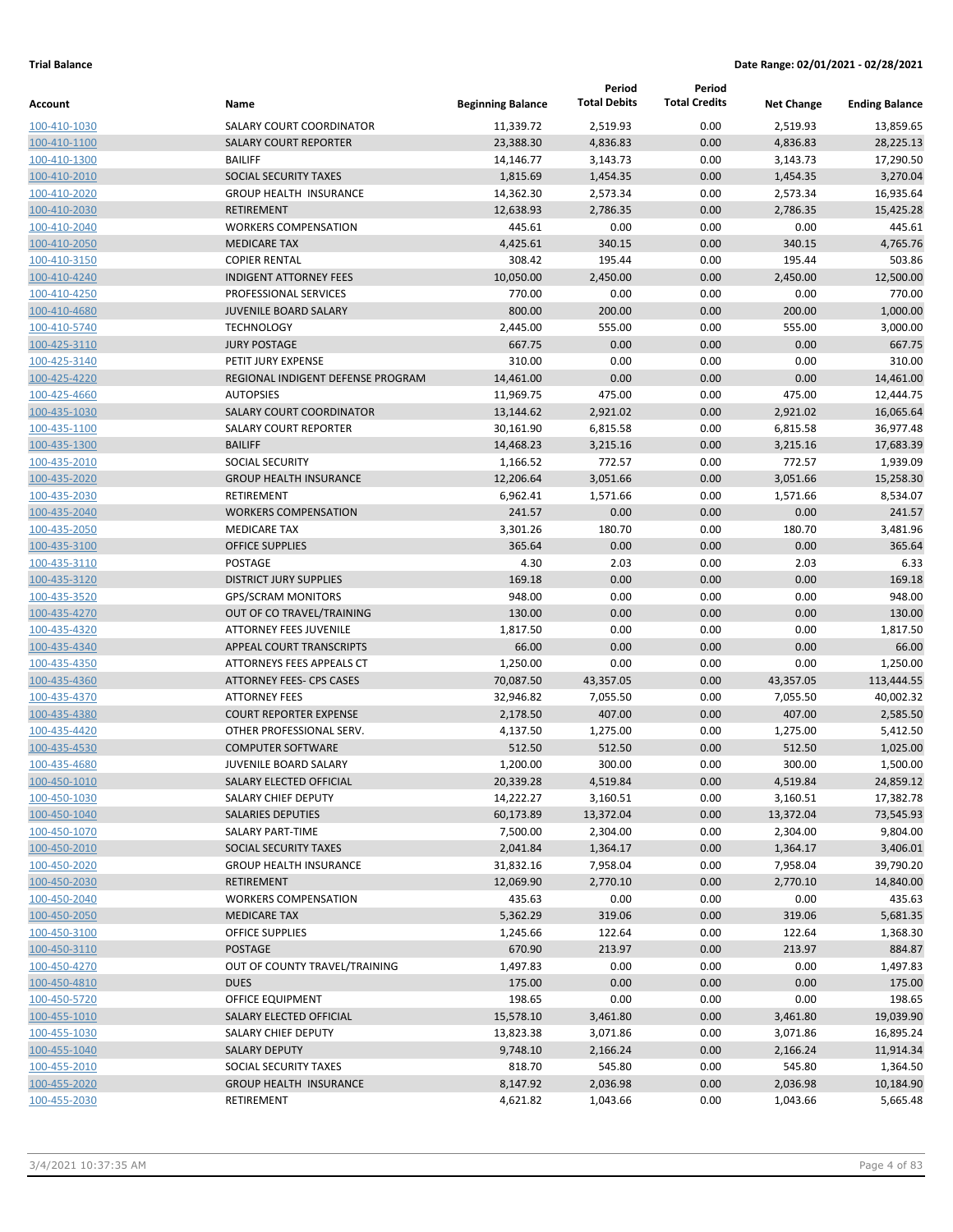|                              |                                                              |                          | Period                | Period               |                   |                        |
|------------------------------|--------------------------------------------------------------|--------------------------|-----------------------|----------------------|-------------------|------------------------|
| Account                      | Name                                                         | <b>Beginning Balance</b> | <b>Total Debits</b>   | <b>Total Credits</b> | <b>Net Change</b> | <b>Ending Balance</b>  |
| 100-410-1030                 | SALARY COURT COORDINATOR                                     | 11,339.72                | 2,519.93              | 0.00                 | 2,519.93          | 13,859.65              |
| 100-410-1100                 | <b>SALARY COURT REPORTER</b>                                 | 23,388.30                | 4,836.83              | 0.00                 | 4,836.83          | 28,225.13              |
| 100-410-1300                 | <b>BAILIFF</b>                                               | 14,146.77                | 3,143.73              | 0.00                 | 3,143.73          | 17,290.50              |
| 100-410-2010                 | SOCIAL SECURITY TAXES                                        | 1,815.69                 | 1,454.35              | 0.00                 | 1,454.35          | 3,270.04               |
| 100-410-2020                 | <b>GROUP HEALTH INSURANCE</b>                                | 14,362.30                | 2,573.34              | 0.00                 | 2,573.34          | 16,935.64              |
| 100-410-2030                 | <b>RETIREMENT</b>                                            | 12,638.93                | 2,786.35              | 0.00                 | 2,786.35          | 15,425.28              |
| 100-410-2040                 | <b>WORKERS COMPENSATION</b>                                  | 445.61                   | 0.00                  | 0.00                 | 0.00              | 445.61                 |
| 100-410-2050                 | <b>MEDICARE TAX</b>                                          | 4,425.61                 | 340.15                | 0.00                 | 340.15            | 4,765.76               |
| 100-410-3150                 | <b>COPIER RENTAL</b>                                         | 308.42                   | 195.44                | 0.00                 | 195.44            | 503.86                 |
| 100-410-4240                 | <b>INDIGENT ATTORNEY FEES</b>                                | 10,050.00                | 2,450.00              | 0.00                 | 2,450.00          | 12,500.00              |
| 100-410-4250                 | PROFESSIONAL SERVICES                                        | 770.00                   | 0.00                  | 0.00                 | 0.00              | 770.00                 |
| 100-410-4680                 | <b>JUVENILE BOARD SALARY</b>                                 | 800.00                   | 200.00                | 0.00                 | 200.00            | 1,000.00               |
| 100-410-5740                 | <b>TECHNOLOGY</b>                                            | 2,445.00                 | 555.00                | 0.00                 | 555.00            | 3,000.00               |
| 100-425-3110                 | <b>JURY POSTAGE</b>                                          | 667.75                   | 0.00                  | 0.00                 | 0.00              | 667.75                 |
| 100-425-3140                 | PETIT JURY EXPENSE                                           | 310.00                   | 0.00                  | 0.00                 | 0.00              | 310.00                 |
| 100-425-4220                 | REGIONAL INDIGENT DEFENSE PROGRAM                            | 14,461.00                | 0.00                  | 0.00                 | 0.00              | 14,461.00              |
| 100-425-4660                 | <b>AUTOPSIES</b>                                             | 11,969.75                | 475.00                | 0.00                 | 475.00            | 12,444.75              |
| 100-435-1030                 | <b>SALARY COURT COORDINATOR</b>                              | 13,144.62                | 2,921.02              | 0.00                 | 2,921.02          | 16,065.64              |
| 100-435-1100                 | <b>SALARY COURT REPORTER</b>                                 | 30,161.90                | 6,815.58              | 0.00                 | 6,815.58          | 36,977.48              |
| 100-435-1300                 | <b>BAILIFF</b>                                               | 14,468.23                | 3,215.16              | 0.00                 | 3,215.16          | 17,683.39              |
| 100-435-2010                 | <b>SOCIAL SECURITY</b>                                       | 1,166.52                 | 772.57                | 0.00                 | 772.57            | 1,939.09               |
| 100-435-2020                 | <b>GROUP HEALTH INSURANCE</b>                                | 12,206.64                | 3,051.66              | 0.00                 | 3,051.66          | 15,258.30              |
| 100-435-2030                 | <b>RETIREMENT</b>                                            | 6,962.41                 | 1,571.66              | 0.00                 | 1,571.66          | 8,534.07               |
| 100-435-2040                 | <b>WORKERS COMPENSATION</b>                                  | 241.57                   | 0.00                  | 0.00                 | 0.00              | 241.57                 |
| 100-435-2050                 | <b>MEDICARE TAX</b>                                          | 3,301.26                 | 180.70                | 0.00                 | 180.70            | 3,481.96               |
| 100-435-3100                 | <b>OFFICE SUPPLIES</b>                                       | 365.64                   | 0.00                  | 0.00                 | 0.00              | 365.64                 |
| 100-435-3110                 | <b>POSTAGE</b>                                               | 4.30                     | 2.03                  | 0.00                 | 2.03              | 6.33                   |
| 100-435-3120                 | <b>DISTRICT JURY SUPPLIES</b>                                | 169.18                   | 0.00                  | 0.00                 | 0.00              | 169.18                 |
| 100-435-3520                 | <b>GPS/SCRAM MONITORS</b>                                    | 948.00                   | 0.00                  | 0.00                 | 0.00              | 948.00                 |
| 100-435-4270                 | OUT OF CO TRAVEL/TRAINING                                    | 130.00                   | 0.00                  | 0.00                 | 0.00              | 130.00                 |
| 100-435-4320                 | <b>ATTORNEY FEES JUVENILE</b>                                | 1,817.50                 | 0.00                  | 0.00                 | 0.00              | 1,817.50               |
| 100-435-4340                 | APPEAL COURT TRANSCRIPTS                                     | 66.00                    | 0.00                  | 0.00                 | 0.00              | 66.00                  |
| 100-435-4350                 | ATTORNEYS FEES APPEALS CT<br><b>ATTORNEY FEES- CPS CASES</b> | 1,250.00<br>70,087.50    | 0.00                  | 0.00                 | 0.00              | 1,250.00<br>113,444.55 |
| 100-435-4360                 | <b>ATTORNEY FEES</b>                                         |                          | 43,357.05<br>7,055.50 | 0.00                 | 43,357.05         |                        |
| 100-435-4370<br>100-435-4380 | <b>COURT REPORTER EXPENSE</b>                                | 32,946.82                |                       | 0.00                 | 7,055.50          | 40,002.32<br>2,585.50  |
|                              | OTHER PROFESSIONAL SERV.                                     | 2,178.50                 | 407.00                | 0.00                 | 407.00            | 5,412.50               |
| 100-435-4420                 | <b>COMPUTER SOFTWARE</b>                                     | 4,137.50                 | 1,275.00              | 0.00<br>0.00         | 1,275.00          |                        |
| 100-435-4530<br>100-435-4680 | <b>JUVENILE BOARD SALARY</b>                                 | 512.50<br>1,200.00       | 512.50<br>300.00      | 0.00                 | 512.50<br>300.00  | 1,025.00<br>1,500.00   |
| 100-450-1010                 | SALARY ELECTED OFFICIAL                                      | 20,339.28                | 4,519.84              | 0.00                 | 4,519.84          | 24,859.12              |
| 100-450-1030                 | SALARY CHIEF DEPUTY                                          | 14,222.27                | 3,160.51              | 0.00                 | 3,160.51          | 17,382.78              |
| 100-450-1040                 | SALARIES DEPUTIES                                            | 60,173.89                | 13,372.04             | 0.00                 | 13,372.04         | 73,545.93              |
| 100-450-1070                 | SALARY PART-TIME                                             | 7,500.00                 | 2,304.00              | 0.00                 | 2,304.00          | 9,804.00               |
| 100-450-2010                 | SOCIAL SECURITY TAXES                                        | 2,041.84                 | 1,364.17              | 0.00                 | 1,364.17          | 3,406.01               |
| 100-450-2020                 | <b>GROUP HEALTH INSURANCE</b>                                | 31,832.16                | 7,958.04              | 0.00                 | 7,958.04          | 39,790.20              |
| 100-450-2030                 | <b>RETIREMENT</b>                                            | 12,069.90                | 2,770.10              | 0.00                 | 2,770.10          | 14,840.00              |
| 100-450-2040                 | <b>WORKERS COMPENSATION</b>                                  | 435.63                   | 0.00                  | 0.00                 | 0.00              | 435.63                 |
| 100-450-2050                 | <b>MEDICARE TAX</b>                                          | 5,362.29                 | 319.06                | 0.00                 | 319.06            | 5,681.35               |
| 100-450-3100                 | <b>OFFICE SUPPLIES</b>                                       | 1,245.66                 | 122.64                | 0.00                 | 122.64            | 1,368.30               |
| 100-450-3110                 | POSTAGE                                                      | 670.90                   | 213.97                | 0.00                 | 213.97            | 884.87                 |
| 100-450-4270                 | OUT OF COUNTY TRAVEL/TRAINING                                | 1,497.83                 | 0.00                  | 0.00                 | 0.00              | 1,497.83               |
| 100-450-4810                 | <b>DUES</b>                                                  | 175.00                   | 0.00                  | 0.00                 | 0.00              | 175.00                 |
| 100-450-5720                 | OFFICE EQUIPMENT                                             | 198.65                   | 0.00                  | 0.00                 | 0.00              | 198.65                 |
| 100-455-1010                 | SALARY ELECTED OFFICIAL                                      | 15,578.10                | 3,461.80              | 0.00                 | 3,461.80          | 19,039.90              |
| 100-455-1030                 | SALARY CHIEF DEPUTY                                          | 13,823.38                | 3,071.86              | 0.00                 | 3,071.86          | 16,895.24              |
| 100-455-1040                 | <b>SALARY DEPUTY</b>                                         | 9,748.10                 | 2,166.24              | 0.00                 | 2,166.24          | 11,914.34              |
| 100-455-2010                 | SOCIAL SECURITY TAXES                                        | 818.70                   | 545.80                | 0.00                 | 545.80            | 1,364.50               |
| 100-455-2020                 | <b>GROUP HEALTH INSURANCE</b>                                | 8,147.92                 | 2,036.98              | 0.00                 | 2,036.98          | 10,184.90              |
| 100-455-2030                 | RETIREMENT                                                   | 4,621.82                 | 1,043.66              | 0.00                 | 1,043.66          | 5,665.48               |
|                              |                                                              |                          |                       |                      |                   |                        |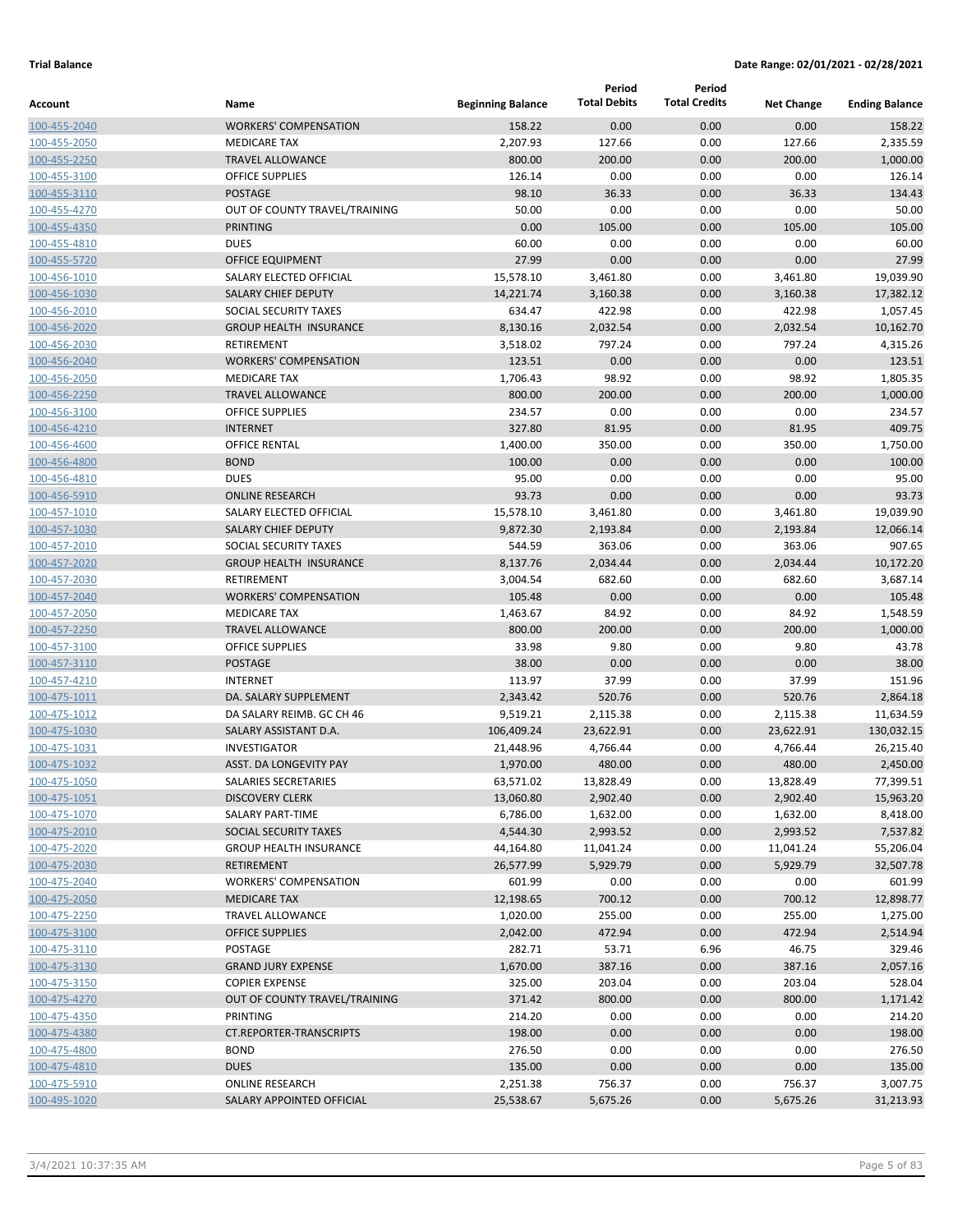| Account                      | Name                                        | <b>Beginning Balance</b> | Period<br><b>Total Debits</b> | Period<br><b>Total Credits</b> | <b>Net Change</b>     | <b>Ending Balance</b>  |
|------------------------------|---------------------------------------------|--------------------------|-------------------------------|--------------------------------|-----------------------|------------------------|
| 100-455-2040                 | <b>WORKERS' COMPENSATION</b>                | 158.22                   | 0.00                          | 0.00                           | 0.00                  | 158.22                 |
| 100-455-2050                 | <b>MEDICARE TAX</b>                         | 2,207.93                 | 127.66                        | 0.00                           | 127.66                | 2,335.59               |
| 100-455-2250                 | <b>TRAVEL ALLOWANCE</b>                     | 800.00                   | 200.00                        | 0.00                           | 200.00                | 1,000.00               |
| 100-455-3100                 | <b>OFFICE SUPPLIES</b>                      | 126.14                   | 0.00                          | 0.00                           | 0.00                  | 126.14                 |
| 100-455-3110                 | <b>POSTAGE</b>                              | 98.10                    | 36.33                         | 0.00                           | 36.33                 | 134.43                 |
| 100-455-4270                 | OUT OF COUNTY TRAVEL/TRAINING               | 50.00                    | 0.00                          | 0.00                           | 0.00                  | 50.00                  |
| 100-455-4350                 | PRINTING                                    | 0.00                     | 105.00                        | 0.00                           | 105.00                | 105.00                 |
| 100-455-4810                 | <b>DUES</b>                                 | 60.00                    | 0.00                          | 0.00                           | 0.00                  | 60.00                  |
| 100-455-5720                 | <b>OFFICE EQUIPMENT</b>                     | 27.99                    | 0.00                          | 0.00                           | 0.00                  | 27.99                  |
| 100-456-1010                 | SALARY ELECTED OFFICIAL                     | 15,578.10                | 3,461.80                      | 0.00                           | 3,461.80              | 19,039.90              |
| 100-456-1030                 | <b>SALARY CHIEF DEPUTY</b>                  | 14,221.74                | 3,160.38                      | 0.00                           | 3,160.38              | 17,382.12              |
| 100-456-2010                 | SOCIAL SECURITY TAXES                       | 634.47                   | 422.98                        | 0.00                           | 422.98                | 1,057.45               |
| 100-456-2020                 | <b>GROUP HEALTH INSURANCE</b>               | 8,130.16                 | 2,032.54                      | 0.00                           | 2,032.54              | 10,162.70              |
| 100-456-2030                 | RETIREMENT                                  | 3,518.02                 | 797.24                        | 0.00                           | 797.24                | 4,315.26               |
| 100-456-2040                 | <b>WORKERS' COMPENSATION</b>                | 123.51                   | 0.00                          | 0.00                           | 0.00                  | 123.51                 |
| 100-456-2050                 | <b>MEDICARE TAX</b>                         | 1,706.43                 | 98.92                         | 0.00                           | 98.92                 | 1,805.35               |
| 100-456-2250                 | <b>TRAVEL ALLOWANCE</b>                     | 800.00                   | 200.00                        | 0.00                           | 200.00                | 1,000.00               |
| 100-456-3100                 | <b>OFFICE SUPPLIES</b>                      | 234.57                   | 0.00                          | 0.00                           | 0.00                  | 234.57                 |
| 100-456-4210                 | <b>INTERNET</b>                             | 327.80                   | 81.95                         | 0.00                           | 81.95                 | 409.75                 |
| 100-456-4600                 | <b>OFFICE RENTAL</b>                        | 1,400.00                 | 350.00                        | 0.00                           | 350.00                | 1,750.00               |
| 100-456-4800                 | <b>BOND</b>                                 | 100.00                   | 0.00                          | 0.00                           | 0.00                  | 100.00                 |
| 100-456-4810                 | <b>DUES</b>                                 | 95.00                    | 0.00                          | 0.00                           | 0.00                  | 95.00                  |
| 100-456-5910                 | <b>ONLINE RESEARCH</b>                      | 93.73                    | 0.00                          | 0.00                           | 0.00                  | 93.73                  |
| 100-457-1010                 | SALARY ELECTED OFFICIAL                     | 15,578.10                | 3,461.80                      | 0.00                           | 3,461.80              | 19,039.90              |
| 100-457-1030                 | <b>SALARY CHIEF DEPUTY</b>                  | 9,872.30                 | 2,193.84                      | 0.00                           | 2,193.84              | 12,066.14              |
| 100-457-2010                 | SOCIAL SECURITY TAXES                       | 544.59                   | 363.06                        | 0.00                           | 363.06                | 907.65                 |
| 100-457-2020                 | <b>GROUP HEALTH INSURANCE</b>               | 8,137.76                 | 2,034.44                      | 0.00                           | 2,034.44              | 10,172.20              |
| 100-457-2030                 | RETIREMENT                                  | 3,004.54                 | 682.60                        | 0.00                           | 682.60                | 3,687.14               |
| 100-457-2040                 | <b>WORKERS' COMPENSATION</b>                | 105.48                   | 0.00                          | 0.00                           | 0.00                  | 105.48                 |
| 100-457-2050                 | <b>MEDICARE TAX</b>                         | 1,463.67                 | 84.92                         | 0.00                           | 84.92                 | 1,548.59               |
| 100-457-2250                 | <b>TRAVEL ALLOWANCE</b>                     | 800.00                   | 200.00                        | 0.00                           | 200.00                | 1,000.00               |
| 100-457-3100                 | <b>OFFICE SUPPLIES</b>                      | 33.98                    | 9.80                          | 0.00                           | 9.80                  | 43.78                  |
| 100-457-3110                 | <b>POSTAGE</b>                              | 38.00                    | 0.00                          | 0.00                           | 0.00                  | 38.00                  |
| 100-457-4210                 | <b>INTERNET</b>                             | 113.97                   | 37.99                         | 0.00                           | 37.99                 | 151.96                 |
| 100-475-1011                 | DA. SALARY SUPPLEMENT                       | 2,343.42                 | 520.76                        | 0.00                           | 520.76                | 2,864.18               |
| 100-475-1012                 | DA SALARY REIMB. GC CH 46                   | 9,519.21                 | 2,115.38                      | 0.00                           | 2,115.38              | 11,634.59              |
| 100-475-1030                 | SALARY ASSISTANT D.A.                       | 106,409.24               | 23,622.91                     | 0.00                           | 23,622.91             | 130,032.15             |
| 100-475-1031                 | <b>INVESTIGATOR</b>                         | 21,448.96                | 4,766.44                      | 0.00                           | 4,766.44              | 26,215.40              |
| 100-475-1032                 | ASST. DA LONGEVITY PAY                      | 1,970.00                 | 480.00                        | 0.00                           | 480.00                | 2,450.00               |
| 100-475-1050                 | SALARIES SECRETARIES                        | 63,571.02                | 13,828.49                     | 0.00                           | 13,828.49             | 77,399.51              |
| 100-475-1051                 | <b>DISCOVERY CLERK</b>                      | 13,060.80                | 2,902.40                      | 0.00                           | 2,902.40              | 15,963.20              |
| 100-475-1070                 | SALARY PART-TIME                            | 6,786.00                 | 1,632.00                      | 0.00                           | 1,632.00              | 8,418.00               |
| 100-475-2010<br>100-475-2020 | SOCIAL SECURITY TAXES                       | 4,544.30<br>44,164.80    | 2,993.52<br>11,041.24         | 0.00<br>0.00                   | 2,993.52              | 7,537.82               |
| 100-475-2030                 | <b>GROUP HEALTH INSURANCE</b><br>RETIREMENT | 26,577.99                | 5,929.79                      | 0.00                           | 11,041.24<br>5,929.79 | 55,206.04<br>32,507.78 |
| 100-475-2040                 | <b>WORKERS' COMPENSATION</b>                | 601.99                   | 0.00                          | 0.00                           | 0.00                  | 601.99                 |
| 100-475-2050                 | <b>MEDICARE TAX</b>                         | 12,198.65                | 700.12                        | 0.00                           | 700.12                | 12,898.77              |
| 100-475-2250                 | <b>TRAVEL ALLOWANCE</b>                     | 1,020.00                 | 255.00                        | 0.00                           | 255.00                | 1,275.00               |
| 100-475-3100                 | <b>OFFICE SUPPLIES</b>                      | 2,042.00                 | 472.94                        | 0.00                           | 472.94                | 2,514.94               |
| 100-475-3110                 | POSTAGE                                     | 282.71                   | 53.71                         | 6.96                           | 46.75                 | 329.46                 |
| 100-475-3130                 | <b>GRAND JURY EXPENSE</b>                   | 1,670.00                 | 387.16                        | 0.00                           | 387.16                | 2,057.16               |
| 100-475-3150                 | <b>COPIER EXPENSE</b>                       | 325.00                   | 203.04                        | 0.00                           | 203.04                | 528.04                 |
| 100-475-4270                 | OUT OF COUNTY TRAVEL/TRAINING               | 371.42                   | 800.00                        | 0.00                           | 800.00                | 1,171.42               |
| 100-475-4350                 | PRINTING                                    | 214.20                   | 0.00                          | 0.00                           | 0.00                  | 214.20                 |
| 100-475-4380                 | CT.REPORTER-TRANSCRIPTS                     | 198.00                   | 0.00                          | 0.00                           | 0.00                  | 198.00                 |
| 100-475-4800                 | <b>BOND</b>                                 | 276.50                   | 0.00                          | 0.00                           | 0.00                  | 276.50                 |
| 100-475-4810                 | <b>DUES</b>                                 | 135.00                   | 0.00                          | 0.00                           | 0.00                  | 135.00                 |
| 100-475-5910                 | <b>ONLINE RESEARCH</b>                      | 2,251.38                 | 756.37                        | 0.00                           | 756.37                | 3,007.75               |
| 100-495-1020                 | SALARY APPOINTED OFFICIAL                   | 25,538.67                | 5,675.26                      | 0.00                           | 5,675.26              | 31,213.93              |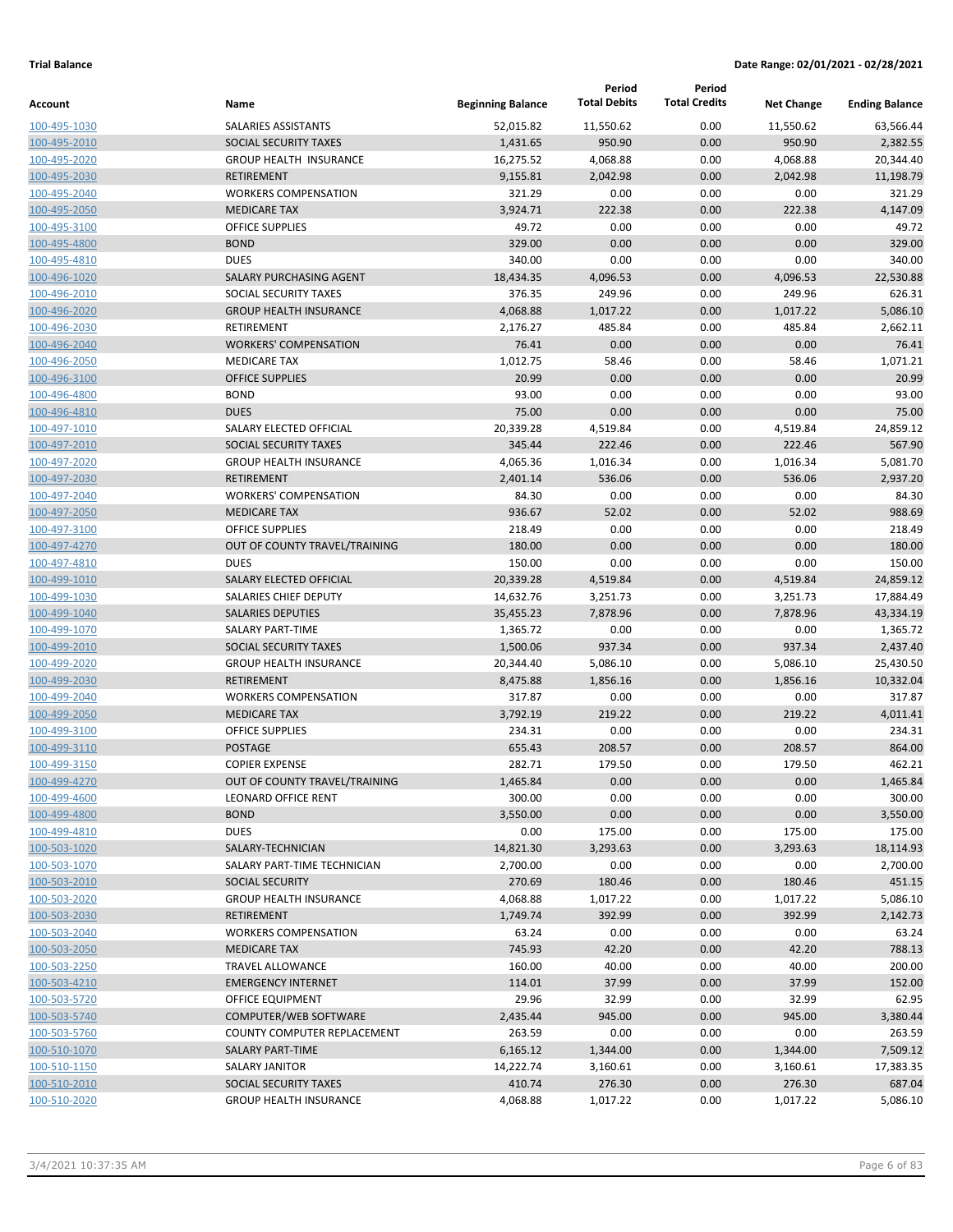|                              |                                                  |                          | Period              | Period               |                      |                       |
|------------------------------|--------------------------------------------------|--------------------------|---------------------|----------------------|----------------------|-----------------------|
| Account                      | Name                                             | <b>Beginning Balance</b> | <b>Total Debits</b> | <b>Total Credits</b> | <b>Net Change</b>    | <b>Ending Balance</b> |
| 100-495-1030                 | SALARIES ASSISTANTS                              | 52,015.82                | 11,550.62           | 0.00                 | 11,550.62            | 63,566.44             |
| 100-495-2010                 | SOCIAL SECURITY TAXES                            | 1,431.65                 | 950.90              | 0.00                 | 950.90               | 2,382.55              |
| 100-495-2020                 | <b>GROUP HEALTH INSURANCE</b>                    | 16,275.52                | 4,068.88            | 0.00                 | 4,068.88             | 20,344.40             |
| 100-495-2030                 | <b>RETIREMENT</b>                                | 9,155.81                 | 2,042.98            | 0.00                 | 2,042.98             | 11,198.79             |
| 100-495-2040                 | <b>WORKERS COMPENSATION</b>                      | 321.29                   | 0.00                | 0.00                 | 0.00                 | 321.29                |
| 100-495-2050                 | <b>MEDICARE TAX</b>                              | 3,924.71                 | 222.38              | 0.00                 | 222.38               | 4,147.09              |
| 100-495-3100                 | <b>OFFICE SUPPLIES</b>                           | 49.72                    | 0.00                | 0.00                 | 0.00                 | 49.72                 |
| 100-495-4800                 | <b>BOND</b>                                      | 329.00                   | 0.00                | 0.00                 | 0.00                 | 329.00                |
| 100-495-4810                 | <b>DUES</b>                                      | 340.00                   | 0.00                | 0.00                 | 0.00                 | 340.00                |
| 100-496-1020                 | SALARY PURCHASING AGENT                          | 18,434.35                | 4,096.53            | 0.00                 | 4,096.53             | 22,530.88             |
| 100-496-2010                 | SOCIAL SECURITY TAXES                            | 376.35                   | 249.96              | 0.00                 | 249.96               | 626.31                |
| 100-496-2020                 | <b>GROUP HEALTH INSURANCE</b>                    | 4,068.88                 | 1,017.22            | 0.00                 | 1,017.22             | 5,086.10              |
| 100-496-2030                 | RETIREMENT                                       | 2,176.27                 | 485.84              | 0.00                 | 485.84               | 2,662.11              |
| 100-496-2040                 | <b>WORKERS' COMPENSATION</b>                     | 76.41                    | 0.00                | 0.00                 | 0.00                 | 76.41                 |
| 100-496-2050                 | <b>MEDICARE TAX</b>                              | 1,012.75                 | 58.46               | 0.00                 | 58.46                | 1,071.21              |
| 100-496-3100                 | <b>OFFICE SUPPLIES</b>                           | 20.99                    | 0.00                | 0.00                 | 0.00                 | 20.99                 |
| 100-496-4800                 | <b>BOND</b>                                      | 93.00                    | 0.00                | 0.00                 | 0.00                 | 93.00                 |
| 100-496-4810                 | <b>DUES</b>                                      | 75.00                    | 0.00                | 0.00                 | 0.00                 | 75.00                 |
| 100-497-1010                 | SALARY ELECTED OFFICIAL                          | 20,339.28                | 4,519.84            | 0.00                 | 4,519.84             | 24,859.12             |
| 100-497-2010                 | SOCIAL SECURITY TAXES                            | 345.44                   | 222.46              | 0.00                 | 222.46               | 567.90                |
| 100-497-2020                 | <b>GROUP HEALTH INSURANCE</b>                    | 4,065.36                 | 1,016.34            | 0.00                 | 1,016.34             | 5,081.70              |
| 100-497-2030                 | <b>RETIREMENT</b>                                | 2,401.14                 | 536.06              | 0.00                 | 536.06               | 2,937.20              |
| 100-497-2040                 | <b>WORKERS' COMPENSATION</b>                     | 84.30                    | 0.00                | 0.00                 | 0.00                 | 84.30                 |
| 100-497-2050                 | <b>MEDICARE TAX</b>                              | 936.67                   | 52.02               | 0.00                 | 52.02                | 988.69                |
| 100-497-3100                 | <b>OFFICE SUPPLIES</b>                           | 218.49                   | 0.00                | 0.00                 | 0.00                 | 218.49                |
| 100-497-4270                 | OUT OF COUNTY TRAVEL/TRAINING                    | 180.00                   | 0.00                | 0.00                 | 0.00                 | 180.00                |
| 100-497-4810                 | <b>DUES</b>                                      | 150.00                   | 0.00                | 0.00                 | 0.00                 | 150.00                |
| 100-499-1010                 | SALARY ELECTED OFFICIAL                          | 20,339.28                | 4,519.84            | 0.00                 | 4,519.84             | 24,859.12             |
| 100-499-1030                 | SALARIES CHIEF DEPUTY                            | 14,632.76                | 3,251.73            | 0.00                 | 3,251.73             | 17,884.49             |
| 100-499-1040                 | <b>SALARIES DEPUTIES</b>                         | 35,455.23                | 7,878.96            | 0.00                 | 7,878.96<br>0.00     | 43,334.19             |
| 100-499-1070                 | <b>SALARY PART-TIME</b><br>SOCIAL SECURITY TAXES | 1,365.72                 | 0.00<br>937.34      | 0.00<br>0.00         |                      | 1,365.72              |
| 100-499-2010                 | <b>GROUP HEALTH INSURANCE</b>                    | 1,500.06<br>20,344.40    | 5,086.10            | 0.00                 | 937.34               | 2,437.40<br>25,430.50 |
| 100-499-2020<br>100-499-2030 | <b>RETIREMENT</b>                                | 8,475.88                 | 1,856.16            | 0.00                 | 5,086.10<br>1,856.16 | 10,332.04             |
| 100-499-2040                 | <b>WORKERS COMPENSATION</b>                      | 317.87                   | 0.00                | 0.00                 | 0.00                 | 317.87                |
| 100-499-2050                 | <b>MEDICARE TAX</b>                              | 3,792.19                 | 219.22              | 0.00                 | 219.22               | 4,011.41              |
| 100-499-3100                 | <b>OFFICE SUPPLIES</b>                           | 234.31                   | 0.00                | 0.00                 | 0.00                 | 234.31                |
| 100-499-3110                 | <b>POSTAGE</b>                                   | 655.43                   | 208.57              | 0.00                 | 208.57               | 864.00                |
| 100-499-3150                 | <b>COPIER EXPENSE</b>                            | 282.71                   | 179.50              | 0.00                 | 179.50               | 462.21                |
| 100-499-4270                 | OUT OF COUNTY TRAVEL/TRAINING                    | 1,465.84                 | 0.00                | 0.00                 | 0.00                 | 1,465.84              |
| 100-499-4600                 | LEONARD OFFICE RENT                              | 300.00                   | 0.00                | 0.00                 | 0.00                 | 300.00                |
| 100-499-4800                 | <b>BOND</b>                                      | 3,550.00                 | 0.00                | 0.00                 | 0.00                 | 3,550.00              |
| 100-499-4810                 | <b>DUES</b>                                      | 0.00                     | 175.00              | 0.00                 | 175.00               | 175.00                |
| 100-503-1020                 | SALARY-TECHNICIAN                                | 14,821.30                | 3,293.63            | 0.00                 | 3,293.63             | 18,114.93             |
| 100-503-1070                 | SALARY PART-TIME TECHNICIAN                      | 2,700.00                 | 0.00                | 0.00                 | 0.00                 | 2,700.00              |
| 100-503-2010                 | <b>SOCIAL SECURITY</b>                           | 270.69                   | 180.46              | 0.00                 | 180.46               | 451.15                |
| 100-503-2020                 | <b>GROUP HEALTH INSURANCE</b>                    | 4,068.88                 | 1,017.22            | 0.00                 | 1,017.22             | 5,086.10              |
| 100-503-2030                 | <b>RETIREMENT</b>                                | 1,749.74                 | 392.99              | 0.00                 | 392.99               | 2,142.73              |
| 100-503-2040                 | <b>WORKERS COMPENSATION</b>                      | 63.24                    | 0.00                | 0.00                 | 0.00                 | 63.24                 |
| 100-503-2050                 | <b>MEDICARE TAX</b>                              | 745.93                   | 42.20               | 0.00                 | 42.20                | 788.13                |
| 100-503-2250                 | TRAVEL ALLOWANCE                                 | 160.00                   | 40.00               | 0.00                 | 40.00                | 200.00                |
| 100-503-4210                 | <b>EMERGENCY INTERNET</b>                        | 114.01                   | 37.99               | 0.00                 | 37.99                | 152.00                |
| 100-503-5720                 | OFFICE EQUIPMENT                                 | 29.96                    | 32.99               | 0.00                 | 32.99                | 62.95                 |
| 100-503-5740                 | COMPUTER/WEB SOFTWARE                            | 2,435.44                 | 945.00              | 0.00                 | 945.00               | 3,380.44              |
| 100-503-5760                 | COUNTY COMPUTER REPLACEMENT                      | 263.59                   | 0.00                | 0.00                 | 0.00                 | 263.59                |
| 100-510-1070                 | SALARY PART-TIME                                 | 6,165.12                 | 1,344.00            | 0.00                 | 1,344.00             | 7,509.12              |
| 100-510-1150                 | SALARY JANITOR                                   | 14,222.74                | 3,160.61            | 0.00                 | 3,160.61             | 17,383.35             |
| 100-510-2010                 | SOCIAL SECURITY TAXES                            | 410.74                   | 276.30              | 0.00                 | 276.30               | 687.04                |
| 100-510-2020                 | <b>GROUP HEALTH INSURANCE</b>                    | 4,068.88                 | 1,017.22            | 0.00                 | 1,017.22             | 5,086.10              |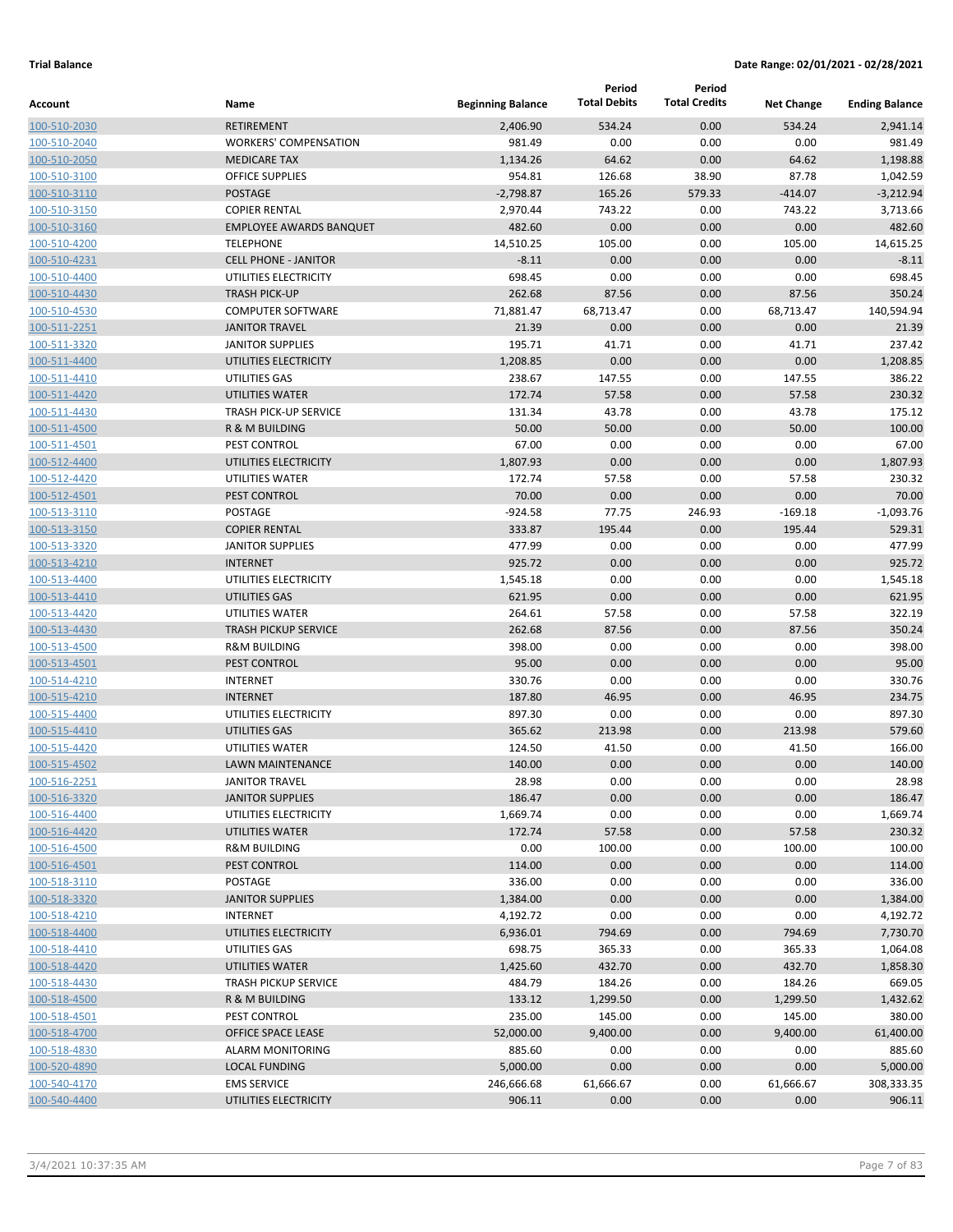|                              |                                                |                          | Period              | Period               |                   |                       |
|------------------------------|------------------------------------------------|--------------------------|---------------------|----------------------|-------------------|-----------------------|
| Account                      | Name                                           | <b>Beginning Balance</b> | <b>Total Debits</b> | <b>Total Credits</b> | <b>Net Change</b> | <b>Ending Balance</b> |
| 100-510-2030                 | <b>RETIREMENT</b>                              | 2,406.90                 | 534.24              | 0.00                 | 534.24            | 2,941.14              |
| 100-510-2040                 | <b>WORKERS' COMPENSATION</b>                   | 981.49                   | 0.00                | 0.00                 | 0.00              | 981.49                |
| 100-510-2050                 | <b>MEDICARE TAX</b>                            | 1,134.26                 | 64.62               | 0.00                 | 64.62             | 1,198.88              |
| 100-510-3100                 | <b>OFFICE SUPPLIES</b>                         | 954.81                   | 126.68              | 38.90                | 87.78             | 1,042.59              |
| 100-510-3110                 | <b>POSTAGE</b>                                 | $-2,798.87$              | 165.26              | 579.33               | $-414.07$         | $-3,212.94$           |
| 100-510-3150                 | <b>COPIER RENTAL</b>                           | 2,970.44                 | 743.22              | 0.00                 | 743.22            | 3,713.66              |
| 100-510-3160                 | <b>EMPLOYEE AWARDS BANQUET</b>                 | 482.60                   | 0.00                | 0.00                 | 0.00              | 482.60                |
| 100-510-4200                 | <b>TELEPHONE</b>                               | 14,510.25                | 105.00              | 0.00                 | 105.00            | 14,615.25             |
| 100-510-4231                 | <b>CELL PHONE - JANITOR</b>                    | $-8.11$                  | 0.00                | 0.00                 | 0.00              | $-8.11$               |
| 100-510-4400                 | UTILITIES ELECTRICITY                          | 698.45                   | 0.00                | 0.00                 | 0.00              | 698.45                |
| 100-510-4430                 | <b>TRASH PICK-UP</b>                           | 262.68                   | 87.56               | 0.00                 | 87.56             | 350.24                |
| 100-510-4530                 | <b>COMPUTER SOFTWARE</b>                       | 71,881.47                | 68,713.47           | 0.00                 | 68,713.47         | 140,594.94            |
| 100-511-2251                 | <b>JANITOR TRAVEL</b>                          | 21.39                    | 0.00                | 0.00                 | 0.00              | 21.39                 |
| 100-511-3320                 | <b>JANITOR SUPPLIES</b>                        | 195.71                   | 41.71               | 0.00                 | 41.71             | 237.42                |
| 100-511-4400                 | UTILITIES ELECTRICITY                          | 1,208.85                 | 0.00                | 0.00                 | 0.00              | 1,208.85              |
| 100-511-4410                 | UTILITIES GAS                                  | 238.67                   | 147.55              | 0.00                 | 147.55            | 386.22<br>230.32      |
| 100-511-4420                 | UTILITIES WATER                                | 172.74                   | 57.58               | 0.00                 | 57.58             | 175.12                |
| 100-511-4430                 | <b>TRASH PICK-UP SERVICE</b><br>R & M BUILDING | 131.34<br>50.00          | 43.78<br>50.00      | 0.00<br>0.00         | 43.78<br>50.00    | 100.00                |
| 100-511-4500                 | PEST CONTROL                                   |                          |                     |                      |                   | 67.00                 |
| 100-511-4501                 | UTILITIES ELECTRICITY                          | 67.00<br>1,807.93        | 0.00<br>0.00        | 0.00<br>0.00         | 0.00<br>0.00      | 1,807.93              |
| 100-512-4400<br>100-512-4420 | UTILITIES WATER                                | 172.74                   | 57.58               | 0.00                 | 57.58             | 230.32                |
| 100-512-4501                 | PEST CONTROL                                   | 70.00                    | 0.00                | 0.00                 | 0.00              | 70.00                 |
| 100-513-3110                 | POSTAGE                                        | $-924.58$                | 77.75               | 246.93               | $-169.18$         | $-1,093.76$           |
| 100-513-3150                 | <b>COPIER RENTAL</b>                           | 333.87                   | 195.44              | 0.00                 | 195.44            | 529.31                |
| 100-513-3320                 | <b>JANITOR SUPPLIES</b>                        | 477.99                   | 0.00                | 0.00                 | 0.00              | 477.99                |
| 100-513-4210                 | <b>INTERNET</b>                                | 925.72                   | 0.00                | 0.00                 | 0.00              | 925.72                |
| 100-513-4400                 | UTILITIES ELECTRICITY                          | 1,545.18                 | 0.00                | 0.00                 | 0.00              | 1,545.18              |
| 100-513-4410                 | UTILITIES GAS                                  | 621.95                   | 0.00                | 0.00                 | 0.00              | 621.95                |
| 100-513-4420                 | UTILITIES WATER                                | 264.61                   | 57.58               | 0.00                 | 57.58             | 322.19                |
| 100-513-4430                 | <b>TRASH PICKUP SERVICE</b>                    | 262.68                   | 87.56               | 0.00                 | 87.56             | 350.24                |
| 100-513-4500                 | <b>R&amp;M BUILDING</b>                        | 398.00                   | 0.00                | 0.00                 | 0.00              | 398.00                |
| 100-513-4501                 | PEST CONTROL                                   | 95.00                    | 0.00                | 0.00                 | 0.00              | 95.00                 |
| 100-514-4210                 | <b>INTERNET</b>                                | 330.76                   | 0.00                | 0.00                 | 0.00              | 330.76                |
| 100-515-4210                 | <b>INTERNET</b>                                | 187.80                   | 46.95               | 0.00                 | 46.95             | 234.75                |
| 100-515-4400                 | UTILITIES ELECTRICITY                          | 897.30                   | 0.00                | 0.00                 | 0.00              | 897.30                |
| 100-515-4410                 | <b>UTILITIES GAS</b>                           | 365.62                   | 213.98              | 0.00                 | 213.98            | 579.60                |
| 100-515-4420                 | UTILITIES WATER                                | 124.50                   | 41.50               | 0.00                 | 41.50             | 166.00                |
| 100-515-4502                 | <b>LAWN MAINTENANCE</b>                        | 140.00                   | 0.00                | 0.00                 | 0.00              | 140.00                |
| 100-516-2251                 | <b>JANITOR TRAVEL</b>                          | 28.98                    | 0.00                | 0.00                 | 0.00              | 28.98                 |
| 100-516-3320                 | <b>JANITOR SUPPLIES</b>                        | 186.47                   | 0.00                | 0.00                 | 0.00              | 186.47                |
| 100-516-4400                 | UTILITIES ELECTRICITY                          | 1,669.74                 | 0.00                | 0.00                 | 0.00              | 1,669.74              |
| 100-516-4420                 | UTILITIES WATER                                | 172.74                   | 57.58               | 0.00                 | 57.58             | 230.32                |
| 100-516-4500                 | <b>R&amp;M BUILDING</b>                        | 0.00                     | 100.00              | 0.00                 | 100.00            | 100.00                |
| 100-516-4501                 | PEST CONTROL                                   | 114.00                   | 0.00                | 0.00                 | 0.00              | 114.00                |
| 100-518-3110                 | POSTAGE                                        | 336.00                   | 0.00                | 0.00                 | 0.00              | 336.00                |
| 100-518-3320                 | <b>JANITOR SUPPLIES</b>                        | 1,384.00                 | 0.00                | 0.00                 | 0.00              | 1,384.00              |
| 100-518-4210                 | <b>INTERNET</b>                                | 4,192.72                 | 0.00                | 0.00                 | 0.00              | 4,192.72              |
| 100-518-4400                 | UTILITIES ELECTRICITY                          | 6,936.01                 | 794.69              | 0.00                 | 794.69            | 7,730.70              |
| 100-518-4410                 | UTILITIES GAS                                  | 698.75                   | 365.33              | 0.00                 | 365.33            | 1,064.08              |
| 100-518-4420                 | UTILITIES WATER                                | 1,425.60                 | 432.70              | 0.00                 | 432.70            | 1,858.30              |
| 100-518-4430                 | <b>TRASH PICKUP SERVICE</b>                    | 484.79                   | 184.26              | 0.00                 | 184.26            | 669.05                |
| 100-518-4500                 | R & M BUILDING                                 | 133.12                   | 1,299.50            | 0.00                 | 1,299.50          | 1,432.62              |
| 100-518-4501                 | PEST CONTROL                                   | 235.00                   | 145.00              | 0.00                 | 145.00            | 380.00                |
| 100-518-4700                 | OFFICE SPACE LEASE                             | 52,000.00                | 9,400.00            | 0.00                 | 9,400.00          | 61,400.00             |
| 100-518-4830                 | <b>ALARM MONITORING</b>                        | 885.60                   | 0.00                | 0.00                 | 0.00              | 885.60                |
| 100-520-4890                 | <b>LOCAL FUNDING</b>                           | 5,000.00                 | 0.00                | 0.00                 | 0.00              | 5,000.00              |
| 100-540-4170                 | <b>EMS SERVICE</b>                             | 246,666.68               | 61,666.67           | 0.00                 | 61,666.67         | 308,333.35            |
| 100-540-4400                 | UTILITIES ELECTRICITY                          | 906.11                   | 0.00                | 0.00                 | 0.00              | 906.11                |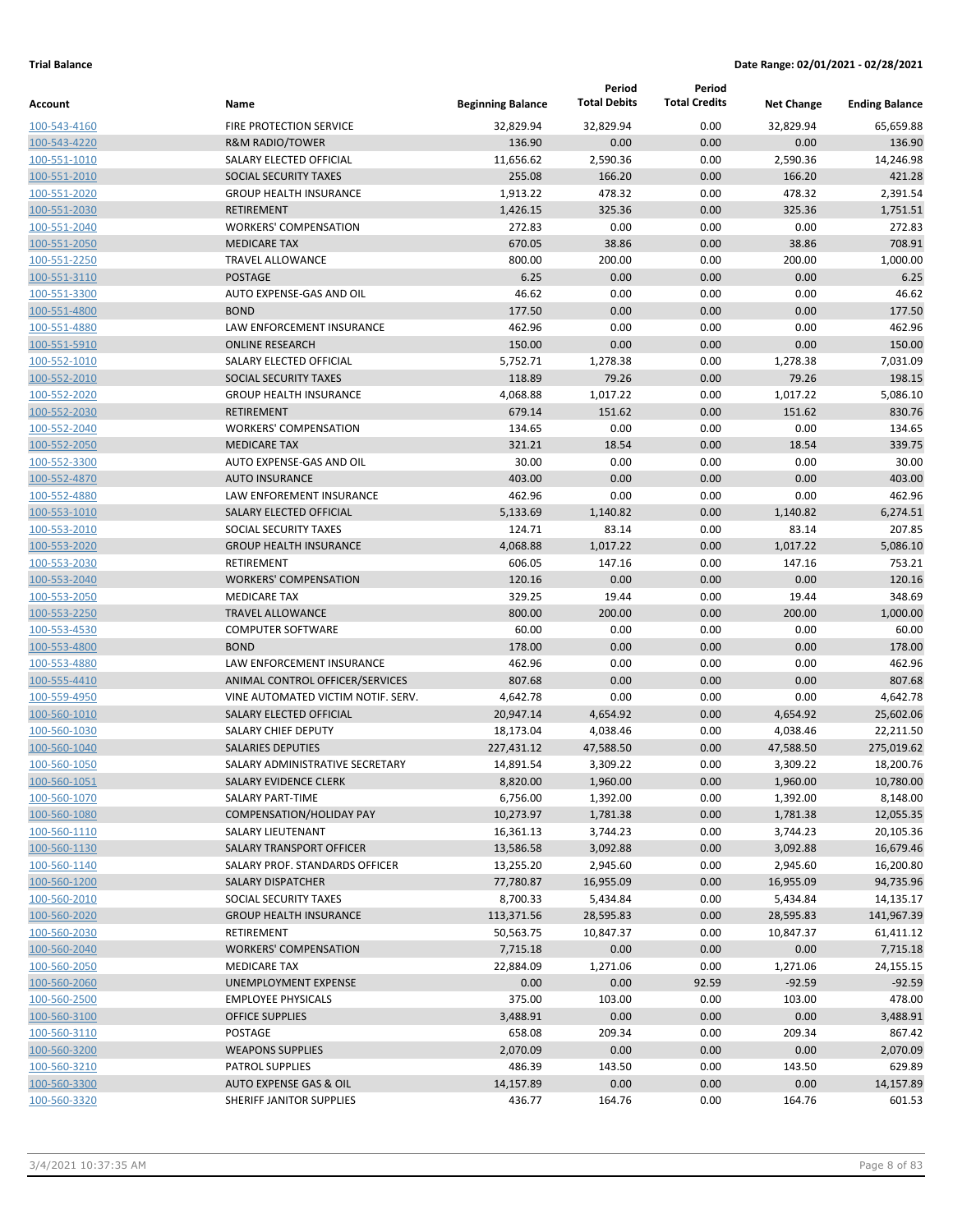|                              |                                                |                          | Period              | Period               |                   |                       |
|------------------------------|------------------------------------------------|--------------------------|---------------------|----------------------|-------------------|-----------------------|
| Account                      | Name                                           | <b>Beginning Balance</b> | <b>Total Debits</b> | <b>Total Credits</b> | <b>Net Change</b> | <b>Ending Balance</b> |
| 100-543-4160                 | FIRE PROTECTION SERVICE                        | 32,829.94                | 32,829.94           | 0.00                 | 32,829.94         | 65,659.88             |
| 100-543-4220                 | <b>R&amp;M RADIO/TOWER</b>                     | 136.90                   | 0.00                | 0.00                 | 0.00              | 136.90                |
| 100-551-1010                 | SALARY ELECTED OFFICIAL                        | 11,656.62                | 2,590.36            | 0.00                 | 2,590.36          | 14,246.98             |
| 100-551-2010                 | SOCIAL SECURITY TAXES                          | 255.08                   | 166.20              | 0.00                 | 166.20            | 421.28                |
| 100-551-2020                 | <b>GROUP HEALTH INSURANCE</b>                  | 1,913.22                 | 478.32              | 0.00                 | 478.32            | 2,391.54              |
| 100-551-2030                 | <b>RETIREMENT</b>                              | 1,426.15                 | 325.36              | 0.00                 | 325.36            | 1,751.51              |
| 100-551-2040                 | <b>WORKERS' COMPENSATION</b>                   | 272.83                   | 0.00                | 0.00                 | 0.00              | 272.83                |
| 100-551-2050                 | <b>MEDICARE TAX</b>                            | 670.05                   | 38.86               | 0.00                 | 38.86             | 708.91                |
| 100-551-2250                 | TRAVEL ALLOWANCE                               | 800.00                   | 200.00              | 0.00                 | 200.00            | 1,000.00              |
| 100-551-3110                 | <b>POSTAGE</b>                                 | 6.25                     | 0.00                | 0.00                 | 0.00              | 6.25                  |
| 100-551-3300                 | AUTO EXPENSE-GAS AND OIL                       | 46.62                    | 0.00                | 0.00                 | 0.00              | 46.62                 |
| 100-551-4800                 | <b>BOND</b>                                    | 177.50                   | 0.00                | 0.00                 | 0.00              | 177.50                |
| 100-551-4880                 | LAW ENFORCEMENT INSURANCE                      | 462.96                   | 0.00                | 0.00                 | 0.00              | 462.96                |
| 100-551-5910                 | <b>ONLINE RESEARCH</b>                         | 150.00                   | 0.00                | 0.00                 | 0.00              | 150.00                |
| 100-552-1010                 | SALARY ELECTED OFFICIAL                        | 5,752.71                 | 1,278.38            | 0.00                 | 1,278.38          | 7,031.09              |
| 100-552-2010                 | SOCIAL SECURITY TAXES                          | 118.89                   | 79.26               | 0.00                 | 79.26             | 198.15                |
| 100-552-2020                 | <b>GROUP HEALTH INSURANCE</b>                  | 4,068.88                 | 1,017.22            | 0.00                 | 1,017.22          | 5,086.10              |
| 100-552-2030                 | RETIREMENT                                     | 679.14                   | 151.62              | 0.00                 | 151.62            | 830.76                |
| 100-552-2040                 | <b>WORKERS' COMPENSATION</b>                   | 134.65                   | 0.00                | 0.00                 | 0.00              | 134.65                |
| 100-552-2050                 | <b>MEDICARE TAX</b>                            | 321.21                   | 18.54               | 0.00                 | 18.54             | 339.75                |
| 100-552-3300                 | AUTO EXPENSE-GAS AND OIL                       | 30.00                    | 0.00                | 0.00                 | 0.00              | 30.00                 |
| 100-552-4870                 | <b>AUTO INSURANCE</b>                          | 403.00                   | 0.00                | 0.00                 | 0.00              | 403.00                |
| 100-552-4880                 | LAW ENFOREMENT INSURANCE                       | 462.96                   | 0.00                | 0.00                 | 0.00              | 462.96                |
| 100-553-1010                 | SALARY ELECTED OFFICIAL                        | 5,133.69                 | 1,140.82            | 0.00                 | 1,140.82          | 6,274.51              |
| 100-553-2010                 | SOCIAL SECURITY TAXES                          | 124.71                   | 83.14               | 0.00                 | 83.14             | 207.85                |
| 100-553-2020                 | <b>GROUP HEALTH INSURANCE</b>                  | 4,068.88                 | 1,017.22            | 0.00                 | 1,017.22          | 5,086.10              |
| 100-553-2030                 | RETIREMENT                                     | 606.05                   | 147.16              | 0.00                 | 147.16            | 753.21                |
| 100-553-2040                 | <b>WORKERS' COMPENSATION</b>                   | 120.16<br>329.25         | 0.00                | 0.00                 | 0.00              | 120.16                |
| 100-553-2050                 | <b>MEDICARE TAX</b><br><b>TRAVEL ALLOWANCE</b> | 800.00                   | 19.44               | 0.00<br>0.00         | 19.44             | 348.69                |
| 100-553-2250<br>100-553-4530 | <b>COMPUTER SOFTWARE</b>                       | 60.00                    | 200.00<br>0.00      | 0.00                 | 200.00<br>0.00    | 1,000.00<br>60.00     |
| 100-553-4800                 | <b>BOND</b>                                    | 178.00                   | 0.00                | 0.00                 | 0.00              | 178.00                |
| 100-553-4880                 | LAW ENFORCEMENT INSURANCE                      | 462.96                   | 0.00                | 0.00                 | 0.00              | 462.96                |
| 100-555-4410                 | ANIMAL CONTROL OFFICER/SERVICES                | 807.68                   | 0.00                | 0.00                 | 0.00              | 807.68                |
| 100-559-4950                 | VINE AUTOMATED VICTIM NOTIF. SERV.             | 4,642.78                 | 0.00                | 0.00                 | 0.00              | 4,642.78              |
| 100-560-1010                 | SALARY ELECTED OFFICIAL                        | 20,947.14                | 4,654.92            | 0.00                 | 4,654.92          | 25,602.06             |
| 100-560-1030                 | SALARY CHIEF DEPUTY                            | 18,173.04                | 4,038.46            | 0.00                 | 4,038.46          | 22,211.50             |
| 100-560-1040                 | <b>SALARIES DEPUTIES</b>                       | 227,431.12               | 47,588.50           | 0.00                 | 47,588.50         | 275,019.62            |
| 100-560-1050                 | SALARY ADMINISTRATIVE SECRETARY                | 14,891.54                | 3,309.22            | 0.00                 | 3,309.22          | 18,200.76             |
| 100-560-1051                 | <b>SALARY EVIDENCE CLERK</b>                   | 8,820.00                 | 1,960.00            | 0.00                 | 1,960.00          | 10,780.00             |
| 100-560-1070                 | SALARY PART-TIME                               | 6,756.00                 | 1,392.00            | 0.00                 | 1,392.00          | 8,148.00              |
| 100-560-1080                 | <b>COMPENSATION/HOLIDAY PAY</b>                | 10,273.97                | 1,781.38            | 0.00                 | 1,781.38          | 12,055.35             |
| 100-560-1110                 | <b>SALARY LIEUTENANT</b>                       | 16,361.13                | 3,744.23            | 0.00                 | 3,744.23          | 20,105.36             |
| 100-560-1130                 | SALARY TRANSPORT OFFICER                       | 13,586.58                | 3,092.88            | 0.00                 | 3,092.88          | 16,679.46             |
| 100-560-1140                 | SALARY PROF. STANDARDS OFFICER                 | 13,255.20                | 2,945.60            | 0.00                 | 2,945.60          | 16,200.80             |
| 100-560-1200                 | <b>SALARY DISPATCHER</b>                       | 77,780.87                | 16,955.09           | 0.00                 | 16,955.09         | 94,735.96             |
| 100-560-2010                 | SOCIAL SECURITY TAXES                          | 8,700.33                 | 5,434.84            | 0.00                 | 5,434.84          | 14,135.17             |
| 100-560-2020                 | <b>GROUP HEALTH INSURANCE</b>                  | 113,371.56               | 28,595.83           | 0.00                 | 28,595.83         | 141,967.39            |
| 100-560-2030                 | RETIREMENT                                     | 50,563.75                | 10,847.37           | 0.00                 | 10,847.37         | 61,411.12             |
| 100-560-2040                 | <b>WORKERS' COMPENSATION</b>                   | 7,715.18                 | 0.00                | 0.00                 | 0.00              | 7,715.18              |
| 100-560-2050                 | <b>MEDICARE TAX</b>                            | 22,884.09                | 1,271.06            | 0.00                 | 1,271.06          | 24,155.15             |
| 100-560-2060                 | UNEMPLOYMENT EXPENSE                           | 0.00                     | 0.00                | 92.59                | $-92.59$          | $-92.59$              |
| 100-560-2500                 | <b>EMPLOYEE PHYSICALS</b>                      | 375.00                   | 103.00              | 0.00                 | 103.00            | 478.00                |
| 100-560-3100                 | <b>OFFICE SUPPLIES</b>                         | 3,488.91                 | 0.00                | 0.00                 | 0.00              | 3,488.91              |
| 100-560-3110                 | POSTAGE                                        | 658.08                   | 209.34              | 0.00                 | 209.34            | 867.42                |
| 100-560-3200                 | <b>WEAPONS SUPPLIES</b>                        | 2,070.09                 | 0.00                | 0.00                 | 0.00              | 2,070.09              |
| 100-560-3210                 | PATROL SUPPLIES                                | 486.39                   | 143.50              | 0.00                 | 143.50            | 629.89                |
| 100-560-3300                 | <b>AUTO EXPENSE GAS &amp; OIL</b>              | 14,157.89                | 0.00                | 0.00                 | 0.00              | 14,157.89             |
| 100-560-3320                 | SHERIFF JANITOR SUPPLIES                       | 436.77                   | 164.76              | 0.00                 | 164.76            | 601.53                |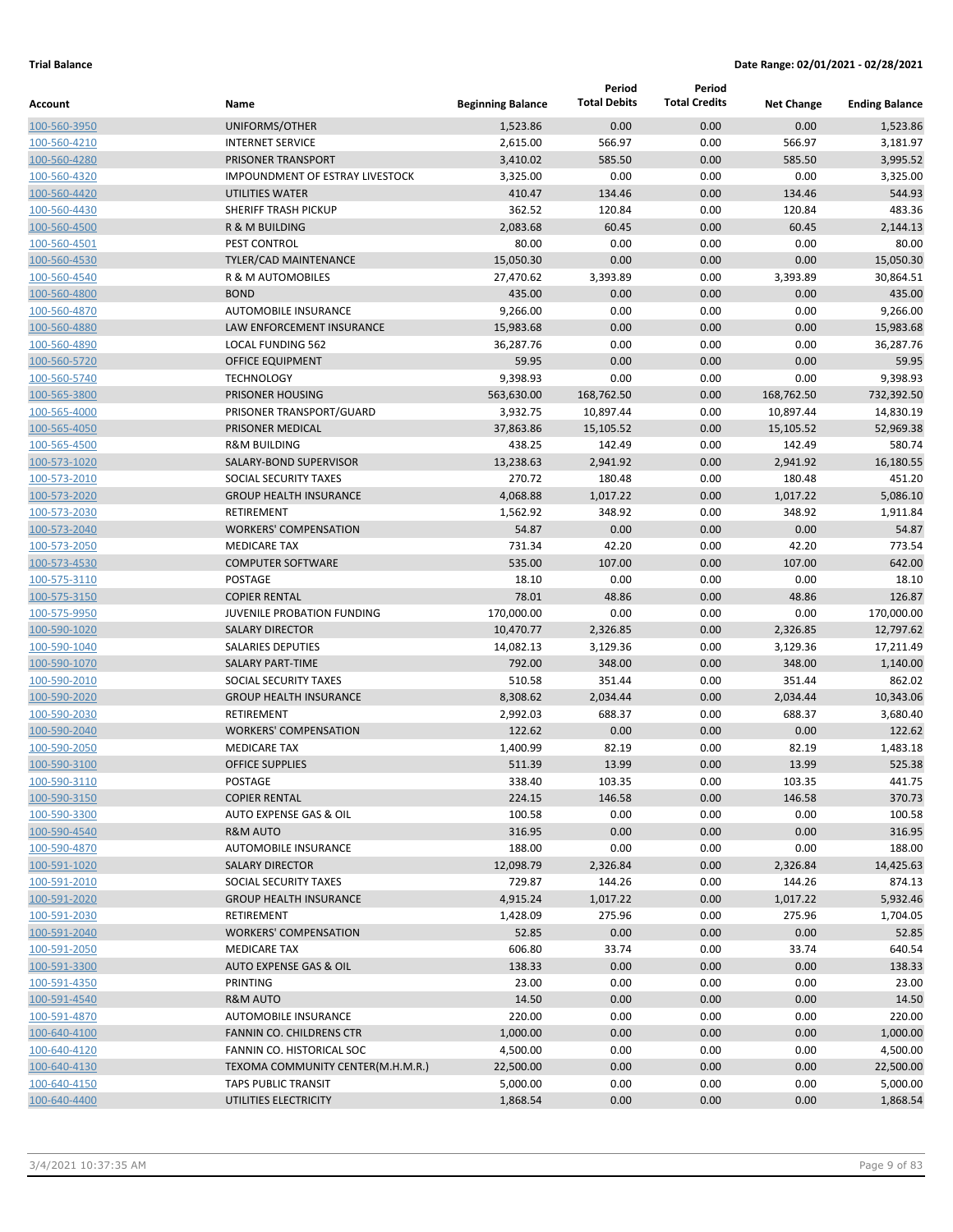|                              |                                              |                          | Period                 | Period               |                     |                        |
|------------------------------|----------------------------------------------|--------------------------|------------------------|----------------------|---------------------|------------------------|
| Account                      | Name                                         | <b>Beginning Balance</b> | <b>Total Debits</b>    | <b>Total Credits</b> | <b>Net Change</b>   | <b>Ending Balance</b>  |
| 100-560-3950                 | UNIFORMS/OTHER                               | 1,523.86                 | 0.00                   | 0.00                 | 0.00                | 1,523.86               |
| 100-560-4210                 | <b>INTERNET SERVICE</b>                      | 2,615.00                 | 566.97                 | 0.00                 | 566.97              | 3,181.97               |
| 100-560-4280                 | PRISONER TRANSPORT                           | 3,410.02                 | 585.50                 | 0.00                 | 585.50              | 3,995.52               |
| 100-560-4320                 | <b>IMPOUNDMENT OF ESTRAY LIVESTOCK</b>       | 3,325.00                 | 0.00                   | 0.00                 | 0.00                | 3,325.00               |
| 100-560-4420                 | <b>UTILITIES WATER</b>                       | 410.47                   | 134.46                 | 0.00                 | 134.46              | 544.93                 |
| 100-560-4430                 | SHERIFF TRASH PICKUP                         | 362.52                   | 120.84                 | 0.00                 | 120.84              | 483.36                 |
| 100-560-4500                 | R & M BUILDING                               | 2,083.68                 | 60.45                  | 0.00                 | 60.45               | 2,144.13               |
| 100-560-4501                 | PEST CONTROL                                 | 80.00                    | 0.00                   | 0.00                 | 0.00                | 80.00                  |
| 100-560-4530                 | TYLER/CAD MAINTENANCE                        | 15,050.30                | 0.00                   | 0.00                 | 0.00                | 15,050.30              |
| 100-560-4540                 | <b>R &amp; M AUTOMOBILES</b>                 | 27,470.62                | 3,393.89               | 0.00                 | 3,393.89            | 30,864.51              |
| 100-560-4800                 | <b>BOND</b>                                  | 435.00                   | 0.00                   | 0.00                 | 0.00                | 435.00                 |
| 100-560-4870                 | <b>AUTOMOBILE INSURANCE</b>                  | 9,266.00                 | 0.00                   | 0.00                 | 0.00                | 9,266.00               |
| 100-560-4880                 | <b>LAW ENFORCEMENT INSURANCE</b>             | 15,983.68                | 0.00                   | 0.00                 | 0.00                | 15,983.68              |
| 100-560-4890                 | <b>LOCAL FUNDING 562</b>                     | 36,287.76                | 0.00                   | 0.00                 | 0.00                | 36,287.76              |
| 100-560-5720                 | <b>OFFICE EQUIPMENT</b>                      | 59.95                    | 0.00                   | 0.00                 | 0.00                | 59.95                  |
| 100-560-5740                 | <b>TECHNOLOGY</b><br>PRISONER HOUSING        | 9,398.93                 | 0.00                   | 0.00<br>0.00         | 0.00                | 9,398.93               |
| 100-565-3800                 |                                              | 563,630.00               | 168,762.50             |                      | 168,762.50          | 732,392.50             |
| 100-565-4000                 | PRISONER TRANSPORT/GUARD<br>PRISONER MEDICAL | 3,932.75<br>37,863.86    | 10,897.44<br>15,105.52 | 0.00<br>0.00         | 10,897.44           | 14,830.19<br>52,969.38 |
| 100-565-4050                 | <b>R&amp;M BUILDING</b>                      | 438.25                   | 142.49                 | 0.00                 | 15,105.52<br>142.49 | 580.74                 |
| 100-565-4500                 | SALARY-BOND SUPERVISOR                       | 13,238.63                | 2,941.92               | 0.00                 | 2,941.92            | 16,180.55              |
| 100-573-1020<br>100-573-2010 | SOCIAL SECURITY TAXES                        | 270.72                   | 180.48                 | 0.00                 | 180.48              | 451.20                 |
| 100-573-2020                 | <b>GROUP HEALTH INSURANCE</b>                | 4,068.88                 | 1,017.22               | 0.00                 | 1,017.22            | 5,086.10               |
| 100-573-2030                 | <b>RETIREMENT</b>                            | 1,562.92                 | 348.92                 | 0.00                 | 348.92              | 1,911.84               |
| 100-573-2040                 | <b>WORKERS' COMPENSATION</b>                 | 54.87                    | 0.00                   | 0.00                 | 0.00                | 54.87                  |
| 100-573-2050                 | <b>MEDICARE TAX</b>                          | 731.34                   | 42.20                  | 0.00                 | 42.20               | 773.54                 |
| 100-573-4530                 | <b>COMPUTER SOFTWARE</b>                     | 535.00                   | 107.00                 | 0.00                 | 107.00              | 642.00                 |
| 100-575-3110                 | POSTAGE                                      | 18.10                    | 0.00                   | 0.00                 | 0.00                | 18.10                  |
| 100-575-3150                 | <b>COPIER RENTAL</b>                         | 78.01                    | 48.86                  | 0.00                 | 48.86               | 126.87                 |
| 100-575-9950                 | JUVENILE PROBATION FUNDING                   | 170,000.00               | 0.00                   | 0.00                 | 0.00                | 170,000.00             |
| 100-590-1020                 | <b>SALARY DIRECTOR</b>                       | 10,470.77                | 2,326.85               | 0.00                 | 2,326.85            | 12,797.62              |
| 100-590-1040                 | <b>SALARIES DEPUTIES</b>                     | 14,082.13                | 3,129.36               | 0.00                 | 3,129.36            | 17,211.49              |
| 100-590-1070                 | <b>SALARY PART-TIME</b>                      | 792.00                   | 348.00                 | 0.00                 | 348.00              | 1,140.00               |
| 100-590-2010                 | SOCIAL SECURITY TAXES                        | 510.58                   | 351.44                 | 0.00                 | 351.44              | 862.02                 |
| 100-590-2020                 | <b>GROUP HEALTH INSURANCE</b>                | 8,308.62                 | 2,034.44               | 0.00                 | 2,034.44            | 10,343.06              |
| 100-590-2030                 | RETIREMENT                                   | 2,992.03                 | 688.37                 | 0.00                 | 688.37              | 3,680.40               |
| 100-590-2040                 | <b>WORKERS' COMPENSATION</b>                 | 122.62                   | 0.00                   | 0.00                 | 0.00                | 122.62                 |
| 100-590-2050                 | <b>MEDICARE TAX</b>                          | 1,400.99                 | 82.19                  | 0.00                 | 82.19               | 1,483.18               |
| 100-590-3100                 | <b>OFFICE SUPPLIES</b>                       | 511.39                   | 13.99                  | 0.00                 | 13.99               | 525.38                 |
| 100-590-3110                 | POSTAGE                                      | 338.40                   | 103.35                 | 0.00                 | 103.35              | 441.75                 |
| 100-590-3150                 | <b>COPIER RENTAL</b>                         | 224.15                   | 146.58                 | 0.00                 | 146.58              | 370.73                 |
| 100-590-3300                 | AUTO EXPENSE GAS & OIL                       | 100.58                   | 0.00                   | 0.00                 | 0.00                | 100.58                 |
| 100-590-4540                 | <b>R&amp;M AUTO</b>                          | 316.95                   | 0.00                   | 0.00                 | 0.00                | 316.95                 |
| 100-590-4870                 | AUTOMOBILE INSURANCE                         | 188.00                   | 0.00                   | 0.00                 | 0.00                | 188.00                 |
| 100-591-1020                 | <b>SALARY DIRECTOR</b>                       | 12,098.79                | 2,326.84               | 0.00                 | 2,326.84            | 14,425.63              |
| 100-591-2010                 | SOCIAL SECURITY TAXES                        | 729.87                   | 144.26                 | 0.00                 | 144.26              | 874.13                 |
| 100-591-2020                 | <b>GROUP HEALTH INSURANCE</b>                | 4,915.24                 | 1,017.22               | 0.00                 | 1,017.22            | 5,932.46               |
| 100-591-2030                 | RETIREMENT                                   | 1,428.09                 | 275.96                 | 0.00                 | 275.96              | 1,704.05               |
| 100-591-2040                 | <b>WORKERS' COMPENSATION</b>                 | 52.85                    | 0.00                   | 0.00                 | 0.00                | 52.85                  |
| 100-591-2050                 | <b>MEDICARE TAX</b>                          | 606.80                   | 33.74                  | 0.00                 | 33.74               | 640.54                 |
| 100-591-3300                 | <b>AUTO EXPENSE GAS &amp; OIL</b>            | 138.33                   | 0.00                   | 0.00                 | 0.00                | 138.33                 |
| 100-591-4350                 | PRINTING                                     | 23.00                    | 0.00                   | 0.00                 | 0.00                | 23.00                  |
| 100-591-4540                 | <b>R&amp;M AUTO</b>                          | 14.50                    | 0.00                   | 0.00                 | 0.00                | 14.50                  |
| 100-591-4870                 | AUTOMOBILE INSURANCE                         | 220.00                   | 0.00                   | 0.00                 | 0.00                | 220.00                 |
| 100-640-4100                 | FANNIN CO. CHILDRENS CTR                     | 1,000.00                 | 0.00                   | 0.00                 | 0.00                | 1,000.00               |
| 100-640-4120                 | FANNIN CO. HISTORICAL SOC                    | 4,500.00                 | 0.00                   | 0.00                 | 0.00                | 4,500.00               |
| 100-640-4130                 | TEXOMA COMMUNITY CENTER(M.H.M.R.)            | 22,500.00                | 0.00                   | 0.00                 | 0.00                | 22,500.00              |
| 100-640-4150                 | <b>TAPS PUBLIC TRANSIT</b>                   | 5,000.00                 | 0.00                   | 0.00                 | 0.00                | 5,000.00               |
| 100-640-4400                 | UTILITIES ELECTRICITY                        | 1,868.54                 | 0.00                   | 0.00                 | 0.00                | 1,868.54               |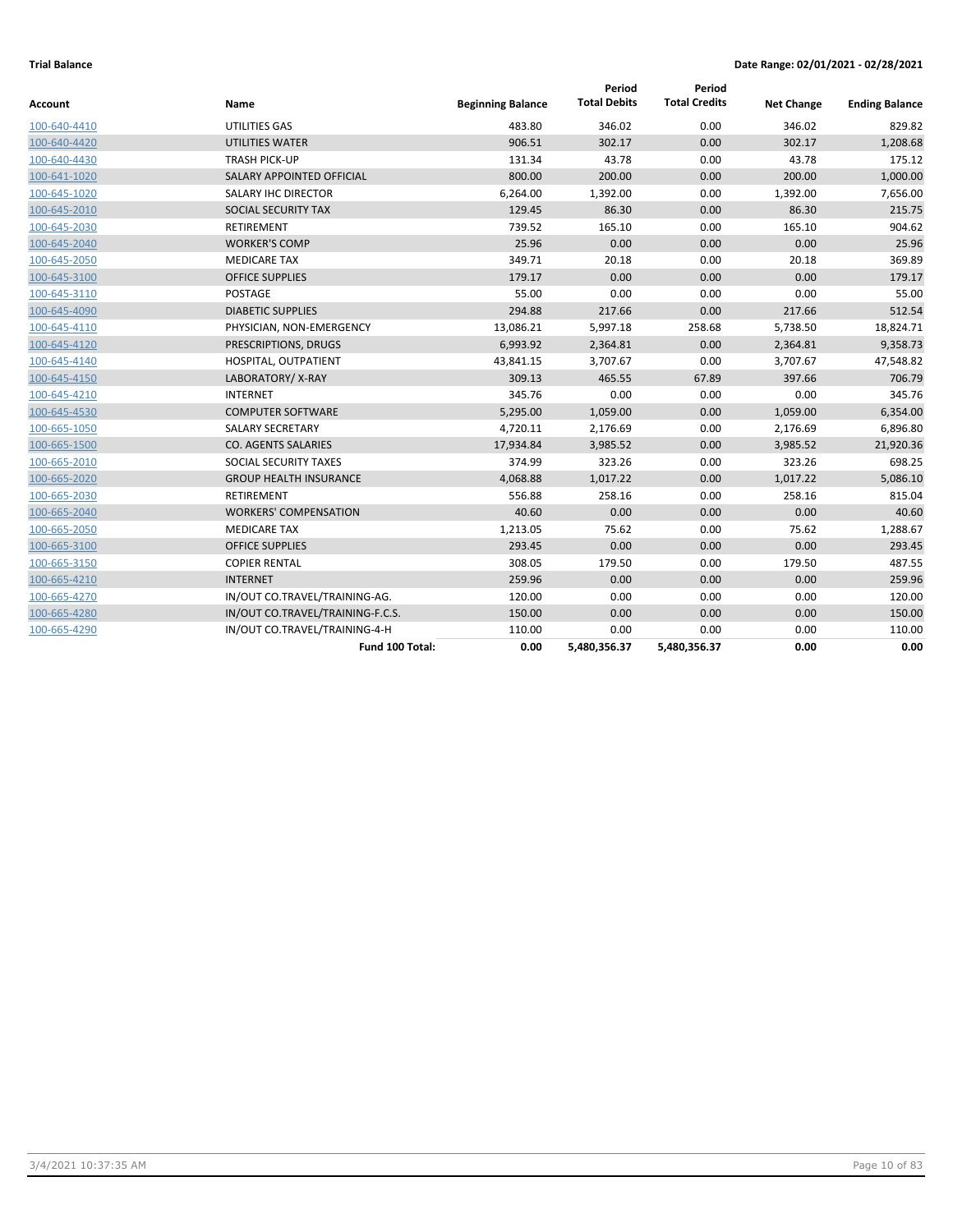| Account      | Name                             | <b>Beginning Balance</b> | Period<br><b>Total Debits</b> | Period<br><b>Total Credits</b> | <b>Net Change</b> | <b>Ending Balance</b> |
|--------------|----------------------------------|--------------------------|-------------------------------|--------------------------------|-------------------|-----------------------|
| 100-640-4410 | UTILITIES GAS                    | 483.80                   | 346.02                        | 0.00                           | 346.02            | 829.82                |
| 100-640-4420 | UTILITIES WATER                  | 906.51                   | 302.17                        | 0.00                           | 302.17            | 1,208.68              |
| 100-640-4430 | <b>TRASH PICK-UP</b>             | 131.34                   | 43.78                         | 0.00                           | 43.78             | 175.12                |
| 100-641-1020 | SALARY APPOINTED OFFICIAL        | 800.00                   | 200.00                        | 0.00                           | 200.00            | 1,000.00              |
| 100-645-1020 | <b>SALARY IHC DIRECTOR</b>       | 6,264.00                 | 1,392.00                      | 0.00                           | 1,392.00          | 7,656.00              |
| 100-645-2010 | SOCIAL SECURITY TAX              | 129.45                   | 86.30                         | 0.00                           | 86.30             | 215.75                |
| 100-645-2030 | <b>RETIREMENT</b>                | 739.52                   | 165.10                        | 0.00                           | 165.10            | 904.62                |
| 100-645-2040 | <b>WORKER'S COMP</b>             | 25.96                    | 0.00                          | 0.00                           | 0.00              | 25.96                 |
| 100-645-2050 | <b>MEDICARE TAX</b>              | 349.71                   | 20.18                         | 0.00                           | 20.18             | 369.89                |
| 100-645-3100 | <b>OFFICE SUPPLIES</b>           | 179.17                   | 0.00                          | 0.00                           | 0.00              | 179.17                |
| 100-645-3110 | POSTAGE                          | 55.00                    | 0.00                          | 0.00                           | 0.00              | 55.00                 |
| 100-645-4090 | <b>DIABETIC SUPPLIES</b>         | 294.88                   | 217.66                        | 0.00                           | 217.66            | 512.54                |
| 100-645-4110 | PHYSICIAN, NON-EMERGENCY         | 13,086.21                | 5,997.18                      | 258.68                         | 5,738.50          | 18,824.71             |
| 100-645-4120 | PRESCRIPTIONS, DRUGS             | 6,993.92                 | 2,364.81                      | 0.00                           | 2,364.81          | 9,358.73              |
| 100-645-4140 | HOSPITAL, OUTPATIENT             | 43,841.15                | 3,707.67                      | 0.00                           | 3,707.67          | 47,548.82             |
| 100-645-4150 | LABORATORY/X-RAY                 | 309.13                   | 465.55                        | 67.89                          | 397.66            | 706.79                |
| 100-645-4210 | <b>INTERNET</b>                  | 345.76                   | 0.00                          | 0.00                           | 0.00              | 345.76                |
| 100-645-4530 | <b>COMPUTER SOFTWARE</b>         | 5,295.00                 | 1,059.00                      | 0.00                           | 1,059.00          | 6,354.00              |
| 100-665-1050 | <b>SALARY SECRETARY</b>          | 4,720.11                 | 2,176.69                      | 0.00                           | 2,176.69          | 6,896.80              |
| 100-665-1500 | CO. AGENTS SALARIES              | 17,934.84                | 3,985.52                      | 0.00                           | 3,985.52          | 21,920.36             |
| 100-665-2010 | SOCIAL SECURITY TAXES            | 374.99                   | 323.26                        | 0.00                           | 323.26            | 698.25                |
| 100-665-2020 | <b>GROUP HEALTH INSURANCE</b>    | 4,068.88                 | 1,017.22                      | 0.00                           | 1,017.22          | 5,086.10              |
| 100-665-2030 | RETIREMENT                       | 556.88                   | 258.16                        | 0.00                           | 258.16            | 815.04                |
| 100-665-2040 | <b>WORKERS' COMPENSATION</b>     | 40.60                    | 0.00                          | 0.00                           | 0.00              | 40.60                 |
| 100-665-2050 | <b>MEDICARE TAX</b>              | 1,213.05                 | 75.62                         | 0.00                           | 75.62             | 1,288.67              |
| 100-665-3100 | <b>OFFICE SUPPLIES</b>           | 293.45                   | 0.00                          | 0.00                           | 0.00              | 293.45                |
| 100-665-3150 | <b>COPIER RENTAL</b>             | 308.05                   | 179.50                        | 0.00                           | 179.50            | 487.55                |
| 100-665-4210 | <b>INTERNET</b>                  | 259.96                   | 0.00                          | 0.00                           | 0.00              | 259.96                |
| 100-665-4270 | IN/OUT CO.TRAVEL/TRAINING-AG.    | 120.00                   | 0.00                          | 0.00                           | 0.00              | 120.00                |
| 100-665-4280 | IN/OUT CO.TRAVEL/TRAINING-F.C.S. | 150.00                   | 0.00                          | 0.00                           | 0.00              | 150.00                |
| 100-665-4290 | IN/OUT CO.TRAVEL/TRAINING-4-H    | 110.00                   | 0.00                          | 0.00                           | 0.00              | 110.00                |
|              | Fund 100 Total:                  | 0.00                     | 5,480,356.37                  | 5,480,356.37                   | 0.00              | 0.00                  |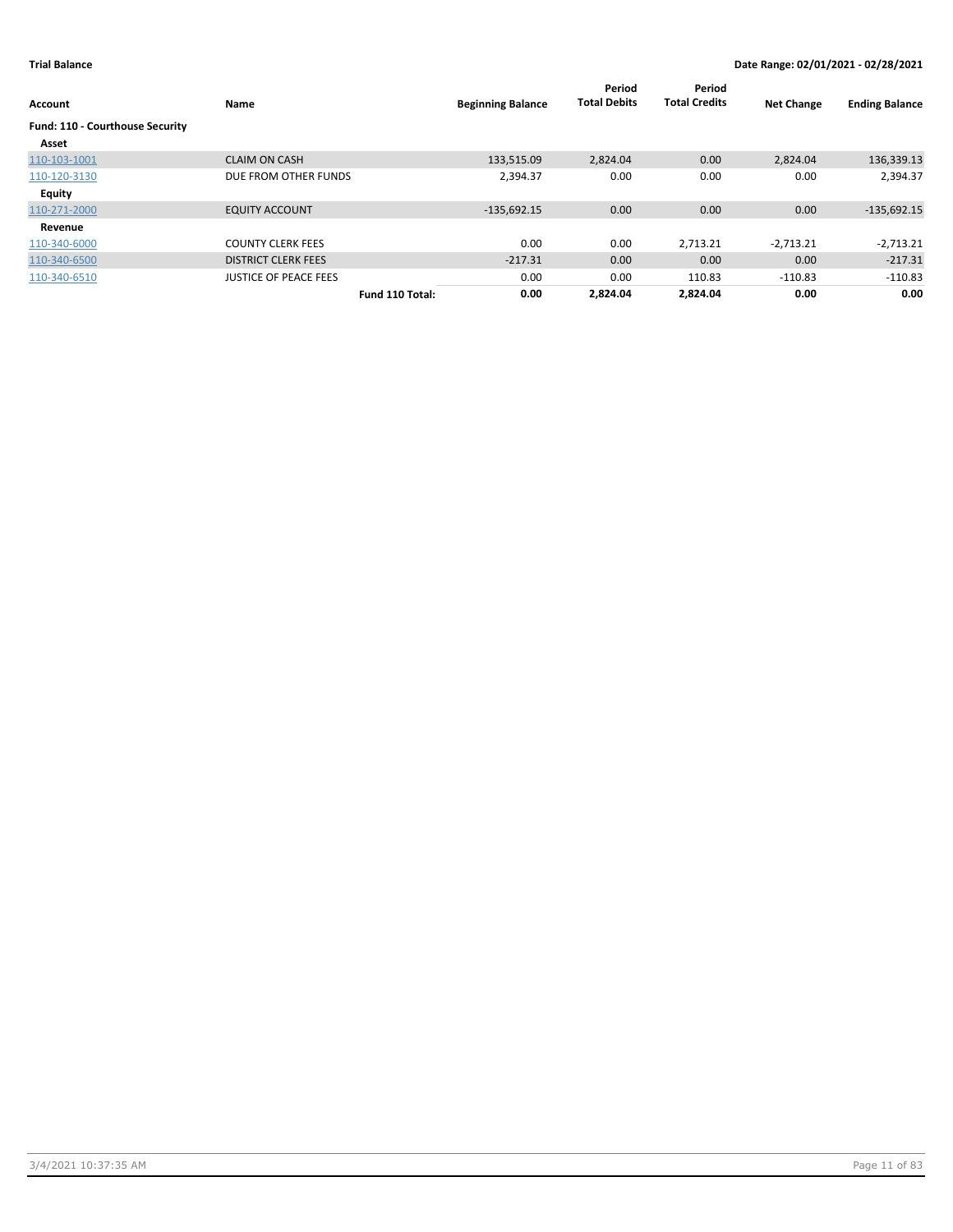| Account                         | Name                         |                 | <b>Beginning Balance</b> | Period<br><b>Total Debits</b> | Period<br><b>Total Credits</b> | <b>Net Change</b> | <b>Ending Balance</b> |
|---------------------------------|------------------------------|-----------------|--------------------------|-------------------------------|--------------------------------|-------------------|-----------------------|
| Fund: 110 - Courthouse Security |                              |                 |                          |                               |                                |                   |                       |
| Asset                           |                              |                 |                          |                               |                                |                   |                       |
| 110-103-1001                    | <b>CLAIM ON CASH</b>         |                 | 133,515.09               | 2,824.04                      | 0.00                           | 2,824.04          | 136,339.13            |
| 110-120-3130                    | DUE FROM OTHER FUNDS         |                 | 2,394.37                 | 0.00                          | 0.00                           | 0.00              | 2,394.37              |
| Equity                          |                              |                 |                          |                               |                                |                   |                       |
| 110-271-2000                    | <b>EQUITY ACCOUNT</b>        |                 | $-135,692.15$            | 0.00                          | 0.00                           | 0.00              | $-135,692.15$         |
| Revenue                         |                              |                 |                          |                               |                                |                   |                       |
| 110-340-6000                    | <b>COUNTY CLERK FEES</b>     |                 | 0.00                     | 0.00                          | 2,713.21                       | $-2,713.21$       | $-2,713.21$           |
| 110-340-6500                    | <b>DISTRICT CLERK FEES</b>   |                 | $-217.31$                | 0.00                          | 0.00                           | 0.00              | $-217.31$             |
| 110-340-6510                    | <b>JUSTICE OF PEACE FEES</b> |                 | 0.00                     | 0.00                          | 110.83                         | $-110.83$         | $-110.83$             |
|                                 |                              | Fund 110 Total: | 0.00                     | 2.824.04                      | 2.824.04                       | 0.00              | 0.00                  |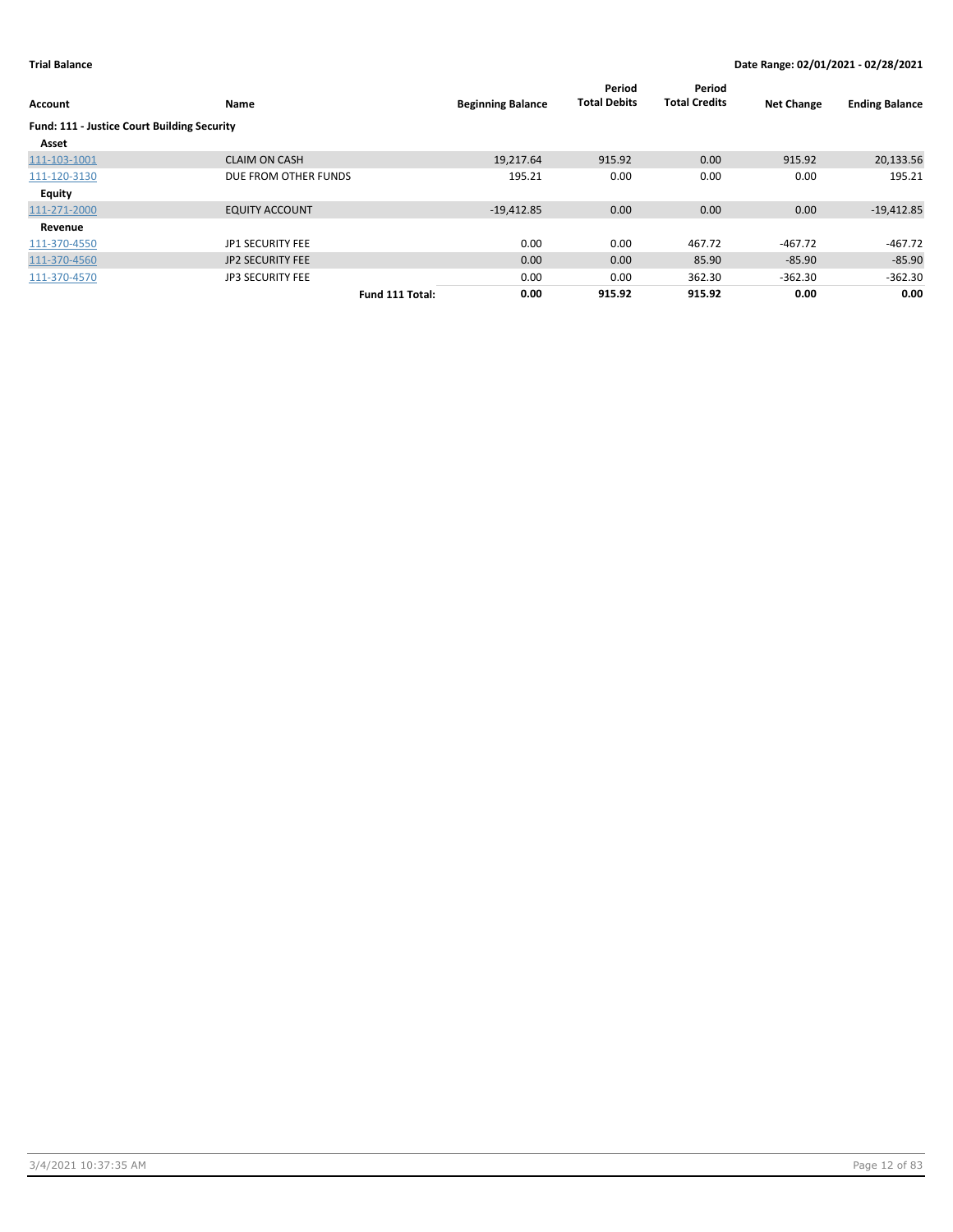| Account                                     | Name                    |                 | <b>Beginning Balance</b> | Period<br><b>Total Debits</b> | Period<br><b>Total Credits</b> | <b>Net Change</b> | <b>Ending Balance</b> |
|---------------------------------------------|-------------------------|-----------------|--------------------------|-------------------------------|--------------------------------|-------------------|-----------------------|
| Fund: 111 - Justice Court Building Security |                         |                 |                          |                               |                                |                   |                       |
| Asset                                       |                         |                 |                          |                               |                                |                   |                       |
| 111-103-1001                                | <b>CLAIM ON CASH</b>    |                 | 19,217.64                | 915.92                        | 0.00                           | 915.92            | 20,133.56             |
| 111-120-3130                                | DUE FROM OTHER FUNDS    |                 | 195.21                   | 0.00                          | 0.00                           | 0.00              | 195.21                |
| <b>Equity</b>                               |                         |                 |                          |                               |                                |                   |                       |
| 111-271-2000                                | <b>EQUITY ACCOUNT</b>   |                 | $-19,412.85$             | 0.00                          | 0.00                           | 0.00              | $-19,412.85$          |
| Revenue                                     |                         |                 |                          |                               |                                |                   |                       |
| 111-370-4550                                | JP1 SECURITY FEE        |                 | 0.00                     | 0.00                          | 467.72                         | $-467.72$         | $-467.72$             |
| 111-370-4560                                | <b>JP2 SECURITY FEE</b> |                 | 0.00                     | 0.00                          | 85.90                          | $-85.90$          | $-85.90$              |
| 111-370-4570                                | <b>JP3 SECURITY FEE</b> |                 | 0.00                     | 0.00                          | 362.30                         | $-362.30$         | $-362.30$             |
|                                             |                         | Fund 111 Total: | 0.00                     | 915.92                        | 915.92                         | 0.00              | 0.00                  |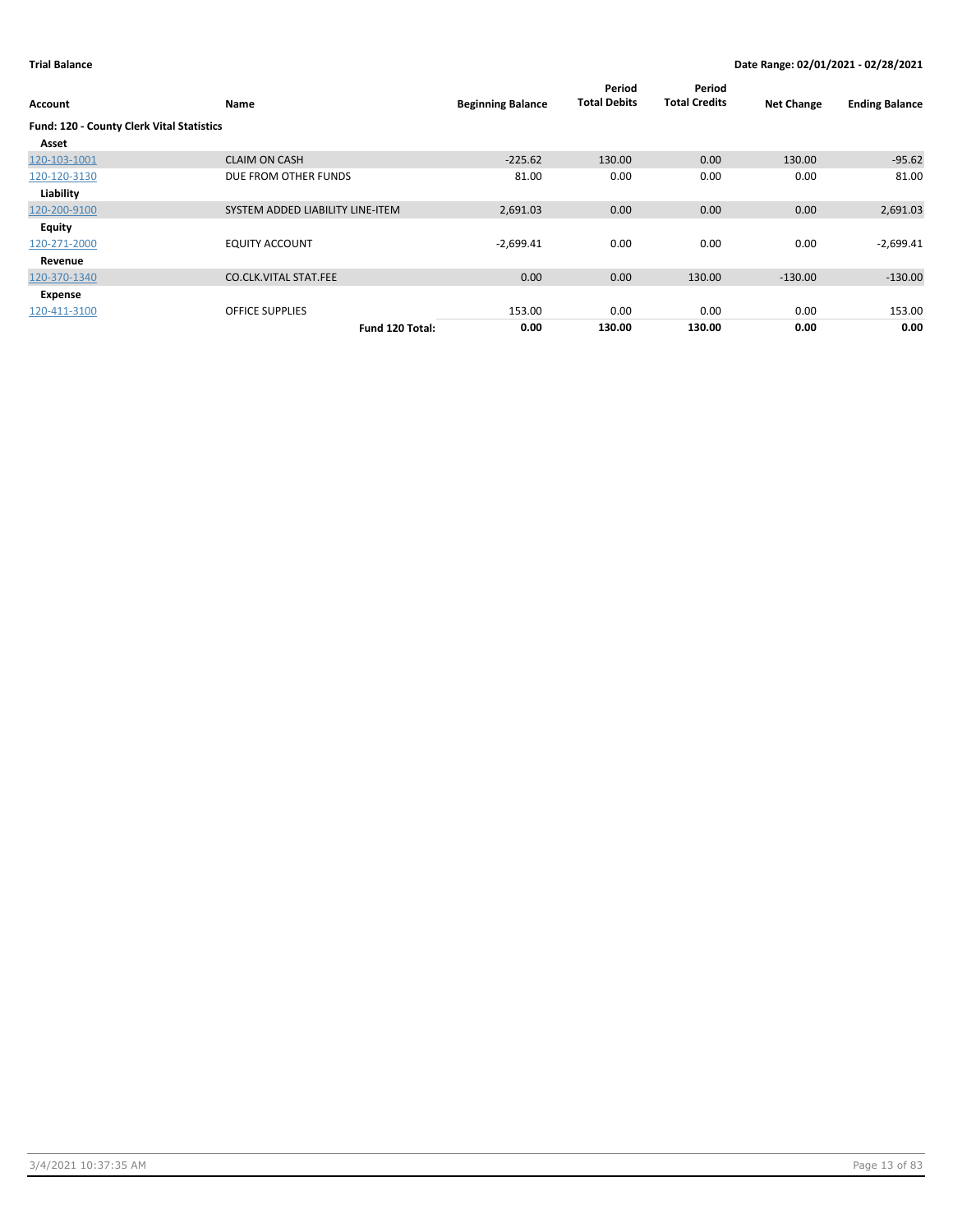| Account                                          | Name                             | <b>Beginning Balance</b> | Period<br><b>Total Debits</b> | Period<br><b>Total Credits</b> | <b>Net Change</b> | <b>Ending Balance</b> |
|--------------------------------------------------|----------------------------------|--------------------------|-------------------------------|--------------------------------|-------------------|-----------------------|
| <b>Fund: 120 - County Clerk Vital Statistics</b> |                                  |                          |                               |                                |                   |                       |
| Asset                                            |                                  |                          |                               |                                |                   |                       |
| 120-103-1001                                     | <b>CLAIM ON CASH</b>             | $-225.62$                | 130.00                        | 0.00                           | 130.00            | $-95.62$              |
| 120-120-3130                                     | DUE FROM OTHER FUNDS             | 81.00                    | 0.00                          | 0.00                           | 0.00              | 81.00                 |
| Liability                                        |                                  |                          |                               |                                |                   |                       |
| 120-200-9100                                     | SYSTEM ADDED LIABILITY LINE-ITEM | 2,691.03                 | 0.00                          | 0.00                           | 0.00              | 2,691.03              |
| Equity                                           |                                  |                          |                               |                                |                   |                       |
| 120-271-2000                                     | <b>EQUITY ACCOUNT</b>            | $-2,699.41$              | 0.00                          | 0.00                           | 0.00              | $-2,699.41$           |
| Revenue                                          |                                  |                          |                               |                                |                   |                       |
| 120-370-1340                                     | <b>CO.CLK.VITAL STAT.FEE</b>     | 0.00                     | 0.00                          | 130.00                         | $-130.00$         | $-130.00$             |
| Expense                                          |                                  |                          |                               |                                |                   |                       |
| 120-411-3100                                     | <b>OFFICE SUPPLIES</b>           | 153.00                   | 0.00                          | 0.00                           | 0.00              | 153.00                |
|                                                  | Fund 120 Total:                  | 0.00                     | 130.00                        | 130.00                         | 0.00              | 0.00                  |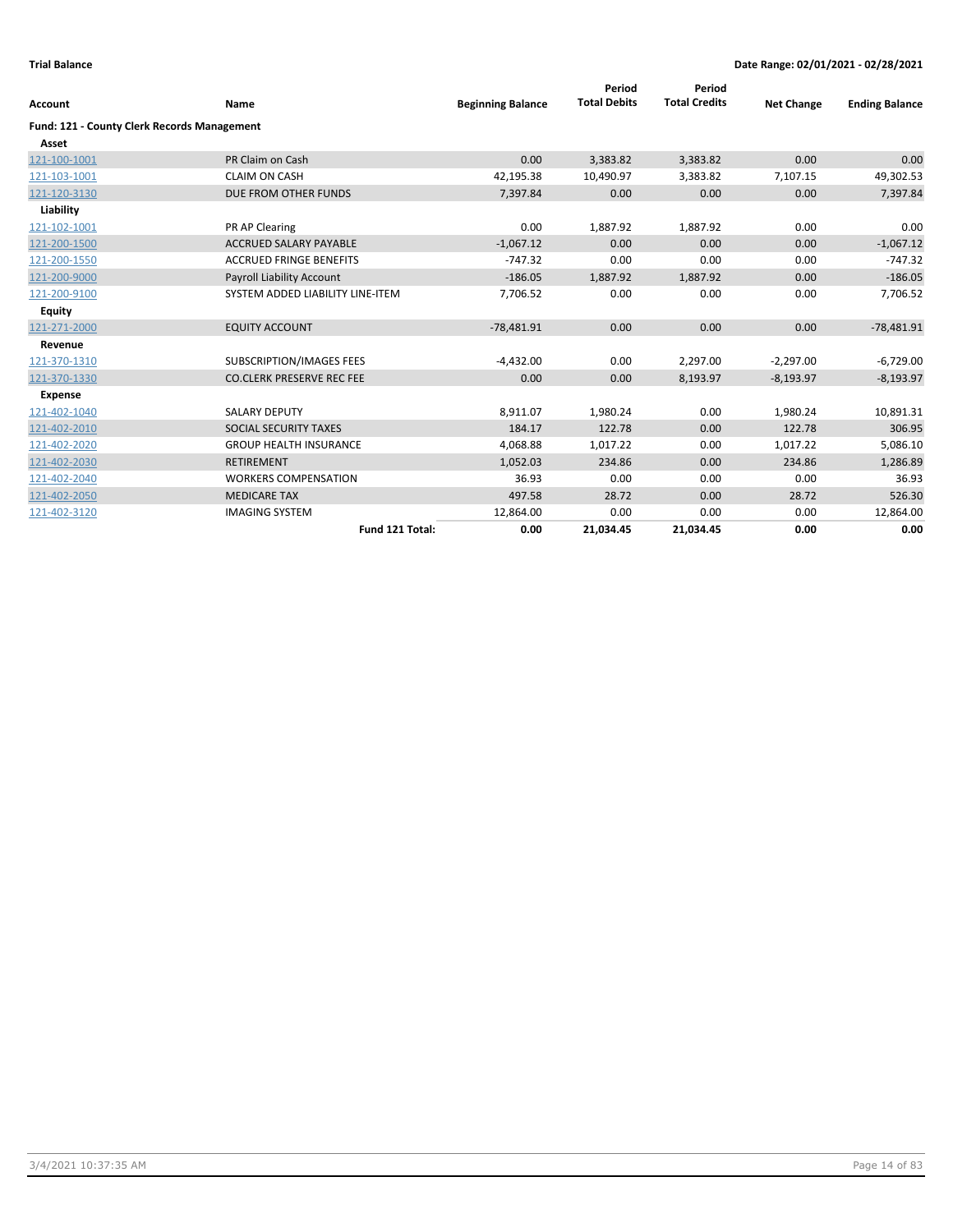| <b>Account</b>                              | Name                             | <b>Beginning Balance</b> | Period<br><b>Total Debits</b> | Period<br><b>Total Credits</b> | <b>Net Change</b> | <b>Ending Balance</b> |
|---------------------------------------------|----------------------------------|--------------------------|-------------------------------|--------------------------------|-------------------|-----------------------|
| Fund: 121 - County Clerk Records Management |                                  |                          |                               |                                |                   |                       |
| Asset                                       |                                  |                          |                               |                                |                   |                       |
| 121-100-1001                                | PR Claim on Cash                 | 0.00                     | 3,383.82                      | 3,383.82                       | 0.00              | 0.00                  |
| 121-103-1001                                | <b>CLAIM ON CASH</b>             | 42,195.38                | 10,490.97                     | 3,383.82                       | 7,107.15          | 49,302.53             |
| 121-120-3130                                | DUE FROM OTHER FUNDS             | 7,397.84                 | 0.00                          | 0.00                           | 0.00              | 7,397.84              |
| Liability                                   |                                  |                          |                               |                                |                   |                       |
| 121-102-1001                                | PR AP Clearing                   | 0.00                     | 1,887.92                      | 1,887.92                       | 0.00              | 0.00                  |
| 121-200-1500                                | <b>ACCRUED SALARY PAYABLE</b>    | $-1,067.12$              | 0.00                          | 0.00                           | 0.00              | $-1,067.12$           |
| 121-200-1550                                | <b>ACCRUED FRINGE BENEFITS</b>   | $-747.32$                | 0.00                          | 0.00                           | 0.00              | $-747.32$             |
| 121-200-9000                                | Payroll Liability Account        | $-186.05$                | 1,887.92                      | 1,887.92                       | 0.00              | $-186.05$             |
| 121-200-9100                                | SYSTEM ADDED LIABILITY LINE-ITEM | 7,706.52                 | 0.00                          | 0.00                           | 0.00              | 7,706.52              |
| <b>Equity</b>                               |                                  |                          |                               |                                |                   |                       |
| 121-271-2000                                | <b>EQUITY ACCOUNT</b>            | $-78,481.91$             | 0.00                          | 0.00                           | 0.00              | $-78,481.91$          |
| Revenue                                     |                                  |                          |                               |                                |                   |                       |
| 121-370-1310                                | <b>SUBSCRIPTION/IMAGES FEES</b>  | $-4,432.00$              | 0.00                          | 2,297.00                       | $-2,297.00$       | $-6,729.00$           |
| 121-370-1330                                | <b>CO.CLERK PRESERVE REC FEE</b> | 0.00                     | 0.00                          | 8,193.97                       | $-8,193.97$       | $-8,193.97$           |
| <b>Expense</b>                              |                                  |                          |                               |                                |                   |                       |
| 121-402-1040                                | <b>SALARY DEPUTY</b>             | 8,911.07                 | 1,980.24                      | 0.00                           | 1,980.24          | 10,891.31             |
| 121-402-2010                                | SOCIAL SECURITY TAXES            | 184.17                   | 122.78                        | 0.00                           | 122.78            | 306.95                |
| 121-402-2020                                | <b>GROUP HEALTH INSURANCE</b>    | 4,068.88                 | 1,017.22                      | 0.00                           | 1,017.22          | 5,086.10              |
| 121-402-2030                                | <b>RETIREMENT</b>                | 1,052.03                 | 234.86                        | 0.00                           | 234.86            | 1,286.89              |
| 121-402-2040                                | <b>WORKERS COMPENSATION</b>      | 36.93                    | 0.00                          | 0.00                           | 0.00              | 36.93                 |
| 121-402-2050                                | <b>MEDICARE TAX</b>              | 497.58                   | 28.72                         | 0.00                           | 28.72             | 526.30                |
| 121-402-3120                                | <b>IMAGING SYSTEM</b>            | 12,864.00                | 0.00                          | 0.00                           | 0.00              | 12,864.00             |
|                                             | Fund 121 Total:                  | 0.00                     | 21,034.45                     | 21,034.45                      | 0.00              | 0.00                  |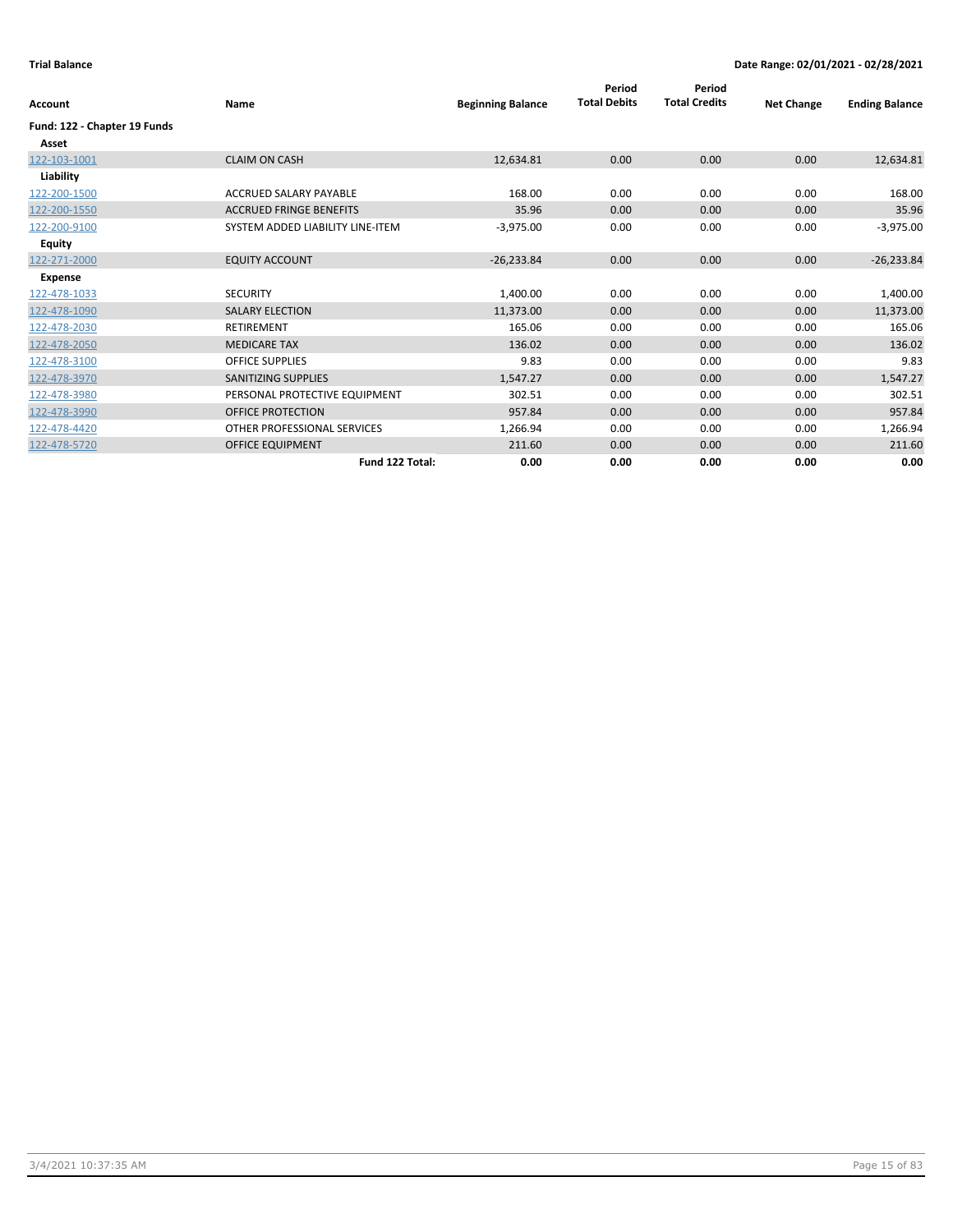| Account                      | Name                             | <b>Beginning Balance</b> | Period<br><b>Total Debits</b> | Period<br><b>Total Credits</b> | <b>Net Change</b> | <b>Ending Balance</b> |
|------------------------------|----------------------------------|--------------------------|-------------------------------|--------------------------------|-------------------|-----------------------|
| Fund: 122 - Chapter 19 Funds |                                  |                          |                               |                                |                   |                       |
| Asset                        |                                  |                          |                               |                                |                   |                       |
| 122-103-1001                 | <b>CLAIM ON CASH</b>             | 12,634.81                | 0.00                          | 0.00                           | 0.00              | 12,634.81             |
| Liability                    |                                  |                          |                               |                                |                   |                       |
| 122-200-1500                 | ACCRUED SALARY PAYABLE           | 168.00                   | 0.00                          | 0.00                           | 0.00              | 168.00                |
| 122-200-1550                 | <b>ACCRUED FRINGE BENEFITS</b>   | 35.96                    | 0.00                          | 0.00                           | 0.00              | 35.96                 |
| 122-200-9100                 | SYSTEM ADDED LIABILITY LINE-ITEM | $-3,975.00$              | 0.00                          | 0.00                           | 0.00              | $-3,975.00$           |
| <b>Equity</b>                |                                  |                          |                               |                                |                   |                       |
| 122-271-2000                 | <b>EQUITY ACCOUNT</b>            | $-26,233.84$             | 0.00                          | 0.00                           | 0.00              | $-26,233.84$          |
| <b>Expense</b>               |                                  |                          |                               |                                |                   |                       |
| 122-478-1033                 | <b>SECURITY</b>                  | 1,400.00                 | 0.00                          | 0.00                           | 0.00              | 1,400.00              |
| 122-478-1090                 | <b>SALARY ELECTION</b>           | 11,373.00                | 0.00                          | 0.00                           | 0.00              | 11,373.00             |
| 122-478-2030                 | <b>RETIREMENT</b>                | 165.06                   | 0.00                          | 0.00                           | 0.00              | 165.06                |
| 122-478-2050                 | <b>MEDICARE TAX</b>              | 136.02                   | 0.00                          | 0.00                           | 0.00              | 136.02                |
| 122-478-3100                 | <b>OFFICE SUPPLIES</b>           | 9.83                     | 0.00                          | 0.00                           | 0.00              | 9.83                  |
| 122-478-3970                 | <b>SANITIZING SUPPLIES</b>       | 1,547.27                 | 0.00                          | 0.00                           | 0.00              | 1,547.27              |
| 122-478-3980                 | PERSONAL PROTECTIVE EQUIPMENT    | 302.51                   | 0.00                          | 0.00                           | 0.00              | 302.51                |
| 122-478-3990                 | <b>OFFICE PROTECTION</b>         | 957.84                   | 0.00                          | 0.00                           | 0.00              | 957.84                |
| 122-478-4420                 | OTHER PROFESSIONAL SERVICES      | 1,266.94                 | 0.00                          | 0.00                           | 0.00              | 1,266.94              |
| 122-478-5720                 | <b>OFFICE EQUIPMENT</b>          | 211.60                   | 0.00                          | 0.00                           | 0.00              | 211.60                |
|                              | Fund 122 Total:                  | 0.00                     | 0.00                          | 0.00                           | 0.00              | 0.00                  |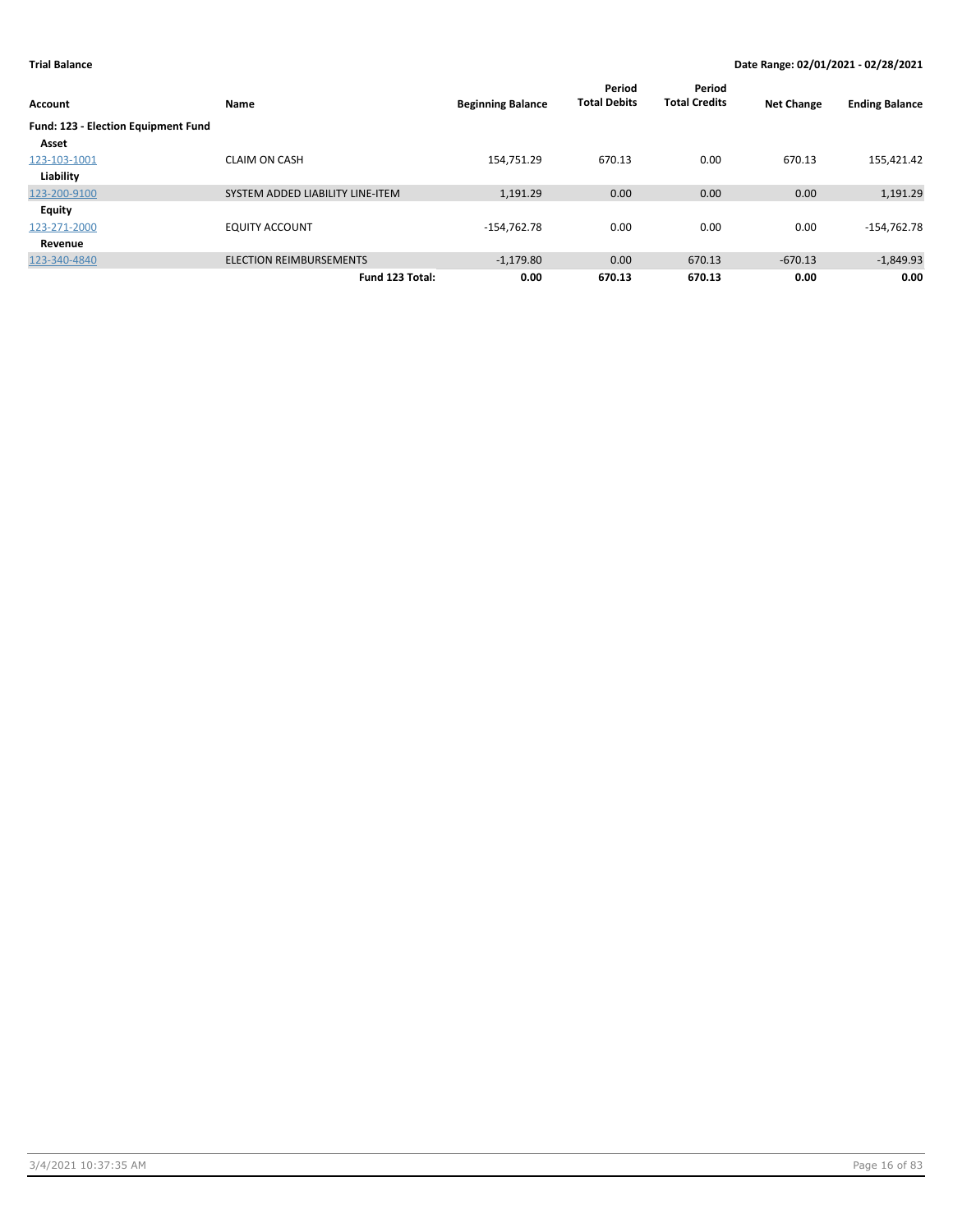| Account                             | Name                             | <b>Beginning Balance</b> | Period<br><b>Total Debits</b> | Period<br><b>Total Credits</b> | <b>Net Change</b> | <b>Ending Balance</b> |
|-------------------------------------|----------------------------------|--------------------------|-------------------------------|--------------------------------|-------------------|-----------------------|
| Fund: 123 - Election Equipment Fund |                                  |                          |                               |                                |                   |                       |
| Asset                               |                                  |                          |                               |                                |                   |                       |
| 123-103-1001                        | <b>CLAIM ON CASH</b>             | 154,751.29               | 670.13                        | 0.00                           | 670.13            | 155,421.42            |
| Liability                           |                                  |                          |                               |                                |                   |                       |
| 123-200-9100                        | SYSTEM ADDED LIABILITY LINE-ITEM | 1,191.29                 | 0.00                          | 0.00                           | 0.00              | 1,191.29              |
| <b>Equity</b>                       |                                  |                          |                               |                                |                   |                       |
| 123-271-2000                        | <b>EQUITY ACCOUNT</b>            | $-154,762.78$            | 0.00                          | 0.00                           | 0.00              | $-154,762.78$         |
| Revenue                             |                                  |                          |                               |                                |                   |                       |
| 123-340-4840                        | <b>ELECTION REIMBURSEMENTS</b>   | $-1,179.80$              | 0.00                          | 670.13                         | $-670.13$         | $-1,849.93$           |
|                                     | Fund 123 Total:                  | 0.00                     | 670.13                        | 670.13                         | 0.00              | 0.00                  |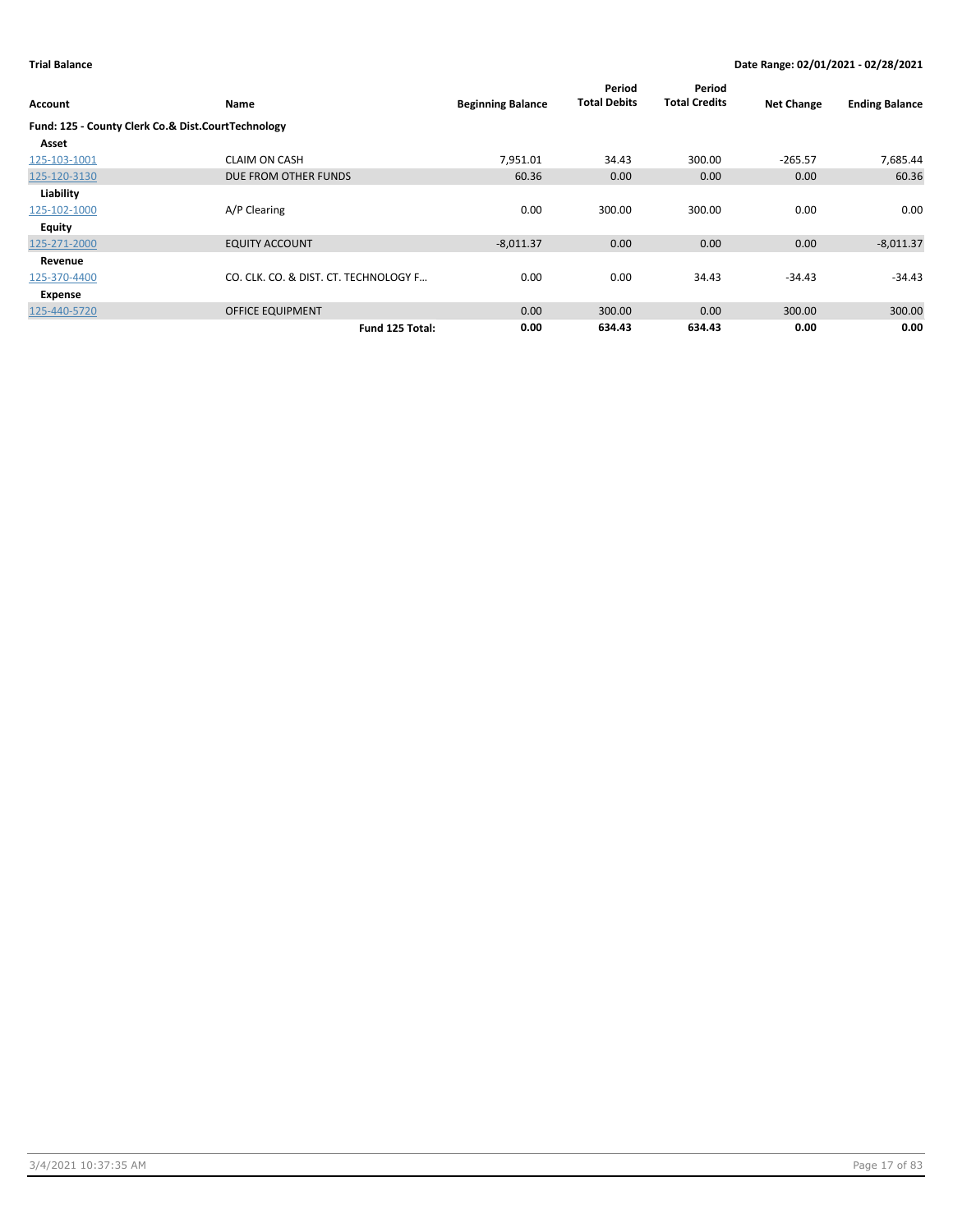| Account      | Name                                               | <b>Beginning Balance</b> | Period<br><b>Total Debits</b> | Period<br><b>Total Credits</b> | <b>Net Change</b> | <b>Ending Balance</b> |
|--------------|----------------------------------------------------|--------------------------|-------------------------------|--------------------------------|-------------------|-----------------------|
|              | Fund: 125 - County Clerk Co.& Dist.CourtTechnology |                          |                               |                                |                   |                       |
| Asset        |                                                    |                          |                               |                                |                   |                       |
| 125-103-1001 | <b>CLAIM ON CASH</b>                               | 7,951.01                 | 34.43                         | 300.00                         | $-265.57$         | 7,685.44              |
| 125-120-3130 | DUE FROM OTHER FUNDS                               | 60.36                    | 0.00                          | 0.00                           | 0.00              | 60.36                 |
| Liability    |                                                    |                          |                               |                                |                   |                       |
| 125-102-1000 | A/P Clearing                                       | 0.00                     | 300.00                        | 300.00                         | 0.00              | 0.00                  |
| Equity       |                                                    |                          |                               |                                |                   |                       |
| 125-271-2000 | <b>EQUITY ACCOUNT</b>                              | $-8,011.37$              | 0.00                          | 0.00                           | 0.00              | $-8,011.37$           |
| Revenue      |                                                    |                          |                               |                                |                   |                       |
| 125-370-4400 | CO. CLK. CO. & DIST. CT. TECHNOLOGY F              | 0.00                     | 0.00                          | 34.43                          | $-34.43$          | $-34.43$              |
| Expense      |                                                    |                          |                               |                                |                   |                       |
| 125-440-5720 | <b>OFFICE EQUIPMENT</b>                            | 0.00                     | 300.00                        | 0.00                           | 300.00            | 300.00                |
|              | Fund 125 Total:                                    | 0.00                     | 634.43                        | 634.43                         | 0.00              | 0.00                  |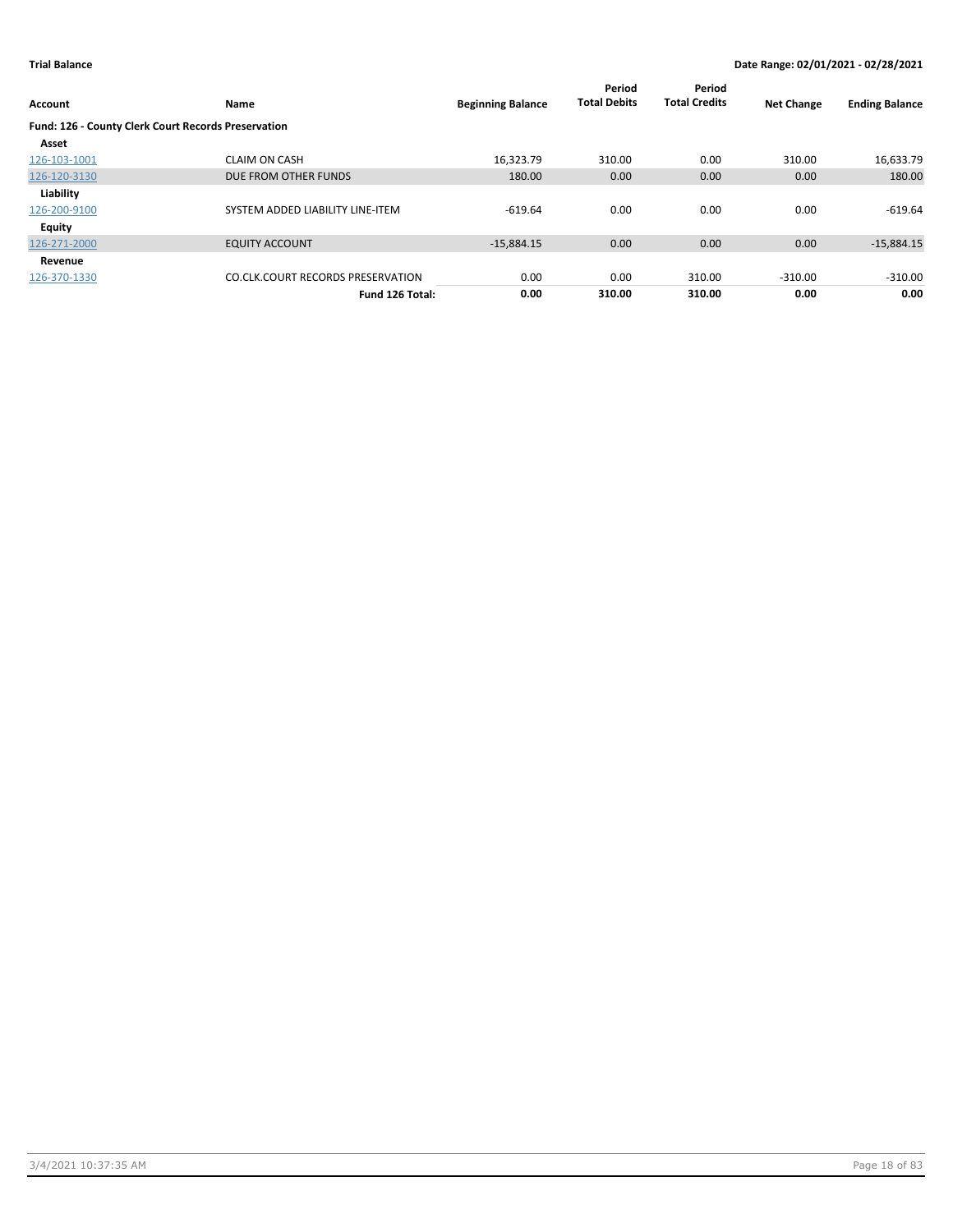| Account                                             | Name                                     | <b>Beginning Balance</b> | Period<br><b>Total Debits</b> | Period<br><b>Total Credits</b> | <b>Net Change</b> | <b>Ending Balance</b> |
|-----------------------------------------------------|------------------------------------------|--------------------------|-------------------------------|--------------------------------|-------------------|-----------------------|
| Fund: 126 - County Clerk Court Records Preservation |                                          |                          |                               |                                |                   |                       |
| Asset                                               |                                          |                          |                               |                                |                   |                       |
| 126-103-1001                                        | <b>CLAIM ON CASH</b>                     | 16.323.79                | 310.00                        | 0.00                           | 310.00            | 16,633.79             |
| 126-120-3130                                        | DUE FROM OTHER FUNDS                     | 180.00                   | 0.00                          | 0.00                           | 0.00              | 180.00                |
| Liability                                           |                                          |                          |                               |                                |                   |                       |
| 126-200-9100                                        | SYSTEM ADDED LIABILITY LINE-ITEM         | $-619.64$                | 0.00                          | 0.00                           | 0.00              | $-619.64$             |
| Equity                                              |                                          |                          |                               |                                |                   |                       |
| 126-271-2000                                        | <b>EQUITY ACCOUNT</b>                    | $-15.884.15$             | 0.00                          | 0.00                           | 0.00              | $-15,884.15$          |
| Revenue                                             |                                          |                          |                               |                                |                   |                       |
| 126-370-1330                                        | <b>CO.CLK.COURT RECORDS PRESERVATION</b> | 0.00                     | 0.00                          | 310.00                         | $-310.00$         | $-310.00$             |
|                                                     | Fund 126 Total:                          | 0.00                     | 310.00                        | 310.00                         | 0.00              | 0.00                  |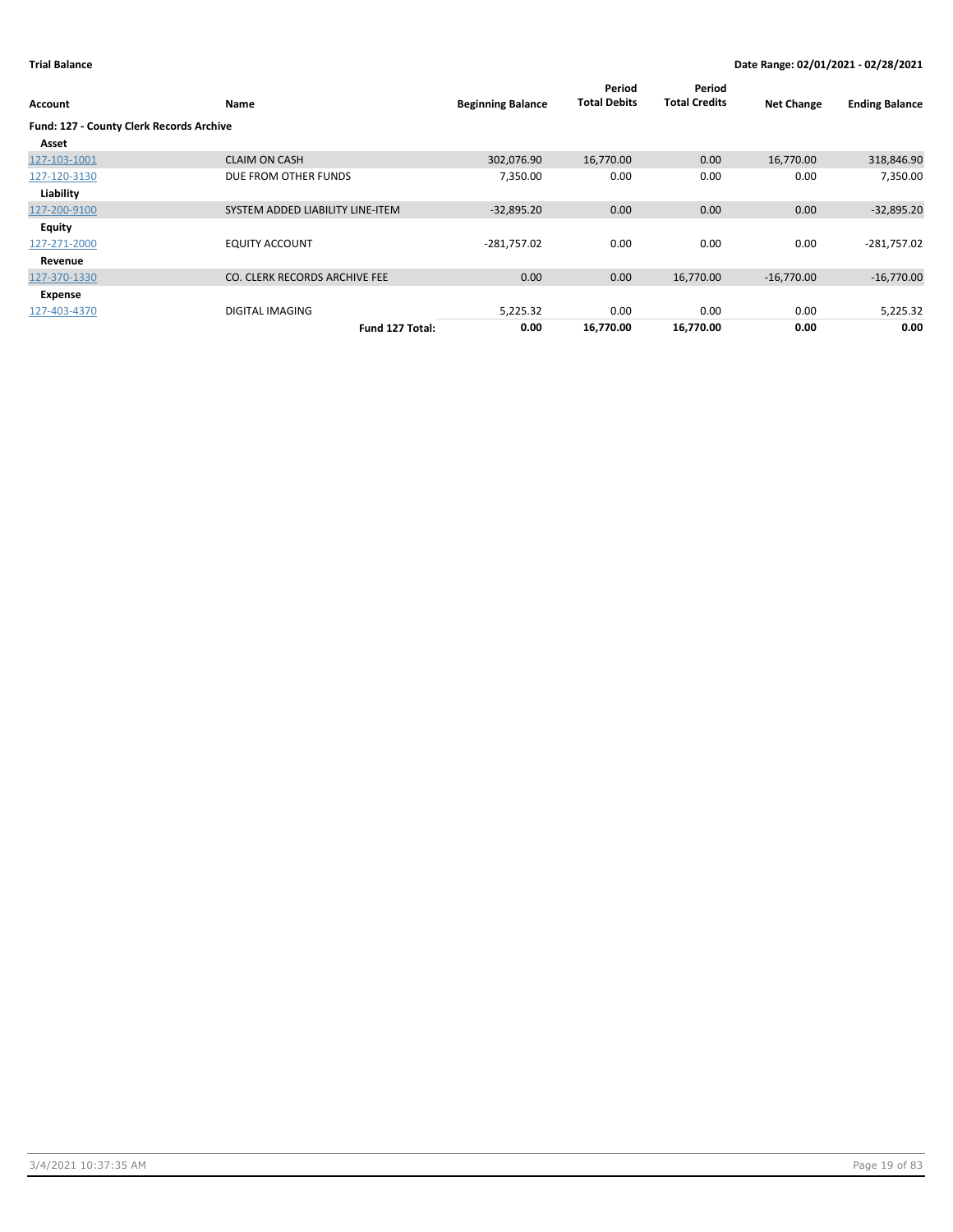| Account                                  | Name                             | <b>Beginning Balance</b> | Period<br><b>Total Debits</b> | Period<br><b>Total Credits</b> | <b>Net Change</b> | <b>Ending Balance</b> |
|------------------------------------------|----------------------------------|--------------------------|-------------------------------|--------------------------------|-------------------|-----------------------|
| Fund: 127 - County Clerk Records Archive |                                  |                          |                               |                                |                   |                       |
| Asset                                    |                                  |                          |                               |                                |                   |                       |
| 127-103-1001                             | <b>CLAIM ON CASH</b>             | 302,076.90               | 16,770.00                     | 0.00                           | 16,770.00         | 318,846.90            |
| 127-120-3130                             | DUE FROM OTHER FUNDS             | 7,350.00                 | 0.00                          | 0.00                           | 0.00              | 7,350.00              |
| Liability                                |                                  |                          |                               |                                |                   |                       |
| 127-200-9100                             | SYSTEM ADDED LIABILITY LINE-ITEM | $-32,895.20$             | 0.00                          | 0.00                           | 0.00              | $-32,895.20$          |
| <b>Equity</b>                            |                                  |                          |                               |                                |                   |                       |
| 127-271-2000                             | <b>EQUITY ACCOUNT</b>            | $-281,757.02$            | 0.00                          | 0.00                           | 0.00              | $-281,757.02$         |
| Revenue                                  |                                  |                          |                               |                                |                   |                       |
| 127-370-1330                             | CO. CLERK RECORDS ARCHIVE FEE    | 0.00                     | 0.00                          | 16,770.00                      | $-16,770.00$      | $-16,770.00$          |
| Expense                                  |                                  |                          |                               |                                |                   |                       |
| 127-403-4370                             | <b>DIGITAL IMAGING</b>           | 5,225.32                 | 0.00                          | 0.00                           | 0.00              | 5,225.32              |
|                                          | Fund 127 Total:                  | 0.00                     | 16,770.00                     | 16,770.00                      | 0.00              | 0.00                  |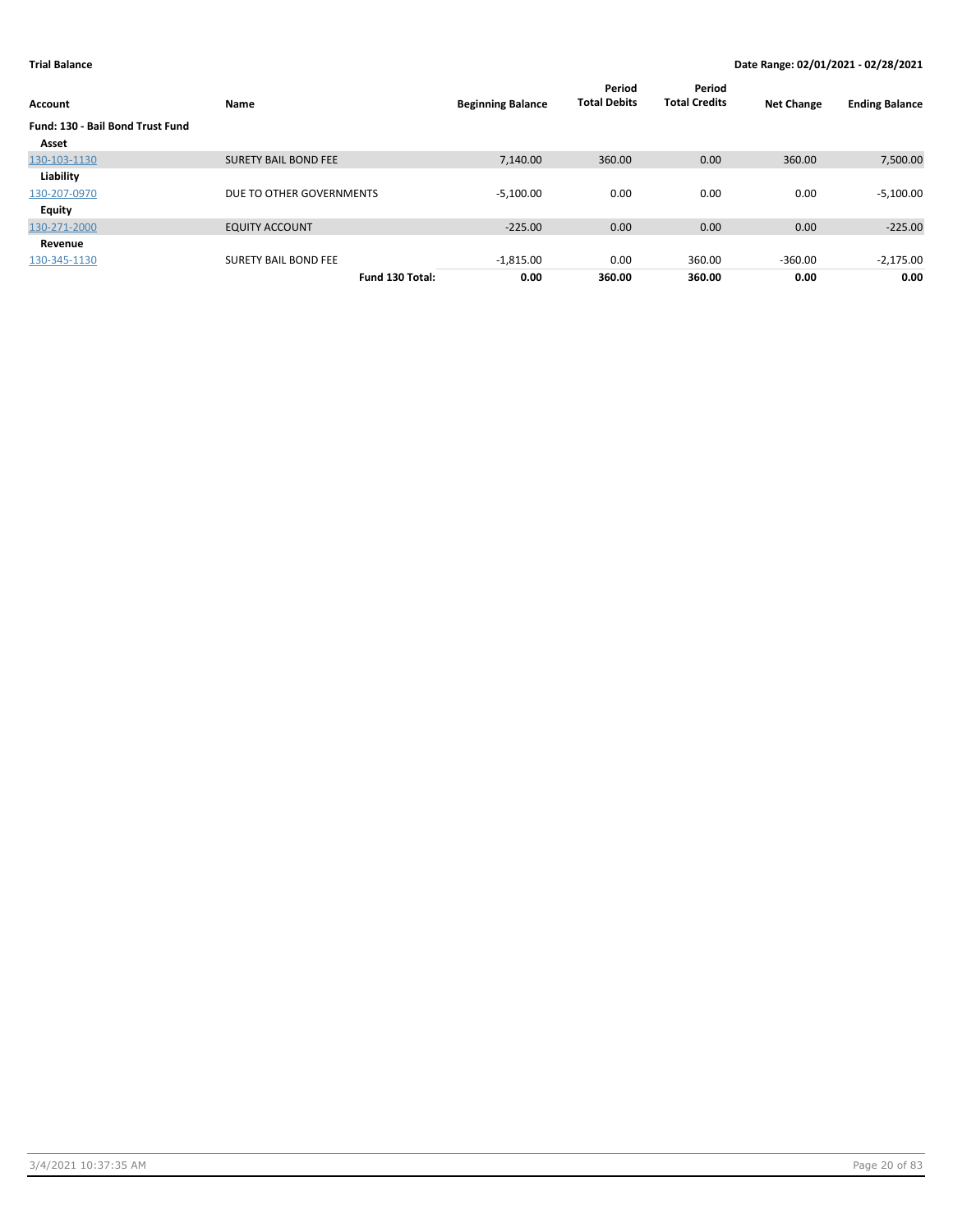| Account                                 | Name                        | <b>Beginning Balance</b> | Period<br><b>Total Debits</b> | Period<br><b>Total Credits</b> | <b>Net Change</b> | <b>Ending Balance</b> |
|-----------------------------------------|-----------------------------|--------------------------|-------------------------------|--------------------------------|-------------------|-----------------------|
| <b>Fund: 130 - Bail Bond Trust Fund</b> |                             |                          |                               |                                |                   |                       |
| Asset                                   |                             |                          |                               |                                |                   |                       |
| 130-103-1130                            | <b>SURETY BAIL BOND FEE</b> | 7.140.00                 | 360.00                        | 0.00                           | 360.00            | 7,500.00              |
| Liability                               |                             |                          |                               |                                |                   |                       |
| 130-207-0970                            | DUE TO OTHER GOVERNMENTS    | $-5,100.00$              | 0.00                          | 0.00                           | 0.00              | $-5,100.00$           |
| <b>Equity</b>                           |                             |                          |                               |                                |                   |                       |
| 130-271-2000                            | <b>EQUITY ACCOUNT</b>       | $-225.00$                | 0.00                          | 0.00                           | 0.00              | $-225.00$             |
| Revenue                                 |                             |                          |                               |                                |                   |                       |
| 130-345-1130                            | <b>SURETY BAIL BOND FEE</b> | $-1,815.00$              | 0.00                          | 360.00                         | $-360.00$         | $-2,175.00$           |
|                                         | Fund 130 Total:             | 0.00                     | 360.00                        | 360.00                         | 0.00              | 0.00                  |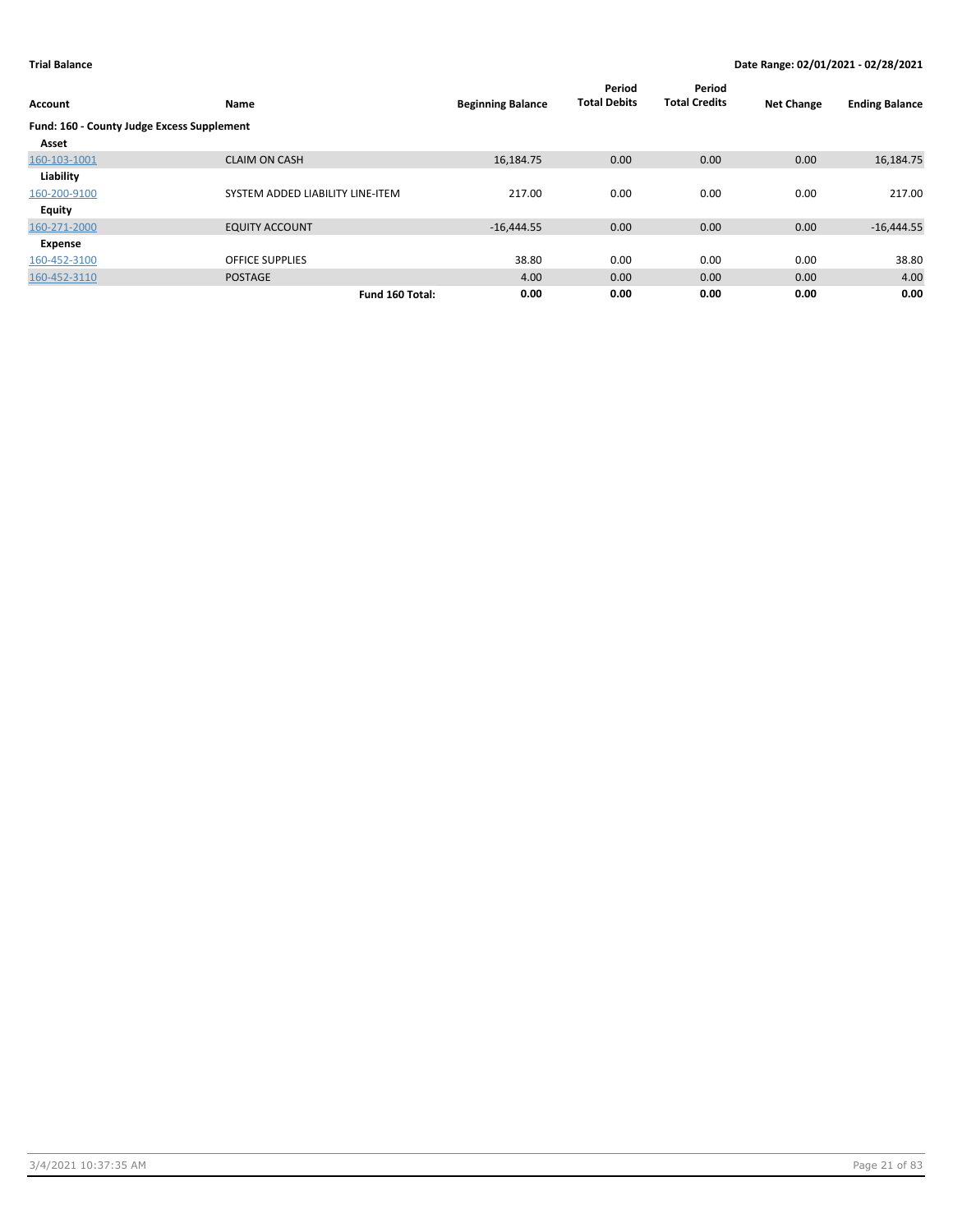| Account                                    | Name                             | <b>Beginning Balance</b> | Period<br><b>Total Debits</b> | Period<br><b>Total Credits</b> | <b>Net Change</b> | <b>Ending Balance</b> |
|--------------------------------------------|----------------------------------|--------------------------|-------------------------------|--------------------------------|-------------------|-----------------------|
| Fund: 160 - County Judge Excess Supplement |                                  |                          |                               |                                |                   |                       |
| Asset                                      |                                  |                          |                               |                                |                   |                       |
| 160-103-1001                               | <b>CLAIM ON CASH</b>             | 16,184.75                | 0.00                          | 0.00                           | 0.00              | 16,184.75             |
| Liability                                  |                                  |                          |                               |                                |                   |                       |
| 160-200-9100                               | SYSTEM ADDED LIABILITY LINE-ITEM | 217.00                   | 0.00                          | 0.00                           | 0.00              | 217.00                |
| Equity                                     |                                  |                          |                               |                                |                   |                       |
| 160-271-2000                               | <b>EQUITY ACCOUNT</b>            | $-16,444.55$             | 0.00                          | 0.00                           | 0.00              | $-16,444.55$          |
| Expense                                    |                                  |                          |                               |                                |                   |                       |
| 160-452-3100                               | <b>OFFICE SUPPLIES</b>           | 38.80                    | 0.00                          | 0.00                           | 0.00              | 38.80                 |
| 160-452-3110                               | <b>POSTAGE</b>                   | 4.00                     | 0.00                          | 0.00                           | 0.00              | 4.00                  |
|                                            | Fund 160 Total:                  | 0.00                     | 0.00                          | 0.00                           | 0.00              | 0.00                  |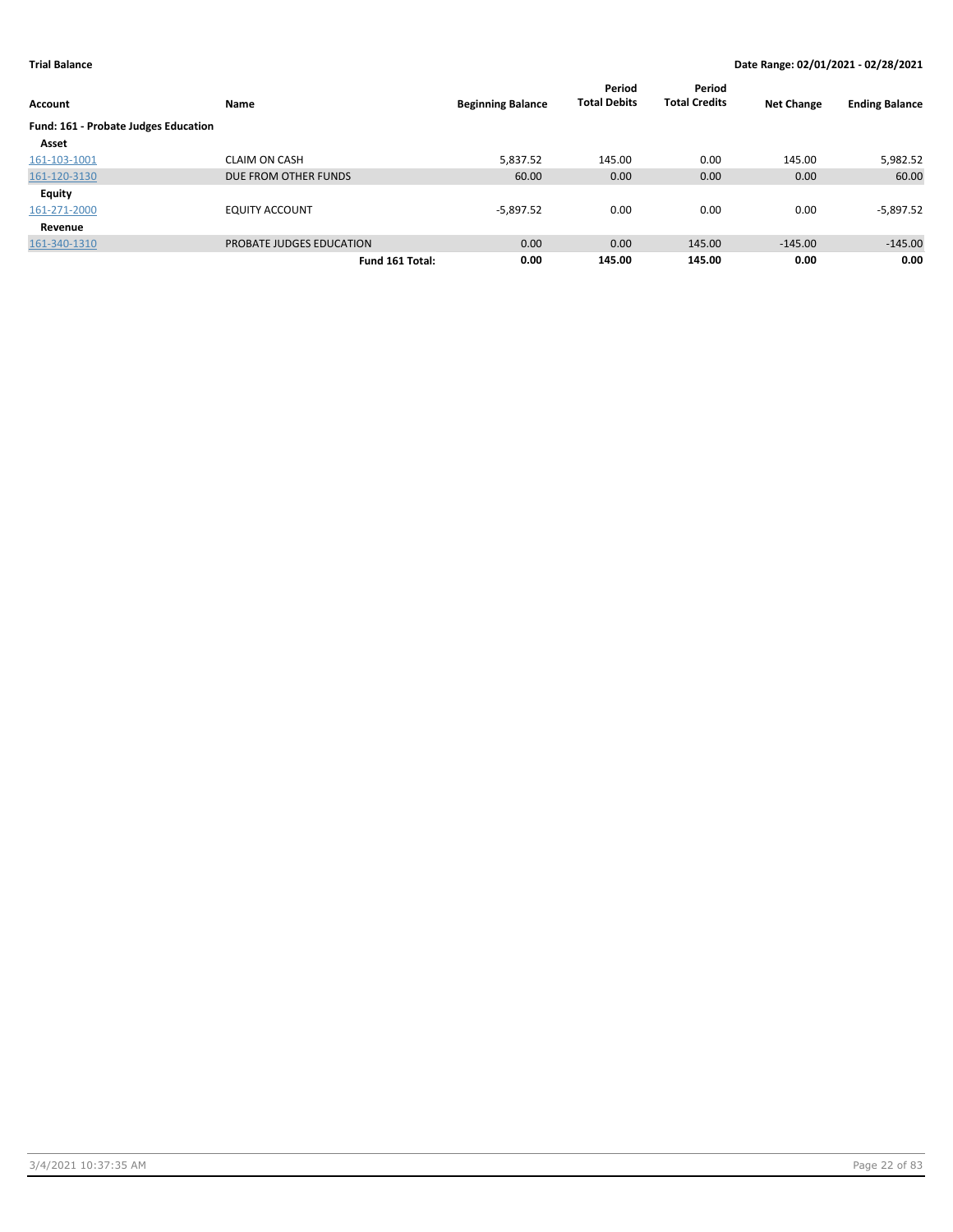| Account                              | Name                     | <b>Beginning Balance</b> | Period<br><b>Total Debits</b> | Period<br><b>Total Credits</b> | <b>Net Change</b> | <b>Ending Balance</b> |
|--------------------------------------|--------------------------|--------------------------|-------------------------------|--------------------------------|-------------------|-----------------------|
| Fund: 161 - Probate Judges Education |                          |                          |                               |                                |                   |                       |
| Asset                                |                          |                          |                               |                                |                   |                       |
| 161-103-1001                         | <b>CLAIM ON CASH</b>     | 5,837.52                 | 145.00                        | 0.00                           | 145.00            | 5,982.52              |
| 161-120-3130                         | DUE FROM OTHER FUNDS     | 60.00                    | 0.00                          | 0.00                           | 0.00              | 60.00                 |
| Equity                               |                          |                          |                               |                                |                   |                       |
| 161-271-2000                         | <b>EQUITY ACCOUNT</b>    | $-5,897.52$              | 0.00                          | 0.00                           | 0.00              | $-5,897.52$           |
| Revenue                              |                          |                          |                               |                                |                   |                       |
| 161-340-1310                         | PROBATE JUDGES EDUCATION | 0.00                     | 0.00                          | 145.00                         | $-145.00$         | $-145.00$             |
|                                      | Fund 161 Total:          | 0.00                     | 145.00                        | 145.00                         | 0.00              | 0.00                  |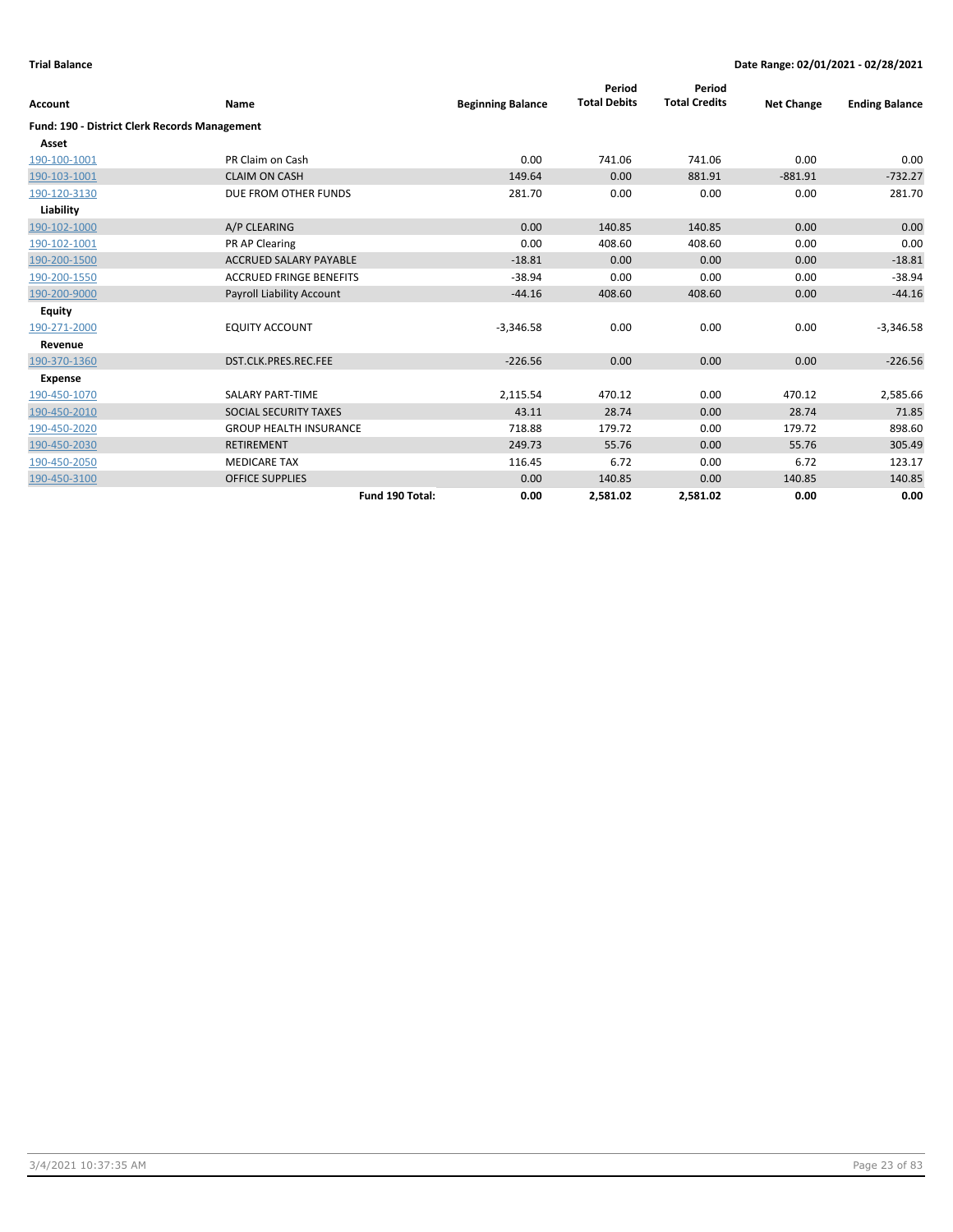|                                                      |                                  |                          | Period              | Period               |                   |                       |
|------------------------------------------------------|----------------------------------|--------------------------|---------------------|----------------------|-------------------|-----------------------|
| Account                                              | Name                             | <b>Beginning Balance</b> | <b>Total Debits</b> | <b>Total Credits</b> | <b>Net Change</b> | <b>Ending Balance</b> |
| <b>Fund: 190 - District Clerk Records Management</b> |                                  |                          |                     |                      |                   |                       |
| Asset                                                |                                  |                          |                     |                      |                   |                       |
| 190-100-1001                                         | PR Claim on Cash                 | 0.00                     | 741.06              | 741.06               | 0.00              | 0.00                  |
| 190-103-1001                                         | <b>CLAIM ON CASH</b>             | 149.64                   | 0.00                | 881.91               | $-881.91$         | $-732.27$             |
| 190-120-3130                                         | DUE FROM OTHER FUNDS             | 281.70                   | 0.00                | 0.00                 | 0.00              | 281.70                |
| Liability                                            |                                  |                          |                     |                      |                   |                       |
| 190-102-1000                                         | A/P CLEARING                     | 0.00                     | 140.85              | 140.85               | 0.00              | 0.00                  |
| 190-102-1001                                         | PR AP Clearing                   | 0.00                     | 408.60              | 408.60               | 0.00              | 0.00                  |
| 190-200-1500                                         | <b>ACCRUED SALARY PAYABLE</b>    | $-18.81$                 | 0.00                | 0.00                 | 0.00              | $-18.81$              |
| 190-200-1550                                         | <b>ACCRUED FRINGE BENEFITS</b>   | $-38.94$                 | 0.00                | 0.00                 | 0.00              | $-38.94$              |
| 190-200-9000                                         | <b>Payroll Liability Account</b> | $-44.16$                 | 408.60              | 408.60               | 0.00              | $-44.16$              |
| <b>Equity</b>                                        |                                  |                          |                     |                      |                   |                       |
| 190-271-2000                                         | <b>EQUITY ACCOUNT</b>            | $-3,346.58$              | 0.00                | 0.00                 | 0.00              | $-3,346.58$           |
| Revenue                                              |                                  |                          |                     |                      |                   |                       |
| 190-370-1360                                         | DST.CLK.PRES.REC.FEE             | $-226.56$                | 0.00                | 0.00                 | 0.00              | $-226.56$             |
| <b>Expense</b>                                       |                                  |                          |                     |                      |                   |                       |
| 190-450-1070                                         | SALARY PART-TIME                 | 2,115.54                 | 470.12              | 0.00                 | 470.12            | 2,585.66              |
| 190-450-2010                                         | <b>SOCIAL SECURITY TAXES</b>     | 43.11                    | 28.74               | 0.00                 | 28.74             | 71.85                 |
| 190-450-2020                                         | <b>GROUP HEALTH INSURANCE</b>    | 718.88                   | 179.72              | 0.00                 | 179.72            | 898.60                |
| 190-450-2030                                         | <b>RETIREMENT</b>                | 249.73                   | 55.76               | 0.00                 | 55.76             | 305.49                |
| 190-450-2050                                         | <b>MEDICARE TAX</b>              | 116.45                   | 6.72                | 0.00                 | 6.72              | 123.17                |
| 190-450-3100                                         | <b>OFFICE SUPPLIES</b>           | 0.00                     | 140.85              | 0.00                 | 140.85            | 140.85                |
|                                                      | Fund 190 Total:                  | 0.00                     | 2,581.02            | 2,581.02             | 0.00              | 0.00                  |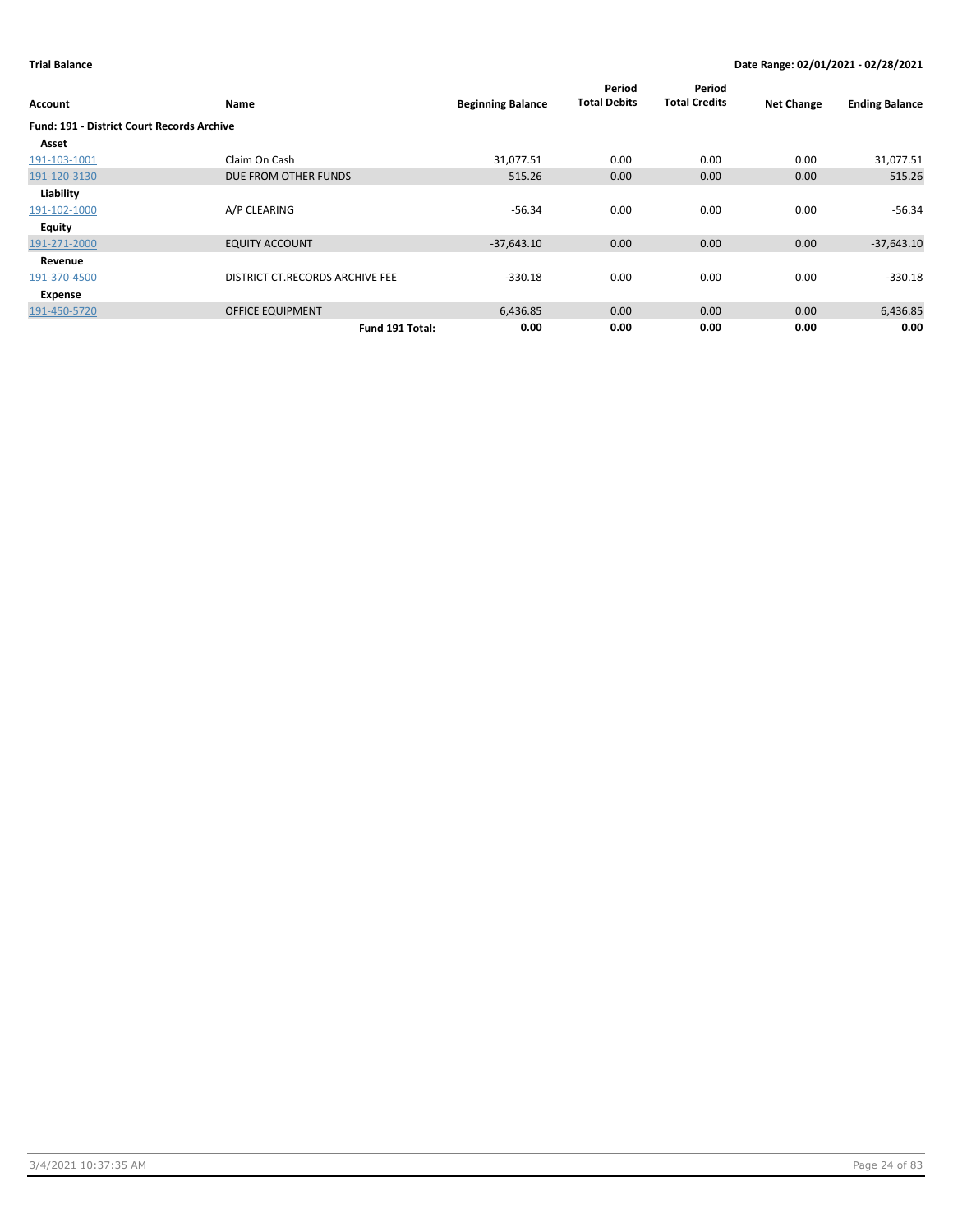| Account                                           | Name                            | <b>Beginning Balance</b> | Period<br><b>Total Debits</b> | Period<br><b>Total Credits</b> | <b>Net Change</b> | <b>Ending Balance</b> |
|---------------------------------------------------|---------------------------------|--------------------------|-------------------------------|--------------------------------|-------------------|-----------------------|
| <b>Fund: 191 - District Court Records Archive</b> |                                 |                          |                               |                                |                   |                       |
| Asset                                             |                                 |                          |                               |                                |                   |                       |
| 191-103-1001                                      | Claim On Cash                   | 31,077.51                | 0.00                          | 0.00                           | 0.00              | 31,077.51             |
| 191-120-3130                                      | DUE FROM OTHER FUNDS            | 515.26                   | 0.00                          | 0.00                           | 0.00              | 515.26                |
| Liability                                         |                                 |                          |                               |                                |                   |                       |
| 191-102-1000                                      | A/P CLEARING                    | $-56.34$                 | 0.00                          | 0.00                           | 0.00              | $-56.34$              |
| Equity                                            |                                 |                          |                               |                                |                   |                       |
| 191-271-2000                                      | <b>EQUITY ACCOUNT</b>           | $-37,643.10$             | 0.00                          | 0.00                           | 0.00              | $-37,643.10$          |
| Revenue                                           |                                 |                          |                               |                                |                   |                       |
| 191-370-4500                                      | DISTRICT CT.RECORDS ARCHIVE FEE | $-330.18$                | 0.00                          | 0.00                           | 0.00              | $-330.18$             |
| Expense                                           |                                 |                          |                               |                                |                   |                       |
| 191-450-5720                                      | <b>OFFICE EQUIPMENT</b>         | 6,436.85                 | 0.00                          | 0.00                           | 0.00              | 6,436.85              |
|                                                   | Fund 191 Total:                 | 0.00                     | 0.00                          | 0.00                           | 0.00              | 0.00                  |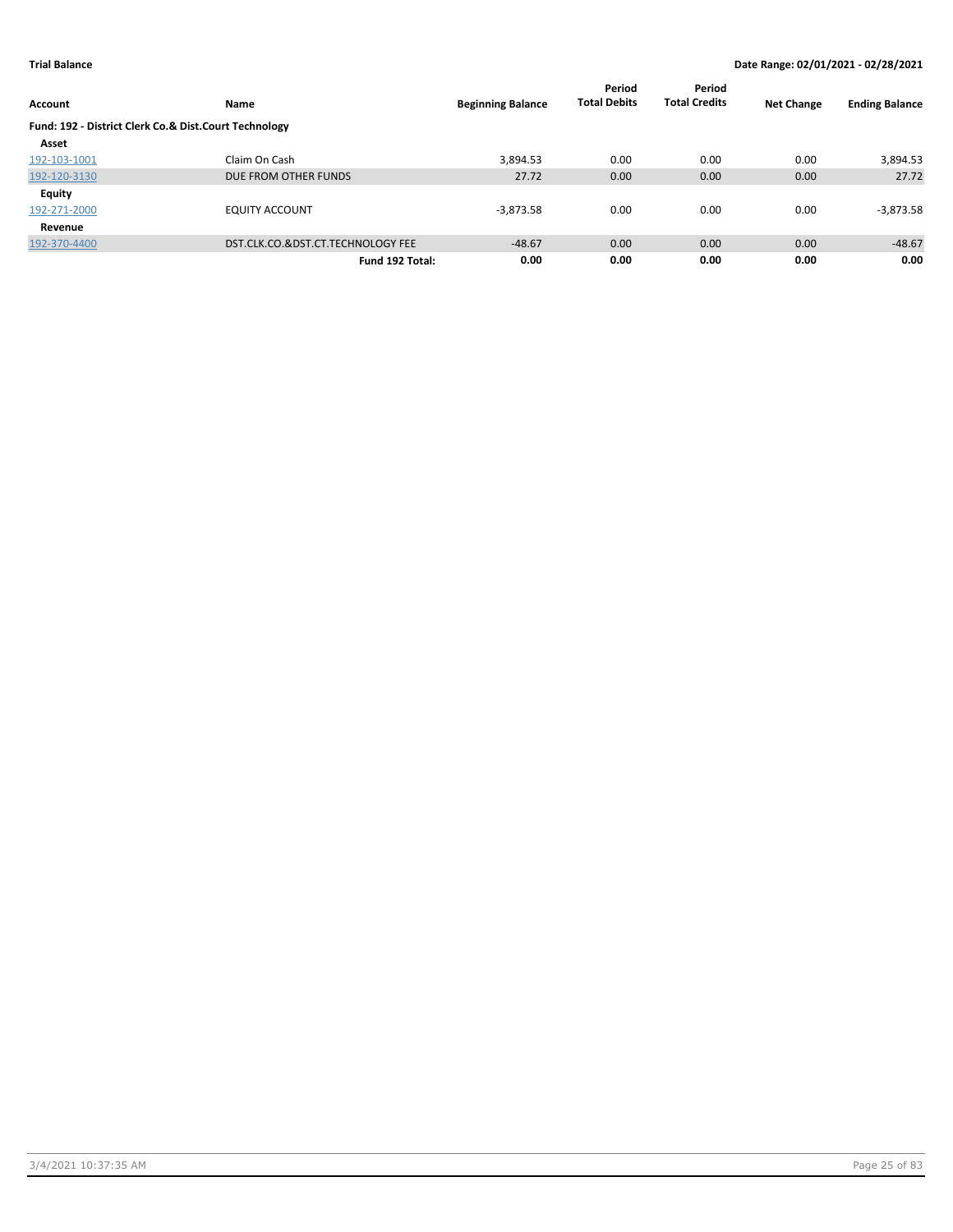| Account                                               | <b>Name</b>                       | <b>Beginning Balance</b> | Period<br><b>Total Debits</b> | Period<br><b>Total Credits</b> | <b>Net Change</b> | <b>Ending Balance</b> |
|-------------------------------------------------------|-----------------------------------|--------------------------|-------------------------------|--------------------------------|-------------------|-----------------------|
| Fund: 192 - District Clerk Co.& Dist.Court Technology |                                   |                          |                               |                                |                   |                       |
| Asset                                                 |                                   |                          |                               |                                |                   |                       |
| 192-103-1001                                          | Claim On Cash                     | 3,894.53                 | 0.00                          | 0.00                           | 0.00              | 3,894.53              |
| 192-120-3130                                          | DUE FROM OTHER FUNDS              | 27.72                    | 0.00                          | 0.00                           | 0.00              | 27.72                 |
| Equity                                                |                                   |                          |                               |                                |                   |                       |
| 192-271-2000                                          | <b>EQUITY ACCOUNT</b>             | $-3,873.58$              | 0.00                          | 0.00                           | 0.00              | $-3,873.58$           |
| Revenue                                               |                                   |                          |                               |                                |                   |                       |
| 192-370-4400                                          | DST.CLK.CO.&DST.CT.TECHNOLOGY FEE | $-48.67$                 | 0.00                          | 0.00                           | 0.00              | $-48.67$              |
|                                                       | Fund 192 Total:                   | 0.00                     | 0.00                          | 0.00                           | 0.00              | 0.00                  |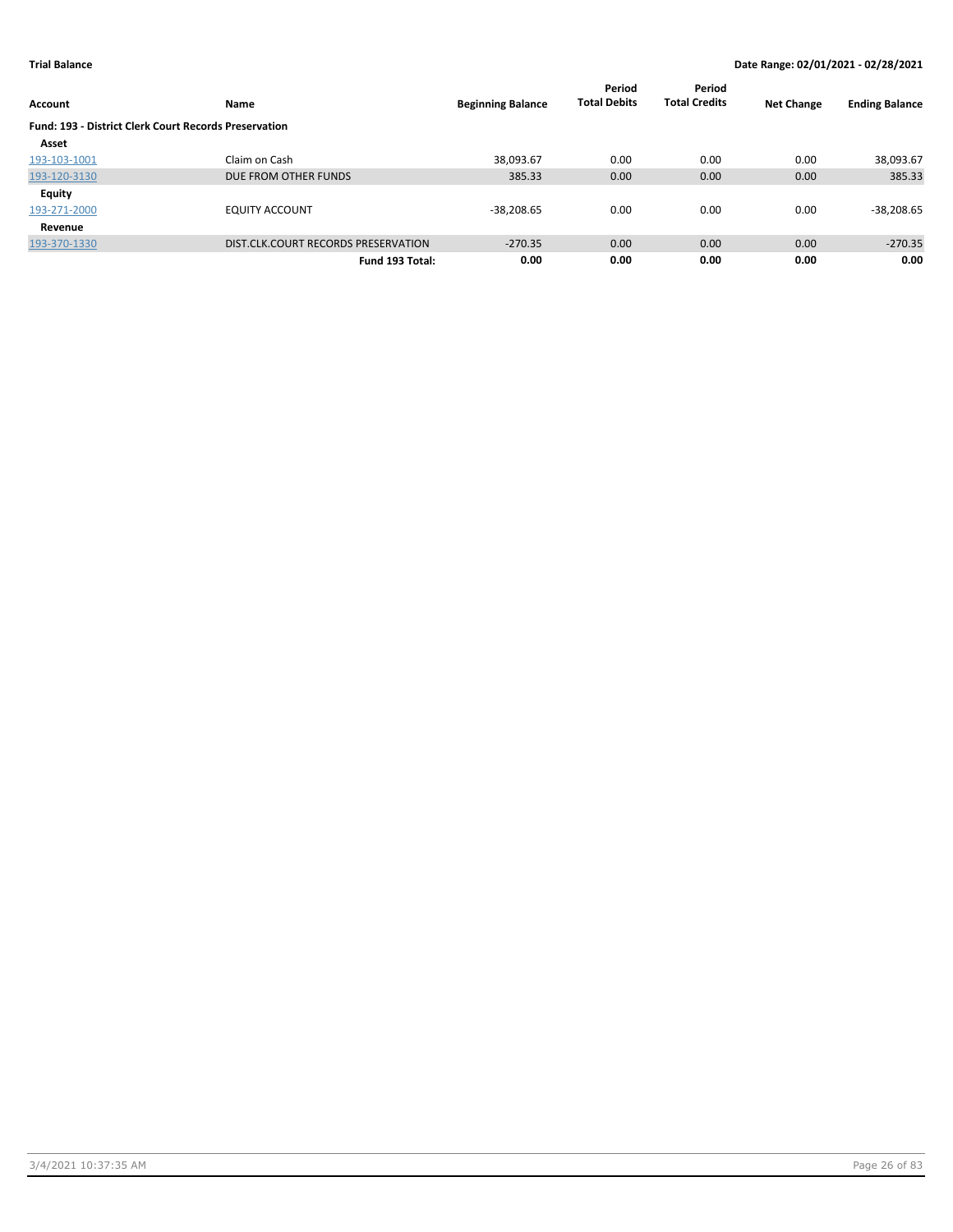|                                                              |                                     |                          | Period              | Period               |                   |                       |
|--------------------------------------------------------------|-------------------------------------|--------------------------|---------------------|----------------------|-------------------|-----------------------|
| <b>Account</b>                                               | Name                                | <b>Beginning Balance</b> | <b>Total Debits</b> | <b>Total Credits</b> | <b>Net Change</b> | <b>Ending Balance</b> |
| <b>Fund: 193 - District Clerk Court Records Preservation</b> |                                     |                          |                     |                      |                   |                       |
| Asset                                                        |                                     |                          |                     |                      |                   |                       |
| 193-103-1001                                                 | Claim on Cash                       | 38,093.67                | 0.00                | 0.00                 | 0.00              | 38,093.67             |
| 193-120-3130                                                 | DUE FROM OTHER FUNDS                | 385.33                   | 0.00                | 0.00                 | 0.00              | 385.33                |
| <b>Equity</b>                                                |                                     |                          |                     |                      |                   |                       |
| 193-271-2000                                                 | <b>EQUITY ACCOUNT</b>               | $-38,208.65$             | 0.00                | 0.00                 | 0.00              | $-38,208.65$          |
| Revenue                                                      |                                     |                          |                     |                      |                   |                       |
| 193-370-1330                                                 | DIST.CLK.COURT RECORDS PRESERVATION | $-270.35$                | 0.00                | 0.00                 | 0.00              | $-270.35$             |
|                                                              | Fund 193 Total:                     | 0.00                     | 0.00                | 0.00                 | 0.00              | 0.00                  |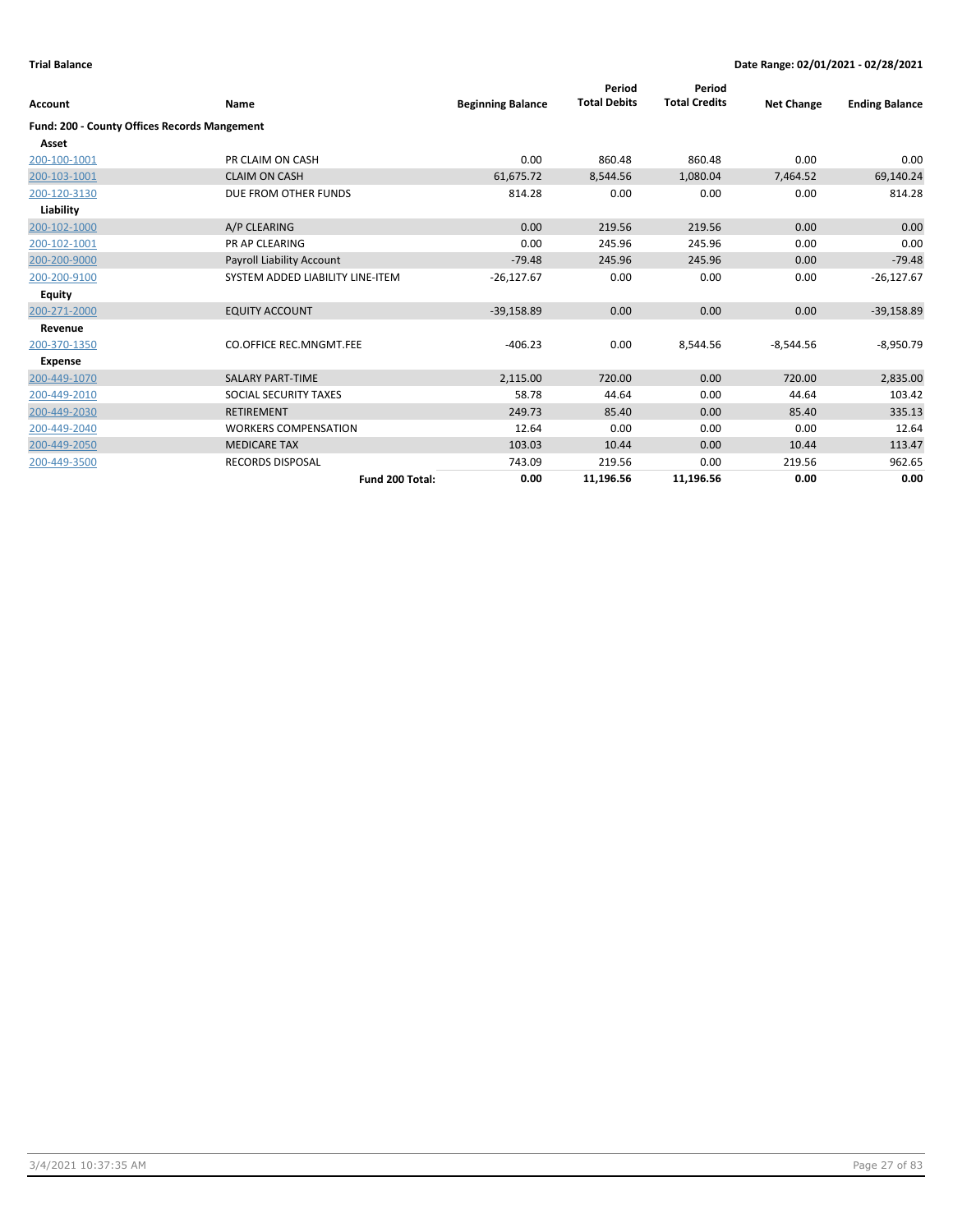| Account                                      | <b>Name</b>                      | <b>Beginning Balance</b> | Period<br><b>Total Debits</b> | Period<br><b>Total Credits</b> | <b>Net Change</b> | <b>Ending Balance</b> |
|----------------------------------------------|----------------------------------|--------------------------|-------------------------------|--------------------------------|-------------------|-----------------------|
| Fund: 200 - County Offices Records Mangement |                                  |                          |                               |                                |                   |                       |
| Asset                                        |                                  |                          |                               |                                |                   |                       |
| 200-100-1001                                 | PR CLAIM ON CASH                 | 0.00                     | 860.48                        | 860.48                         | 0.00              | 0.00                  |
| 200-103-1001                                 | <b>CLAIM ON CASH</b>             | 61,675.72                | 8,544.56                      | 1,080.04                       | 7,464.52          | 69,140.24             |
| 200-120-3130                                 | DUE FROM OTHER FUNDS             | 814.28                   | 0.00                          | 0.00                           | 0.00              | 814.28                |
| Liability                                    |                                  |                          |                               |                                |                   |                       |
| 200-102-1000                                 | A/P CLEARING                     | 0.00                     | 219.56                        | 219.56                         | 0.00              | 0.00                  |
| 200-102-1001                                 | <b>PR AP CLEARING</b>            | 0.00                     | 245.96                        | 245.96                         | 0.00              | 0.00                  |
| 200-200-9000                                 | Payroll Liability Account        | $-79.48$                 | 245.96                        | 245.96                         | 0.00              | $-79.48$              |
| 200-200-9100                                 | SYSTEM ADDED LIABILITY LINE-ITEM | $-26,127.67$             | 0.00                          | 0.00                           | 0.00              | $-26,127.67$          |
| Equity                                       |                                  |                          |                               |                                |                   |                       |
| 200-271-2000                                 | <b>EQUITY ACCOUNT</b>            | $-39,158.89$             | 0.00                          | 0.00                           | 0.00              | $-39,158.89$          |
| Revenue                                      |                                  |                          |                               |                                |                   |                       |
| 200-370-1350                                 | <b>CO.OFFICE REC.MNGMT.FEE</b>   | $-406.23$                | 0.00                          | 8,544.56                       | $-8,544.56$       | $-8,950.79$           |
| <b>Expense</b>                               |                                  |                          |                               |                                |                   |                       |
| 200-449-1070                                 | <b>SALARY PART-TIME</b>          | 2,115.00                 | 720.00                        | 0.00                           | 720.00            | 2,835.00              |
| 200-449-2010                                 | SOCIAL SECURITY TAXES            | 58.78                    | 44.64                         | 0.00                           | 44.64             | 103.42                |
| 200-449-2030                                 | <b>RETIREMENT</b>                | 249.73                   | 85.40                         | 0.00                           | 85.40             | 335.13                |
| 200-449-2040                                 | <b>WORKERS COMPENSATION</b>      | 12.64                    | 0.00                          | 0.00                           | 0.00              | 12.64                 |
| 200-449-2050                                 | <b>MEDICARE TAX</b>              | 103.03                   | 10.44                         | 0.00                           | 10.44             | 113.47                |
| 200-449-3500                                 | <b>RECORDS DISPOSAL</b>          | 743.09                   | 219.56                        | 0.00                           | 219.56            | 962.65                |
|                                              | Fund 200 Total:                  | 0.00                     | 11,196.56                     | 11,196.56                      | 0.00              | 0.00                  |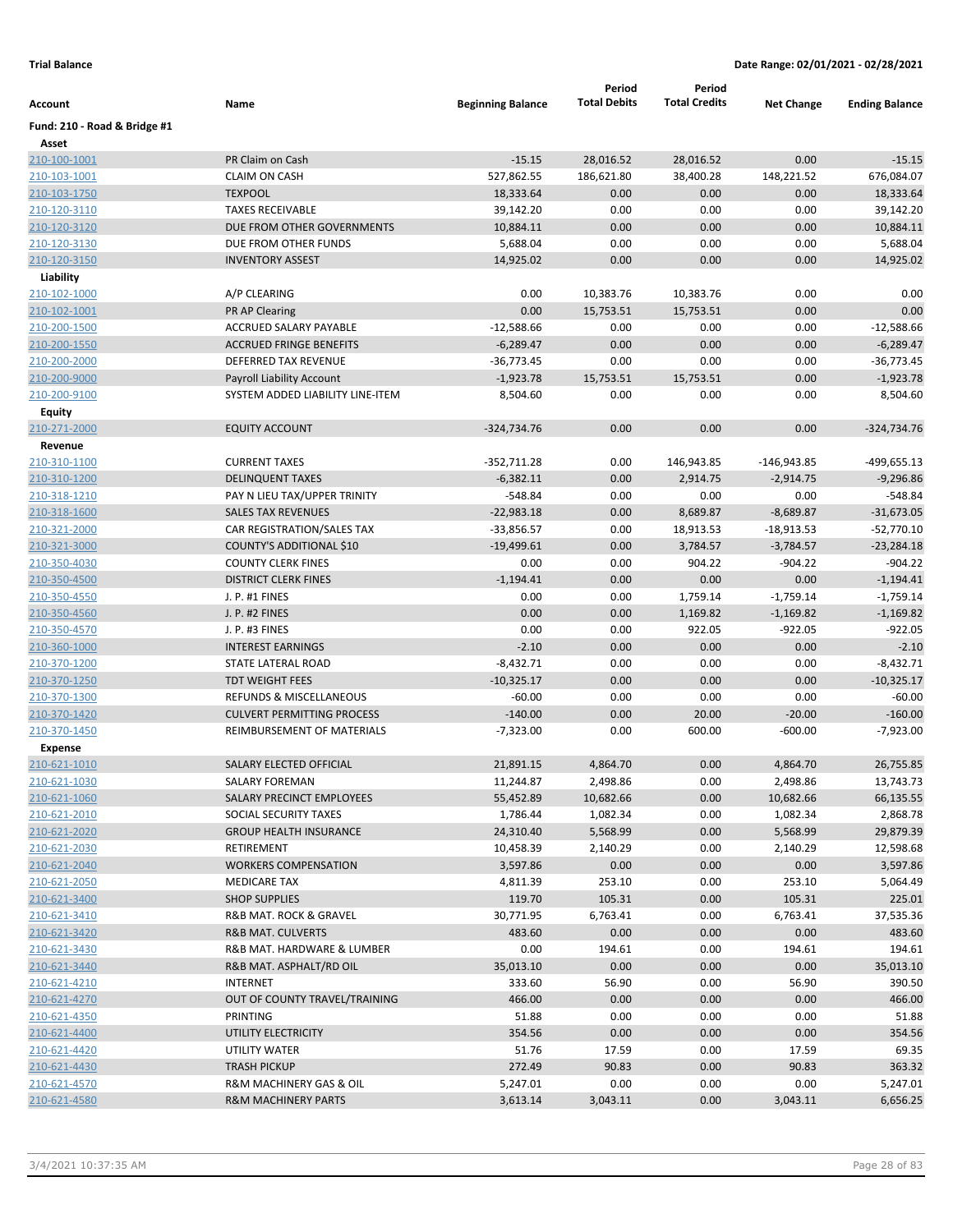|                              |                                   |                          | Period              | Period               |                   |                       |
|------------------------------|-----------------------------------|--------------------------|---------------------|----------------------|-------------------|-----------------------|
| Account                      | Name                              | <b>Beginning Balance</b> | <b>Total Debits</b> | <b>Total Credits</b> | <b>Net Change</b> | <b>Ending Balance</b> |
| Fund: 210 - Road & Bridge #1 |                                   |                          |                     |                      |                   |                       |
| Asset                        |                                   |                          |                     |                      |                   |                       |
| 210-100-1001                 | PR Claim on Cash                  | $-15.15$                 | 28,016.52           | 28,016.52            | 0.00              | $-15.15$              |
| 210-103-1001                 | <b>CLAIM ON CASH</b>              | 527,862.55               | 186,621.80          | 38,400.28            | 148,221.52        | 676,084.07            |
| 210-103-1750                 | <b>TEXPOOL</b>                    | 18,333.64                | 0.00                | 0.00                 | 0.00              | 18,333.64             |
| 210-120-3110                 | <b>TAXES RECEIVABLE</b>           | 39,142.20                | 0.00                | 0.00                 | 0.00              | 39,142.20             |
| 210-120-3120                 | DUE FROM OTHER GOVERNMENTS        | 10,884.11                | 0.00                | 0.00                 | 0.00              | 10,884.11             |
| 210-120-3130                 | DUE FROM OTHER FUNDS              | 5,688.04                 | 0.00                | 0.00                 | 0.00              | 5,688.04              |
| 210-120-3150                 | <b>INVENTORY ASSEST</b>           | 14,925.02                | 0.00                | 0.00                 | 0.00              | 14,925.02             |
| Liability                    |                                   |                          |                     |                      |                   |                       |
| 210-102-1000                 | A/P CLEARING                      | 0.00                     | 10,383.76           | 10,383.76            | 0.00              | 0.00                  |
| 210-102-1001                 | <b>PR AP Clearing</b>             | 0.00                     | 15,753.51           | 15,753.51            | 0.00              | 0.00                  |
| 210-200-1500                 | ACCRUED SALARY PAYABLE            | $-12,588.66$             | 0.00                | 0.00                 | 0.00              | $-12,588.66$          |
| 210-200-1550                 | <b>ACCRUED FRINGE BENEFITS</b>    | $-6,289.47$              | 0.00                | 0.00                 | 0.00              | $-6,289.47$           |
| 210-200-2000                 | DEFERRED TAX REVENUE              | $-36,773.45$             | 0.00                | 0.00                 | 0.00              | $-36,773.45$          |
| 210-200-9000                 | <b>Payroll Liability Account</b>  | $-1,923.78$              | 15,753.51           | 15,753.51            | 0.00              | $-1,923.78$           |
| 210-200-9100                 | SYSTEM ADDED LIABILITY LINE-ITEM  | 8,504.60                 | 0.00                | 0.00                 | 0.00              | 8,504.60              |
| Equity                       |                                   |                          |                     |                      |                   |                       |
| 210-271-2000                 | <b>EQUITY ACCOUNT</b>             | $-324,734.76$            | 0.00                | 0.00                 | 0.00              | $-324,734.76$         |
| Revenue                      |                                   |                          |                     |                      |                   |                       |
| 210-310-1100                 | <b>CURRENT TAXES</b>              | $-352,711.28$            | 0.00                | 146,943.85           | -146,943.85       | -499,655.13           |
| 210-310-1200                 | <b>DELINQUENT TAXES</b>           | $-6,382.11$              | 0.00                | 2,914.75             | $-2,914.75$       | $-9,296.86$           |
| 210-318-1210                 | PAY N LIEU TAX/UPPER TRINITY      | $-548.84$                | 0.00                | 0.00                 | 0.00              | $-548.84$             |
| 210-318-1600                 | <b>SALES TAX REVENUES</b>         | $-22,983.18$             | 0.00                | 8,689.87             | $-8,689.87$       | $-31,673.05$          |
| 210-321-2000                 | CAR REGISTRATION/SALES TAX        | $-33,856.57$             | 0.00                | 18,913.53            | $-18,913.53$      | $-52,770.10$          |
| 210-321-3000                 | COUNTY'S ADDITIONAL \$10          | $-19,499.61$             | 0.00                | 3,784.57             | $-3,784.57$       | $-23,284.18$          |
| 210-350-4030                 | <b>COUNTY CLERK FINES</b>         | 0.00                     | 0.00                | 904.22               | $-904.22$         | $-904.22$             |
| 210-350-4500                 | <b>DISTRICT CLERK FINES</b>       | $-1,194.41$              | 0.00                | 0.00                 | 0.00              | $-1,194.41$           |
| 210-350-4550                 | J. P. #1 FINES                    | 0.00                     | 0.00                | 1,759.14             | $-1,759.14$       | $-1,759.14$           |
| 210-350-4560                 | J. P. #2 FINES                    | 0.00                     | 0.00                | 1,169.82             | $-1,169.82$       | $-1,169.82$           |
| 210-350-4570                 | J. P. #3 FINES                    | 0.00                     | 0.00                | 922.05               | $-922.05$         | $-922.05$             |
| 210-360-1000                 | <b>INTEREST EARNINGS</b>          | $-2.10$                  | 0.00                | 0.00                 | 0.00              | $-2.10$               |
| 210-370-1200                 | STATE LATERAL ROAD                | $-8,432.71$              | 0.00                | 0.00                 | 0.00              | $-8,432.71$           |
| 210-370-1250                 | <b>TDT WEIGHT FEES</b>            | $-10,325.17$             | 0.00                | 0.00                 | 0.00              | $-10,325.17$          |
| 210-370-1300                 | REFUNDS & MISCELLANEOUS           | $-60.00$                 | 0.00                | 0.00                 | 0.00              | $-60.00$              |
| 210-370-1420                 | <b>CULVERT PERMITTING PROCESS</b> | $-140.00$                | 0.00                | 20.00                | $-20.00$          | $-160.00$             |
| 210-370-1450                 | REIMBURSEMENT OF MATERIALS        | $-7,323.00$              | 0.00                | 600.00               | $-600.00$         | $-7,923.00$           |
| <b>Expense</b>               |                                   |                          |                     |                      |                   |                       |
| 210-621-1010                 | SALARY ELECTED OFFICIAL           | 21,891.15                | 4,864.70            | 0.00                 | 4,864.70          | 26,755.85             |
| 210-621-1030                 | SALARY FOREMAN                    | 11,244.87                | 2,498.86            | 0.00                 | 2,498.86          | 13,743.73             |
| 210-621-1060                 | SALARY PRECINCT EMPLOYEES         | 55,452.89                | 10,682.66           | 0.00                 | 10,682.66         | 66,135.55             |
| 210-621-2010                 | SOCIAL SECURITY TAXES             | 1,786.44                 | 1,082.34            | 0.00                 | 1,082.34          | 2,868.78              |
| 210-621-2020                 | <b>GROUP HEALTH INSURANCE</b>     | 24,310.40                | 5,568.99            | 0.00                 | 5,568.99          | 29,879.39             |
| 210-621-2030                 | RETIREMENT                        | 10,458.39                | 2,140.29            | 0.00                 | 2,140.29          | 12,598.68             |
| 210-621-2040                 | <b>WORKERS COMPENSATION</b>       | 3,597.86                 | 0.00                | 0.00                 | 0.00              | 3,597.86              |
| 210-621-2050                 | <b>MEDICARE TAX</b>               | 4,811.39                 | 253.10              | 0.00                 | 253.10            | 5,064.49              |
| 210-621-3400                 | <b>SHOP SUPPLIES</b>              | 119.70                   | 105.31              | 0.00                 | 105.31            | 225.01                |
| 210-621-3410                 | R&B MAT. ROCK & GRAVEL            | 30,771.95                | 6,763.41            | 0.00                 | 6,763.41          | 37,535.36             |
| 210-621-3420                 | R&B MAT. CULVERTS                 | 483.60                   | 0.00                | 0.00                 | 0.00              | 483.60                |
| 210-621-3430                 | R&B MAT. HARDWARE & LUMBER        | 0.00                     | 194.61              | 0.00                 | 194.61            | 194.61                |
| 210-621-3440                 | R&B MAT. ASPHALT/RD OIL           | 35,013.10                | 0.00                | 0.00                 | 0.00              | 35,013.10             |
| 210-621-4210                 | <b>INTERNET</b>                   | 333.60                   | 56.90               | 0.00                 | 56.90             | 390.50                |
| 210-621-4270                 | OUT OF COUNTY TRAVEL/TRAINING     | 466.00                   | 0.00                | 0.00                 | 0.00              | 466.00                |
| 210-621-4350                 | <b>PRINTING</b>                   | 51.88                    | 0.00                | 0.00                 | 0.00              | 51.88                 |
| 210-621-4400                 | UTILITY ELECTRICITY               | 354.56                   | 0.00                | 0.00                 | 0.00              | 354.56                |
| 210-621-4420                 | UTILITY WATER                     | 51.76                    | 17.59               | 0.00                 | 17.59             | 69.35                 |
| 210-621-4430                 | <b>TRASH PICKUP</b>               | 272.49                   | 90.83               | 0.00                 | 90.83             | 363.32                |
| 210-621-4570                 | R&M MACHINERY GAS & OIL           | 5,247.01                 | 0.00                | 0.00                 | 0.00              | 5,247.01              |
| 210-621-4580                 | <b>R&amp;M MACHINERY PARTS</b>    | 3,613.14                 | 3,043.11            | 0.00                 | 3,043.11          | 6,656.25              |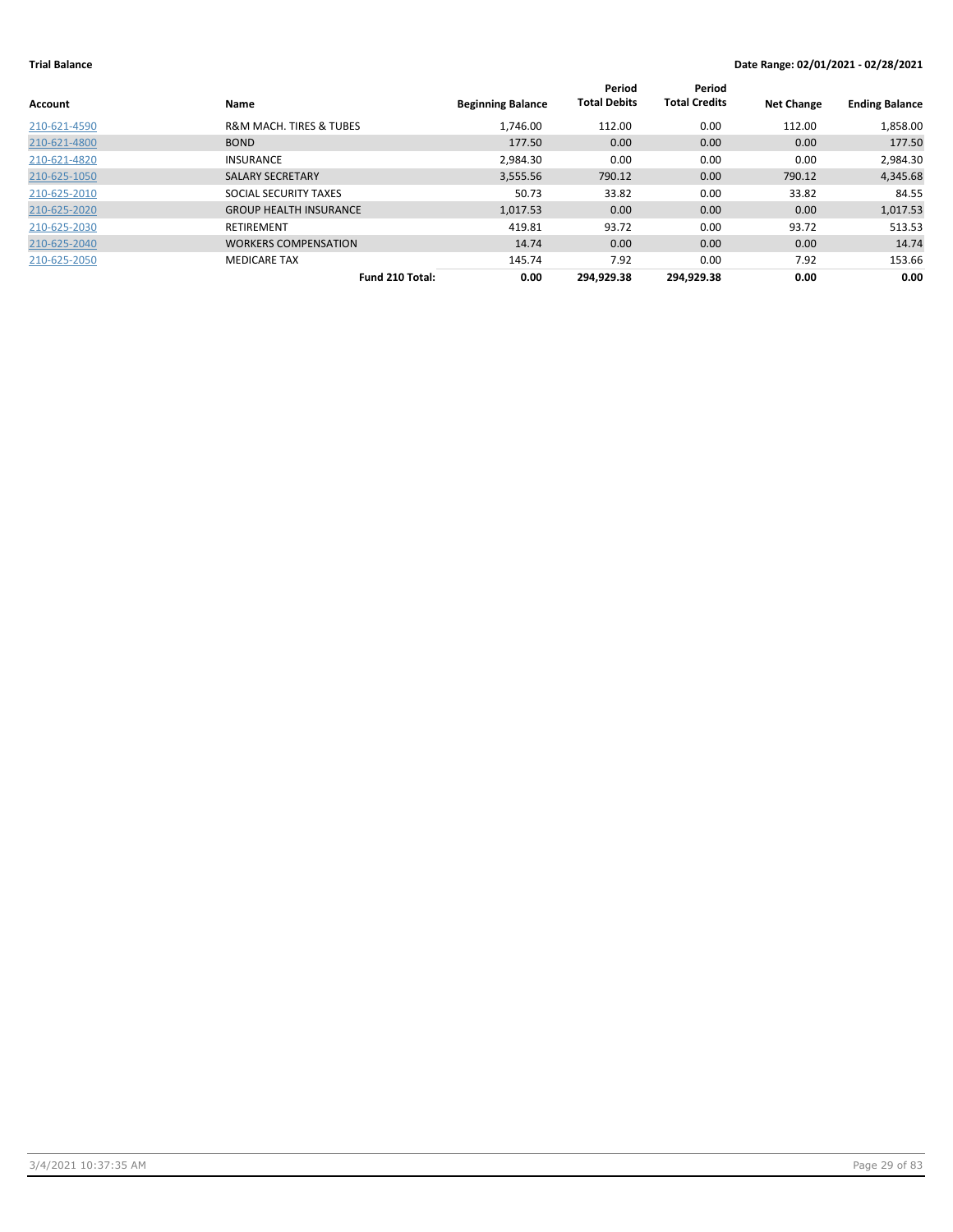| Account      | <b>Name</b>                            | <b>Beginning Balance</b> | Period<br><b>Total Debits</b> | Period<br><b>Total Credits</b> | <b>Net Change</b> | <b>Ending Balance</b> |
|--------------|----------------------------------------|--------------------------|-------------------------------|--------------------------------|-------------------|-----------------------|
| 210-621-4590 | <b>R&amp;M MACH. TIRES &amp; TUBES</b> | 1.746.00                 | 112.00                        | 0.00                           | 112.00            | 1,858.00              |
| 210-621-4800 | <b>BOND</b>                            | 177.50                   | 0.00                          | 0.00                           | 0.00              | 177.50                |
| 210-621-4820 | <b>INSURANCE</b>                       | 2,984.30                 | 0.00                          | 0.00                           | 0.00              | 2,984.30              |
| 210-625-1050 | <b>SALARY SECRETARY</b>                | 3,555.56                 | 790.12                        | 0.00                           | 790.12            | 4,345.68              |
| 210-625-2010 | SOCIAL SECURITY TAXES                  | 50.73                    | 33.82                         | 0.00                           | 33.82             | 84.55                 |
| 210-625-2020 | <b>GROUP HEALTH INSURANCE</b>          | 1,017.53                 | 0.00                          | 0.00                           | 0.00              | 1,017.53              |
| 210-625-2030 | <b>RETIREMENT</b>                      | 419.81                   | 93.72                         | 0.00                           | 93.72             | 513.53                |
| 210-625-2040 | <b>WORKERS COMPENSATION</b>            | 14.74                    | 0.00                          | 0.00                           | 0.00              | 14.74                 |
| 210-625-2050 | <b>MEDICARE TAX</b>                    | 145.74                   | 7.92                          | 0.00                           | 7.92              | 153.66                |
|              | Fund 210 Total:                        | 0.00                     | 294.929.38                    | 294.929.38                     | 0.00              | 0.00                  |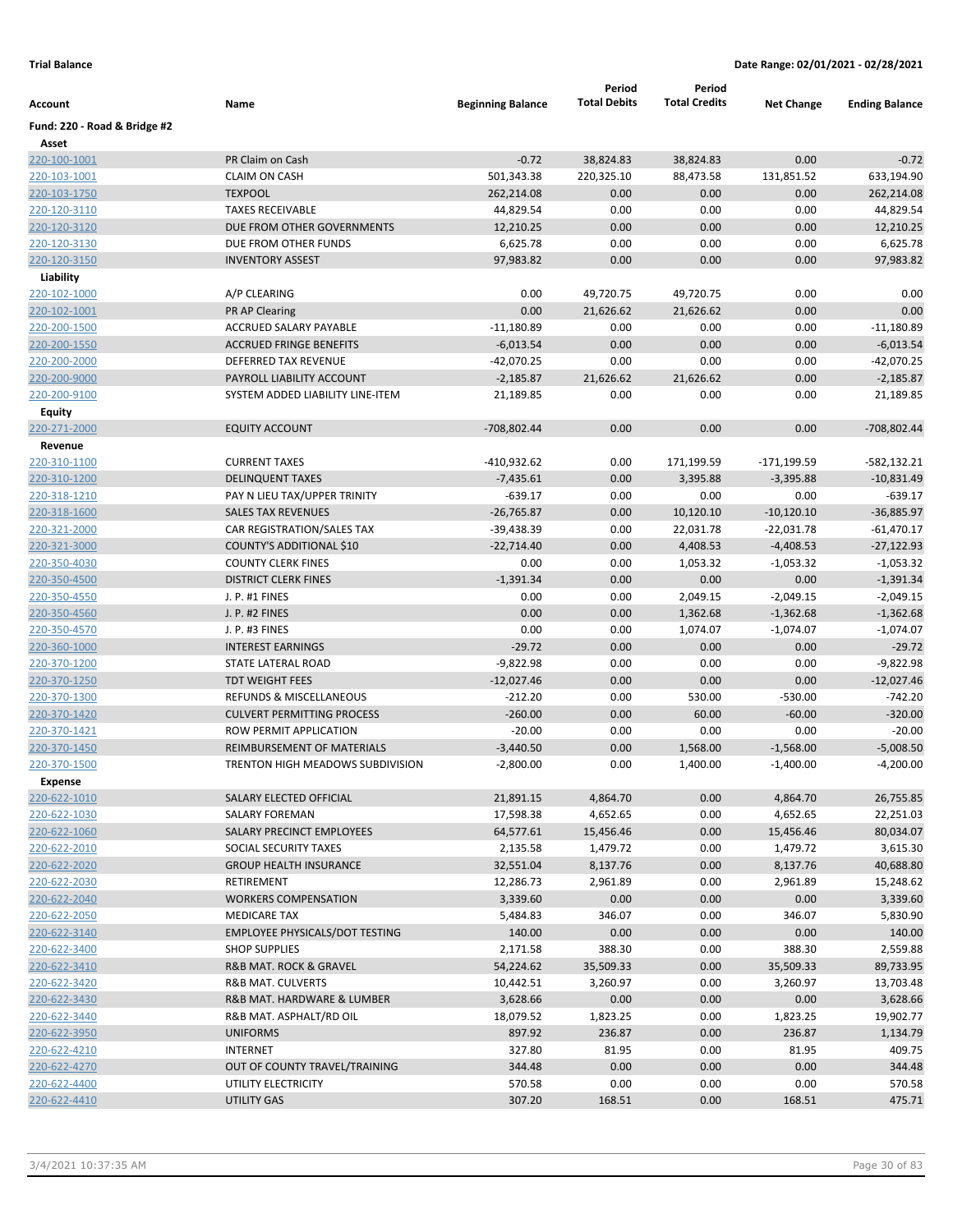|                              |                                         |                          | Period              | Period               |                   |                       |
|------------------------------|-----------------------------------------|--------------------------|---------------------|----------------------|-------------------|-----------------------|
| Account                      | Name                                    | <b>Beginning Balance</b> | <b>Total Debits</b> | <b>Total Credits</b> | <b>Net Change</b> | <b>Ending Balance</b> |
| Fund: 220 - Road & Bridge #2 |                                         |                          |                     |                      |                   |                       |
| Asset                        |                                         |                          |                     |                      |                   |                       |
| 220-100-1001                 | PR Claim on Cash                        | $-0.72$                  | 38,824.83           | 38,824.83            | 0.00              | $-0.72$               |
| 220-103-1001                 | <b>CLAIM ON CASH</b>                    | 501,343.38               | 220,325.10          | 88,473.58            | 131,851.52        | 633,194.90            |
| 220-103-1750                 | <b>TEXPOOL</b>                          | 262,214.08               | 0.00                | 0.00                 | 0.00              | 262,214.08            |
| 220-120-3110                 | <b>TAXES RECEIVABLE</b>                 | 44,829.54                | 0.00                | 0.00                 | 0.00              | 44,829.54             |
| 220-120-3120                 | DUE FROM OTHER GOVERNMENTS              | 12,210.25                | 0.00                | 0.00                 | 0.00              | 12,210.25             |
| 220-120-3130                 | DUE FROM OTHER FUNDS                    | 6,625.78                 | 0.00                | 0.00                 | 0.00              | 6,625.78              |
| 220-120-3150                 | <b>INVENTORY ASSEST</b>                 | 97,983.82                | 0.00                | 0.00                 | 0.00              | 97,983.82             |
| Liability                    |                                         |                          |                     |                      |                   |                       |
| 220-102-1000                 | A/P CLEARING                            | 0.00                     | 49,720.75           | 49,720.75            | 0.00              | 0.00                  |
| 220-102-1001                 | <b>PR AP Clearing</b>                   | 0.00                     | 21,626.62           | 21,626.62            | 0.00              | 0.00                  |
| 220-200-1500                 | ACCRUED SALARY PAYABLE                  | $-11,180.89$             | 0.00                | 0.00                 | 0.00              | $-11,180.89$          |
| 220-200-1550                 | <b>ACCRUED FRINGE BENEFITS</b>          | $-6,013.54$              | 0.00                | 0.00                 | 0.00              | $-6,013.54$           |
| 220-200-2000                 | DEFERRED TAX REVENUE                    | $-42,070.25$             | 0.00                | 0.00                 | 0.00              | -42,070.25            |
| 220-200-9000                 | PAYROLL LIABILITY ACCOUNT               | $-2,185.87$              | 21,626.62           | 21,626.62            | 0.00              | $-2,185.87$           |
| 220-200-9100                 | SYSTEM ADDED LIABILITY LINE-ITEM        | 21,189.85                | 0.00                | 0.00                 | 0.00              | 21,189.85             |
| Equity                       |                                         |                          |                     |                      |                   |                       |
| 220-271-2000                 | <b>EQUITY ACCOUNT</b>                   | -708,802.44              | 0.00                | 0.00                 | 0.00              | -708,802.44           |
| Revenue                      |                                         |                          |                     |                      |                   |                       |
| 220-310-1100                 | <b>CURRENT TAXES</b>                    | -410,932.62              | 0.00                | 171,199.59           | -171,199.59       | $-582,132.21$         |
| 220-310-1200                 | <b>DELINQUENT TAXES</b>                 | $-7,435.61$              | 0.00                | 3,395.88             | $-3,395.88$       | $-10,831.49$          |
| 220-318-1210                 | PAY N LIEU TAX/UPPER TRINITY            | $-639.17$                | 0.00                | 0.00                 | 0.00              | $-639.17$             |
| 220-318-1600                 | <b>SALES TAX REVENUES</b>               | $-26,765.87$             | 0.00                | 10,120.10            | $-10,120.10$      | $-36,885.97$          |
| 220-321-2000                 | CAR REGISTRATION/SALES TAX              | -39,438.39               | 0.00                | 22,031.78            | $-22,031.78$      | $-61,470.17$          |
| 220-321-3000                 | COUNTY'S ADDITIONAL \$10                | $-22,714.40$             | 0.00                | 4,408.53             | $-4,408.53$       | $-27,122.93$          |
| 220-350-4030                 | <b>COUNTY CLERK FINES</b>               | 0.00                     | 0.00                | 1,053.32             | $-1,053.32$       | $-1,053.32$           |
| 220-350-4500                 | <b>DISTRICT CLERK FINES</b>             | $-1,391.34$              | 0.00                | 0.00                 | 0.00              | $-1,391.34$           |
| 220-350-4550                 | J. P. #1 FINES                          | 0.00                     | 0.00                | 2,049.15             | $-2,049.15$       | $-2,049.15$           |
| 220-350-4560                 | J. P. #2 FINES                          | 0.00                     | 0.00                | 1,362.68             | $-1,362.68$       | $-1,362.68$           |
| 220-350-4570                 | J. P. #3 FINES                          | 0.00                     | 0.00                | 1,074.07             | $-1,074.07$       | $-1,074.07$           |
| 220-360-1000                 | <b>INTEREST EARNINGS</b>                | $-29.72$                 | 0.00                | 0.00                 | 0.00              | $-29.72$              |
| 220-370-1200                 | STATE LATERAL ROAD                      | $-9,822.98$              | 0.00                | 0.00                 | 0.00              | $-9,822.98$           |
| 220-370-1250                 | <b>TDT WEIGHT FEES</b>                  | $-12,027.46$             | 0.00                | 0.00                 | 0.00              | $-12,027.46$          |
| 220-370-1300                 | REFUNDS & MISCELLANEOUS                 | $-212.20$                | 0.00                | 530.00               | $-530.00$         | $-742.20$             |
| 220-370-1420                 | <b>CULVERT PERMITTING PROCESS</b>       | $-260.00$                | 0.00                | 60.00                | $-60.00$          | $-320.00$             |
| 220-370-1421                 | ROW PERMIT APPLICATION                  | $-20.00$                 | 0.00                | 0.00                 | 0.00              | $-20.00$              |
| 220-370-1450                 | REIMBURSEMENT OF MATERIALS              | $-3,440.50$              | 0.00                | 1,568.00             | $-1,568.00$       | $-5,008.50$           |
| 220-370-1500                 | <b>TRENTON HIGH MEADOWS SUBDIVISION</b> | $-2,800.00$              | 0.00                | 1,400.00             | $-1,400.00$       | $-4,200.00$           |
| <b>Expense</b>               |                                         |                          |                     |                      |                   |                       |
| 220-622-1010                 | SALARY ELECTED OFFICIAL                 | 21,891.15                | 4,864.70            | 0.00                 | 4,864.70          | 26,755.85             |
| 220-622-1030                 | SALARY FOREMAN                          | 17,598.38                | 4,652.65            | 0.00                 | 4,652.65          | 22,251.03             |
| 220-622-1060                 | SALARY PRECINCT EMPLOYEES               | 64,577.61                | 15,456.46           | 0.00                 | 15,456.46         | 80,034.07             |
| 220-622-2010                 | SOCIAL SECURITY TAXES                   | 2,135.58                 | 1,479.72            | 0.00                 | 1,479.72          | 3,615.30              |
| 220-622-2020                 | <b>GROUP HEALTH INSURANCE</b>           | 32,551.04                | 8,137.76            | 0.00                 | 8,137.76          | 40,688.80             |
| 220-622-2030                 | <b>RETIREMENT</b>                       | 12,286.73                | 2,961.89            | 0.00                 | 2,961.89          | 15,248.62             |
| 220-622-2040                 | <b>WORKERS COMPENSATION</b>             | 3,339.60                 | 0.00                | 0.00                 | 0.00              | 3,339.60              |
| 220-622-2050                 | <b>MEDICARE TAX</b>                     | 5,484.83                 | 346.07              | 0.00                 | 346.07            | 5,830.90              |
| 220-622-3140                 | <b>EMPLOYEE PHYSICALS/DOT TESTING</b>   | 140.00                   | 0.00                | 0.00                 | 0.00              | 140.00                |
| 220-622-3400                 | <b>SHOP SUPPLIES</b>                    | 2,171.58                 | 388.30              | 0.00                 | 388.30            | 2,559.88              |
| 220-622-3410                 | R&B MAT. ROCK & GRAVEL                  | 54,224.62                | 35,509.33           | 0.00                 | 35,509.33         | 89,733.95             |
| 220-622-3420                 | R&B MAT. CULVERTS                       | 10,442.51                | 3,260.97            | 0.00                 | 3,260.97          | 13,703.48             |
| 220-622-3430                 | R&B MAT. HARDWARE & LUMBER              | 3,628.66                 | 0.00                | 0.00                 | 0.00              | 3,628.66              |
| 220-622-3440                 | R&B MAT. ASPHALT/RD OIL                 | 18,079.52                | 1,823.25            | 0.00                 | 1,823.25          | 19,902.77             |
| 220-622-3950                 | <b>UNIFORMS</b>                         | 897.92                   | 236.87              | 0.00                 | 236.87            | 1,134.79              |
| 220-622-4210                 | INTERNET                                | 327.80                   | 81.95               | 0.00                 | 81.95             | 409.75                |
| 220-622-4270                 | OUT OF COUNTY TRAVEL/TRAINING           | 344.48                   | 0.00                | 0.00                 | 0.00              | 344.48                |
| 220-622-4400                 | UTILITY ELECTRICITY                     | 570.58                   | 0.00                | 0.00                 | 0.00              | 570.58                |
| 220-622-4410                 | UTILITY GAS                             | 307.20                   | 168.51              | 0.00                 | 168.51            | 475.71                |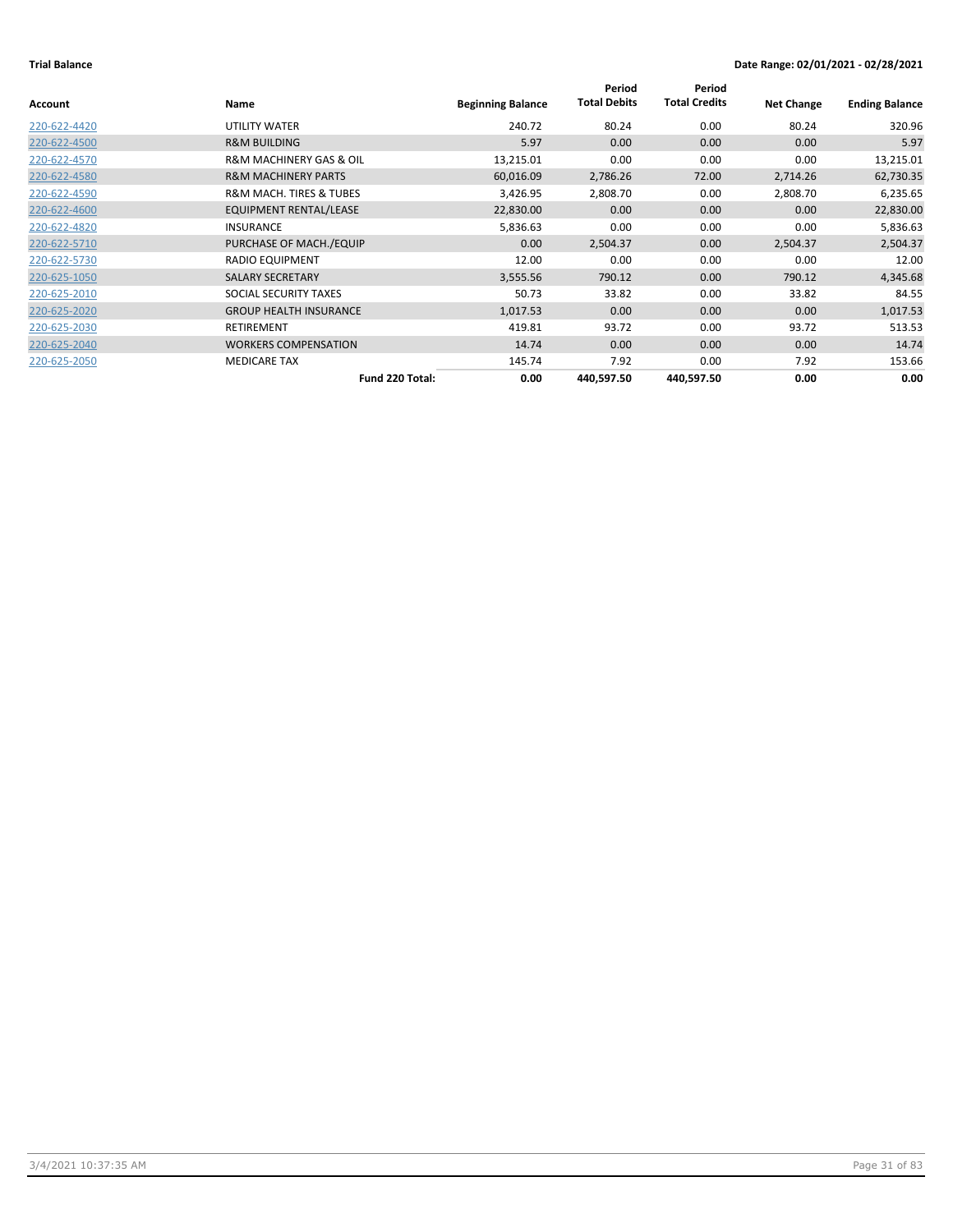|              |                                        |                          | Period              | Period               |                   |                       |
|--------------|----------------------------------------|--------------------------|---------------------|----------------------|-------------------|-----------------------|
| Account      | Name                                   | <b>Beginning Balance</b> | <b>Total Debits</b> | <b>Total Credits</b> | <b>Net Change</b> | <b>Ending Balance</b> |
| 220-622-4420 | UTILITY WATER                          | 240.72                   | 80.24               | 0.00                 | 80.24             | 320.96                |
| 220-622-4500 | <b>R&amp;M BUILDING</b>                | 5.97                     | 0.00                | 0.00                 | 0.00              | 5.97                  |
| 220-622-4570 | <b>R&amp;M MACHINERY GAS &amp; OIL</b> | 13,215.01                | 0.00                | 0.00                 | 0.00              | 13,215.01             |
| 220-622-4580 | <b>R&amp;M MACHINERY PARTS</b>         | 60,016.09                | 2,786.26            | 72.00                | 2,714.26          | 62,730.35             |
| 220-622-4590 | <b>R&amp;M MACH. TIRES &amp; TUBES</b> | 3,426.95                 | 2,808.70            | 0.00                 | 2,808.70          | 6,235.65              |
| 220-622-4600 | EQUIPMENT RENTAL/LEASE                 | 22,830.00                | 0.00                | 0.00                 | 0.00              | 22,830.00             |
| 220-622-4820 | <b>INSURANCE</b>                       | 5,836.63                 | 0.00                | 0.00                 | 0.00              | 5,836.63              |
| 220-622-5710 | PURCHASE OF MACH./EQUIP                | 0.00                     | 2,504.37            | 0.00                 | 2,504.37          | 2,504.37              |
| 220-622-5730 | RADIO EQUIPMENT                        | 12.00                    | 0.00                | 0.00                 | 0.00              | 12.00                 |
| 220-625-1050 | <b>SALARY SECRETARY</b>                | 3,555.56                 | 790.12              | 0.00                 | 790.12            | 4,345.68              |
| 220-625-2010 | SOCIAL SECURITY TAXES                  | 50.73                    | 33.82               | 0.00                 | 33.82             | 84.55                 |
| 220-625-2020 | <b>GROUP HEALTH INSURANCE</b>          | 1,017.53                 | 0.00                | 0.00                 | 0.00              | 1,017.53              |
| 220-625-2030 | <b>RETIREMENT</b>                      | 419.81                   | 93.72               | 0.00                 | 93.72             | 513.53                |
| 220-625-2040 | <b>WORKERS COMPENSATION</b>            | 14.74                    | 0.00                | 0.00                 | 0.00              | 14.74                 |
| 220-625-2050 | <b>MEDICARE TAX</b>                    | 145.74                   | 7.92                | 0.00                 | 7.92              | 153.66                |
|              | Fund 220 Total:                        | 0.00                     | 440,597.50          | 440,597.50           | 0.00              | 0.00                  |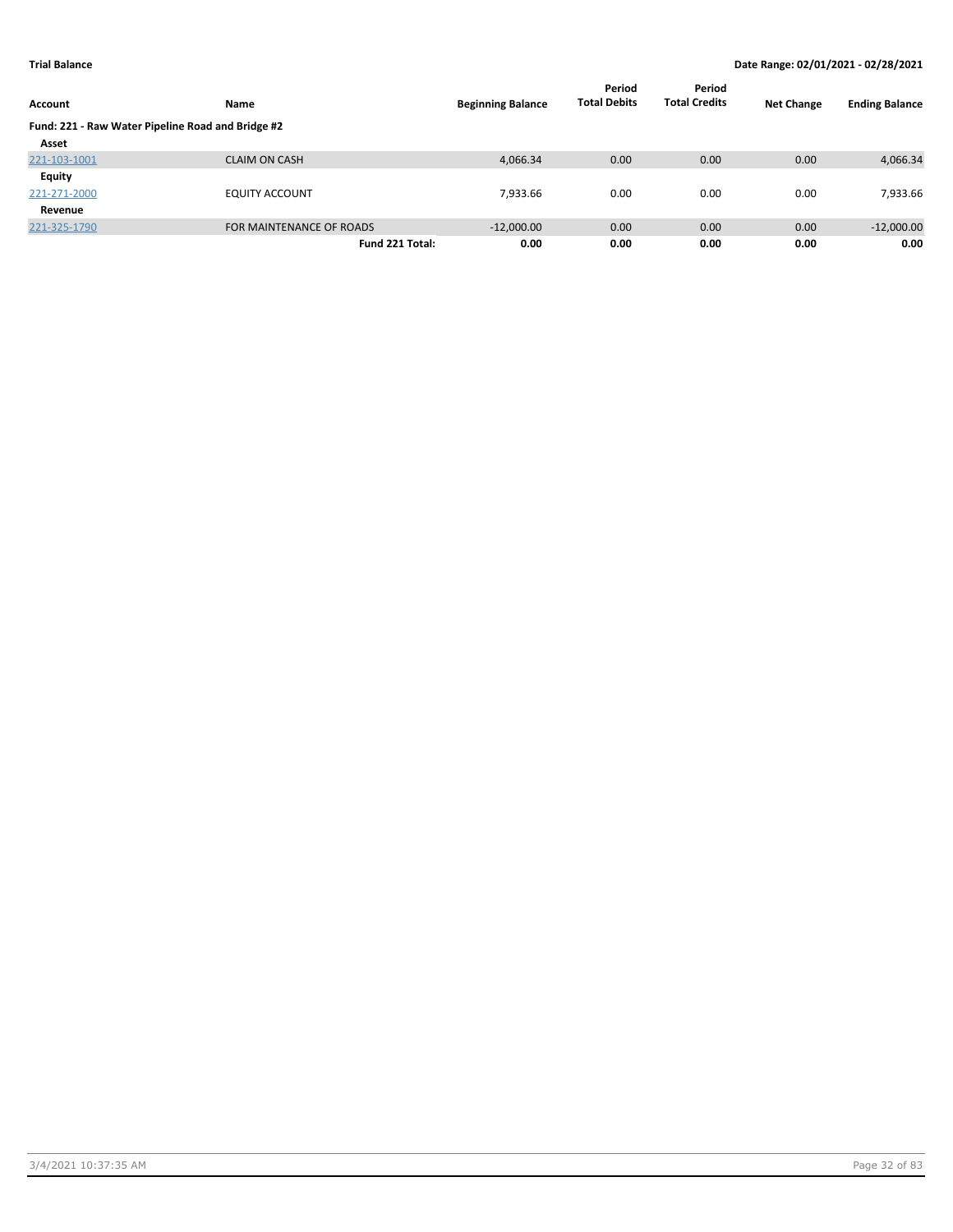| Account                                           | Name                     | <b>Beginning Balance</b> | Period<br><b>Total Debits</b> | Period<br><b>Total Credits</b> | <b>Net Change</b> | <b>Ending Balance</b> |
|---------------------------------------------------|--------------------------|--------------------------|-------------------------------|--------------------------------|-------------------|-----------------------|
| Fund: 221 - Raw Water Pipeline Road and Bridge #2 |                          |                          |                               |                                |                   |                       |
| Asset                                             |                          |                          |                               |                                |                   |                       |
| 221-103-1001                                      | <b>CLAIM ON CASH</b>     | 4,066.34                 | 0.00                          | 0.00                           | 0.00              | 4,066.34              |
| <b>Equity</b>                                     |                          |                          |                               |                                |                   |                       |
| 221-271-2000                                      | <b>EQUITY ACCOUNT</b>    | 7,933.66                 | 0.00                          | 0.00                           | 0.00              | 7,933.66              |
| Revenue                                           |                          |                          |                               |                                |                   |                       |
| 221-325-1790                                      | FOR MAINTENANCE OF ROADS | $-12,000.00$             | 0.00                          | 0.00                           | 0.00              | $-12,000.00$          |
|                                                   | Fund 221 Total:          | 0.00                     | 0.00                          | 0.00                           | 0.00              | 0.00                  |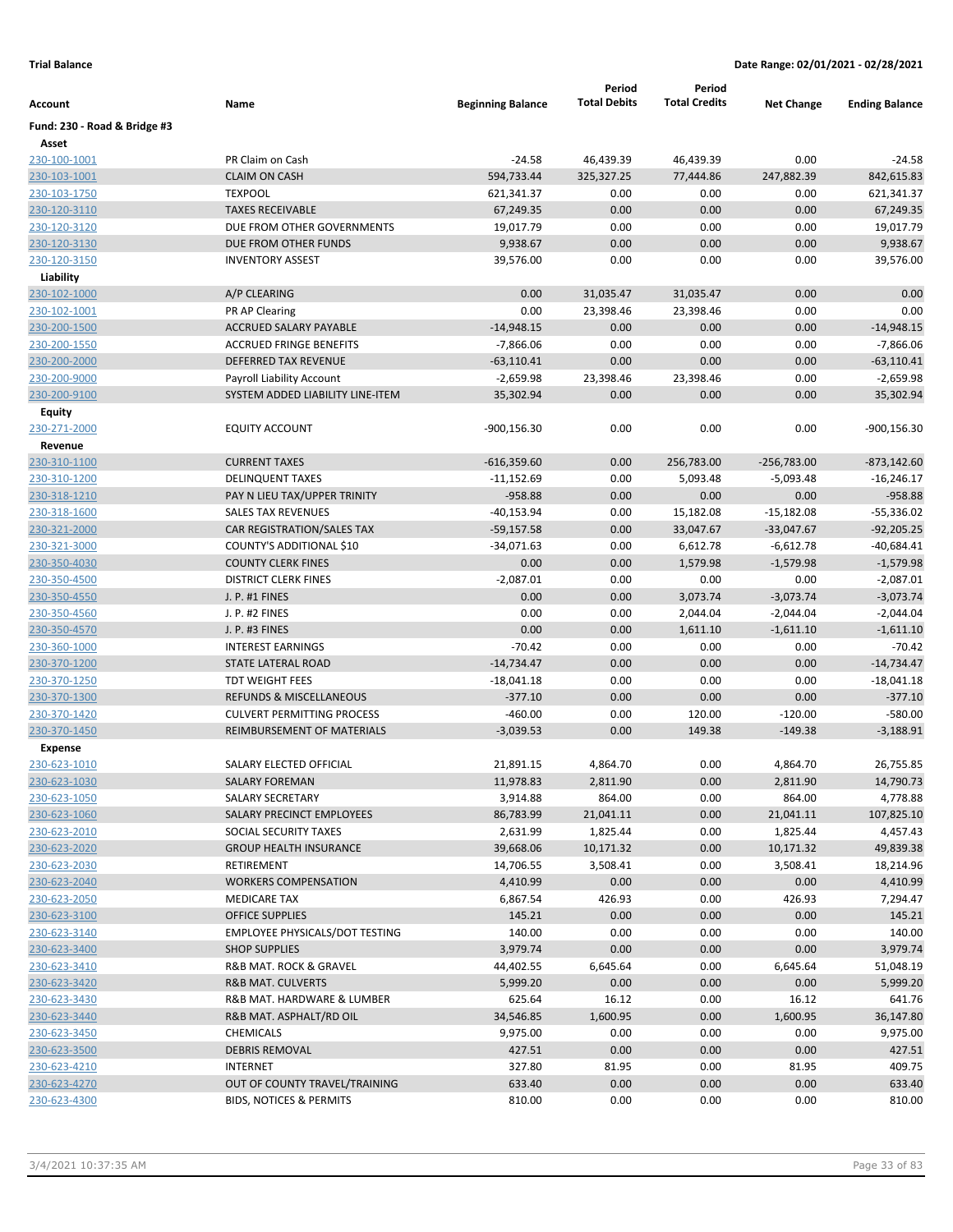|                              |                                       |                          | Period              | Period               |                   |                       |
|------------------------------|---------------------------------------|--------------------------|---------------------|----------------------|-------------------|-----------------------|
| Account                      | Name                                  | <b>Beginning Balance</b> | <b>Total Debits</b> | <b>Total Credits</b> | <b>Net Change</b> | <b>Ending Balance</b> |
| Fund: 230 - Road & Bridge #3 |                                       |                          |                     |                      |                   |                       |
| Asset                        |                                       |                          |                     |                      |                   |                       |
| 230-100-1001                 | PR Claim on Cash                      | $-24.58$                 | 46,439.39           | 46,439.39            | 0.00              | $-24.58$              |
| 230-103-1001                 | <b>CLAIM ON CASH</b>                  | 594,733.44               | 325,327.25          | 77,444.86            | 247,882.39        | 842,615.83            |
| 230-103-1750                 | <b>TEXPOOL</b>                        | 621,341.37               | 0.00                | 0.00                 | 0.00              | 621,341.37            |
| 230-120-3110                 | <b>TAXES RECEIVABLE</b>               | 67,249.35                | 0.00                | 0.00                 | 0.00              | 67,249.35             |
| 230-120-3120                 | DUE FROM OTHER GOVERNMENTS            | 19,017.79                | 0.00                | 0.00                 | 0.00              | 19,017.79             |
| 230-120-3130                 | DUE FROM OTHER FUNDS                  | 9,938.67                 | 0.00                | 0.00                 | 0.00              | 9,938.67              |
| 230-120-3150                 | <b>INVENTORY ASSEST</b>               | 39,576.00                | 0.00                | 0.00                 | 0.00              | 39,576.00             |
| Liability                    |                                       |                          |                     |                      |                   |                       |
| 230-102-1000                 | A/P CLEARING                          | 0.00                     | 31,035.47           | 31,035.47            | 0.00              | 0.00                  |
| 230-102-1001                 | PR AP Clearing                        | 0.00                     | 23,398.46           | 23,398.46            | 0.00              | 0.00                  |
| 230-200-1500                 | <b>ACCRUED SALARY PAYABLE</b>         | $-14,948.15$             | 0.00                | 0.00                 | 0.00              | $-14,948.15$          |
| 230-200-1550                 | <b>ACCRUED FRINGE BENEFITS</b>        | $-7,866.06$              | 0.00                | 0.00                 | 0.00              | $-7,866.06$           |
| 230-200-2000                 | DEFERRED TAX REVENUE                  | $-63,110.41$             | 0.00                | 0.00                 | 0.00              | $-63,110.41$          |
| 230-200-9000                 | Payroll Liability Account             | $-2,659.98$              | 23,398.46           | 23,398.46            | 0.00              | $-2,659.98$           |
| 230-200-9100                 | SYSTEM ADDED LIABILITY LINE-ITEM      | 35,302.94                | 0.00                | 0.00                 | 0.00              | 35,302.94             |
| Equity                       |                                       |                          |                     |                      |                   |                       |
| 230-271-2000                 | <b>EQUITY ACCOUNT</b>                 | $-900, 156.30$           | 0.00                | 0.00                 | 0.00              | -900,156.30           |
| Revenue                      |                                       |                          |                     |                      |                   |                       |
| 230-310-1100                 | <b>CURRENT TAXES</b>                  | $-616,359.60$            | 0.00                | 256,783.00           | $-256,783.00$     | $-873,142.60$         |
| 230-310-1200                 | <b>DELINQUENT TAXES</b>               | $-11,152.69$             | 0.00                | 5,093.48             | $-5,093.48$       | $-16,246.17$          |
| 230-318-1210                 | PAY N LIEU TAX/UPPER TRINITY          | $-958.88$                | 0.00                | 0.00                 | 0.00              | $-958.88$             |
| 230-318-1600                 | <b>SALES TAX REVENUES</b>             | $-40,153.94$             | 0.00                | 15,182.08            | $-15,182.08$      | $-55,336.02$          |
| 230-321-2000                 | CAR REGISTRATION/SALES TAX            | $-59,157.58$             | 0.00                | 33,047.67            | $-33,047.67$      | $-92,205.25$          |
| 230-321-3000                 | COUNTY'S ADDITIONAL \$10              | $-34,071.63$             | 0.00                | 6,612.78             | $-6,612.78$       | $-40,684.41$          |
| 230-350-4030                 | <b>COUNTY CLERK FINES</b>             | 0.00                     | 0.00                | 1,579.98             | $-1,579.98$       | $-1,579.98$           |
| 230-350-4500                 | <b>DISTRICT CLERK FINES</b>           | $-2,087.01$              | 0.00                | 0.00                 | 0.00              | $-2,087.01$           |
| 230-350-4550                 | J. P. #1 FINES                        | 0.00                     | 0.00                | 3,073.74             | $-3,073.74$       | $-3,073.74$           |
| 230-350-4560                 | J. P. #2 FINES                        | 0.00                     | 0.00                | 2,044.04             | $-2,044.04$       | $-2,044.04$           |
| 230-350-4570                 | J. P. #3 FINES                        | 0.00                     | 0.00                | 1,611.10             | $-1,611.10$       | $-1,611.10$           |
| 230-360-1000                 | <b>INTEREST EARNINGS</b>              | $-70.42$                 | 0.00                | 0.00                 | 0.00              | $-70.42$              |
| 230-370-1200                 | STATE LATERAL ROAD                    | $-14,734.47$             | 0.00                | 0.00                 | 0.00              | $-14,734.47$          |
| 230-370-1250                 | <b>TDT WEIGHT FEES</b>                | $-18,041.18$             | 0.00                | 0.00                 | 0.00              | $-18,041.18$          |
| 230-370-1300                 | REFUNDS & MISCELLANEOUS               | $-377.10$                | 0.00                | 0.00                 | 0.00              | $-377.10$             |
| 230-370-1420                 | <b>CULVERT PERMITTING PROCESS</b>     | $-460.00$                | 0.00                | 120.00               | $-120.00$         | $-580.00$             |
| 230-370-1450                 | <b>REIMBURSEMENT OF MATERIALS</b>     | $-3,039.53$              | 0.00                | 149.38               | $-149.38$         | $-3,188.91$           |
| <b>Expense</b>               |                                       |                          |                     |                      |                   |                       |
| 230-623-1010                 | SALARY ELECTED OFFICIAL               | 21,891.15                | 4,864.70            | 0.00                 | 4,864.70          | 26,755.85             |
| 230-623-1030                 | SALARY FOREMAN                        | 11,978.83                | 2,811.90            | 0.00                 | 2,811.90          | 14,790.73             |
| 230-623-1050                 | SALARY SECRETARY                      | 3,914.88                 | 864.00              | 0.00                 | 864.00            | 4,778.88              |
| 230-623-1060                 | SALARY PRECINCT EMPLOYEES             | 86,783.99                | 21,041.11           | 0.00                 | 21,041.11         | 107,825.10            |
| 230-623-2010                 | SOCIAL SECURITY TAXES                 | 2,631.99                 | 1,825.44            | 0.00                 | 1,825.44          | 4,457.43              |
| 230-623-2020                 | <b>GROUP HEALTH INSURANCE</b>         | 39,668.06                | 10,171.32           | 0.00                 | 10,171.32         | 49,839.38             |
| 230-623-2030                 | RETIREMENT                            | 14,706.55                | 3,508.41            | 0.00                 | 3,508.41          | 18,214.96             |
| 230-623-2040                 | <b>WORKERS COMPENSATION</b>           | 4,410.99                 | 0.00                | 0.00                 | 0.00              | 4,410.99              |
| 230-623-2050                 | <b>MEDICARE TAX</b>                   | 6,867.54                 | 426.93              | 0.00                 | 426.93            | 7,294.47              |
| 230-623-3100                 | <b>OFFICE SUPPLIES</b>                | 145.21                   | 0.00                | 0.00                 | 0.00              | 145.21                |
| 230-623-3140                 | <b>EMPLOYEE PHYSICALS/DOT TESTING</b> | 140.00                   | 0.00                | 0.00                 | 0.00              | 140.00                |
| 230-623-3400                 | <b>SHOP SUPPLIES</b>                  | 3,979.74                 | 0.00                | 0.00                 | 0.00              | 3,979.74              |
| 230-623-3410                 | R&B MAT. ROCK & GRAVEL                | 44,402.55                | 6,645.64            | 0.00                 | 6,645.64          | 51,048.19             |
| 230-623-3420                 | R&B MAT. CULVERTS                     | 5,999.20                 | 0.00                | 0.00                 | 0.00              | 5,999.20              |
| 230-623-3430                 | R&B MAT. HARDWARE & LUMBER            | 625.64                   | 16.12               | 0.00                 | 16.12             | 641.76                |
| 230-623-3440                 | R&B MAT. ASPHALT/RD OIL               | 34,546.85                | 1,600.95            | 0.00                 | 1,600.95          | 36,147.80             |
| 230-623-3450                 | CHEMICALS                             | 9,975.00                 | 0.00                | 0.00                 | 0.00              | 9,975.00              |
| 230-623-3500                 | <b>DEBRIS REMOVAL</b>                 | 427.51                   | 0.00                | 0.00                 | 0.00              | 427.51                |
| 230-623-4210                 | <b>INTERNET</b>                       | 327.80                   | 81.95               | 0.00                 | 81.95             | 409.75                |
| 230-623-4270                 | OUT OF COUNTY TRAVEL/TRAINING         | 633.40                   | 0.00                | 0.00                 | 0.00              | 633.40                |
| 230-623-4300                 | <b>BIDS, NOTICES &amp; PERMITS</b>    | 810.00                   | 0.00                | 0.00                 | 0.00              | 810.00                |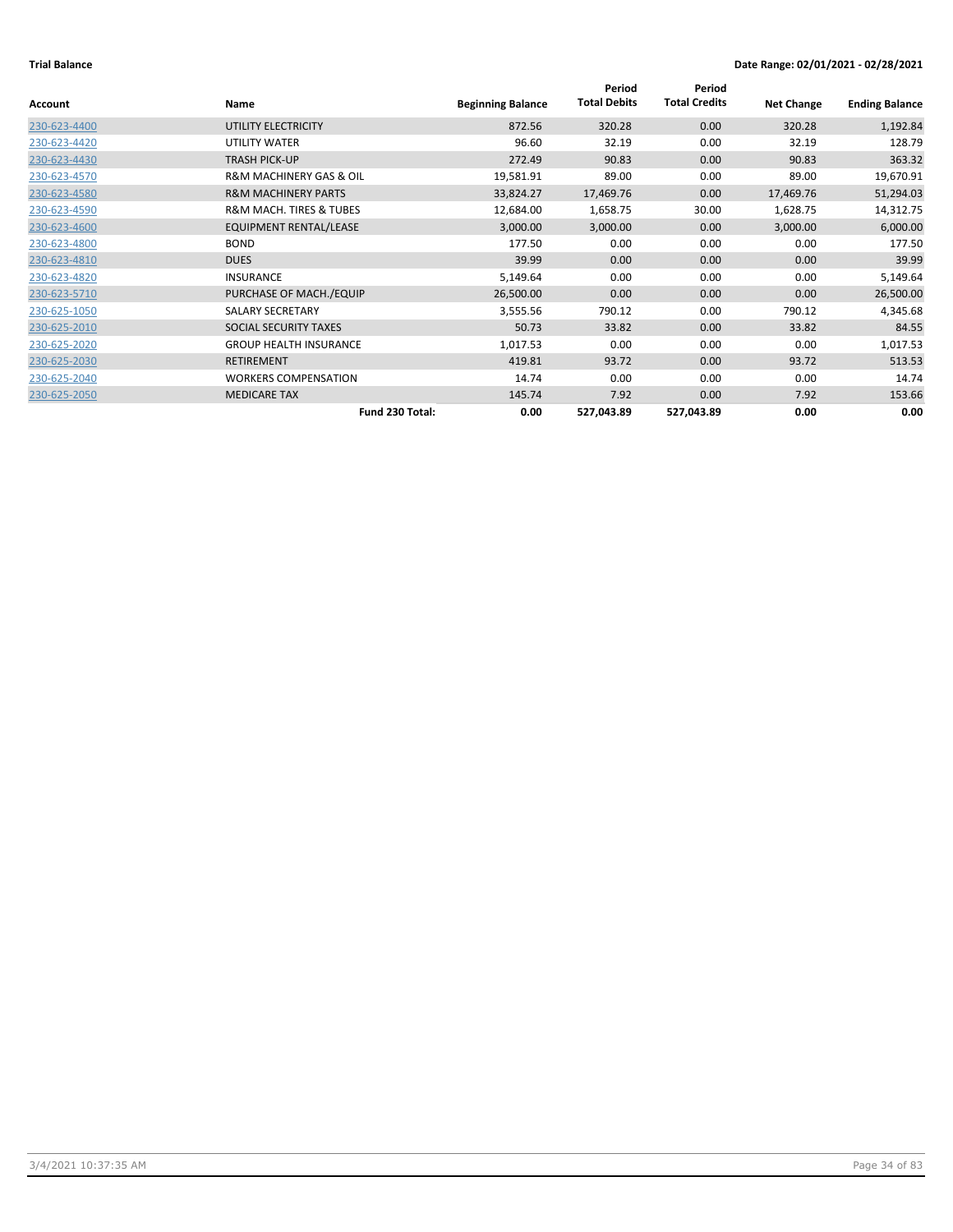|                |                                        |                          | Period              | Period               |                   |                       |
|----------------|----------------------------------------|--------------------------|---------------------|----------------------|-------------------|-----------------------|
| <b>Account</b> | <b>Name</b>                            | <b>Beginning Balance</b> | <b>Total Debits</b> | <b>Total Credits</b> | <b>Net Change</b> | <b>Ending Balance</b> |
| 230-623-4400   | UTILITY ELECTRICITY                    | 872.56                   | 320.28              | 0.00                 | 320.28            | 1,192.84              |
| 230-623-4420   | UTILITY WATER                          | 96.60                    | 32.19               | 0.00                 | 32.19             | 128.79                |
| 230-623-4430   | <b>TRASH PICK-UP</b>                   | 272.49                   | 90.83               | 0.00                 | 90.83             | 363.32                |
| 230-623-4570   | <b>R&amp;M MACHINERY GAS &amp; OIL</b> | 19,581.91                | 89.00               | 0.00                 | 89.00             | 19,670.91             |
| 230-623-4580   | <b>R&amp;M MACHINERY PARTS</b>         | 33,824.27                | 17,469.76           | 0.00                 | 17,469.76         | 51,294.03             |
| 230-623-4590   | <b>R&amp;M MACH. TIRES &amp; TUBES</b> | 12,684.00                | 1,658.75            | 30.00                | 1,628.75          | 14,312.75             |
| 230-623-4600   | <b>EQUIPMENT RENTAL/LEASE</b>          | 3,000.00                 | 3,000.00            | 0.00                 | 3,000.00          | 6,000.00              |
| 230-623-4800   | <b>BOND</b>                            | 177.50                   | 0.00                | 0.00                 | 0.00              | 177.50                |
| 230-623-4810   | <b>DUES</b>                            | 39.99                    | 0.00                | 0.00                 | 0.00              | 39.99                 |
| 230-623-4820   | <b>INSURANCE</b>                       | 5,149.64                 | 0.00                | 0.00                 | 0.00              | 5,149.64              |
| 230-623-5710   | PURCHASE OF MACH./EQUIP                | 26,500.00                | 0.00                | 0.00                 | 0.00              | 26,500.00             |
| 230-625-1050   | <b>SALARY SECRETARY</b>                | 3,555.56                 | 790.12              | 0.00                 | 790.12            | 4,345.68              |
| 230-625-2010   | SOCIAL SECURITY TAXES                  | 50.73                    | 33.82               | 0.00                 | 33.82             | 84.55                 |
| 230-625-2020   | <b>GROUP HEALTH INSURANCE</b>          | 1,017.53                 | 0.00                | 0.00                 | 0.00              | 1,017.53              |
| 230-625-2030   | <b>RETIREMENT</b>                      | 419.81                   | 93.72               | 0.00                 | 93.72             | 513.53                |
| 230-625-2040   | <b>WORKERS COMPENSATION</b>            | 14.74                    | 0.00                | 0.00                 | 0.00              | 14.74                 |
| 230-625-2050   | <b>MEDICARE TAX</b>                    | 145.74                   | 7.92                | 0.00                 | 7.92              | 153.66                |
|                | Fund 230 Total:                        | 0.00                     | 527,043.89          | 527,043.89           | 0.00              | 0.00                  |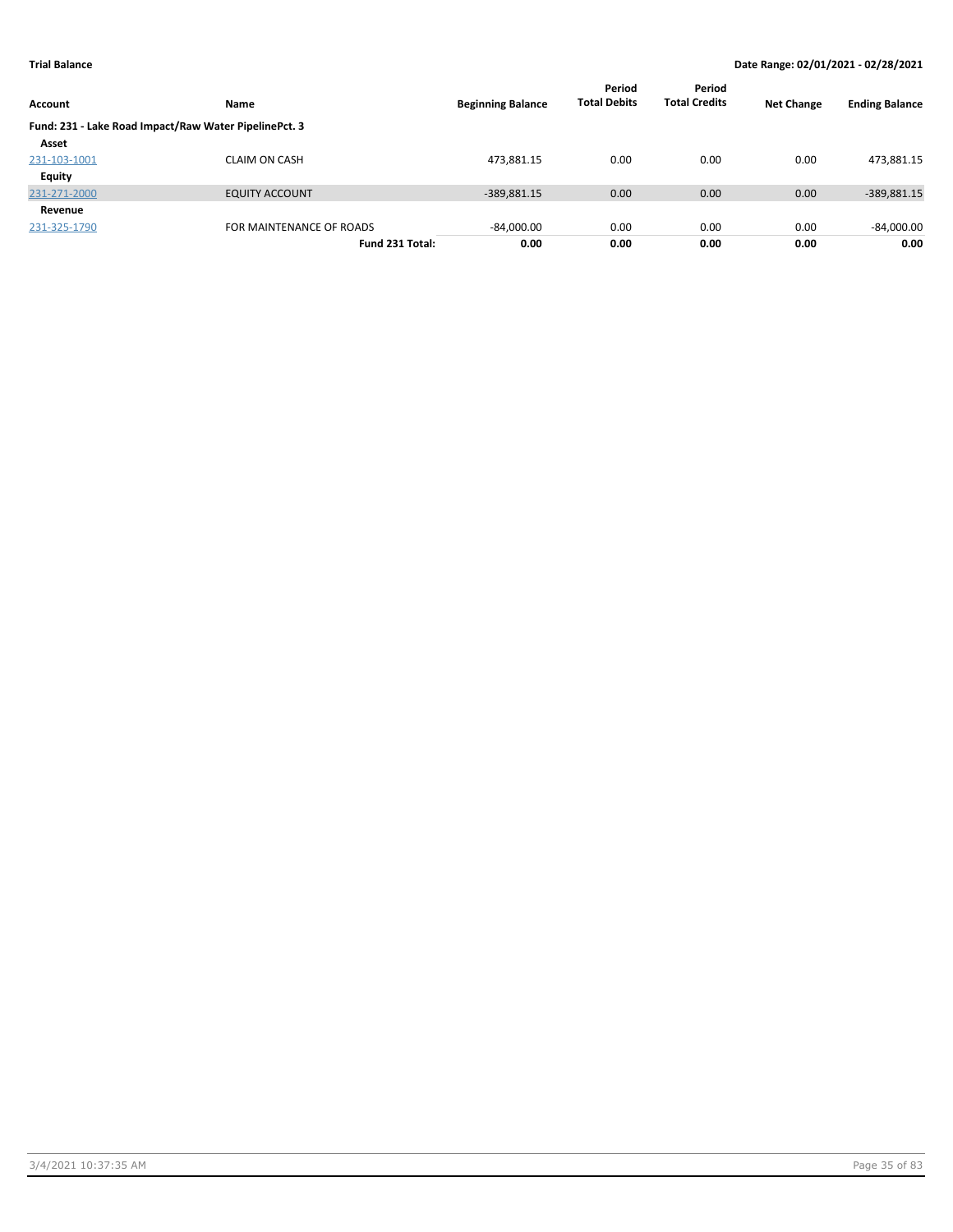| Account       | <b>Name</b>                                           | <b>Beginning Balance</b> | Period<br><b>Total Debits</b> | Period<br><b>Total Credits</b> | <b>Net Change</b> | <b>Ending Balance</b> |
|---------------|-------------------------------------------------------|--------------------------|-------------------------------|--------------------------------|-------------------|-----------------------|
|               | Fund: 231 - Lake Road Impact/Raw Water PipelinePct. 3 |                          |                               |                                |                   |                       |
| Asset         |                                                       |                          |                               |                                |                   |                       |
| 231-103-1001  | <b>CLAIM ON CASH</b>                                  | 473,881.15               | 0.00                          | 0.00                           | 0.00              | 473,881.15            |
| <b>Equity</b> |                                                       |                          |                               |                                |                   |                       |
| 231-271-2000  | <b>EQUITY ACCOUNT</b>                                 | $-389,881.15$            | 0.00                          | 0.00                           | 0.00              | -389,881.15           |
| Revenue       |                                                       |                          |                               |                                |                   |                       |
| 231-325-1790  | FOR MAINTENANCE OF ROADS                              | $-84,000.00$             | 0.00                          | 0.00                           | 0.00              | $-84,000.00$          |
|               | Fund 231 Total:                                       | 0.00                     | 0.00                          | 0.00                           | 0.00              | 0.00                  |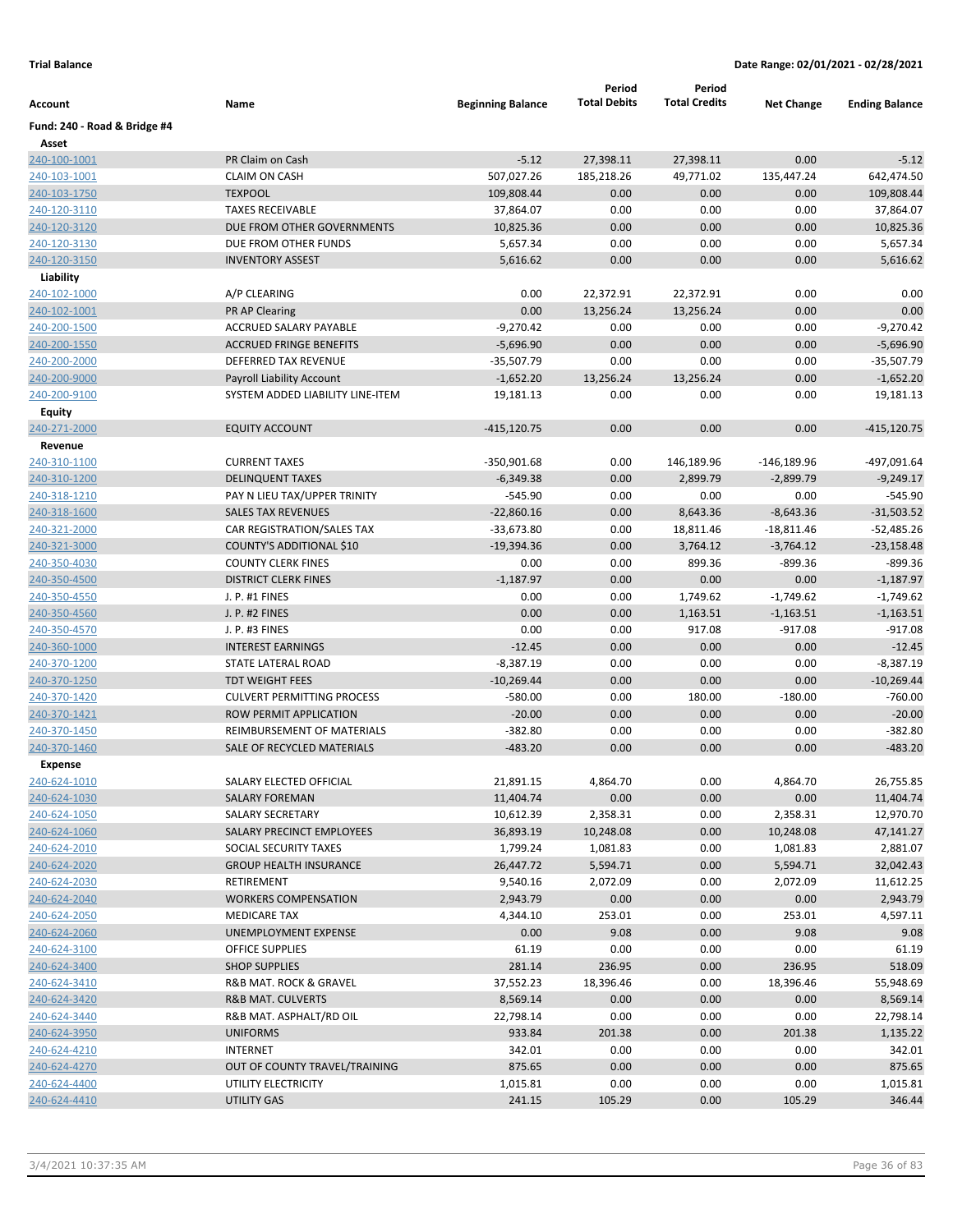|                              |                                              |                          | Period              | Period               |                   |                       |
|------------------------------|----------------------------------------------|--------------------------|---------------------|----------------------|-------------------|-----------------------|
| Account                      | Name                                         | <b>Beginning Balance</b> | <b>Total Debits</b> | <b>Total Credits</b> | <b>Net Change</b> | <b>Ending Balance</b> |
| Fund: 240 - Road & Bridge #4 |                                              |                          |                     |                      |                   |                       |
| Asset                        |                                              |                          |                     |                      |                   |                       |
| 240-100-1001                 | PR Claim on Cash                             | $-5.12$                  | 27,398.11           | 27,398.11            | 0.00              | $-5.12$               |
| 240-103-1001                 | <b>CLAIM ON CASH</b>                         | 507,027.26               | 185,218.26          | 49,771.02            | 135,447.24        | 642,474.50            |
| 240-103-1750                 | <b>TEXPOOL</b>                               | 109,808.44               | 0.00                | 0.00                 | 0.00              | 109,808.44            |
| 240-120-3110                 | <b>TAXES RECEIVABLE</b>                      | 37,864.07                | 0.00                | 0.00                 | 0.00              | 37,864.07             |
| 240-120-3120                 | DUE FROM OTHER GOVERNMENTS                   | 10,825.36                | 0.00                | 0.00                 | 0.00              | 10,825.36             |
| 240-120-3130                 | DUE FROM OTHER FUNDS                         | 5,657.34                 | 0.00                | 0.00                 | 0.00              | 5,657.34              |
| 240-120-3150                 | <b>INVENTORY ASSEST</b>                      | 5,616.62                 | 0.00                | 0.00                 | 0.00              | 5,616.62              |
| Liability                    |                                              |                          |                     |                      |                   |                       |
| 240-102-1000                 | A/P CLEARING                                 | 0.00                     | 22,372.91           | 22,372.91            | 0.00              | 0.00                  |
| 240-102-1001                 | <b>PR AP Clearing</b>                        | 0.00                     | 13,256.24           | 13,256.24            | 0.00              | 0.00                  |
| 240-200-1500                 | ACCRUED SALARY PAYABLE                       | $-9,270.42$              | 0.00                | 0.00                 | 0.00              | $-9,270.42$           |
| 240-200-1550                 | <b>ACCRUED FRINGE BENEFITS</b>               | $-5,696.90$              | 0.00                | 0.00                 | 0.00              | $-5,696.90$           |
| 240-200-2000                 | DEFERRED TAX REVENUE                         | $-35,507.79$             | 0.00                | 0.00                 | 0.00              | $-35,507.79$          |
| 240-200-9000                 | <b>Payroll Liability Account</b>             | $-1,652.20$              | 13,256.24           | 13,256.24            | 0.00              | $-1,652.20$           |
| 240-200-9100                 | SYSTEM ADDED LIABILITY LINE-ITEM             | 19,181.13                | 0.00                | 0.00                 | 0.00              | 19,181.13             |
| Equity                       |                                              |                          |                     |                      |                   |                       |
| 240-271-2000                 | <b>EQUITY ACCOUNT</b>                        | $-415, 120.75$           | 0.00                | 0.00                 | 0.00              | $-415, 120.75$        |
| Revenue                      |                                              |                          |                     |                      |                   |                       |
| 240-310-1100                 | <b>CURRENT TAXES</b>                         | $-350,901.68$            | 0.00                | 146,189.96           | $-146,189.96$     | -497,091.64           |
| 240-310-1200                 | <b>DELINQUENT TAXES</b>                      | $-6,349.38$              | 0.00                | 2,899.79             | $-2,899.79$       | $-9,249.17$           |
| 240-318-1210                 | PAY N LIEU TAX/UPPER TRINITY                 | $-545.90$                | 0.00                | 0.00                 | 0.00              | $-545.90$             |
| 240-318-1600                 | <b>SALES TAX REVENUES</b>                    | $-22,860.16$             | 0.00                | 8,643.36             | $-8,643.36$       | $-31,503.52$          |
| 240-321-2000                 | CAR REGISTRATION/SALES TAX                   | $-33,673.80$             | 0.00                | 18,811.46            | $-18,811.46$      | $-52,485.26$          |
| 240-321-3000                 | COUNTY'S ADDITIONAL \$10                     | $-19,394.36$             | 0.00                | 3,764.12             | $-3,764.12$       | $-23,158.48$          |
| 240-350-4030                 | <b>COUNTY CLERK FINES</b>                    | 0.00                     | 0.00                | 899.36               | $-899.36$         | $-899.36$             |
| 240-350-4500                 | <b>DISTRICT CLERK FINES</b>                  | $-1,187.97$              | 0.00                | 0.00                 | 0.00              | $-1,187.97$           |
| 240-350-4550                 | J. P. #1 FINES                               | 0.00                     | 0.00                | 1,749.62             | $-1,749.62$       | $-1,749.62$           |
| 240-350-4560                 | J. P. #2 FINES                               | 0.00                     | 0.00                | 1,163.51             | $-1,163.51$       | $-1,163.51$           |
| 240-350-4570                 | J. P. #3 FINES                               | 0.00                     | 0.00                | 917.08               | $-917.08$         | $-917.08$             |
| 240-360-1000                 | <b>INTEREST EARNINGS</b>                     | $-12.45$                 | 0.00                | 0.00                 | 0.00              | $-12.45$              |
| 240-370-1200                 | STATE LATERAL ROAD                           | $-8,387.19$              | 0.00                | 0.00                 | 0.00              | $-8,387.19$           |
| 240-370-1250                 | <b>TDT WEIGHT FEES</b>                       | $-10,269.44$             | 0.00                | 0.00                 | 0.00              | $-10,269.44$          |
| 240-370-1420                 | <b>CULVERT PERMITTING PROCESS</b>            | $-580.00$                | 0.00                | 180.00               | $-180.00$         | $-760.00$             |
| 240-370-1421                 | ROW PERMIT APPLICATION                       | $-20.00$                 | 0.00                | 0.00                 | 0.00              | $-20.00$              |
| 240-370-1450                 | REIMBURSEMENT OF MATERIALS                   | $-382.80$                | 0.00                | 0.00                 | 0.00              | $-382.80$             |
| 240-370-1460                 | SALE OF RECYCLED MATERIALS                   | $-483.20$                | 0.00                | 0.00                 | 0.00              | $-483.20$             |
| <b>Expense</b>               |                                              |                          |                     |                      |                   |                       |
| 240-624-1010                 | SALARY ELECTED OFFICIAL                      | 21,891.15                | 4,864.70            | 0.00                 | 4,864.70          | 26,755.85             |
| 240-624-1030                 | <b>SALARY FOREMAN</b>                        | 11,404.74                | 0.00                | 0.00                 | 0.00              | 11,404.74             |
| 240-624-1050                 | SALARY SECRETARY                             | 10,612.39                | 2,358.31            | 0.00                 | 2,358.31          | 12,970.70             |
| 240-624-1060                 | SALARY PRECINCT EMPLOYEES                    | 36,893.19                | 10,248.08           | 0.00                 | 10,248.08         | 47,141.27             |
| 240-624-2010                 | SOCIAL SECURITY TAXES                        | 1,799.24                 | 1,081.83            | 0.00                 | 1,081.83          | 2,881.07              |
| 240-624-2020                 | <b>GROUP HEALTH INSURANCE</b>                | 26,447.72                | 5,594.71            | 0.00                 | 5,594.71          | 32,042.43             |
| 240-624-2030                 | RETIREMENT                                   | 9,540.16                 | 2,072.09            | 0.00                 | 2,072.09          | 11,612.25             |
| 240-624-2040                 | <b>WORKERS COMPENSATION</b>                  | 2,943.79                 | 0.00                | 0.00                 | 0.00              | 2,943.79              |
| 240-624-2050                 | <b>MEDICARE TAX</b>                          | 4,344.10                 | 253.01              | 0.00                 | 253.01            | 4,597.11              |
| 240-624-2060                 | UNEMPLOYMENT EXPENSE                         | 0.00                     | 9.08                | 0.00                 | 9.08              | 9.08                  |
| 240-624-3100                 | <b>OFFICE SUPPLIES</b>                       | 61.19                    | 0.00                | 0.00                 | 0.00              | 61.19                 |
| 240-624-3400                 | <b>SHOP SUPPLIES</b>                         | 281.14                   | 236.95              | 0.00                 | 236.95            | 518.09                |
| 240-624-3410                 | R&B MAT. ROCK & GRAVEL                       | 37,552.23                | 18,396.46           | 0.00                 | 18,396.46         | 55,948.69             |
| 240-624-3420                 | R&B MAT. CULVERTS<br>R&B MAT. ASPHALT/RD OIL | 8,569.14<br>22,798.14    | 0.00<br>0.00        | 0.00<br>0.00         | 0.00<br>0.00      | 8,569.14              |
| 240-624-3440<br>240-624-3950 | <b>UNIFORMS</b>                              | 933.84                   | 201.38              | 0.00                 | 201.38            | 22,798.14<br>1,135.22 |
|                              | INTERNET                                     |                          |                     |                      |                   |                       |
| 240-624-4210                 |                                              | 342.01<br>875.65         | 0.00<br>0.00        | 0.00                 | 0.00              | 342.01                |
| 240-624-4270                 | OUT OF COUNTY TRAVEL/TRAINING                |                          |                     | 0.00                 | 0.00              | 875.65                |
| 240-624-4400<br>240-624-4410 | UTILITY ELECTRICITY<br>UTILITY GAS           | 1,015.81<br>241.15       | 0.00<br>105.29      | 0.00<br>0.00         | 0.00<br>105.29    | 1,015.81<br>346.44    |
|                              |                                              |                          |                     |                      |                   |                       |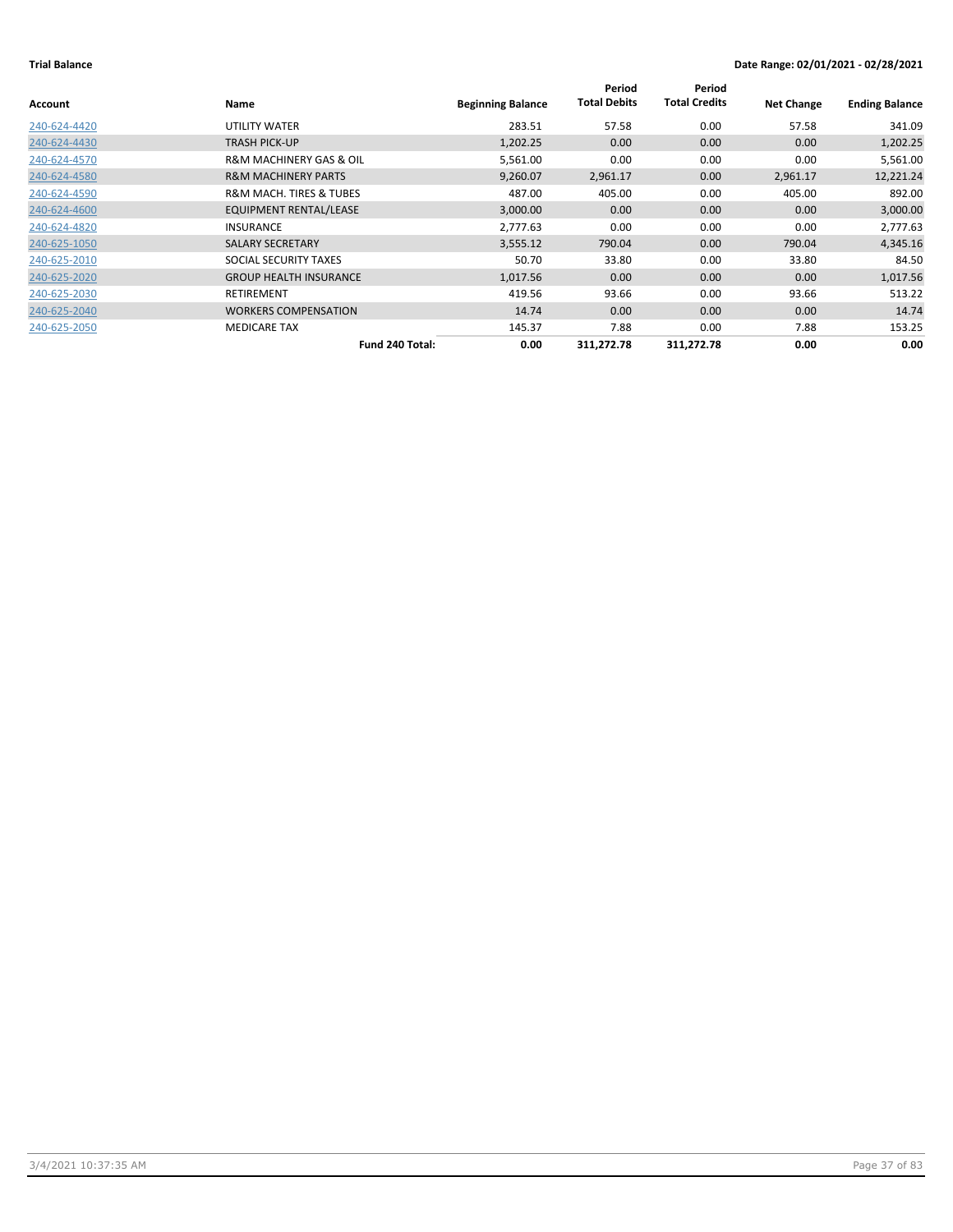| Account      | Name                                   | <b>Beginning Balance</b> | Period<br><b>Total Debits</b> | Period<br><b>Total Credits</b> | <b>Net Change</b> | <b>Ending Balance</b> |
|--------------|----------------------------------------|--------------------------|-------------------------------|--------------------------------|-------------------|-----------------------|
| 240-624-4420 | UTILITY WATER                          | 283.51                   | 57.58                         | 0.00                           | 57.58             | 341.09                |
| 240-624-4430 | TRASH PICK-UP                          | 1,202.25                 | 0.00                          | 0.00                           | 0.00              | 1,202.25              |
| 240-624-4570 | <b>R&amp;M MACHINERY GAS &amp; OIL</b> | 5,561.00                 | 0.00                          | 0.00                           | 0.00              | 5,561.00              |
| 240-624-4580 | <b>R&amp;M MACHINERY PARTS</b>         | 9,260.07                 | 2,961.17                      | 0.00                           | 2,961.17          | 12,221.24             |
| 240-624-4590 | <b>R&amp;M MACH. TIRES &amp; TUBES</b> | 487.00                   | 405.00                        | 0.00                           | 405.00            | 892.00                |
| 240-624-4600 | EQUIPMENT RENTAL/LEASE                 | 3,000.00                 | 0.00                          | 0.00                           | 0.00              | 3,000.00              |
| 240-624-4820 | <b>INSURANCE</b>                       | 2,777.63                 | 0.00                          | 0.00                           | 0.00              | 2,777.63              |
| 240-625-1050 | <b>SALARY SECRETARY</b>                | 3,555.12                 | 790.04                        | 0.00                           | 790.04            | 4,345.16              |
| 240-625-2010 | SOCIAL SECURITY TAXES                  | 50.70                    | 33.80                         | 0.00                           | 33.80             | 84.50                 |
| 240-625-2020 | <b>GROUP HEALTH INSURANCE</b>          | 1,017.56                 | 0.00                          | 0.00                           | 0.00              | 1,017.56              |
| 240-625-2030 | <b>RETIREMENT</b>                      | 419.56                   | 93.66                         | 0.00                           | 93.66             | 513.22                |
| 240-625-2040 | <b>WORKERS COMPENSATION</b>            | 14.74                    | 0.00                          | 0.00                           | 0.00              | 14.74                 |
| 240-625-2050 | <b>MEDICARE TAX</b>                    | 145.37                   | 7.88                          | 0.00                           | 7.88              | 153.25                |
|              | Fund 240 Total:                        | 0.00                     | 311,272.78                    | 311,272.78                     | 0.00              | 0.00                  |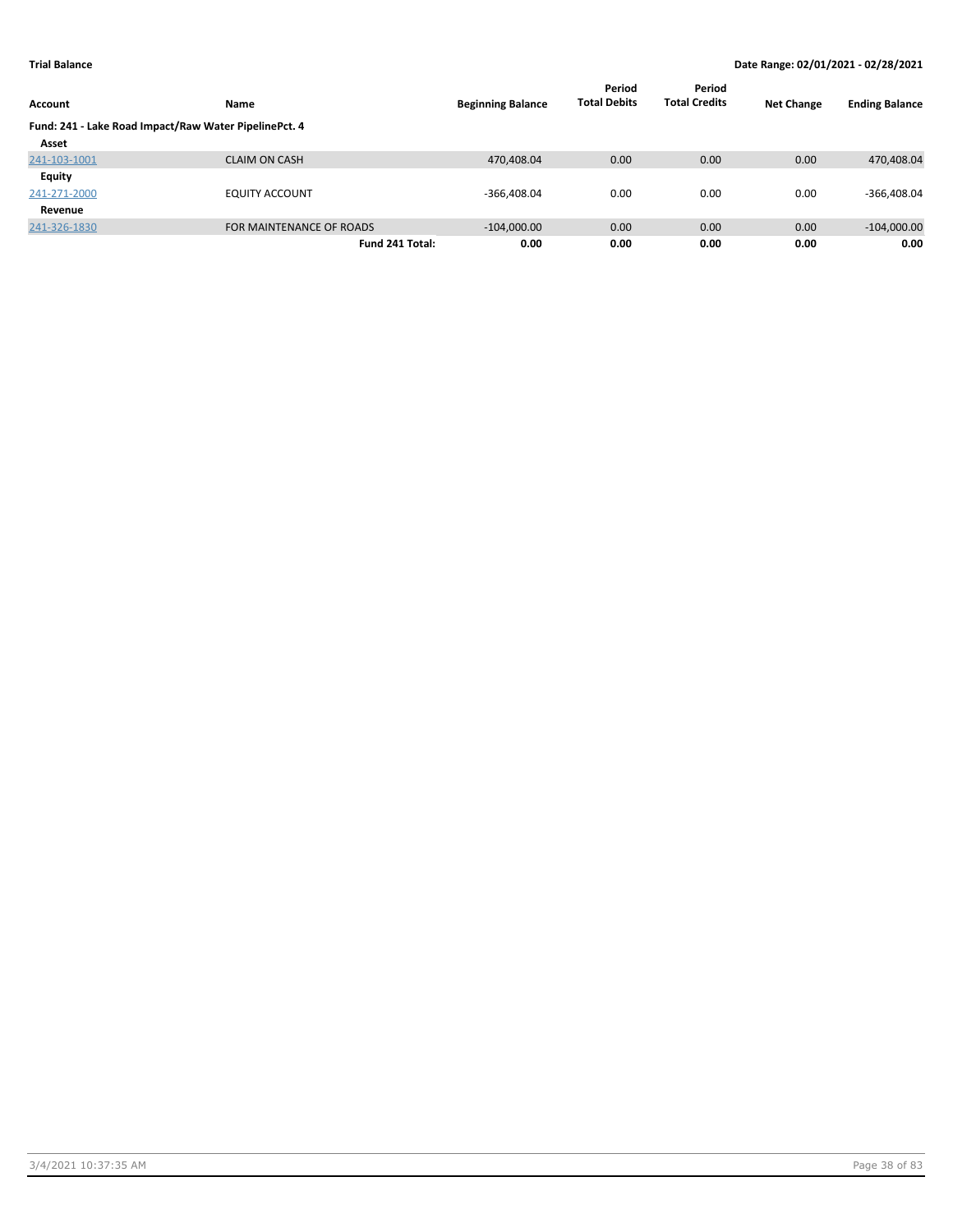|                                                       |                          |                          | Period              | Period               |                   |                       |
|-------------------------------------------------------|--------------------------|--------------------------|---------------------|----------------------|-------------------|-----------------------|
| Account                                               | <b>Name</b>              | <b>Beginning Balance</b> | <b>Total Debits</b> | <b>Total Credits</b> | <b>Net Change</b> | <b>Ending Balance</b> |
| Fund: 241 - Lake Road Impact/Raw Water PipelinePct. 4 |                          |                          |                     |                      |                   |                       |
| Asset                                                 |                          |                          |                     |                      |                   |                       |
| 241-103-1001                                          | <b>CLAIM ON CASH</b>     | 470,408.04               | 0.00                | 0.00                 | 0.00              | 470,408.04            |
| Equity                                                |                          |                          |                     |                      |                   |                       |
| 241-271-2000                                          | <b>EQUITY ACCOUNT</b>    | $-366,408.04$            | 0.00                | 0.00                 | 0.00              | $-366,408.04$         |
| Revenue                                               |                          |                          |                     |                      |                   |                       |
| 241-326-1830                                          | FOR MAINTENANCE OF ROADS | $-104,000.00$            | 0.00                | 0.00                 | 0.00              | $-104,000.00$         |
|                                                       | Fund 241 Total:          | 0.00                     | 0.00                | 0.00                 | 0.00              | 0.00                  |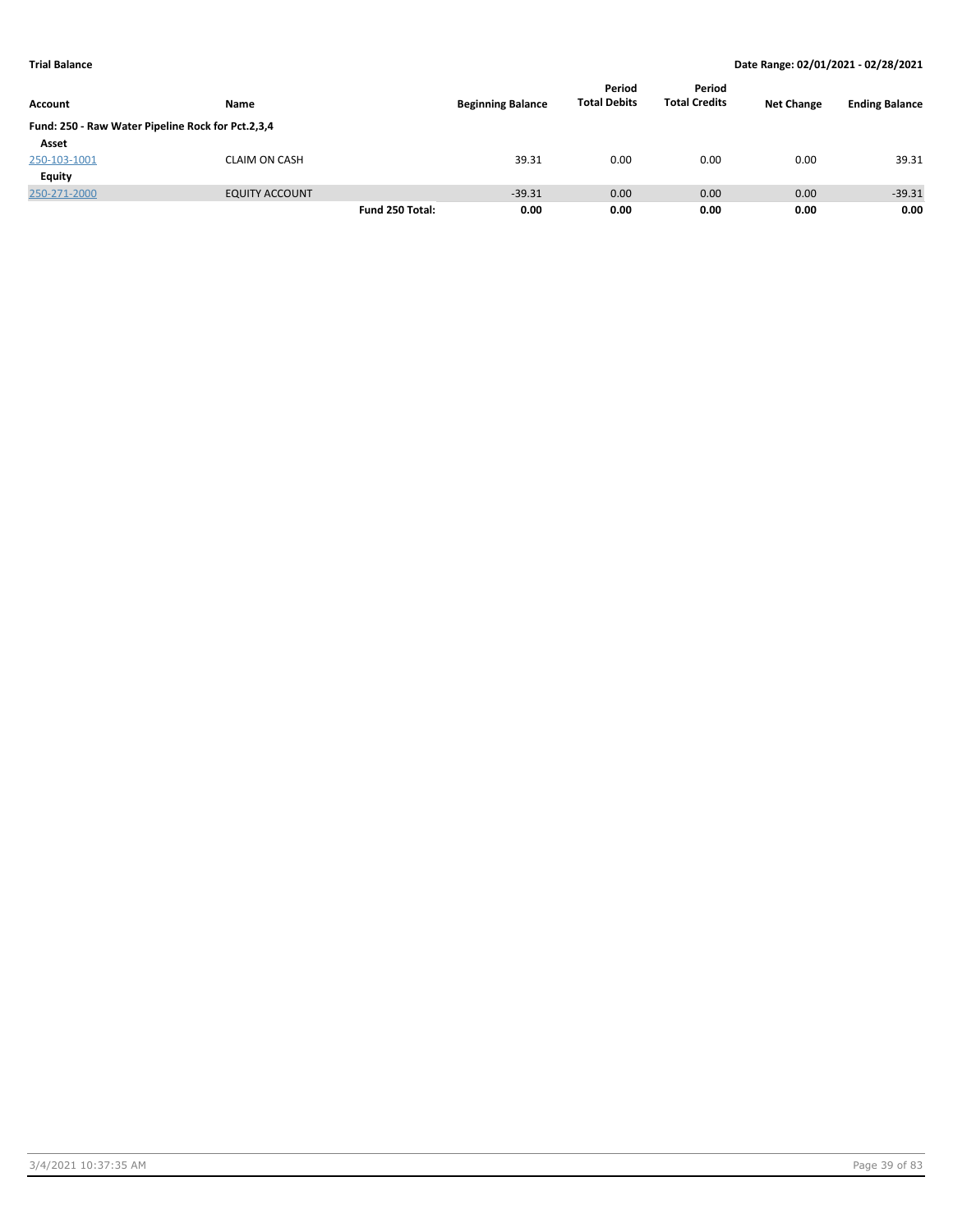|                                                   |                       |                 |                          | Period              | Period               |                   |                       |
|---------------------------------------------------|-----------------------|-----------------|--------------------------|---------------------|----------------------|-------------------|-----------------------|
| Account                                           | Name                  |                 | <b>Beginning Balance</b> | <b>Total Debits</b> | <b>Total Credits</b> | <b>Net Change</b> | <b>Ending Balance</b> |
| Fund: 250 - Raw Water Pipeline Rock for Pct.2,3,4 |                       |                 |                          |                     |                      |                   |                       |
| Asset                                             |                       |                 |                          |                     |                      |                   |                       |
| 250-103-1001                                      | <b>CLAIM ON CASH</b>  |                 | 39.31                    | 0.00                | 0.00                 | 0.00              | 39.31                 |
| Equity                                            |                       |                 |                          |                     |                      |                   |                       |
| 250-271-2000                                      | <b>EQUITY ACCOUNT</b> |                 | $-39.31$                 | 0.00                | 0.00                 | 0.00              | $-39.31$              |
|                                                   |                       | Fund 250 Total: | 0.00                     | 0.00                | 0.00                 | 0.00              | 0.00                  |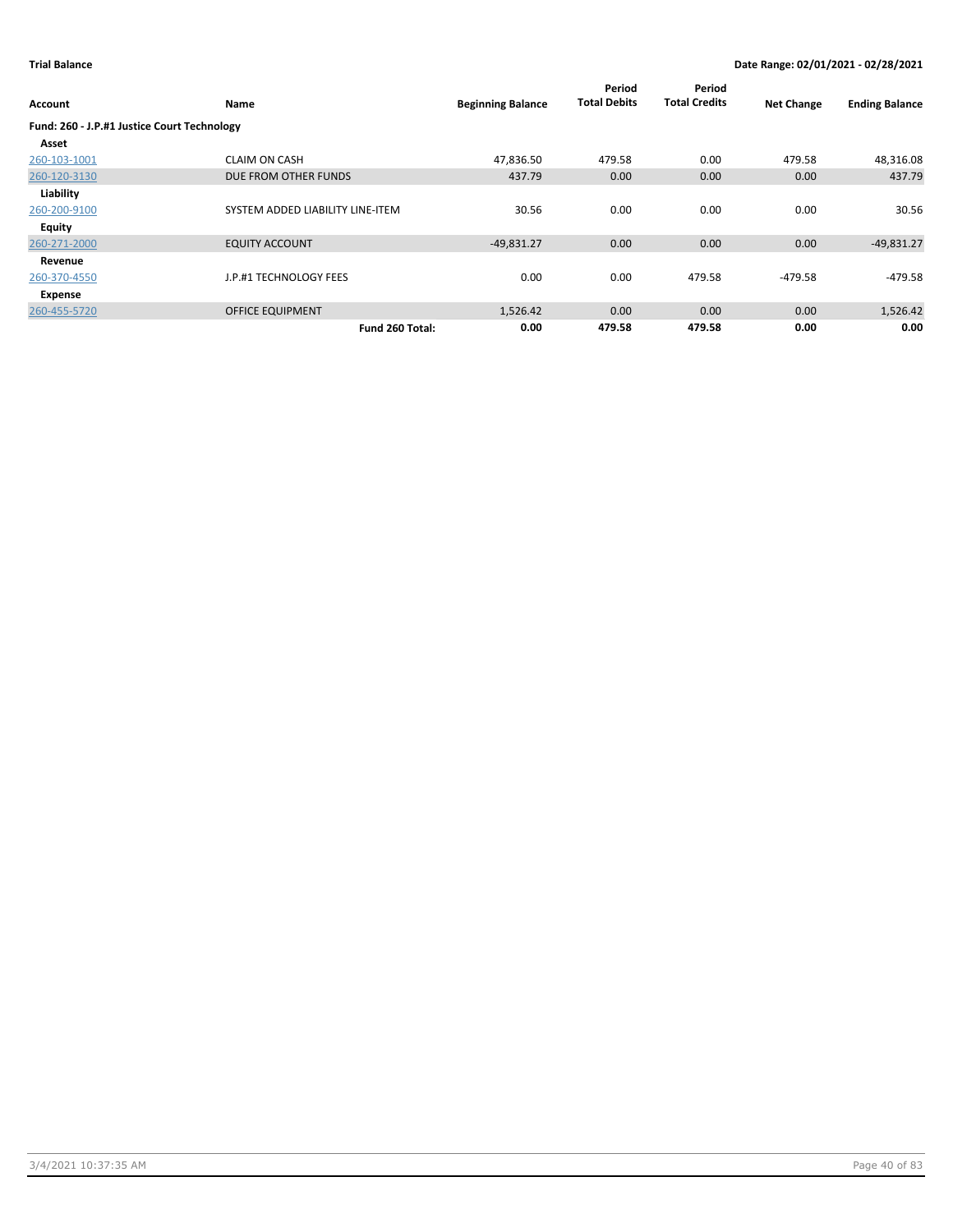| Account                                     | Name                             | <b>Beginning Balance</b> | Period<br><b>Total Debits</b> | Period<br><b>Total Credits</b> | <b>Net Change</b> | <b>Ending Balance</b> |
|---------------------------------------------|----------------------------------|--------------------------|-------------------------------|--------------------------------|-------------------|-----------------------|
| Fund: 260 - J.P.#1 Justice Court Technology |                                  |                          |                               |                                |                   |                       |
| Asset                                       |                                  |                          |                               |                                |                   |                       |
| 260-103-1001                                | <b>CLAIM ON CASH</b>             | 47,836.50                | 479.58                        | 0.00                           | 479.58            | 48,316.08             |
| 260-120-3130                                | DUE FROM OTHER FUNDS             | 437.79                   | 0.00                          | 0.00                           | 0.00              | 437.79                |
| Liability                                   |                                  |                          |                               |                                |                   |                       |
| 260-200-9100                                | SYSTEM ADDED LIABILITY LINE-ITEM | 30.56                    | 0.00                          | 0.00                           | 0.00              | 30.56                 |
| Equity                                      |                                  |                          |                               |                                |                   |                       |
| 260-271-2000                                | <b>EQUITY ACCOUNT</b>            | $-49,831.27$             | 0.00                          | 0.00                           | 0.00              | $-49,831.27$          |
| Revenue                                     |                                  |                          |                               |                                |                   |                       |
| 260-370-4550                                | J.P.#1 TECHNOLOGY FEES           | 0.00                     | 0.00                          | 479.58                         | $-479.58$         | $-479.58$             |
| Expense                                     |                                  |                          |                               |                                |                   |                       |
| 260-455-5720                                | <b>OFFICE EQUIPMENT</b>          | 1,526.42                 | 0.00                          | 0.00                           | 0.00              | 1,526.42              |
|                                             | Fund 260 Total:                  | 0.00                     | 479.58                        | 479.58                         | 0.00              | 0.00                  |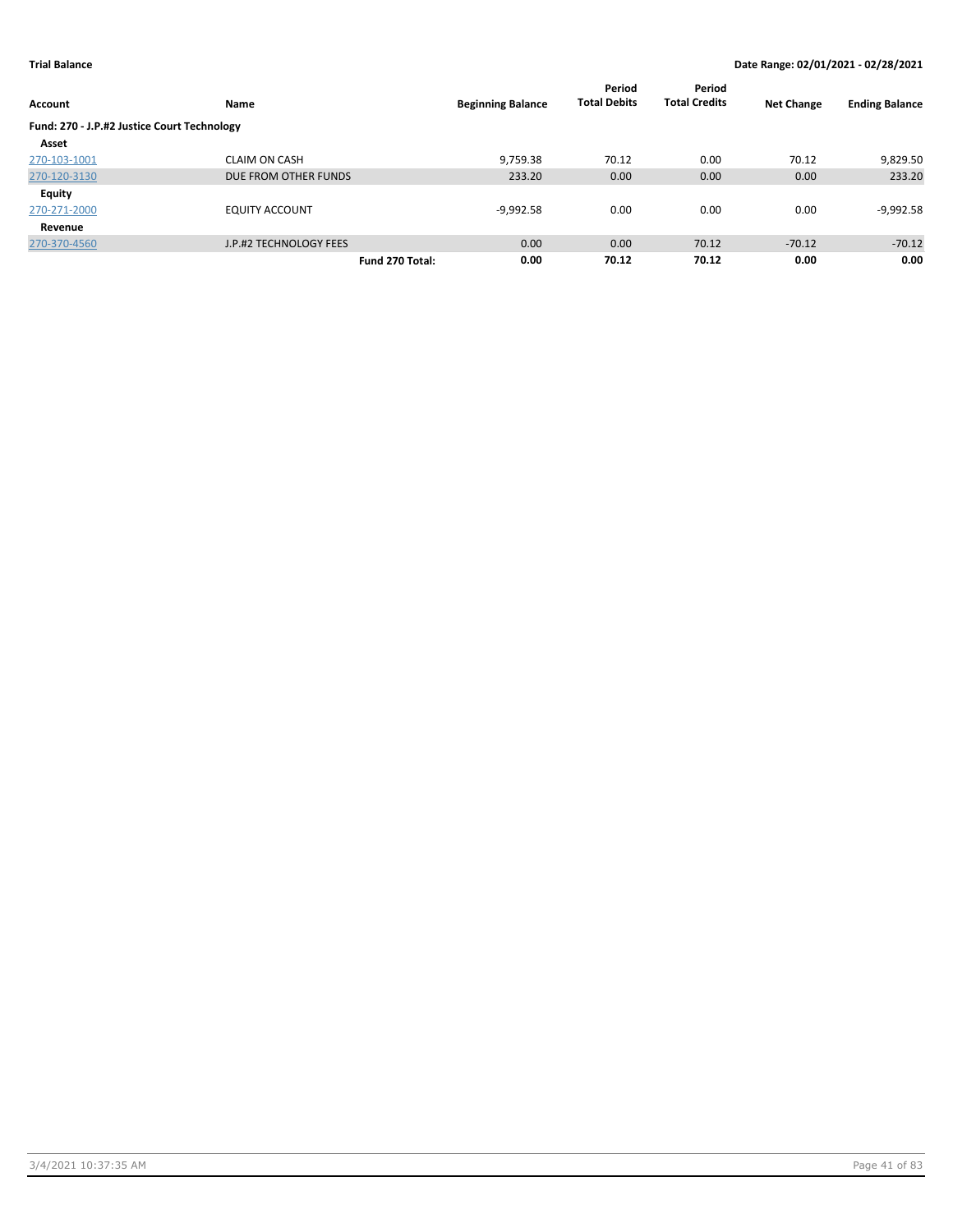|                                             |                        |                          | Period              | Period               |                   |                       |
|---------------------------------------------|------------------------|--------------------------|---------------------|----------------------|-------------------|-----------------------|
| <b>Account</b>                              | Name                   | <b>Beginning Balance</b> | <b>Total Debits</b> | <b>Total Credits</b> | <b>Net Change</b> | <b>Ending Balance</b> |
| Fund: 270 - J.P.#2 Justice Court Technology |                        |                          |                     |                      |                   |                       |
| Asset                                       |                        |                          |                     |                      |                   |                       |
| 270-103-1001                                | <b>CLAIM ON CASH</b>   | 9,759.38                 | 70.12               | 0.00                 | 70.12             | 9,829.50              |
| 270-120-3130                                | DUE FROM OTHER FUNDS   | 233.20                   | 0.00                | 0.00                 | 0.00              | 233.20                |
| <b>Equity</b>                               |                        |                          |                     |                      |                   |                       |
| 270-271-2000                                | <b>EQUITY ACCOUNT</b>  | $-9,992.58$              | 0.00                | 0.00                 | 0.00              | $-9,992.58$           |
| Revenue                                     |                        |                          |                     |                      |                   |                       |
| 270-370-4560                                | J.P.#2 TECHNOLOGY FEES | 0.00                     | 0.00                | 70.12                | $-70.12$          | $-70.12$              |
|                                             | Fund 270 Total:        | 0.00                     | 70.12               | 70.12                | 0.00              | 0.00                  |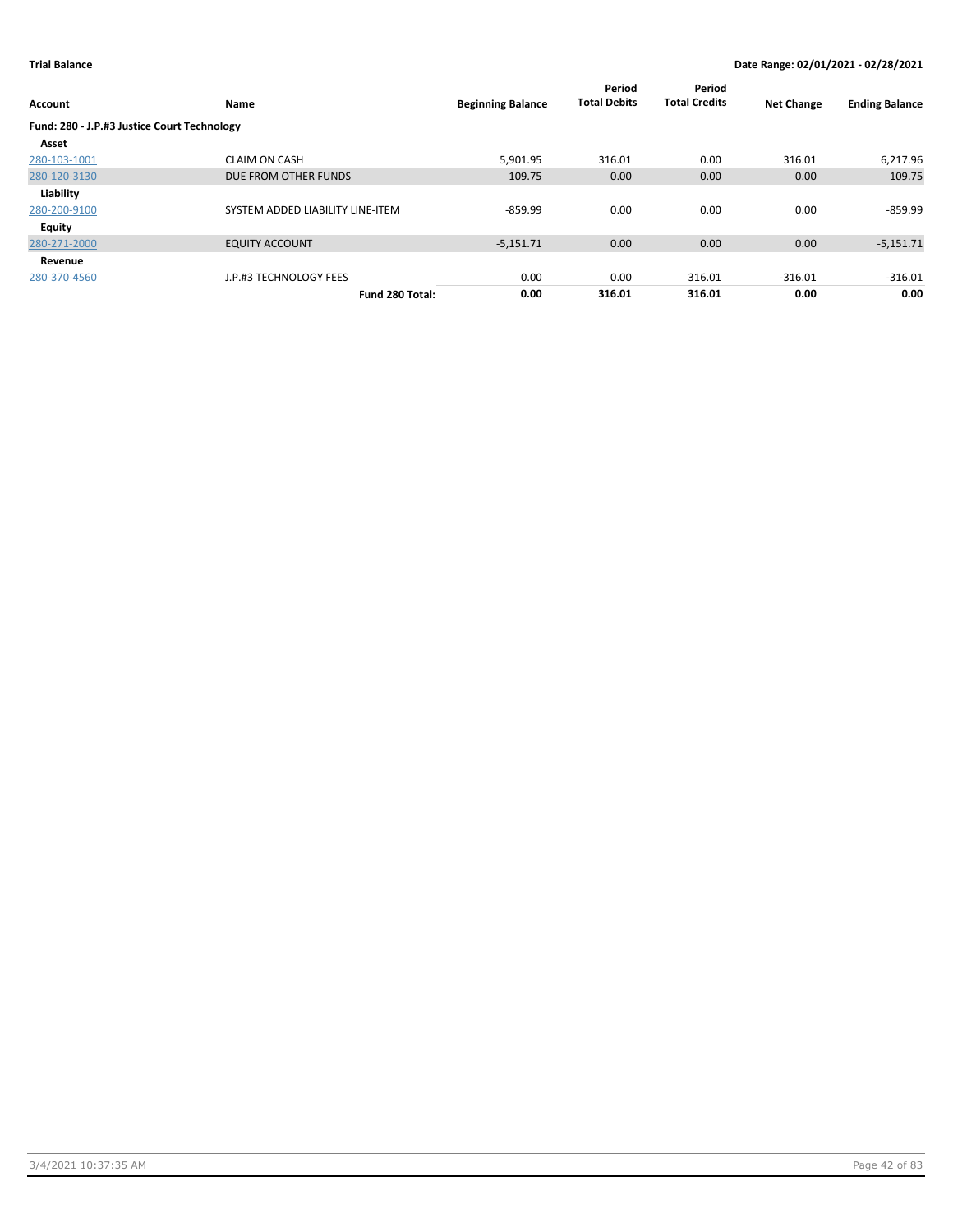| Account                                     | Name                             | <b>Beginning Balance</b> | Period<br><b>Total Debits</b> | Period<br><b>Total Credits</b> | <b>Net Change</b> | <b>Ending Balance</b> |
|---------------------------------------------|----------------------------------|--------------------------|-------------------------------|--------------------------------|-------------------|-----------------------|
| Fund: 280 - J.P.#3 Justice Court Technology |                                  |                          |                               |                                |                   |                       |
| Asset                                       |                                  |                          |                               |                                |                   |                       |
| 280-103-1001                                | <b>CLAIM ON CASH</b>             | 5,901.95                 | 316.01                        | 0.00                           | 316.01            | 6,217.96              |
| 280-120-3130                                | DUE FROM OTHER FUNDS             | 109.75                   | 0.00                          | 0.00                           | 0.00              | 109.75                |
| Liability                                   |                                  |                          |                               |                                |                   |                       |
| 280-200-9100                                | SYSTEM ADDED LIABILITY LINE-ITEM | $-859.99$                | 0.00                          | 0.00                           | 0.00              | $-859.99$             |
| Equity                                      |                                  |                          |                               |                                |                   |                       |
| 280-271-2000                                | <b>EQUITY ACCOUNT</b>            | $-5,151.71$              | 0.00                          | 0.00                           | 0.00              | $-5,151.71$           |
| Revenue                                     |                                  |                          |                               |                                |                   |                       |
| 280-370-4560                                | J.P.#3 TECHNOLOGY FEES           | 0.00                     | 0.00                          | 316.01                         | $-316.01$         | $-316.01$             |
|                                             | Fund 280 Total:                  | 0.00                     | 316.01                        | 316.01                         | 0.00              | 0.00                  |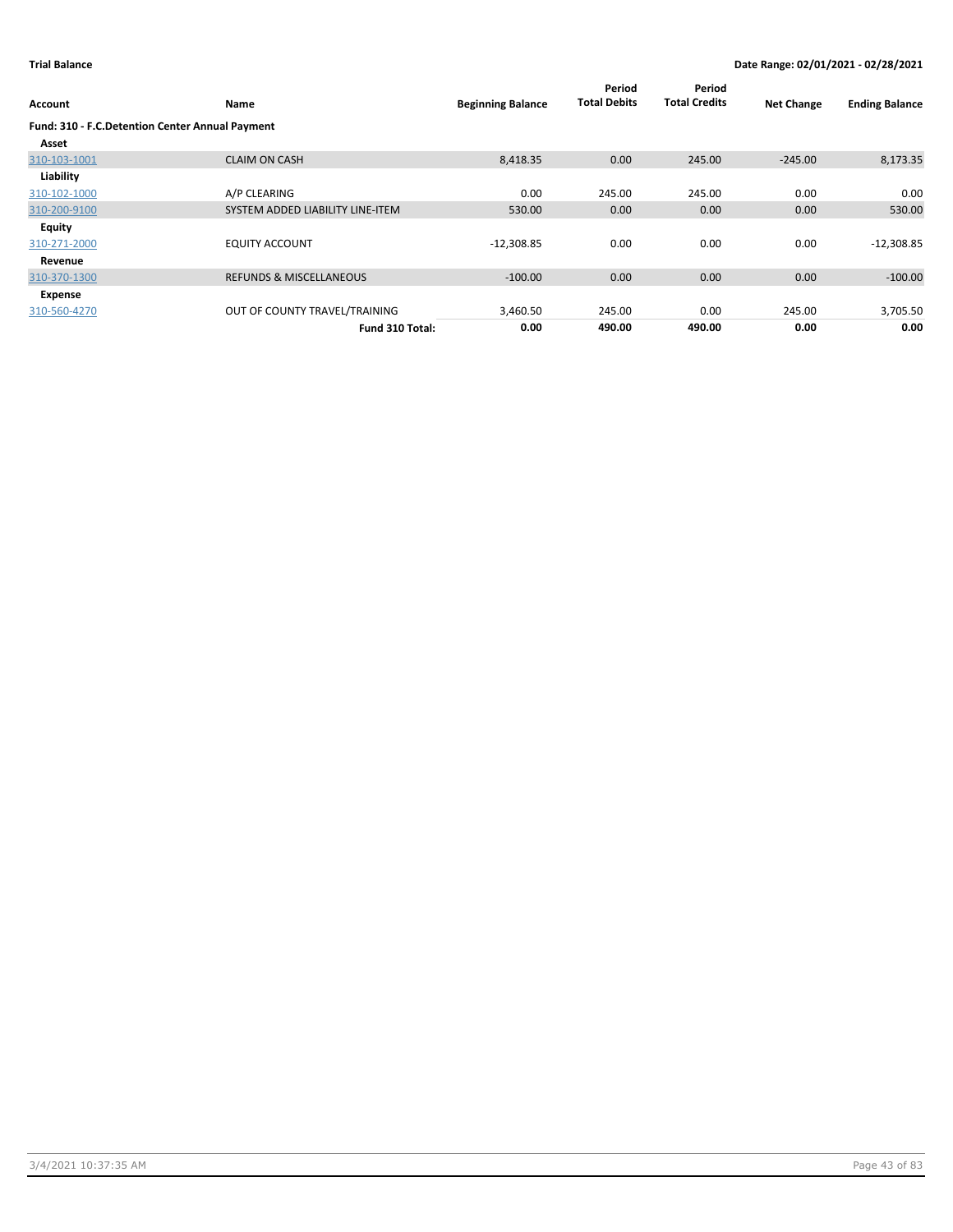| Account                                         | <b>Name</b>                        | <b>Beginning Balance</b> | Period<br><b>Total Debits</b> | Period<br><b>Total Credits</b> | <b>Net Change</b> | <b>Ending Balance</b> |
|-------------------------------------------------|------------------------------------|--------------------------|-------------------------------|--------------------------------|-------------------|-----------------------|
| Fund: 310 - F.C.Detention Center Annual Payment |                                    |                          |                               |                                |                   |                       |
| Asset                                           |                                    |                          |                               |                                |                   |                       |
| 310-103-1001                                    | <b>CLAIM ON CASH</b>               | 8,418.35                 | 0.00                          | 245.00                         | $-245.00$         | 8,173.35              |
| Liability                                       |                                    |                          |                               |                                |                   |                       |
| 310-102-1000                                    | A/P CLEARING                       | 0.00                     | 245.00                        | 245.00                         | 0.00              | 0.00                  |
| 310-200-9100                                    | SYSTEM ADDED LIABILITY LINE-ITEM   | 530.00                   | 0.00                          | 0.00                           | 0.00              | 530.00                |
| Equity                                          |                                    |                          |                               |                                |                   |                       |
| 310-271-2000                                    | <b>EQUITY ACCOUNT</b>              | $-12,308.85$             | 0.00                          | 0.00                           | 0.00              | $-12,308.85$          |
| Revenue                                         |                                    |                          |                               |                                |                   |                       |
| 310-370-1300                                    | <b>REFUNDS &amp; MISCELLANEOUS</b> | $-100.00$                | 0.00                          | 0.00                           | 0.00              | $-100.00$             |
| Expense                                         |                                    |                          |                               |                                |                   |                       |
| 310-560-4270                                    | OUT OF COUNTY TRAVEL/TRAINING      | 3,460.50                 | 245.00                        | 0.00                           | 245.00            | 3,705.50              |
|                                                 | Fund 310 Total:                    | 0.00                     | 490.00                        | 490.00                         | 0.00              | 0.00                  |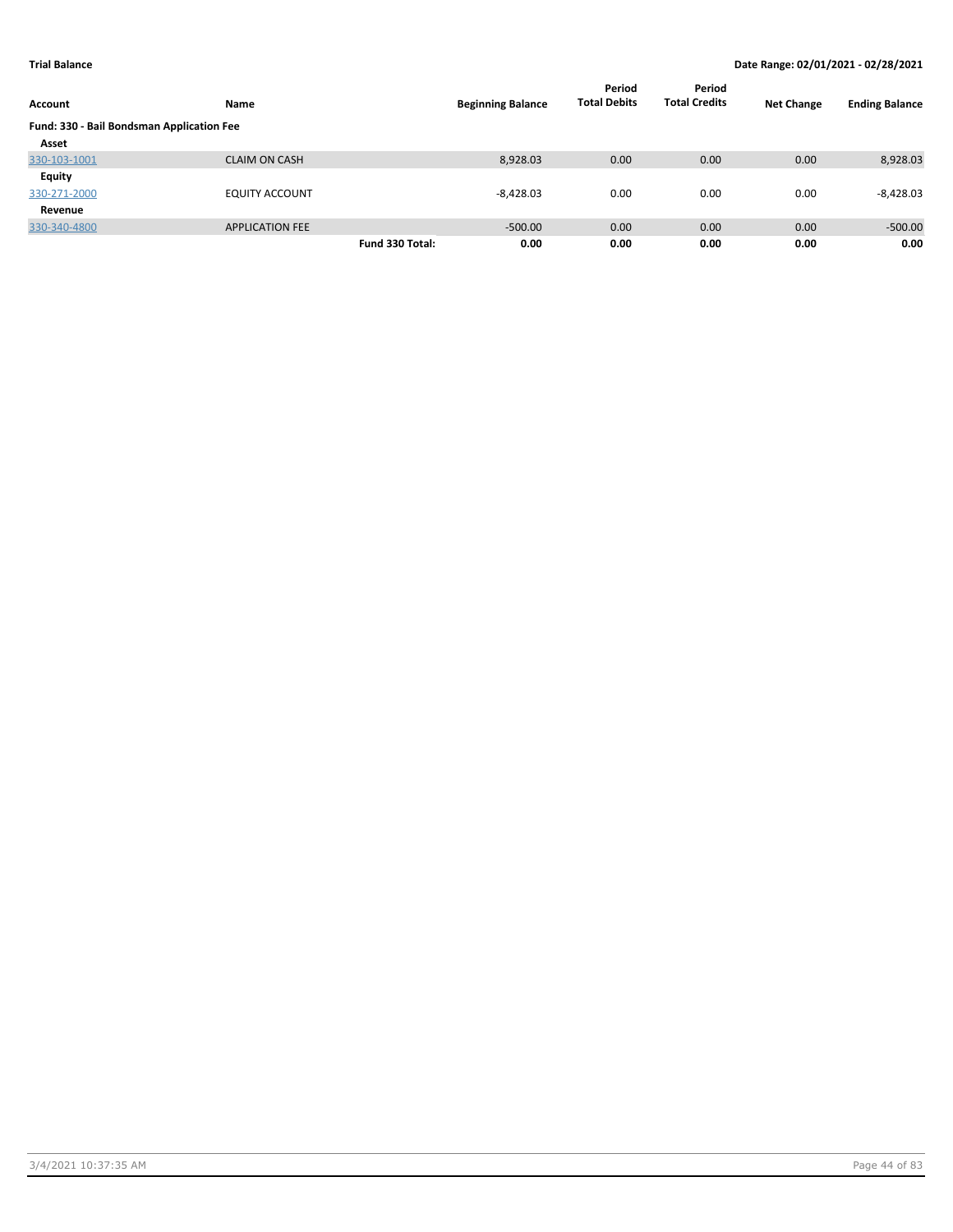| Account                                   | Name                   |                 | <b>Beginning Balance</b> | Period<br><b>Total Debits</b> | Period<br><b>Total Credits</b> | <b>Net Change</b> | <b>Ending Balance</b> |
|-------------------------------------------|------------------------|-----------------|--------------------------|-------------------------------|--------------------------------|-------------------|-----------------------|
| Fund: 330 - Bail Bondsman Application Fee |                        |                 |                          |                               |                                |                   |                       |
| Asset                                     |                        |                 |                          |                               |                                |                   |                       |
| 330-103-1001                              | <b>CLAIM ON CASH</b>   |                 | 8,928.03                 | 0.00                          | 0.00                           | 0.00              | 8,928.03              |
| Equity                                    |                        |                 |                          |                               |                                |                   |                       |
| 330-271-2000                              | <b>EQUITY ACCOUNT</b>  |                 | $-8,428.03$              | 0.00                          | 0.00                           | 0.00              | $-8,428.03$           |
| Revenue                                   |                        |                 |                          |                               |                                |                   |                       |
| 330-340-4800                              | <b>APPLICATION FEE</b> |                 | $-500.00$                | 0.00                          | 0.00                           | 0.00              | $-500.00$             |
|                                           |                        | Fund 330 Total: | 0.00                     | 0.00                          | 0.00                           | 0.00              | 0.00                  |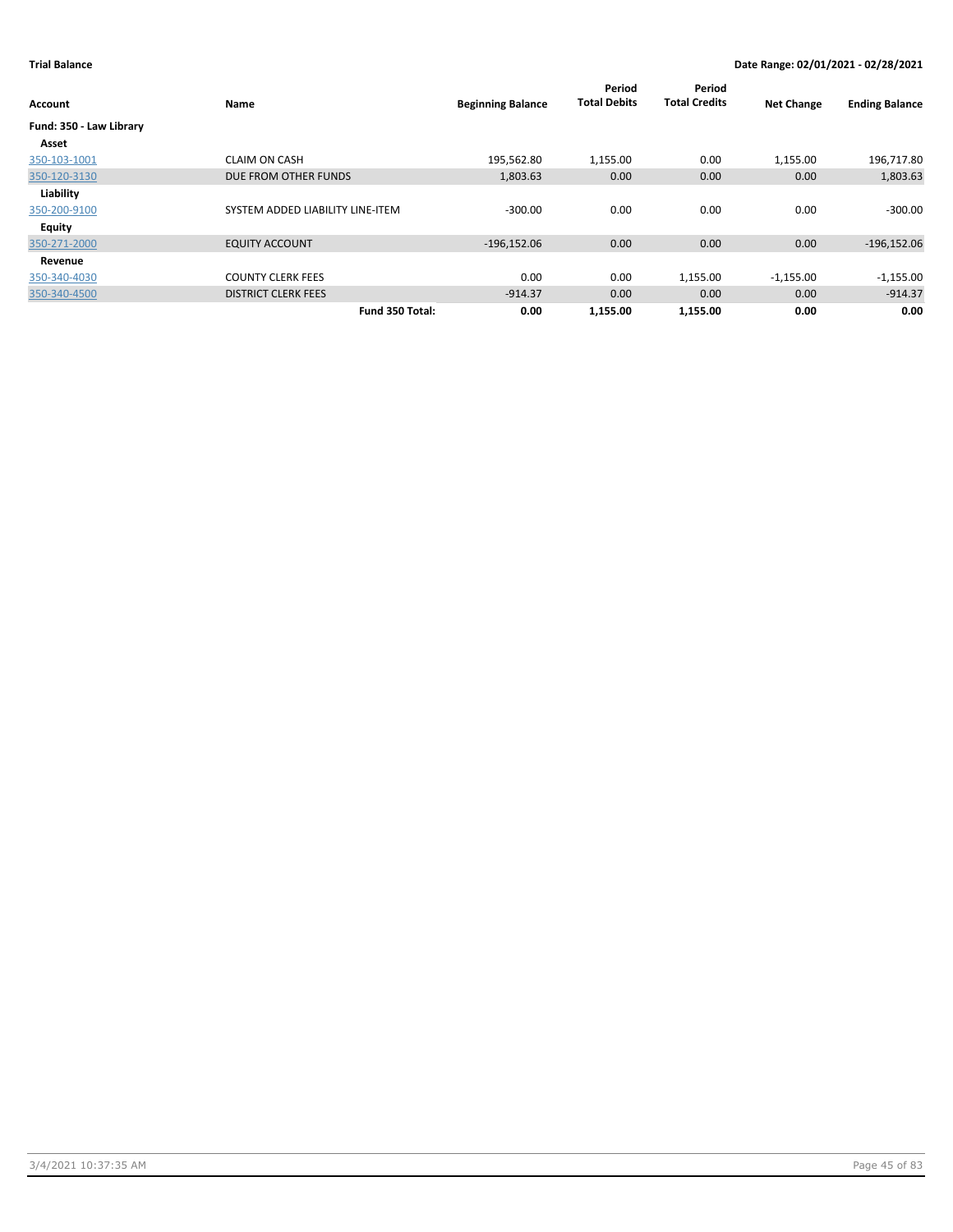| Account                 | Name                             | <b>Beginning Balance</b> | Period<br><b>Total Debits</b> | Period<br><b>Total Credits</b> | <b>Net Change</b> | <b>Ending Balance</b> |
|-------------------------|----------------------------------|--------------------------|-------------------------------|--------------------------------|-------------------|-----------------------|
| Fund: 350 - Law Library |                                  |                          |                               |                                |                   |                       |
| Asset                   |                                  |                          |                               |                                |                   |                       |
| 350-103-1001            | <b>CLAIM ON CASH</b>             | 195,562.80               | 1,155.00                      | 0.00                           | 1,155.00          | 196,717.80            |
| 350-120-3130            | DUE FROM OTHER FUNDS             | 1,803.63                 | 0.00                          | 0.00                           | 0.00              | 1,803.63              |
| Liability               |                                  |                          |                               |                                |                   |                       |
| 350-200-9100            | SYSTEM ADDED LIABILITY LINE-ITEM | $-300.00$                | 0.00                          | 0.00                           | 0.00              | $-300.00$             |
| <b>Equity</b>           |                                  |                          |                               |                                |                   |                       |
| 350-271-2000            | <b>EQUITY ACCOUNT</b>            | $-196,152.06$            | 0.00                          | 0.00                           | 0.00              | $-196, 152.06$        |
| Revenue                 |                                  |                          |                               |                                |                   |                       |
| 350-340-4030            | <b>COUNTY CLERK FEES</b>         | 0.00                     | 0.00                          | 1,155.00                       | $-1,155.00$       | $-1,155.00$           |
| 350-340-4500            | <b>DISTRICT CLERK FEES</b>       | $-914.37$                | 0.00                          | 0.00                           | 0.00              | $-914.37$             |
|                         | Fund 350 Total:                  | 0.00                     | 1,155.00                      | 1,155.00                       | 0.00              | 0.00                  |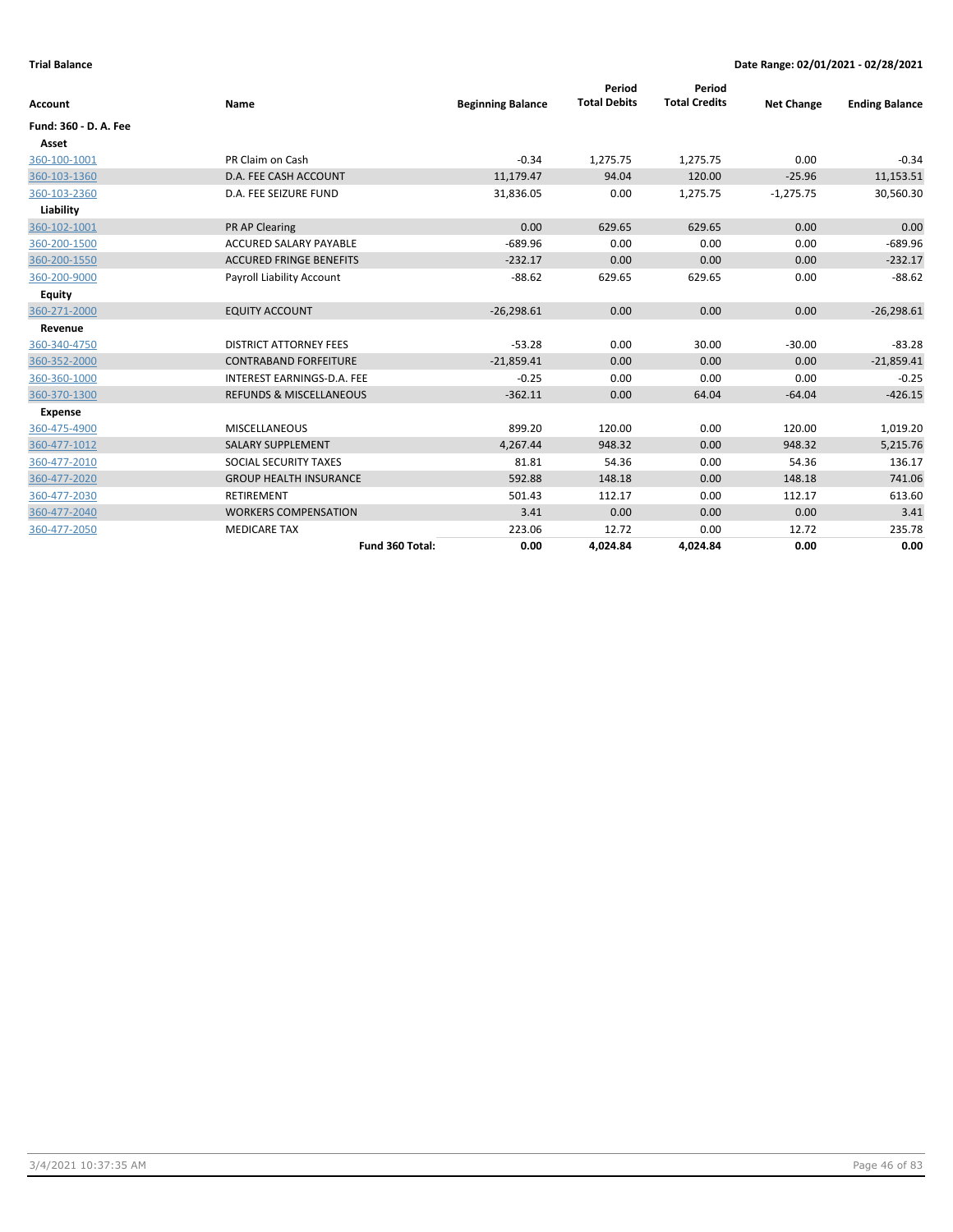| <b>Account</b>        | Name                               | <b>Beginning Balance</b> | Period<br><b>Total Debits</b> | Period<br><b>Total Credits</b> | <b>Net Change</b> | <b>Ending Balance</b> |
|-----------------------|------------------------------------|--------------------------|-------------------------------|--------------------------------|-------------------|-----------------------|
|                       |                                    |                          |                               |                                |                   |                       |
| Fund: 360 - D. A. Fee |                                    |                          |                               |                                |                   |                       |
| Asset                 |                                    |                          |                               |                                |                   |                       |
| 360-100-1001          | PR Claim on Cash                   | $-0.34$                  | 1,275.75                      | 1,275.75                       | 0.00              | $-0.34$               |
| 360-103-1360          | D.A. FEE CASH ACCOUNT              | 11,179.47                | 94.04                         | 120.00                         | $-25.96$          | 11,153.51             |
| 360-103-2360          | D.A. FEE SEIZURE FUND              | 31,836.05                | 0.00                          | 1,275.75                       | $-1,275.75$       | 30,560.30             |
| Liability             |                                    |                          |                               |                                |                   |                       |
| 360-102-1001          | <b>PR AP Clearing</b>              | 0.00                     | 629.65                        | 629.65                         | 0.00              | 0.00                  |
| 360-200-1500          | <b>ACCURED SALARY PAYABLE</b>      | $-689.96$                | 0.00                          | 0.00                           | 0.00              | $-689.96$             |
| 360-200-1550          | <b>ACCURED FRINGE BENEFITS</b>     | $-232.17$                | 0.00                          | 0.00                           | 0.00              | $-232.17$             |
| 360-200-9000          | Payroll Liability Account          | $-88.62$                 | 629.65                        | 629.65                         | 0.00              | $-88.62$              |
| <b>Equity</b>         |                                    |                          |                               |                                |                   |                       |
| 360-271-2000          | <b>EQUITY ACCOUNT</b>              | $-26,298.61$             | 0.00                          | 0.00                           | 0.00              | $-26,298.61$          |
| Revenue               |                                    |                          |                               |                                |                   |                       |
| 360-340-4750          | <b>DISTRICT ATTORNEY FEES</b>      | $-53.28$                 | 0.00                          | 30.00                          | $-30.00$          | $-83.28$              |
| 360-352-2000          | <b>CONTRABAND FORFEITURE</b>       | $-21,859.41$             | 0.00                          | 0.00                           | 0.00              | $-21,859.41$          |
| 360-360-1000          | INTEREST EARNINGS-D.A. FEE         | $-0.25$                  | 0.00                          | 0.00                           | 0.00              | $-0.25$               |
| 360-370-1300          | <b>REFUNDS &amp; MISCELLANEOUS</b> | $-362.11$                | 0.00                          | 64.04                          | $-64.04$          | $-426.15$             |
| <b>Expense</b>        |                                    |                          |                               |                                |                   |                       |
| 360-475-4900          | <b>MISCELLANEOUS</b>               | 899.20                   | 120.00                        | 0.00                           | 120.00            | 1,019.20              |
| 360-477-1012          | <b>SALARY SUPPLEMENT</b>           | 4,267.44                 | 948.32                        | 0.00                           | 948.32            | 5,215.76              |
| 360-477-2010          | SOCIAL SECURITY TAXES              | 81.81                    | 54.36                         | 0.00                           | 54.36             | 136.17                |
| 360-477-2020          | <b>GROUP HEALTH INSURANCE</b>      | 592.88                   | 148.18                        | 0.00                           | 148.18            | 741.06                |
| 360-477-2030          | <b>RETIREMENT</b>                  | 501.43                   | 112.17                        | 0.00                           | 112.17            | 613.60                |
| 360-477-2040          | <b>WORKERS COMPENSATION</b>        | 3.41                     | 0.00                          | 0.00                           | 0.00              | 3.41                  |
| 360-477-2050          | <b>MEDICARE TAX</b>                | 223.06                   | 12.72                         | 0.00                           | 12.72             | 235.78                |
|                       | Fund 360 Total:                    | 0.00                     | 4,024.84                      | 4,024.84                       | 0.00              | 0.00                  |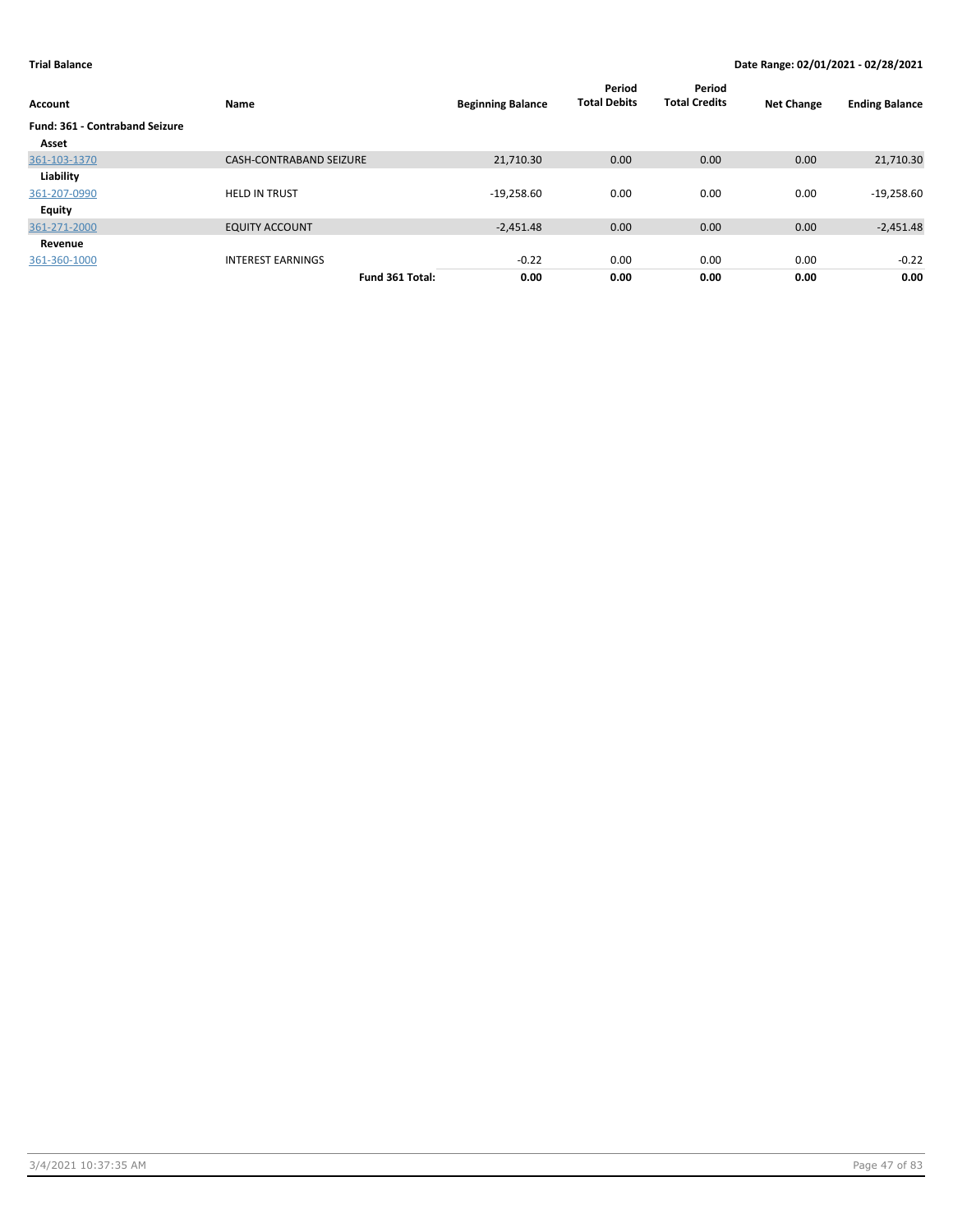| Account                               | Name                           | <b>Beginning Balance</b> | Period<br><b>Total Debits</b> | Period<br><b>Total Credits</b> | <b>Net Change</b> | <b>Ending Balance</b> |
|---------------------------------------|--------------------------------|--------------------------|-------------------------------|--------------------------------|-------------------|-----------------------|
| <b>Fund: 361 - Contraband Seizure</b> |                                |                          |                               |                                |                   |                       |
| Asset                                 |                                |                          |                               |                                |                   |                       |
| 361-103-1370                          | <b>CASH-CONTRABAND SEIZURE</b> | 21,710.30                | 0.00                          | 0.00                           | 0.00              | 21,710.30             |
| Liability                             |                                |                          |                               |                                |                   |                       |
| 361-207-0990                          | <b>HELD IN TRUST</b>           | $-19,258.60$             | 0.00                          | 0.00                           | 0.00              | $-19,258.60$          |
| Equity                                |                                |                          |                               |                                |                   |                       |
| 361-271-2000                          | <b>EQUITY ACCOUNT</b>          | $-2.451.48$              | 0.00                          | 0.00                           | 0.00              | $-2,451.48$           |
| Revenue                               |                                |                          |                               |                                |                   |                       |
| 361-360-1000                          | <b>INTEREST EARNINGS</b>       | $-0.22$                  | 0.00                          | 0.00                           | 0.00              | $-0.22$               |
|                                       | Fund 361 Total:                | 0.00                     | 0.00                          | 0.00                           | 0.00              | 0.00                  |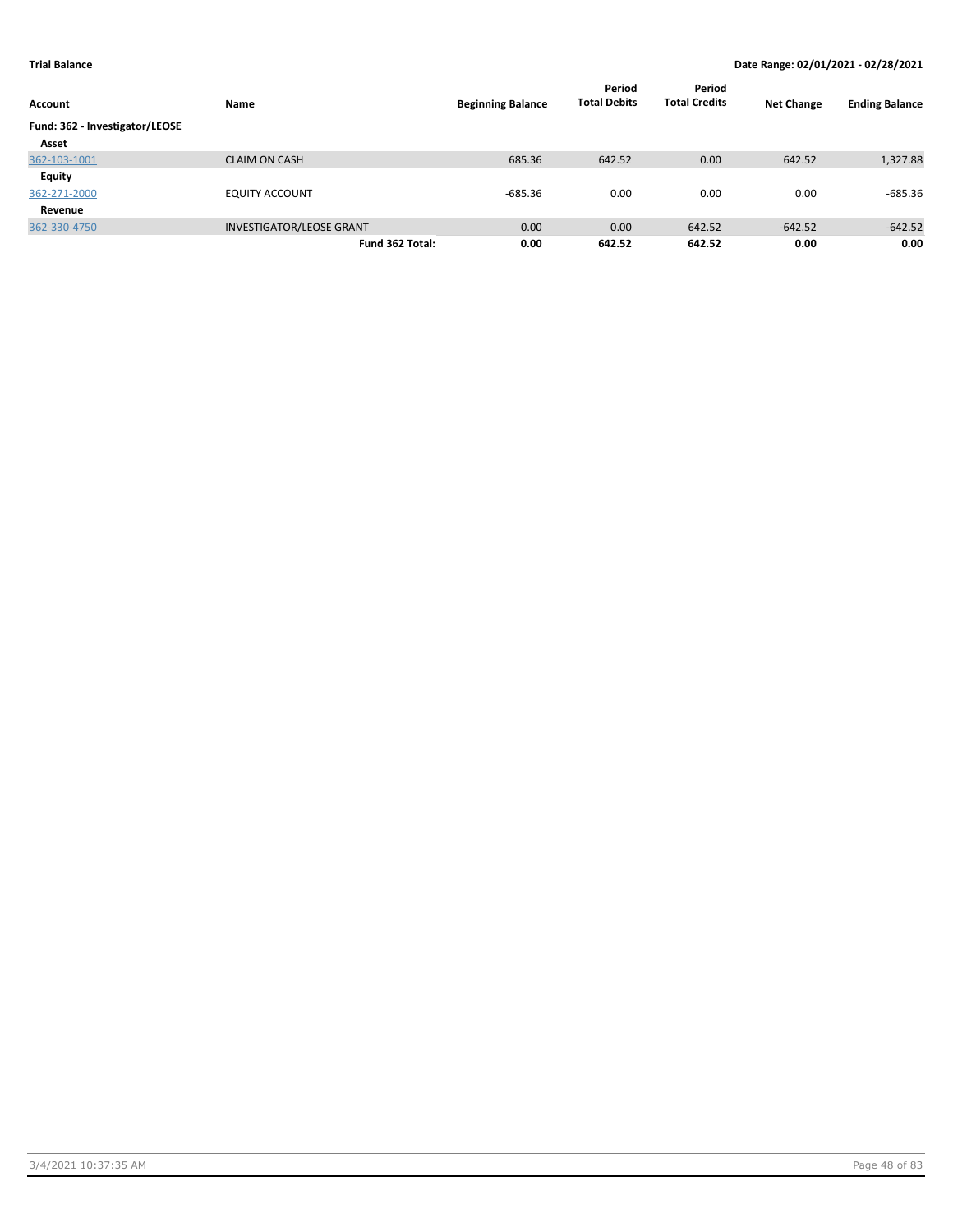| Account                        | Name                            | <b>Beginning Balance</b> | Period<br><b>Total Debits</b> | Period<br><b>Total Credits</b> | <b>Net Change</b> | <b>Ending Balance</b> |
|--------------------------------|---------------------------------|--------------------------|-------------------------------|--------------------------------|-------------------|-----------------------|
| Fund: 362 - Investigator/LEOSE |                                 |                          |                               |                                |                   |                       |
| Asset                          |                                 |                          |                               |                                |                   |                       |
| 362-103-1001                   | <b>CLAIM ON CASH</b>            | 685.36                   | 642.52                        | 0.00                           | 642.52            | 1,327.88              |
| Equity                         |                                 |                          |                               |                                |                   |                       |
| 362-271-2000                   | <b>EQUITY ACCOUNT</b>           | $-685.36$                | 0.00                          | 0.00                           | 0.00              | $-685.36$             |
| Revenue                        |                                 |                          |                               |                                |                   |                       |
| 362-330-4750                   | <b>INVESTIGATOR/LEOSE GRANT</b> | 0.00                     | 0.00                          | 642.52                         | $-642.52$         | $-642.52$             |
|                                | Fund 362 Total:                 | 0.00                     | 642.52                        | 642.52                         | 0.00              | 0.00                  |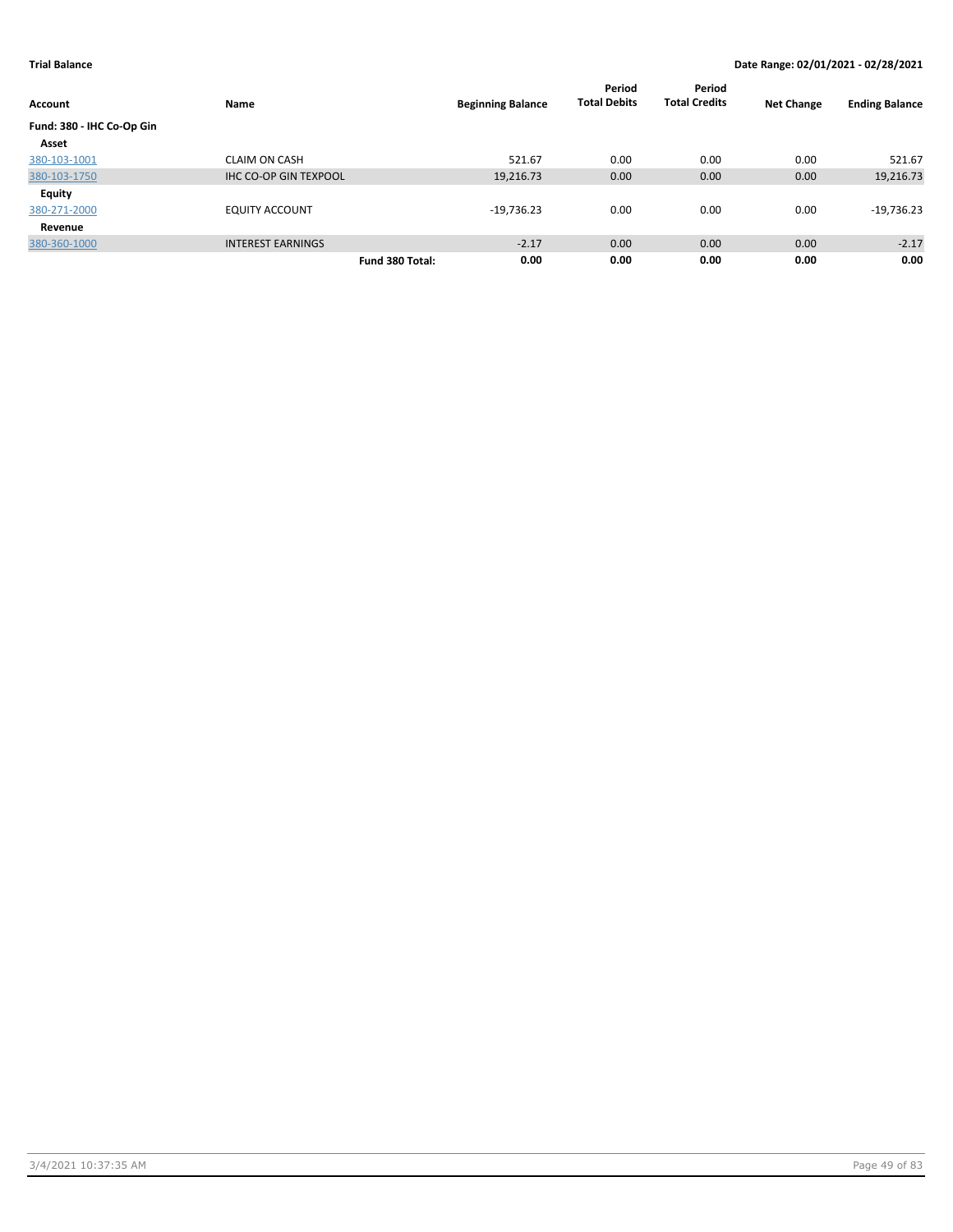|                           |                              |                 |                          | Period<br><b>Total Debits</b> | Period<br><b>Total Credits</b> |                   |                       |
|---------------------------|------------------------------|-----------------|--------------------------|-------------------------------|--------------------------------|-------------------|-----------------------|
| <b>Account</b>            | Name                         |                 | <b>Beginning Balance</b> |                               |                                | <b>Net Change</b> | <b>Ending Balance</b> |
| Fund: 380 - IHC Co-Op Gin |                              |                 |                          |                               |                                |                   |                       |
| Asset                     |                              |                 |                          |                               |                                |                   |                       |
| 380-103-1001              | <b>CLAIM ON CASH</b>         |                 | 521.67                   | 0.00                          | 0.00                           | 0.00              | 521.67                |
| 380-103-1750              | <b>IHC CO-OP GIN TEXPOOL</b> |                 | 19,216.73                | 0.00                          | 0.00                           | 0.00              | 19,216.73             |
| <b>Equity</b>             |                              |                 |                          |                               |                                |                   |                       |
| 380-271-2000              | <b>EQUITY ACCOUNT</b>        |                 | $-19,736.23$             | 0.00                          | 0.00                           | 0.00              | $-19,736.23$          |
| Revenue                   |                              |                 |                          |                               |                                |                   |                       |
| 380-360-1000              | <b>INTEREST EARNINGS</b>     |                 | $-2.17$                  | 0.00                          | 0.00                           | 0.00              | $-2.17$               |
|                           |                              | Fund 380 Total: | 0.00                     | 0.00                          | 0.00                           | 0.00              | 0.00                  |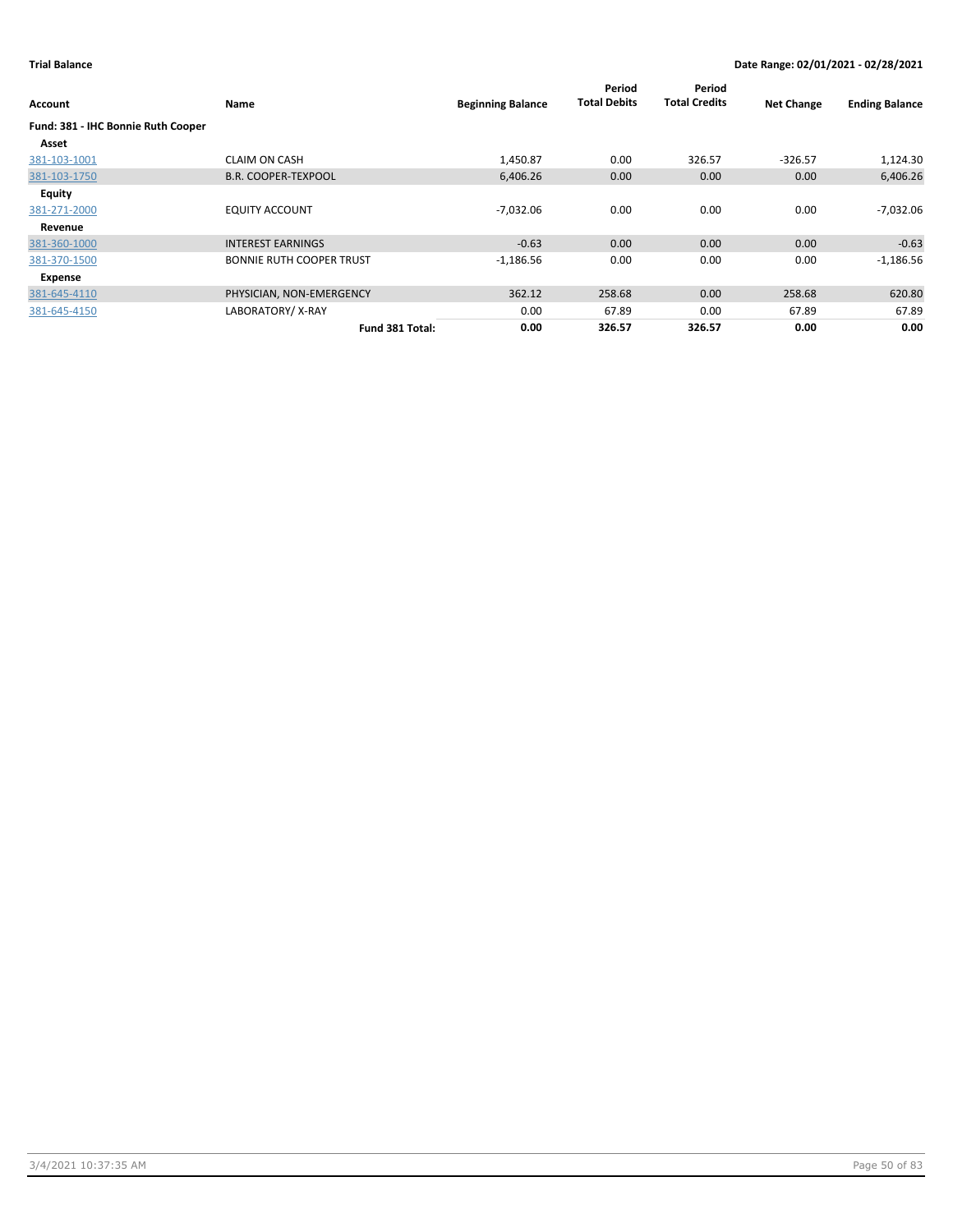| Account                            | <b>Name</b>                     | <b>Beginning Balance</b> | Period<br><b>Total Debits</b> | Period<br><b>Total Credits</b> | <b>Net Change</b> | <b>Ending Balance</b> |
|------------------------------------|---------------------------------|--------------------------|-------------------------------|--------------------------------|-------------------|-----------------------|
| Fund: 381 - IHC Bonnie Ruth Cooper |                                 |                          |                               |                                |                   |                       |
| Asset                              |                                 |                          |                               |                                |                   |                       |
| 381-103-1001                       | <b>CLAIM ON CASH</b>            | 1,450.87                 | 0.00                          | 326.57                         | $-326.57$         | 1,124.30              |
| 381-103-1750                       | <b>B.R. COOPER-TEXPOOL</b>      | 6,406.26                 | 0.00                          | 0.00                           | 0.00              | 6,406.26              |
| Equity                             |                                 |                          |                               |                                |                   |                       |
| 381-271-2000                       | <b>EQUITY ACCOUNT</b>           | $-7,032.06$              | 0.00                          | 0.00                           | 0.00              | -7,032.06             |
| Revenue                            |                                 |                          |                               |                                |                   |                       |
| 381-360-1000                       | <b>INTEREST EARNINGS</b>        | $-0.63$                  | 0.00                          | 0.00                           | 0.00              | $-0.63$               |
| 381-370-1500                       | <b>BONNIE RUTH COOPER TRUST</b> | $-1,186.56$              | 0.00                          | 0.00                           | 0.00              | $-1,186.56$           |
| Expense                            |                                 |                          |                               |                                |                   |                       |
| 381-645-4110                       | PHYSICIAN, NON-EMERGENCY        | 362.12                   | 258.68                        | 0.00                           | 258.68            | 620.80                |
| 381-645-4150                       | LABORATORY/X-RAY                | 0.00                     | 67.89                         | 0.00                           | 67.89             | 67.89                 |
|                                    | Fund 381 Total:                 | 0.00                     | 326.57                        | 326.57                         | 0.00              | 0.00                  |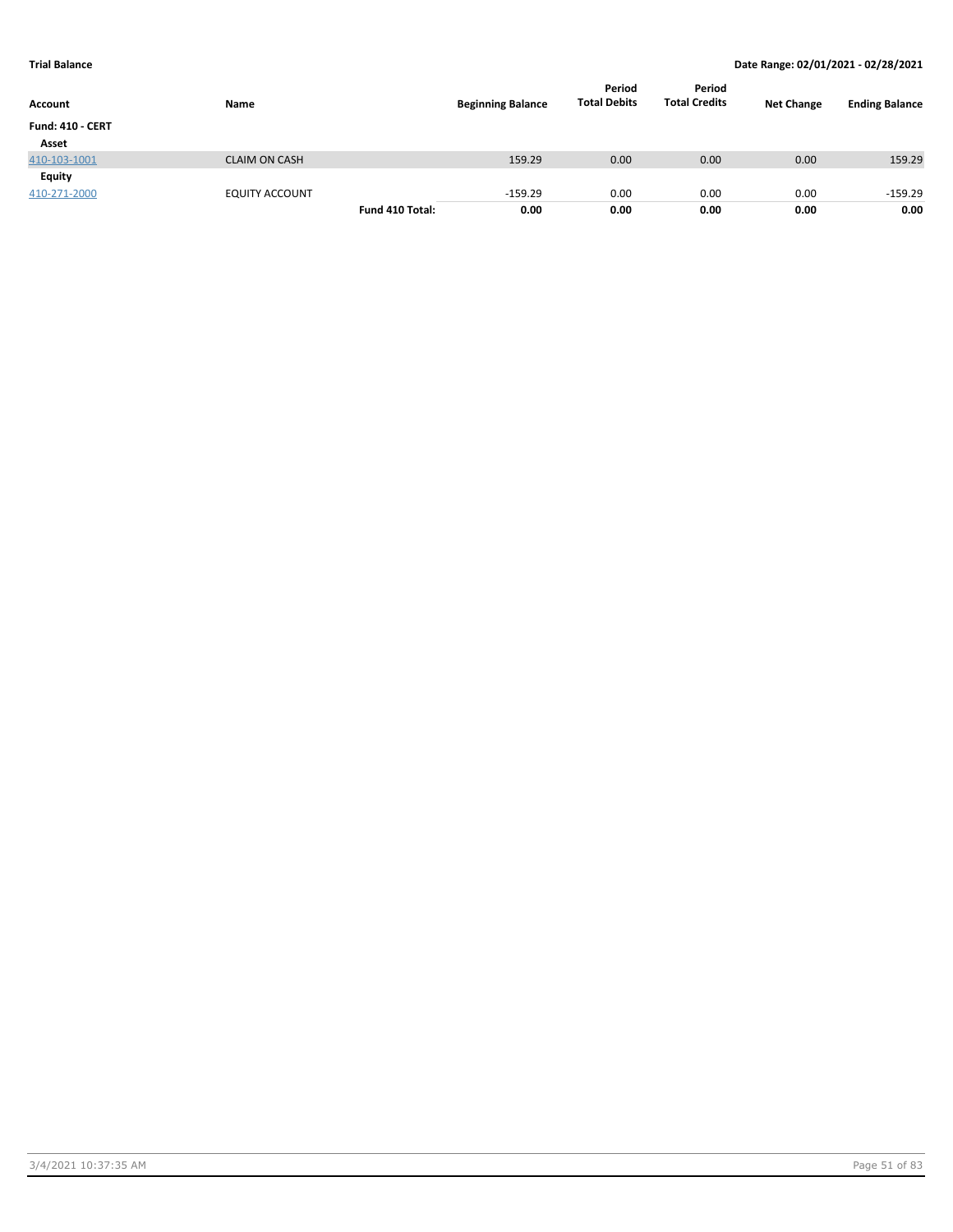| Account                 | Name                  |                 | <b>Beginning Balance</b> | Period<br><b>Total Debits</b> | Period<br><b>Total Credits</b> | <b>Net Change</b> | <b>Ending Balance</b> |
|-------------------------|-----------------------|-----------------|--------------------------|-------------------------------|--------------------------------|-------------------|-----------------------|
| <b>Fund: 410 - CERT</b> |                       |                 |                          |                               |                                |                   |                       |
| Asset                   |                       |                 |                          |                               |                                |                   |                       |
| 410-103-1001            | <b>CLAIM ON CASH</b>  |                 | 159.29                   | 0.00                          | 0.00                           | 0.00              | 159.29                |
| Equity                  |                       |                 |                          |                               |                                |                   |                       |
| 410-271-2000            | <b>EQUITY ACCOUNT</b> |                 | $-159.29$                | 0.00                          | 0.00                           | 0.00              | $-159.29$             |
|                         |                       | Fund 410 Total: | 0.00                     | 0.00                          | 0.00                           | 0.00              | 0.00                  |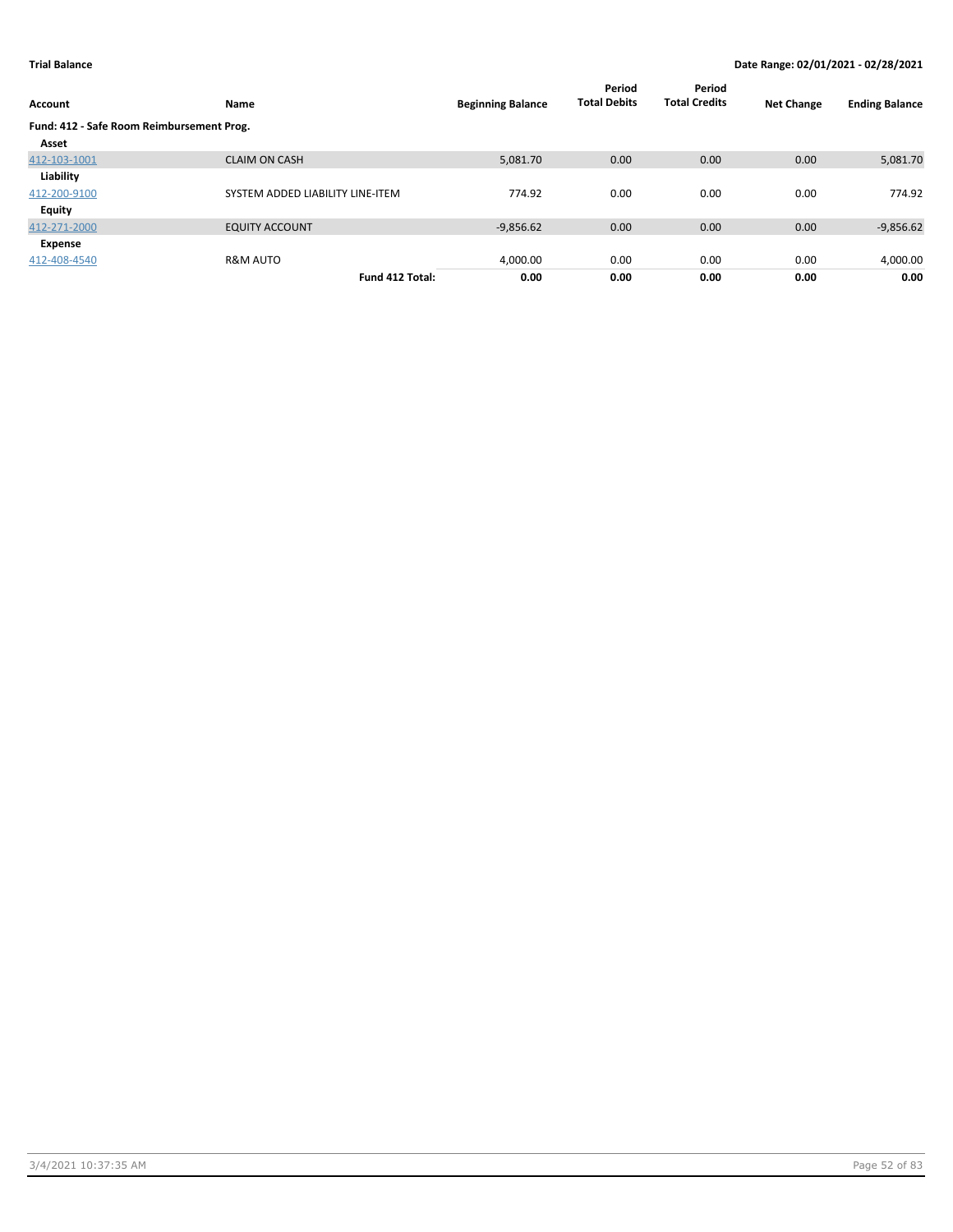| Account                                   | Name                             | <b>Beginning Balance</b> | Period<br><b>Total Debits</b> | Period<br><b>Total Credits</b> | <b>Net Change</b> | <b>Ending Balance</b> |
|-------------------------------------------|----------------------------------|--------------------------|-------------------------------|--------------------------------|-------------------|-----------------------|
| Fund: 412 - Safe Room Reimbursement Prog. |                                  |                          |                               |                                |                   |                       |
| Asset                                     |                                  |                          |                               |                                |                   |                       |
| 412-103-1001                              | <b>CLAIM ON CASH</b>             | 5.081.70                 | 0.00                          | 0.00                           | 0.00              | 5,081.70              |
| Liability                                 |                                  |                          |                               |                                |                   |                       |
| 412-200-9100                              | SYSTEM ADDED LIABILITY LINE-ITEM | 774.92                   | 0.00                          | 0.00                           | 0.00              | 774.92                |
| <b>Equity</b>                             |                                  |                          |                               |                                |                   |                       |
| 412-271-2000                              | <b>EQUITY ACCOUNT</b>            | $-9,856.62$              | 0.00                          | 0.00                           | 0.00              | $-9,856.62$           |
| Expense                                   |                                  |                          |                               |                                |                   |                       |
| 412-408-4540                              | <b>R&amp;M AUTO</b>              | 4,000.00                 | 0.00                          | 0.00                           | 0.00              | 4,000.00              |
|                                           | Fund 412 Total:                  | 0.00                     | 0.00                          | 0.00                           | 0.00              | 0.00                  |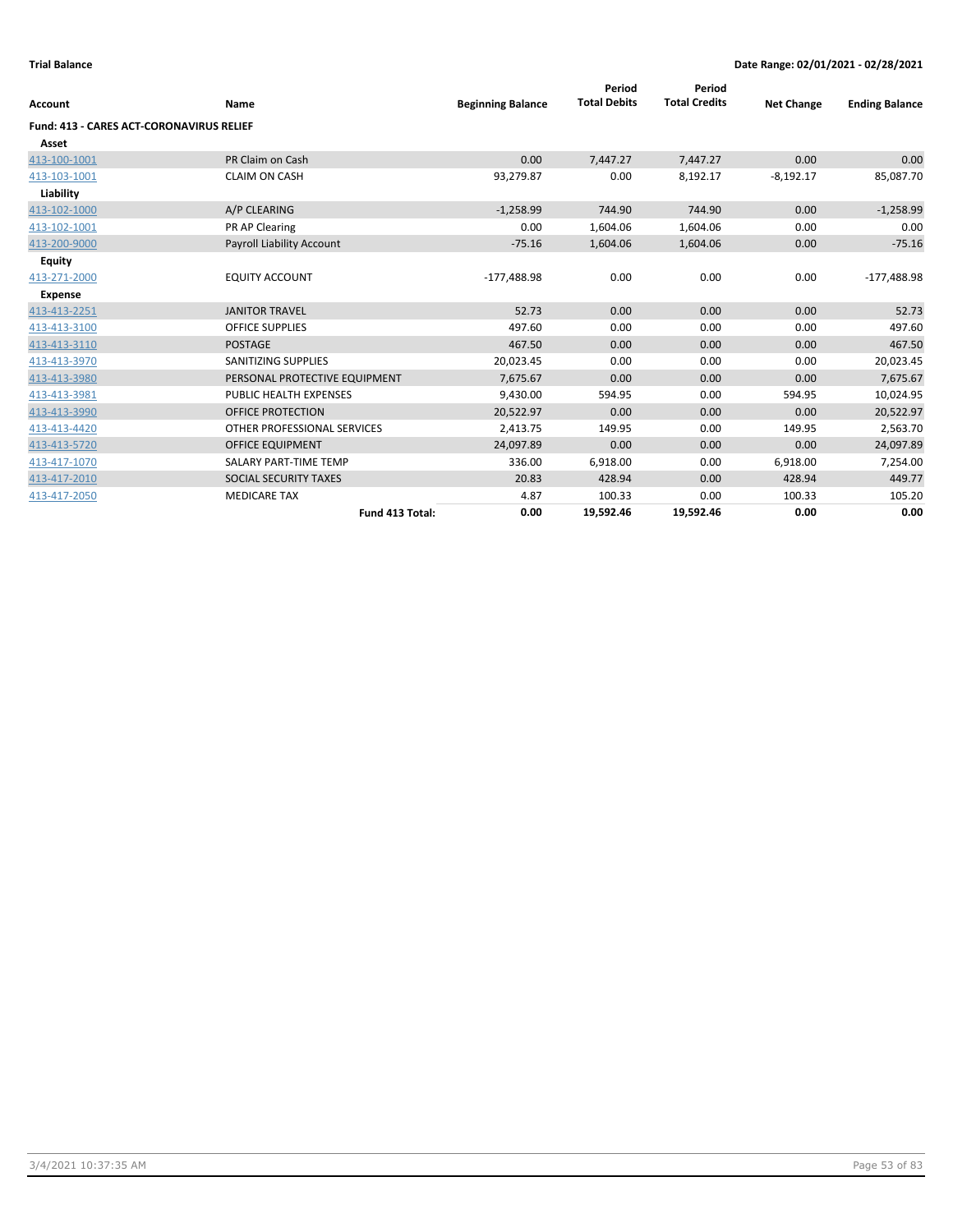| <b>Account</b>                           | Name                          | <b>Beginning Balance</b> | Period<br><b>Total Debits</b> | Period<br><b>Total Credits</b> | <b>Net Change</b> | <b>Ending Balance</b> |
|------------------------------------------|-------------------------------|--------------------------|-------------------------------|--------------------------------|-------------------|-----------------------|
| Fund: 413 - CARES ACT-CORONAVIRUS RELIEF |                               |                          |                               |                                |                   |                       |
| Asset                                    |                               |                          |                               |                                |                   |                       |
| 413-100-1001                             | PR Claim on Cash              | 0.00                     | 7,447.27                      | 7,447.27                       | 0.00              | 0.00                  |
| 413-103-1001                             | <b>CLAIM ON CASH</b>          | 93,279.87                | 0.00                          | 8,192.17                       | $-8,192.17$       | 85,087.70             |
| Liability                                |                               |                          |                               |                                |                   |                       |
| 413-102-1000                             | A/P CLEARING                  | $-1,258.99$              | 744.90                        | 744.90                         | 0.00              | $-1,258.99$           |
| 413-102-1001                             | PR AP Clearing                | 0.00                     | 1,604.06                      | 1,604.06                       | 0.00              | 0.00                  |
| 413-200-9000                             | Payroll Liability Account     | $-75.16$                 | 1,604.06                      | 1,604.06                       | 0.00              | $-75.16$              |
| Equity                                   |                               |                          |                               |                                |                   |                       |
| 413-271-2000                             | <b>EQUITY ACCOUNT</b>         | $-177,488.98$            | 0.00                          | 0.00                           | 0.00              | $-177,488.98$         |
| <b>Expense</b>                           |                               |                          |                               |                                |                   |                       |
| 413-413-2251                             | <b>JANITOR TRAVEL</b>         | 52.73                    | 0.00                          | 0.00                           | 0.00              | 52.73                 |
| 413-413-3100                             | <b>OFFICE SUPPLIES</b>        | 497.60                   | 0.00                          | 0.00                           | 0.00              | 497.60                |
| 413-413-3110                             | <b>POSTAGE</b>                | 467.50                   | 0.00                          | 0.00                           | 0.00              | 467.50                |
| 413-413-3970                             | <b>SANITIZING SUPPLIES</b>    | 20,023.45                | 0.00                          | 0.00                           | 0.00              | 20,023.45             |
| 413-413-3980                             | PERSONAL PROTECTIVE EQUIPMENT | 7,675.67                 | 0.00                          | 0.00                           | 0.00              | 7,675.67              |
| 413-413-3981                             | PUBLIC HEALTH EXPENSES        | 9,430.00                 | 594.95                        | 0.00                           | 594.95            | 10,024.95             |
| 413-413-3990                             | <b>OFFICE PROTECTION</b>      | 20,522.97                | 0.00                          | 0.00                           | 0.00              | 20,522.97             |
| 413-413-4420                             | OTHER PROFESSIONAL SERVICES   | 2,413.75                 | 149.95                        | 0.00                           | 149.95            | 2,563.70              |
| 413-413-5720                             | <b>OFFICE EQUIPMENT</b>       | 24,097.89                | 0.00                          | 0.00                           | 0.00              | 24,097.89             |
| 413-417-1070                             | SALARY PART-TIME TEMP         | 336.00                   | 6,918.00                      | 0.00                           | 6,918.00          | 7,254.00              |
| 413-417-2010                             | SOCIAL SECURITY TAXES         | 20.83                    | 428.94                        | 0.00                           | 428.94            | 449.77                |
| 413-417-2050                             | <b>MEDICARE TAX</b>           | 4.87                     | 100.33                        | 0.00                           | 100.33            | 105.20                |
|                                          | Fund 413 Total:               | 0.00                     | 19,592.46                     | 19,592.46                      | 0.00              | 0.00                  |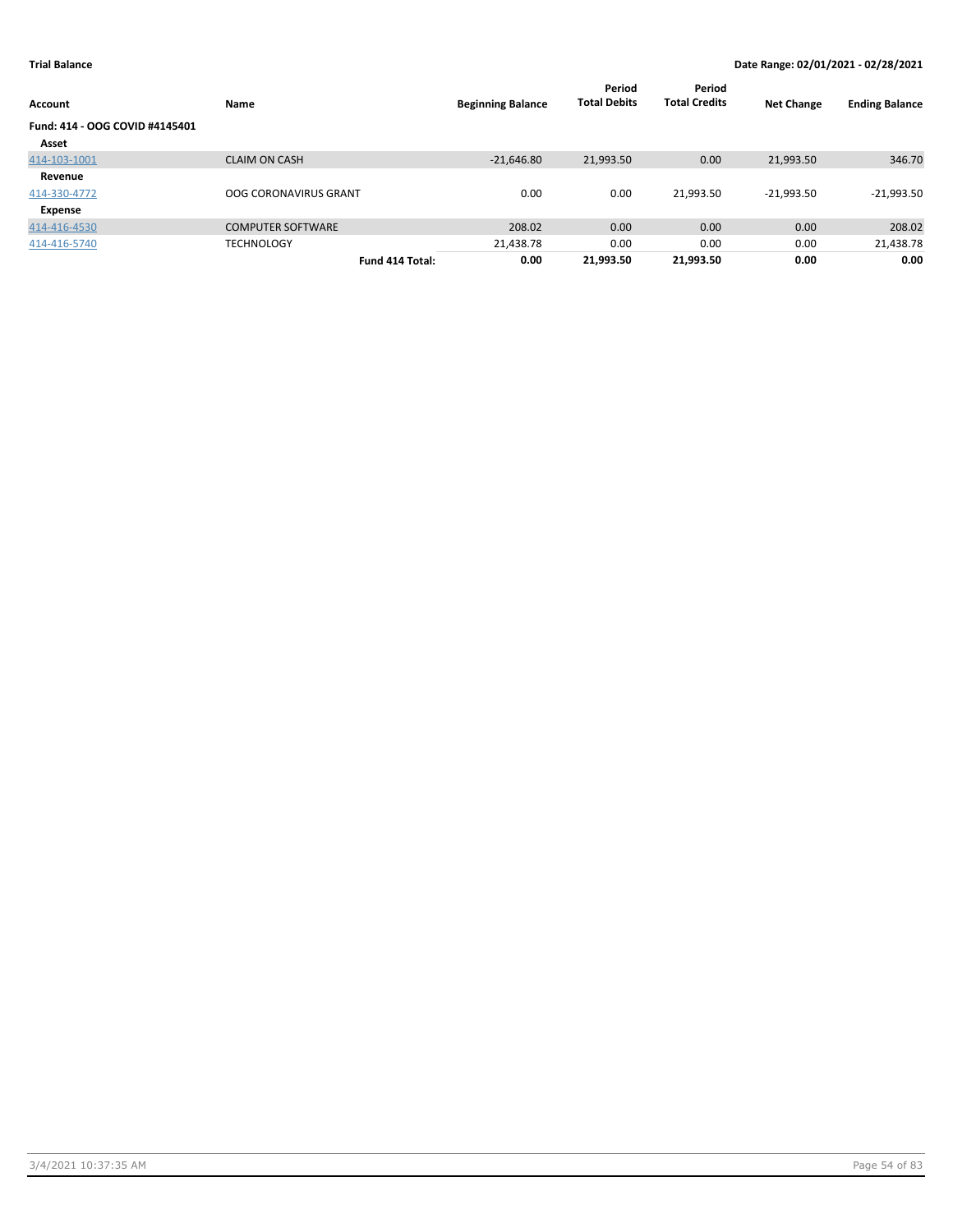| Account                        | Name                         | <b>Beginning Balance</b> | Period<br><b>Total Debits</b> | Period<br><b>Total Credits</b> | <b>Net Change</b> | <b>Ending Balance</b> |
|--------------------------------|------------------------------|--------------------------|-------------------------------|--------------------------------|-------------------|-----------------------|
| Fund: 414 - OOG COVID #4145401 |                              |                          |                               |                                |                   |                       |
| Asset                          |                              |                          |                               |                                |                   |                       |
| 414-103-1001                   | <b>CLAIM ON CASH</b>         | $-21,646.80$             | 21,993.50                     | 0.00                           | 21,993.50         | 346.70                |
| Revenue                        |                              |                          |                               |                                |                   |                       |
| 414-330-4772                   | <b>OOG CORONAVIRUS GRANT</b> | 0.00                     | 0.00                          | 21.993.50                      | $-21.993.50$      | $-21,993.50$          |
| Expense                        |                              |                          |                               |                                |                   |                       |
| 414-416-4530                   | <b>COMPUTER SOFTWARE</b>     | 208.02                   | 0.00                          | 0.00                           | 0.00              | 208.02                |
| 414-416-5740                   | <b>TECHNOLOGY</b>            | 21,438.78                | 0.00                          | 0.00                           | 0.00              | 21,438.78             |
|                                | Fund 414 Total:              | 0.00                     | 21,993.50                     | 21,993.50                      | 0.00              | 0.00                  |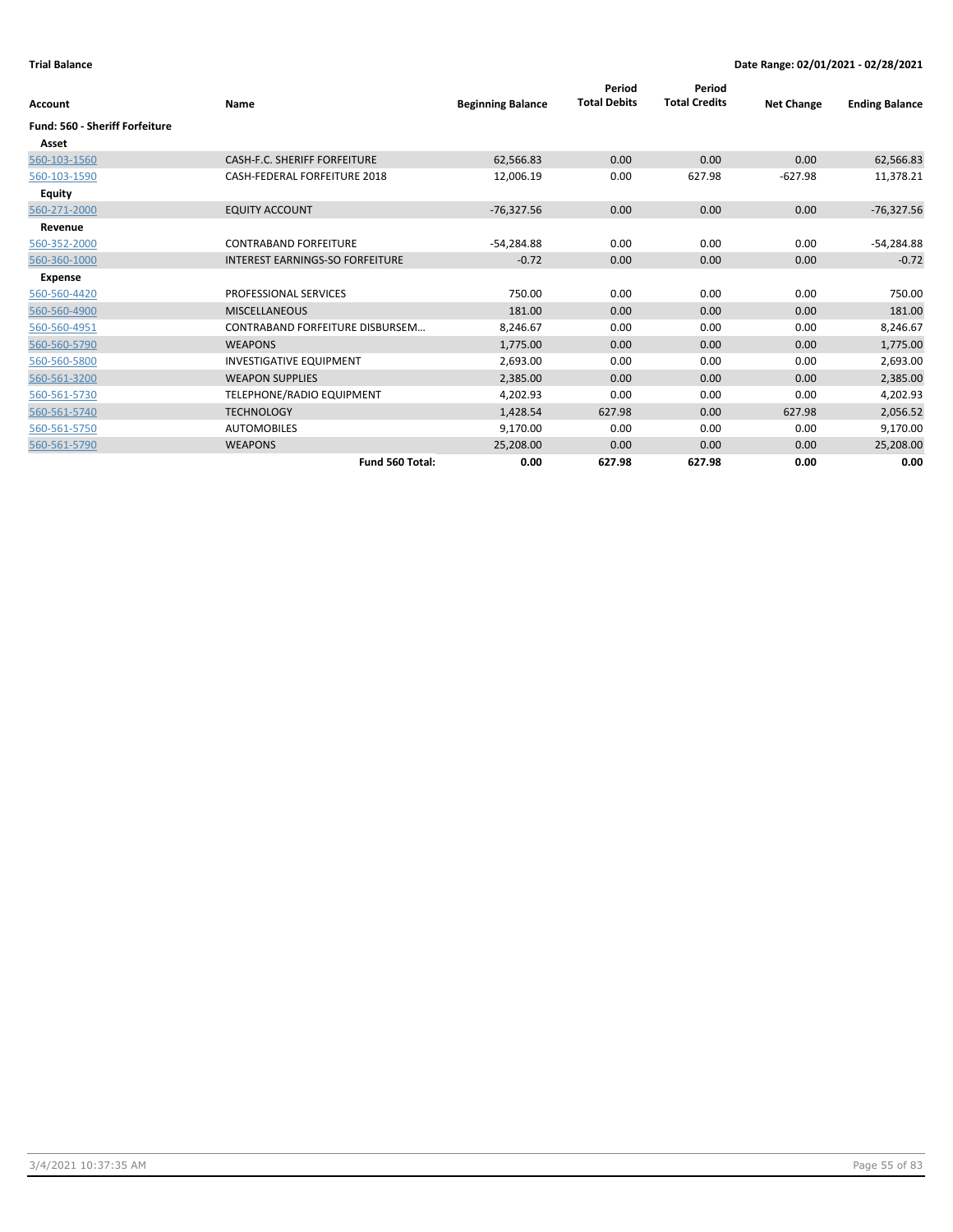| Account                               | Name                                   | <b>Beginning Balance</b> | Period<br><b>Total Debits</b> | Period<br><b>Total Credits</b> | <b>Net Change</b> | <b>Ending Balance</b> |
|---------------------------------------|----------------------------------------|--------------------------|-------------------------------|--------------------------------|-------------------|-----------------------|
| <b>Fund: 560 - Sheriff Forfeiture</b> |                                        |                          |                               |                                |                   |                       |
| Asset                                 |                                        |                          |                               |                                |                   |                       |
| 560-103-1560                          | <b>CASH-F.C. SHERIFF FORFEITURE</b>    | 62,566.83                | 0.00                          | 0.00                           | 0.00              | 62,566.83             |
| 560-103-1590                          | CASH-FEDERAL FORFEITURE 2018           | 12,006.19                | 0.00                          | 627.98                         | $-627.98$         | 11,378.21             |
| <b>Equity</b>                         |                                        |                          |                               |                                |                   |                       |
| 560-271-2000                          | <b>EQUITY ACCOUNT</b>                  | $-76,327.56$             | 0.00                          | 0.00                           | 0.00              | $-76,327.56$          |
| Revenue                               |                                        |                          |                               |                                |                   |                       |
| 560-352-2000                          | <b>CONTRABAND FORFEITURE</b>           | -54,284.88               | 0.00                          | 0.00                           | 0.00              | -54,284.88            |
| 560-360-1000                          | <b>INTEREST EARNINGS-SO FORFEITURE</b> | $-0.72$                  | 0.00                          | 0.00                           | 0.00              | $-0.72$               |
| <b>Expense</b>                        |                                        |                          |                               |                                |                   |                       |
| 560-560-4420                          | PROFESSIONAL SERVICES                  | 750.00                   | 0.00                          | 0.00                           | 0.00              | 750.00                |
| 560-560-4900                          | <b>MISCELLANEOUS</b>                   | 181.00                   | 0.00                          | 0.00                           | 0.00              | 181.00                |
| 560-560-4951                          | <b>CONTRABAND FORFEITURE DISBURSEM</b> | 8,246.67                 | 0.00                          | 0.00                           | 0.00              | 8,246.67              |
| 560-560-5790                          | <b>WEAPONS</b>                         | 1,775.00                 | 0.00                          | 0.00                           | 0.00              | 1,775.00              |
| 560-560-5800                          | <b>INVESTIGATIVE EQUIPMENT</b>         | 2,693.00                 | 0.00                          | 0.00                           | 0.00              | 2,693.00              |
| 560-561-3200                          | <b>WEAPON SUPPLIES</b>                 | 2,385.00                 | 0.00                          | 0.00                           | 0.00              | 2,385.00              |
| 560-561-5730                          | TELEPHONE/RADIO EQUIPMENT              | 4,202.93                 | 0.00                          | 0.00                           | 0.00              | 4,202.93              |
| 560-561-5740                          | <b>TECHNOLOGY</b>                      | 1,428.54                 | 627.98                        | 0.00                           | 627.98            | 2,056.52              |
| 560-561-5750                          | <b>AUTOMOBILES</b>                     | 9,170.00                 | 0.00                          | 0.00                           | 0.00              | 9,170.00              |
| 560-561-5790                          | <b>WEAPONS</b>                         | 25,208.00                | 0.00                          | 0.00                           | 0.00              | 25,208.00             |
|                                       | Fund 560 Total:                        | 0.00                     | 627.98                        | 627.98                         | 0.00              | 0.00                  |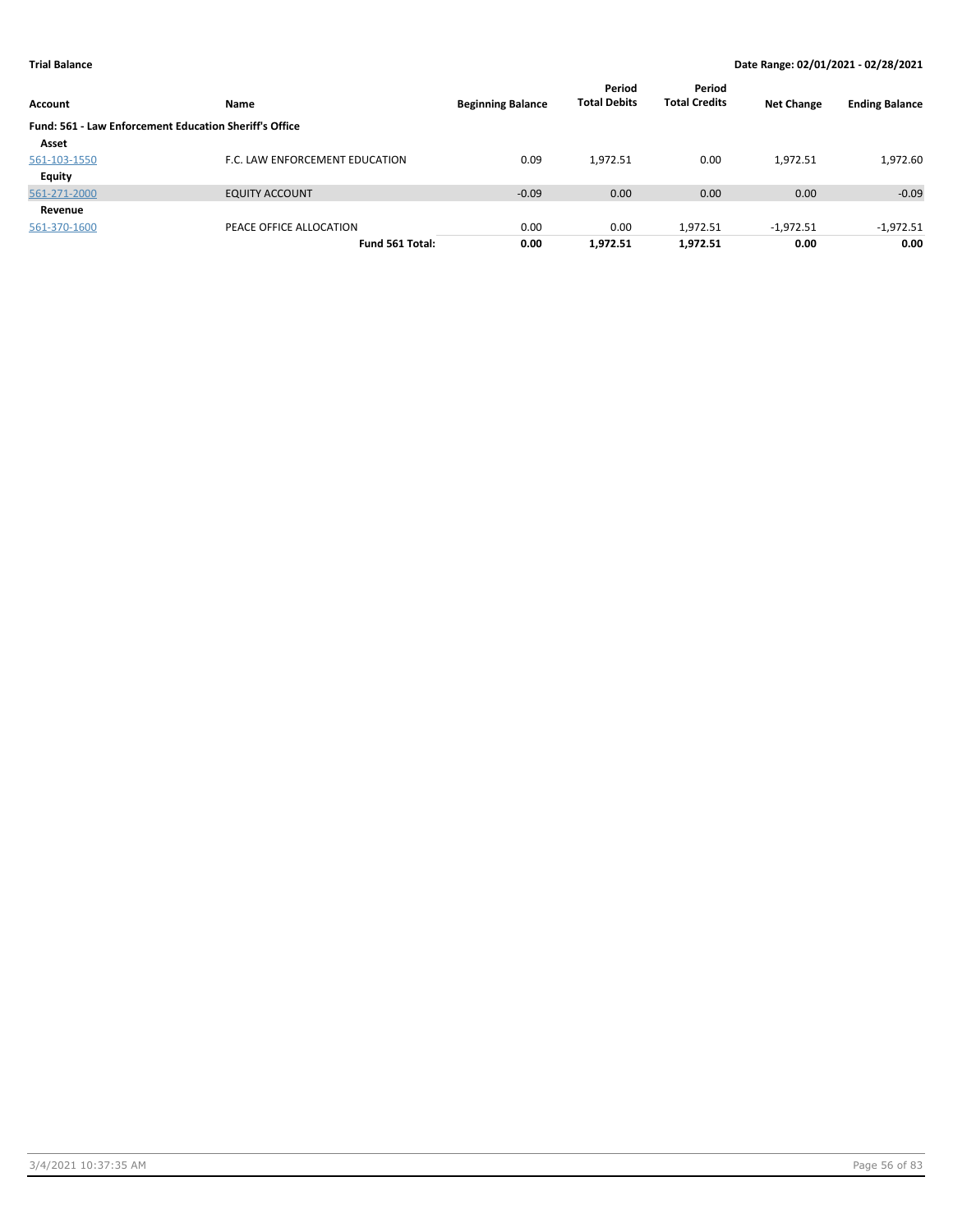| Account       | <b>Name</b>                                            | <b>Beginning Balance</b> | Period<br><b>Total Debits</b> | Period<br><b>Total Credits</b> | <b>Net Change</b> | <b>Ending Balance</b> |
|---------------|--------------------------------------------------------|--------------------------|-------------------------------|--------------------------------|-------------------|-----------------------|
|               | Fund: 561 - Law Enforcement Education Sheriff's Office |                          |                               |                                |                   |                       |
| Asset         |                                                        |                          |                               |                                |                   |                       |
| 561-103-1550  | F.C. LAW ENFORCEMENT EDUCATION                         | 0.09                     | 1.972.51                      | 0.00                           | 1.972.51          | 1,972.60              |
| <b>Equity</b> |                                                        |                          |                               |                                |                   |                       |
| 561-271-2000  | <b>EQUITY ACCOUNT</b>                                  | $-0.09$                  | 0.00                          | 0.00                           | 0.00              | $-0.09$               |
| Revenue       |                                                        |                          |                               |                                |                   |                       |
| 561-370-1600  | PEACE OFFICE ALLOCATION                                | 0.00                     | 0.00                          | 1,972.51                       | $-1,972.51$       | $-1,972.51$           |
|               | Fund 561 Total:                                        | 0.00                     | 1,972.51                      | 1,972.51                       | 0.00              | 0.00                  |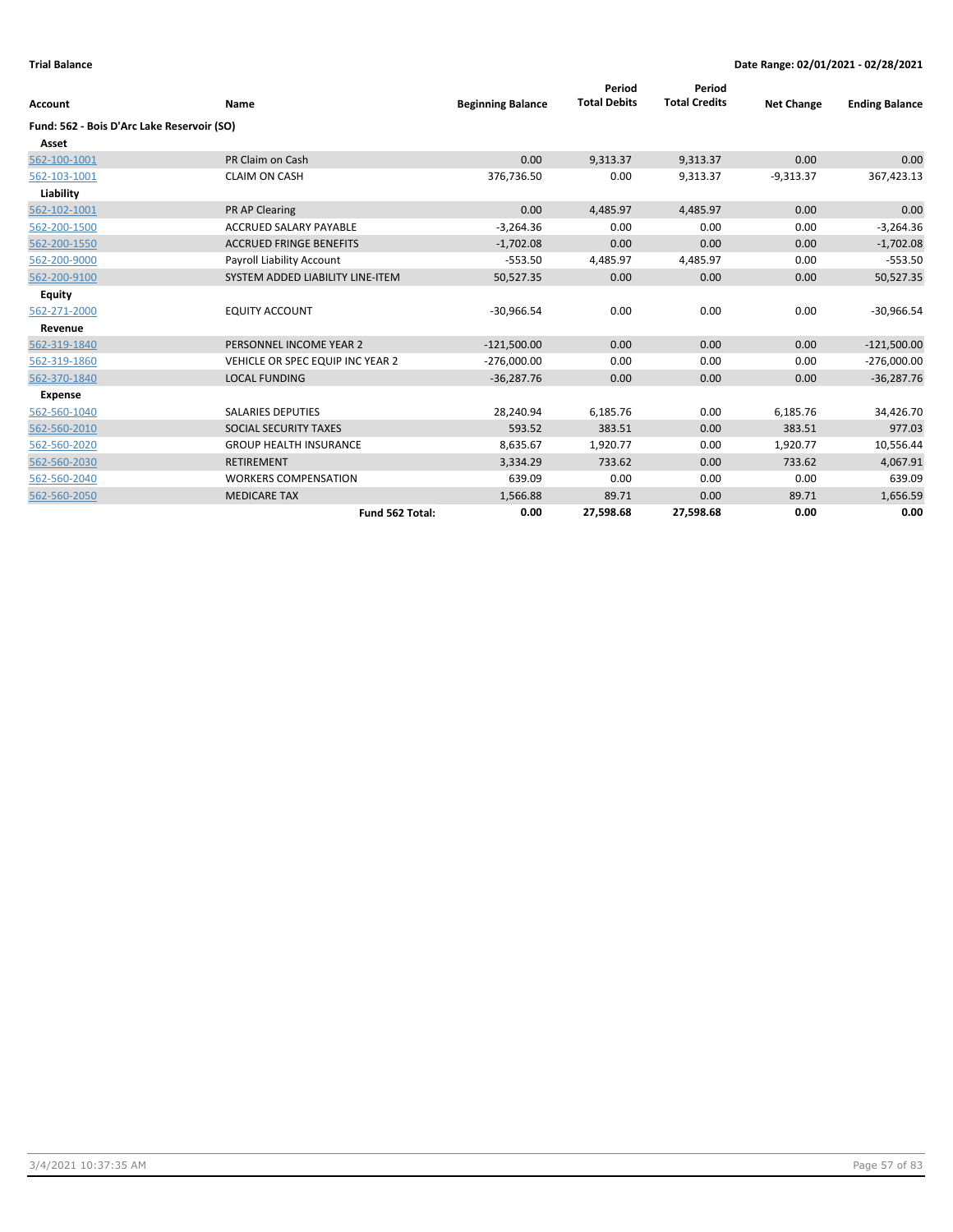| <b>Account</b>                             | Name                             | <b>Beginning Balance</b> | Period<br><b>Total Debits</b> | Period<br><b>Total Credits</b> | <b>Net Change</b> | <b>Ending Balance</b> |
|--------------------------------------------|----------------------------------|--------------------------|-------------------------------|--------------------------------|-------------------|-----------------------|
| Fund: 562 - Bois D'Arc Lake Reservoir (SO) |                                  |                          |                               |                                |                   |                       |
| Asset                                      |                                  |                          |                               |                                |                   |                       |
| 562-100-1001                               | PR Claim on Cash                 | 0.00                     | 9,313.37                      | 9,313.37                       | 0.00              | 0.00                  |
| 562-103-1001                               | <b>CLAIM ON CASH</b>             | 376,736.50               | 0.00                          | 9,313.37                       | $-9,313.37$       | 367,423.13            |
| Liability                                  |                                  |                          |                               |                                |                   |                       |
| 562-102-1001                               | PR AP Clearing                   | 0.00                     | 4,485.97                      | 4,485.97                       | 0.00              | 0.00                  |
| 562-200-1500                               | <b>ACCRUED SALARY PAYABLE</b>    | $-3,264.36$              | 0.00                          | 0.00                           | 0.00              | $-3,264.36$           |
| 562-200-1550                               | <b>ACCRUED FRINGE BENEFITS</b>   | $-1,702.08$              | 0.00                          | 0.00                           | 0.00              | $-1,702.08$           |
| 562-200-9000                               | Payroll Liability Account        | $-553.50$                | 4,485.97                      | 4,485.97                       | 0.00              | $-553.50$             |
| 562-200-9100                               | SYSTEM ADDED LIABILITY LINE-ITEM | 50,527.35                | 0.00                          | 0.00                           | 0.00              | 50,527.35             |
| <b>Equity</b>                              |                                  |                          |                               |                                |                   |                       |
| 562-271-2000                               | <b>EQUITY ACCOUNT</b>            | $-30,966.54$             | 0.00                          | 0.00                           | 0.00              | $-30,966.54$          |
| Revenue                                    |                                  |                          |                               |                                |                   |                       |
| 562-319-1840                               | PERSONNEL INCOME YEAR 2          | $-121,500.00$            | 0.00                          | 0.00                           | 0.00              | $-121,500.00$         |
| 562-319-1860                               | VEHICLE OR SPEC EQUIP INC YEAR 2 | $-276,000.00$            | 0.00                          | 0.00                           | 0.00              | $-276,000.00$         |
| 562-370-1840                               | <b>LOCAL FUNDING</b>             | $-36,287.76$             | 0.00                          | 0.00                           | 0.00              | $-36,287.76$          |
| <b>Expense</b>                             |                                  |                          |                               |                                |                   |                       |
| 562-560-1040                               | <b>SALARIES DEPUTIES</b>         | 28,240.94                | 6,185.76                      | 0.00                           | 6,185.76          | 34,426.70             |
| 562-560-2010                               | SOCIAL SECURITY TAXES            | 593.52                   | 383.51                        | 0.00                           | 383.51            | 977.03                |
| 562-560-2020                               | <b>GROUP HEALTH INSURANCE</b>    | 8,635.67                 | 1,920.77                      | 0.00                           | 1,920.77          | 10,556.44             |
| 562-560-2030                               | <b>RETIREMENT</b>                | 3,334.29                 | 733.62                        | 0.00                           | 733.62            | 4,067.91              |
| 562-560-2040                               | <b>WORKERS COMPENSATION</b>      | 639.09                   | 0.00                          | 0.00                           | 0.00              | 639.09                |
| 562-560-2050                               | <b>MEDICARE TAX</b>              | 1,566.88                 | 89.71                         | 0.00                           | 89.71             | 1,656.59              |
|                                            | Fund 562 Total:                  | 0.00                     | 27,598.68                     | 27,598.68                      | 0.00              | 0.00                  |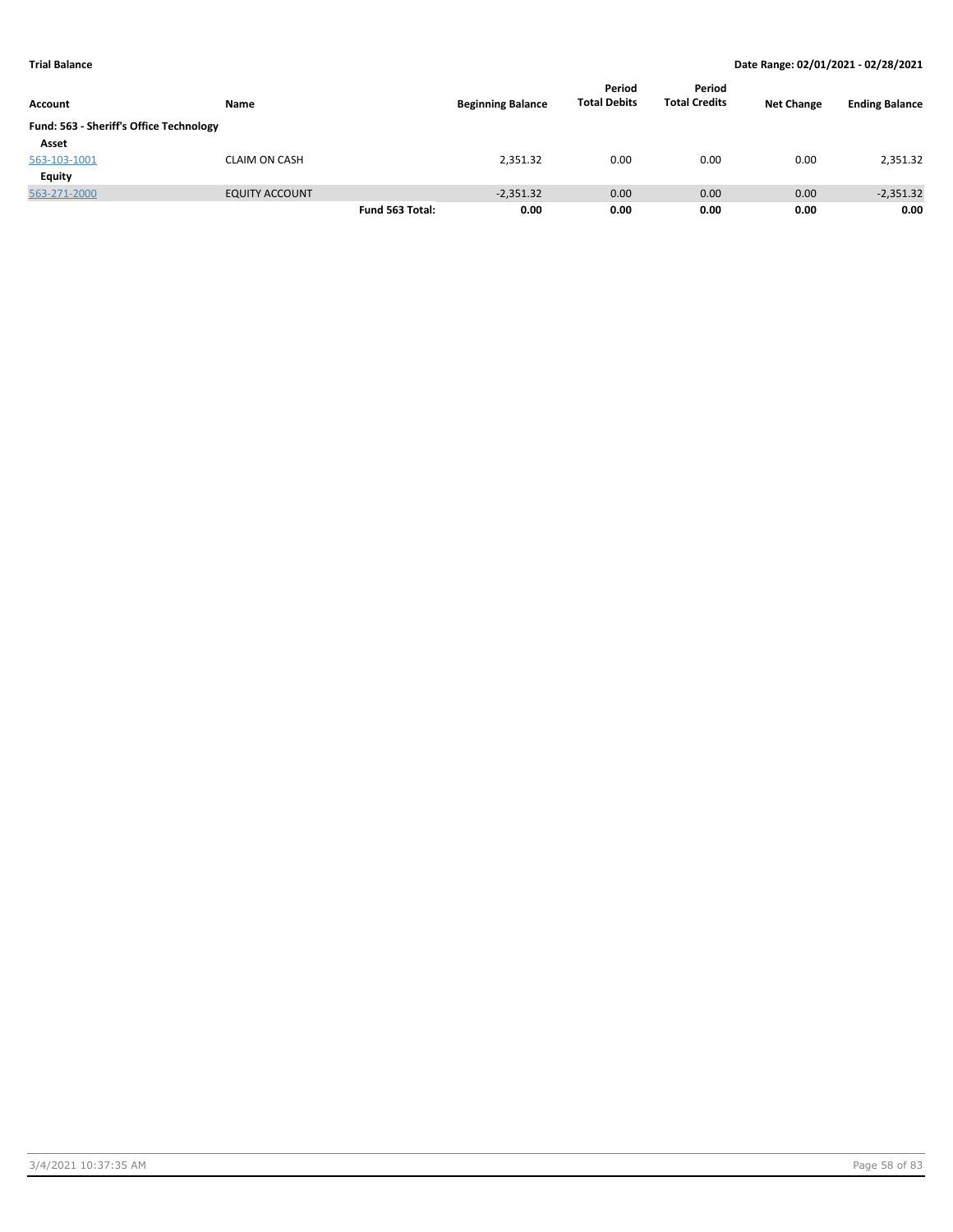| Account                                 | Name                  |                 | <b>Beginning Balance</b> | Period<br><b>Total Debits</b> | Period<br><b>Total Credits</b> | <b>Net Change</b> | <b>Ending Balance</b> |
|-----------------------------------------|-----------------------|-----------------|--------------------------|-------------------------------|--------------------------------|-------------------|-----------------------|
| Fund: 563 - Sheriff's Office Technology |                       |                 |                          |                               |                                |                   |                       |
| Asset                                   |                       |                 |                          |                               |                                |                   |                       |
| 563-103-1001                            | <b>CLAIM ON CASH</b>  |                 | 2,351.32                 | 0.00                          | 0.00                           | 0.00              | 2,351.32              |
| Equity                                  |                       |                 |                          |                               |                                |                   |                       |
| 563-271-2000                            | <b>EQUITY ACCOUNT</b> |                 | $-2,351.32$              | 0.00                          | 0.00                           | 0.00              | $-2,351.32$           |
|                                         |                       | Fund 563 Total: | 0.00                     | 0.00                          | 0.00                           | 0.00              | 0.00                  |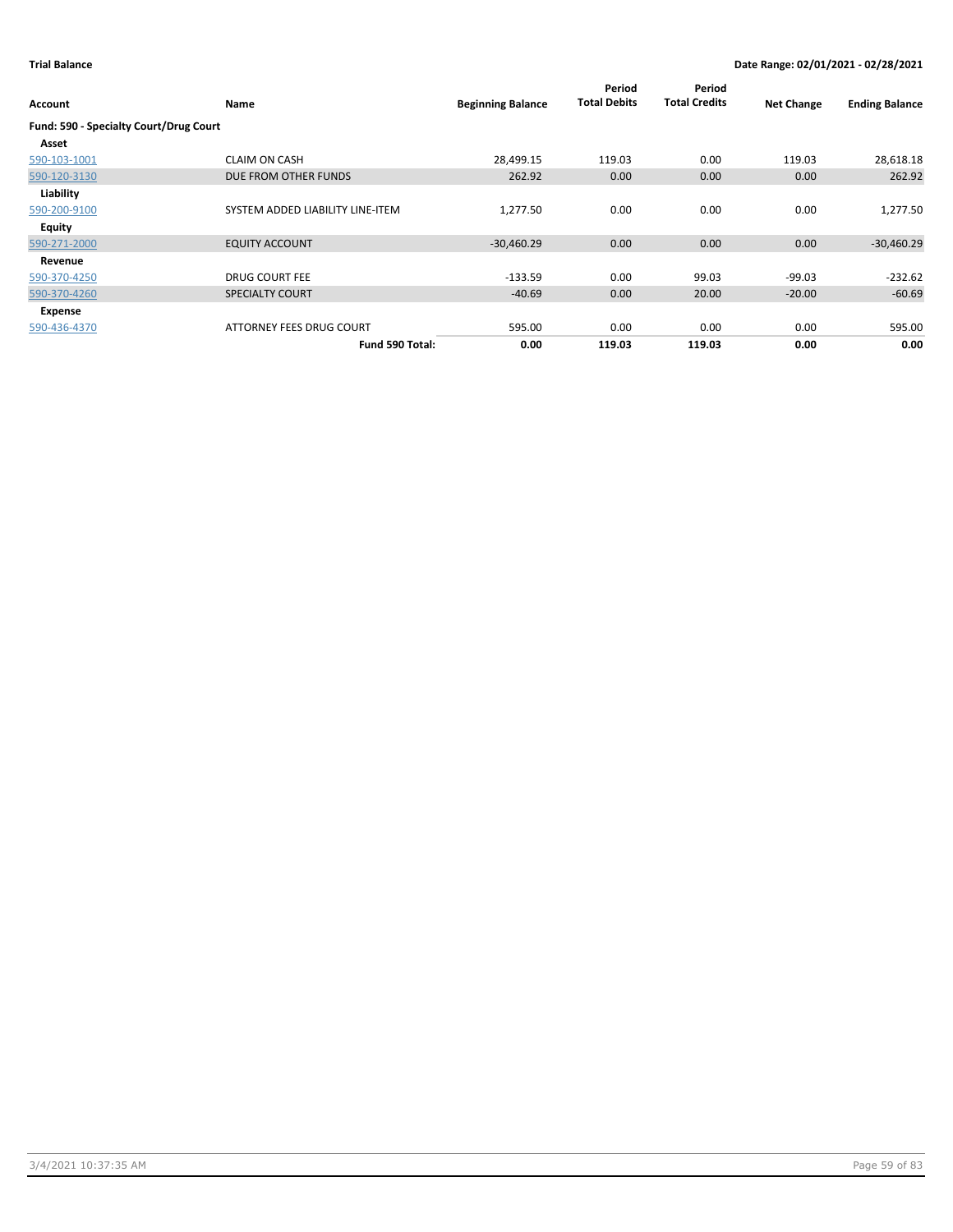| Account                                | Name                             | <b>Beginning Balance</b> | Period<br><b>Total Debits</b> | Period<br><b>Total Credits</b> | <b>Net Change</b> | <b>Ending Balance</b> |
|----------------------------------------|----------------------------------|--------------------------|-------------------------------|--------------------------------|-------------------|-----------------------|
| Fund: 590 - Specialty Court/Drug Court |                                  |                          |                               |                                |                   |                       |
| Asset                                  |                                  |                          |                               |                                |                   |                       |
| 590-103-1001                           | <b>CLAIM ON CASH</b>             | 28,499.15                | 119.03                        | 0.00                           | 119.03            | 28,618.18             |
| 590-120-3130                           | DUE FROM OTHER FUNDS             | 262.92                   | 0.00                          | 0.00                           | 0.00              | 262.92                |
| Liability                              |                                  |                          |                               |                                |                   |                       |
| 590-200-9100                           | SYSTEM ADDED LIABILITY LINE-ITEM | 1,277.50                 | 0.00                          | 0.00                           | 0.00              | 1,277.50              |
| Equity                                 |                                  |                          |                               |                                |                   |                       |
| 590-271-2000                           | <b>EQUITY ACCOUNT</b>            | $-30,460.29$             | 0.00                          | 0.00                           | 0.00              | $-30,460.29$          |
| Revenue                                |                                  |                          |                               |                                |                   |                       |
| 590-370-4250                           | <b>DRUG COURT FEE</b>            | $-133.59$                | 0.00                          | 99.03                          | $-99.03$          | $-232.62$             |
| 590-370-4260                           | <b>SPECIALTY COURT</b>           | $-40.69$                 | 0.00                          | 20.00                          | $-20.00$          | $-60.69$              |
| Expense                                |                                  |                          |                               |                                |                   |                       |
| 590-436-4370                           | ATTORNEY FEES DRUG COURT         | 595.00                   | 0.00                          | 0.00                           | 0.00              | 595.00                |
|                                        | Fund 590 Total:                  | 0.00                     | 119.03                        | 119.03                         | 0.00              | 0.00                  |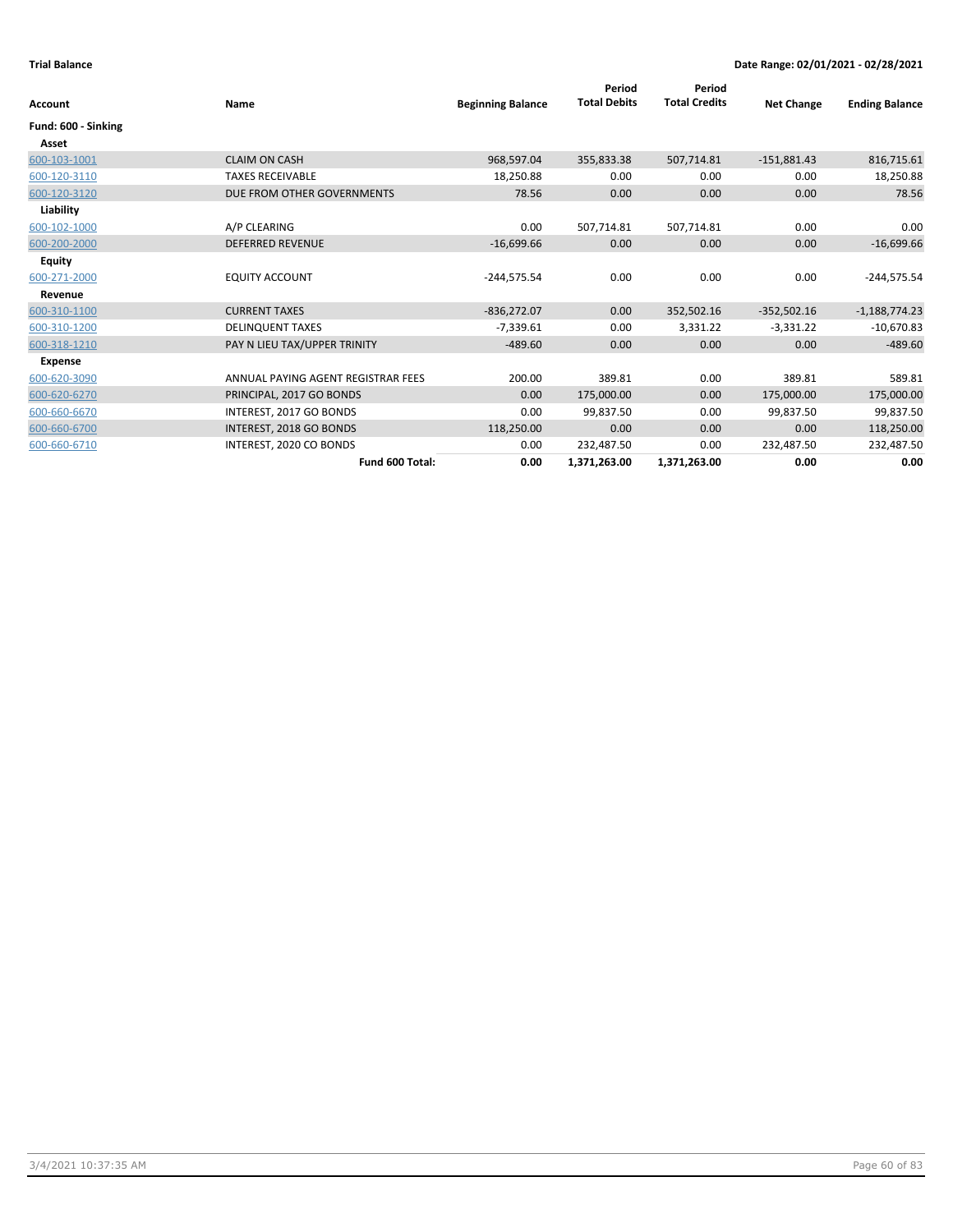| <b>Account</b>      | Name                               | <b>Beginning Balance</b> | Period<br><b>Total Debits</b> | Period<br><b>Total Credits</b> | <b>Net Change</b> | <b>Ending Balance</b> |
|---------------------|------------------------------------|--------------------------|-------------------------------|--------------------------------|-------------------|-----------------------|
| Fund: 600 - Sinking |                                    |                          |                               |                                |                   |                       |
| Asset               |                                    |                          |                               |                                |                   |                       |
| 600-103-1001        | <b>CLAIM ON CASH</b>               | 968,597.04               | 355,833.38                    | 507,714.81                     | $-151,881.43$     | 816,715.61            |
| 600-120-3110        | <b>TAXES RECEIVABLE</b>            | 18,250.88                | 0.00                          | 0.00                           | 0.00              | 18,250.88             |
| 600-120-3120        | DUE FROM OTHER GOVERNMENTS         | 78.56                    | 0.00                          | 0.00                           | 0.00              | 78.56                 |
| Liability           |                                    |                          |                               |                                |                   |                       |
| 600-102-1000        | A/P CLEARING                       | 0.00                     | 507,714.81                    | 507,714.81                     | 0.00              | 0.00                  |
| 600-200-2000        | <b>DEFERRED REVENUE</b>            | $-16,699.66$             | 0.00                          | 0.00                           | 0.00              | $-16,699.66$          |
| Equity              |                                    |                          |                               |                                |                   |                       |
| 600-271-2000        | <b>EQUITY ACCOUNT</b>              | $-244,575.54$            | 0.00                          | 0.00                           | 0.00              | $-244,575.54$         |
| Revenue             |                                    |                          |                               |                                |                   |                       |
| 600-310-1100        | <b>CURRENT TAXES</b>               | $-836,272.07$            | 0.00                          | 352,502.16                     | $-352,502.16$     | $-1,188,774.23$       |
| 600-310-1200        | <b>DELINQUENT TAXES</b>            | $-7,339.61$              | 0.00                          | 3,331.22                       | $-3,331.22$       | $-10,670.83$          |
| 600-318-1210        | PAY N LIEU TAX/UPPER TRINITY       | $-489.60$                | 0.00                          | 0.00                           | 0.00              | $-489.60$             |
| <b>Expense</b>      |                                    |                          |                               |                                |                   |                       |
| 600-620-3090        | ANNUAL PAYING AGENT REGISTRAR FEES | 200.00                   | 389.81                        | 0.00                           | 389.81            | 589.81                |
| 600-620-6270        | PRINCIPAL, 2017 GO BONDS           | 0.00                     | 175,000.00                    | 0.00                           | 175,000.00        | 175,000.00            |
| 600-660-6670        | INTEREST, 2017 GO BONDS            | 0.00                     | 99.837.50                     | 0.00                           | 99,837.50         | 99,837.50             |
| 600-660-6700        | INTEREST, 2018 GO BONDS            | 118,250.00               | 0.00                          | 0.00                           | 0.00              | 118,250.00            |
| 600-660-6710        | INTEREST, 2020 CO BONDS            | 0.00                     | 232,487.50                    | 0.00                           | 232,487.50        | 232,487.50            |
|                     | Fund 600 Total:                    | 0.00                     | 1,371,263.00                  | 1,371,263.00                   | 0.00              | 0.00                  |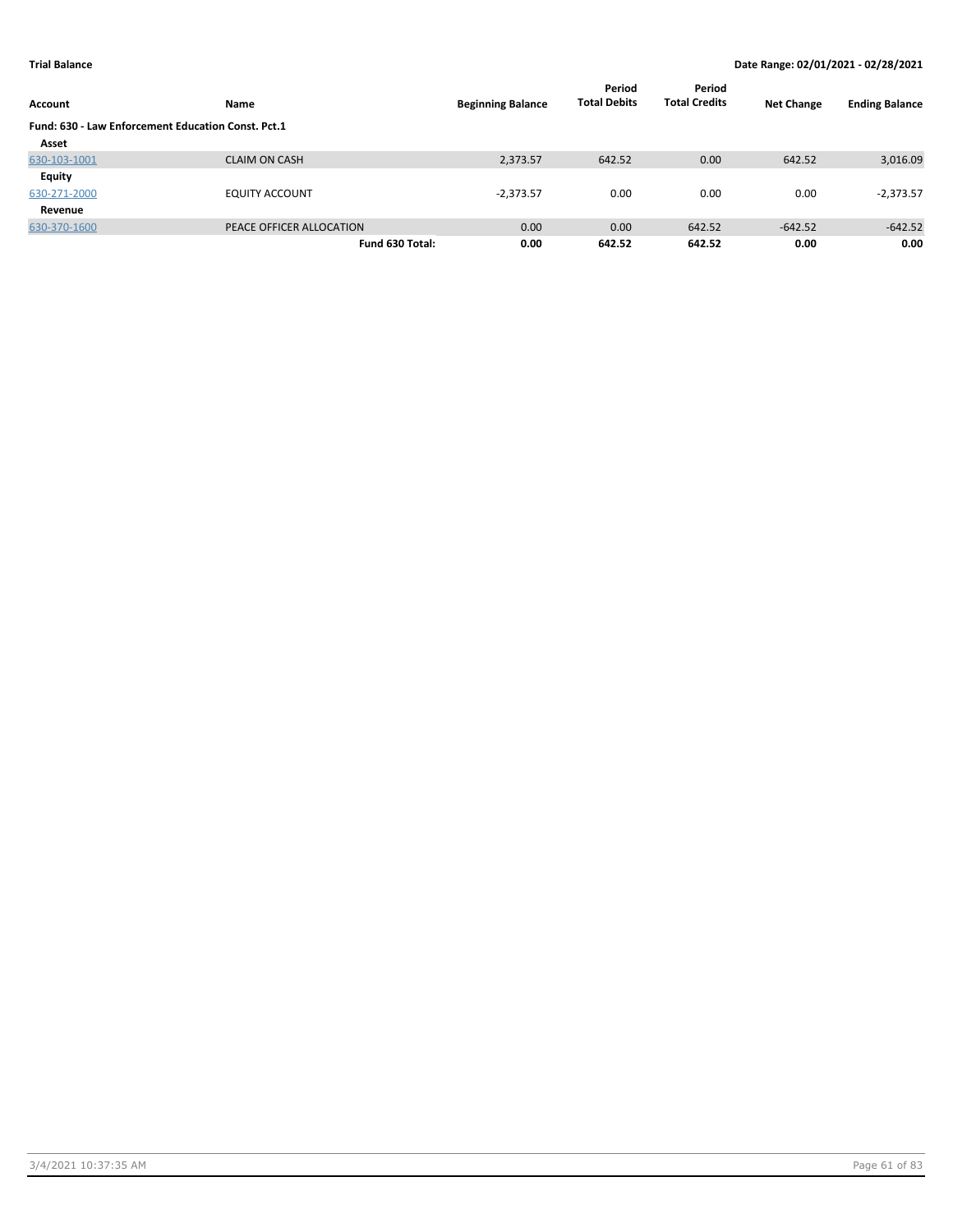| Account                                            | Name                     | <b>Beginning Balance</b> | Period<br><b>Total Debits</b> | Period<br><b>Total Credits</b> | <b>Net Change</b> | <b>Ending Balance</b> |
|----------------------------------------------------|--------------------------|--------------------------|-------------------------------|--------------------------------|-------------------|-----------------------|
| Fund: 630 - Law Enforcement Education Const. Pct.1 |                          |                          |                               |                                |                   |                       |
| Asset                                              |                          |                          |                               |                                |                   |                       |
| 630-103-1001                                       | <b>CLAIM ON CASH</b>     | 2,373.57                 | 642.52                        | 0.00                           | 642.52            | 3,016.09              |
| Equity                                             |                          |                          |                               |                                |                   |                       |
| 630-271-2000                                       | <b>EQUITY ACCOUNT</b>    | $-2,373.57$              | 0.00                          | 0.00                           | 0.00              | $-2,373.57$           |
| Revenue                                            |                          |                          |                               |                                |                   |                       |
| 630-370-1600                                       | PEACE OFFICER ALLOCATION | 0.00                     | 0.00                          | 642.52                         | $-642.52$         | $-642.52$             |
|                                                    | Fund 630 Total:          | 0.00                     | 642.52                        | 642.52                         | 0.00              | 0.00                  |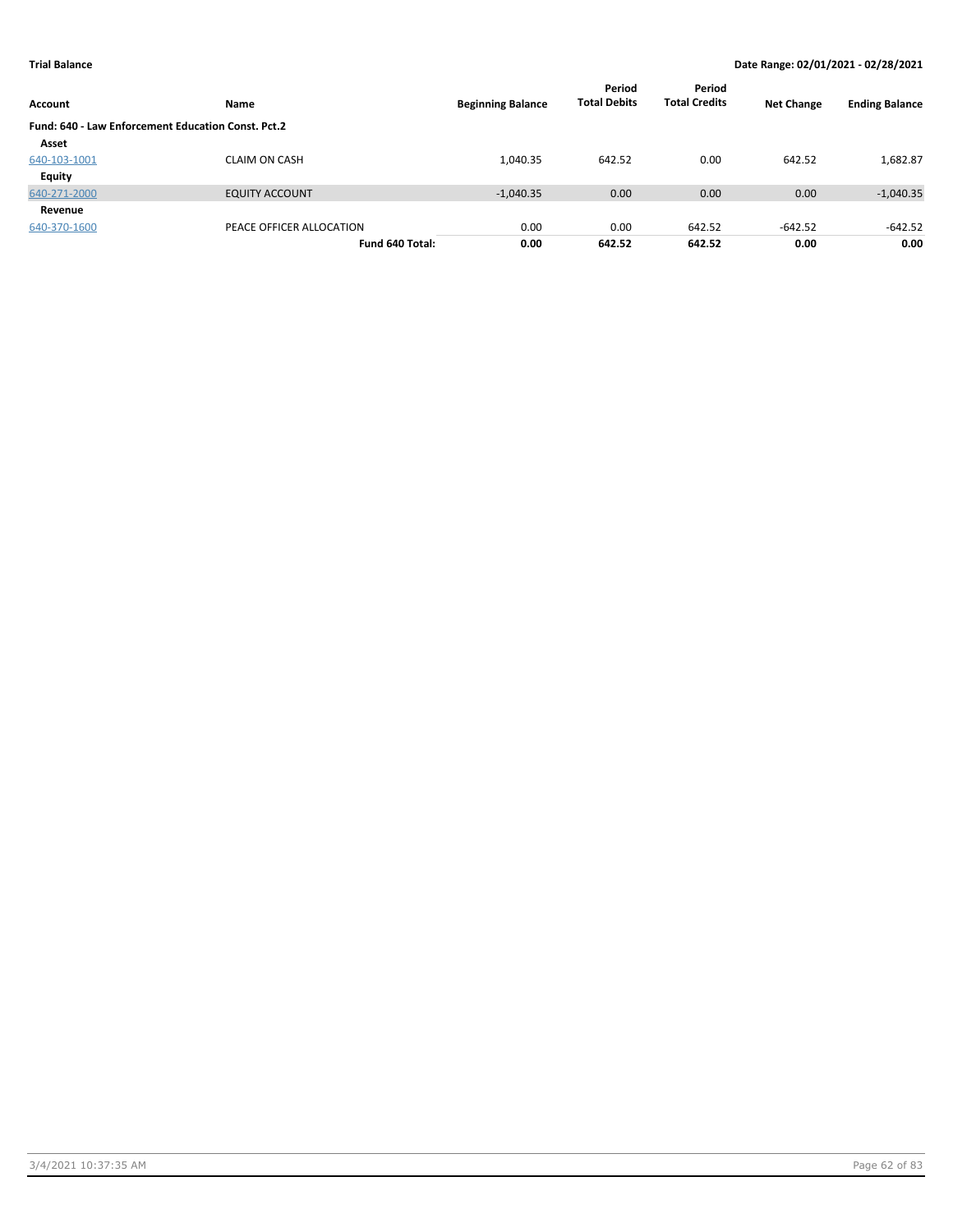| Account                                            | Name                     | <b>Beginning Balance</b> | Period<br><b>Total Debits</b> | Period<br><b>Total Credits</b> | <b>Net Change</b> | <b>Ending Balance</b> |
|----------------------------------------------------|--------------------------|--------------------------|-------------------------------|--------------------------------|-------------------|-----------------------|
| Fund: 640 - Law Enforcement Education Const. Pct.2 |                          |                          |                               |                                |                   |                       |
| Asset                                              |                          |                          |                               |                                |                   |                       |
| 640-103-1001                                       | <b>CLAIM ON CASH</b>     | 1,040.35                 | 642.52                        | 0.00                           | 642.52            | 1,682.87              |
| <b>Equity</b>                                      |                          |                          |                               |                                |                   |                       |
| 640-271-2000                                       | <b>EQUITY ACCOUNT</b>    | $-1,040.35$              | 0.00                          | 0.00                           | 0.00              | $-1,040.35$           |
| Revenue                                            |                          |                          |                               |                                |                   |                       |
| 640-370-1600                                       | PEACE OFFICER ALLOCATION | 0.00                     | 0.00                          | 642.52                         | $-642.52$         | $-642.52$             |
|                                                    | Fund 640 Total:          | 0.00                     | 642.52                        | 642.52                         | 0.00              | 0.00                  |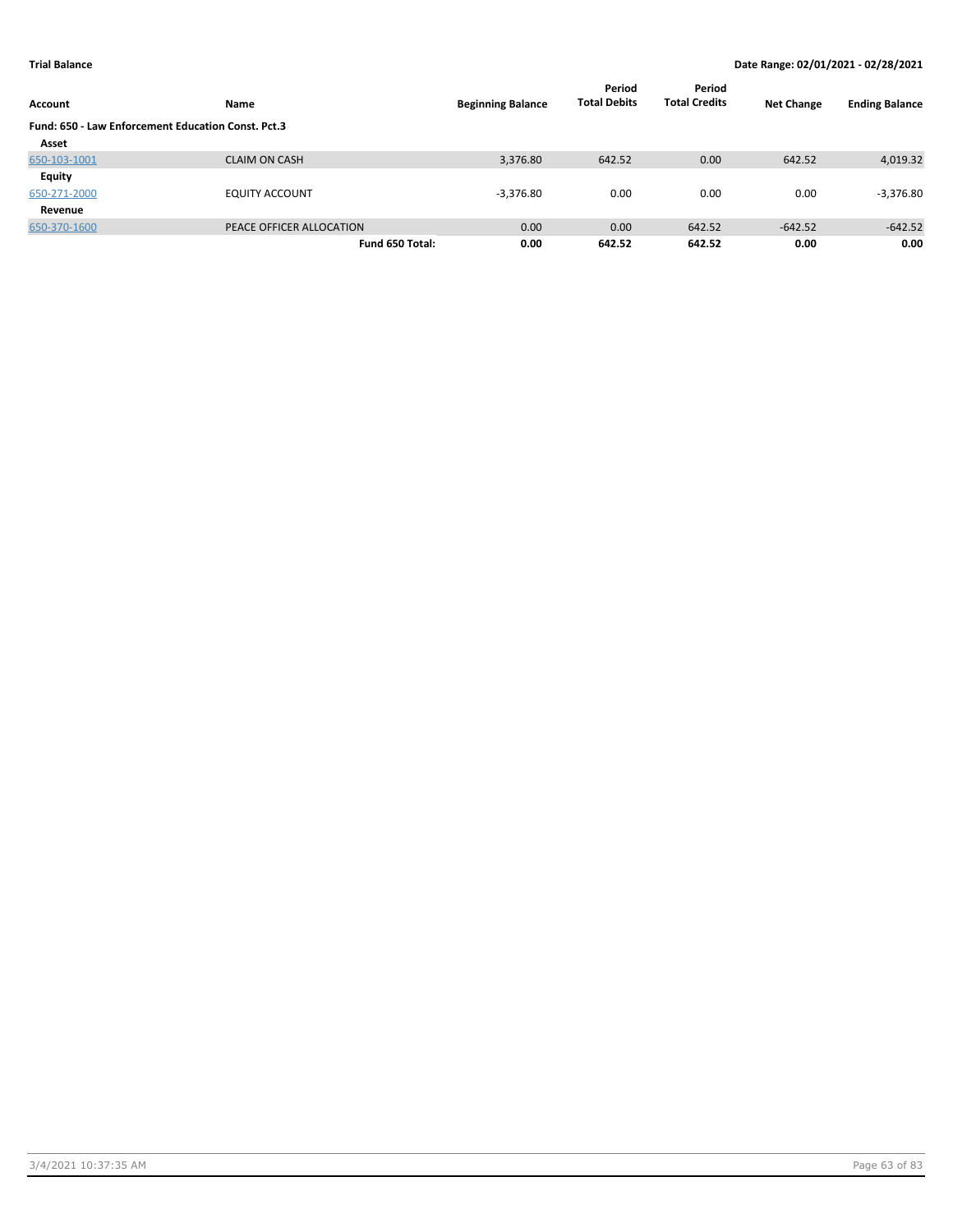| Account      | Name                                               | <b>Beginning Balance</b> | Period<br><b>Total Debits</b> | Period<br><b>Total Credits</b> | <b>Net Change</b> | <b>Ending Balance</b> |  |  |
|--------------|----------------------------------------------------|--------------------------|-------------------------------|--------------------------------|-------------------|-----------------------|--|--|
|              | Fund: 650 - Law Enforcement Education Const. Pct.3 |                          |                               |                                |                   |                       |  |  |
| Asset        |                                                    |                          |                               |                                |                   |                       |  |  |
| 650-103-1001 | <b>CLAIM ON CASH</b>                               | 3,376.80                 | 642.52                        | 0.00                           | 642.52            | 4,019.32              |  |  |
| Equity       |                                                    |                          |                               |                                |                   |                       |  |  |
| 650-271-2000 | <b>EQUITY ACCOUNT</b>                              | $-3,376.80$              | 0.00                          | 0.00                           | 0.00              | $-3,376.80$           |  |  |
| Revenue      |                                                    |                          |                               |                                |                   |                       |  |  |
| 650-370-1600 | PEACE OFFICER ALLOCATION                           | 0.00                     | 0.00                          | 642.52                         | $-642.52$         | $-642.52$             |  |  |
|              | Fund 650 Total:                                    | 0.00                     | 642.52                        | 642.52                         | 0.00              | 0.00                  |  |  |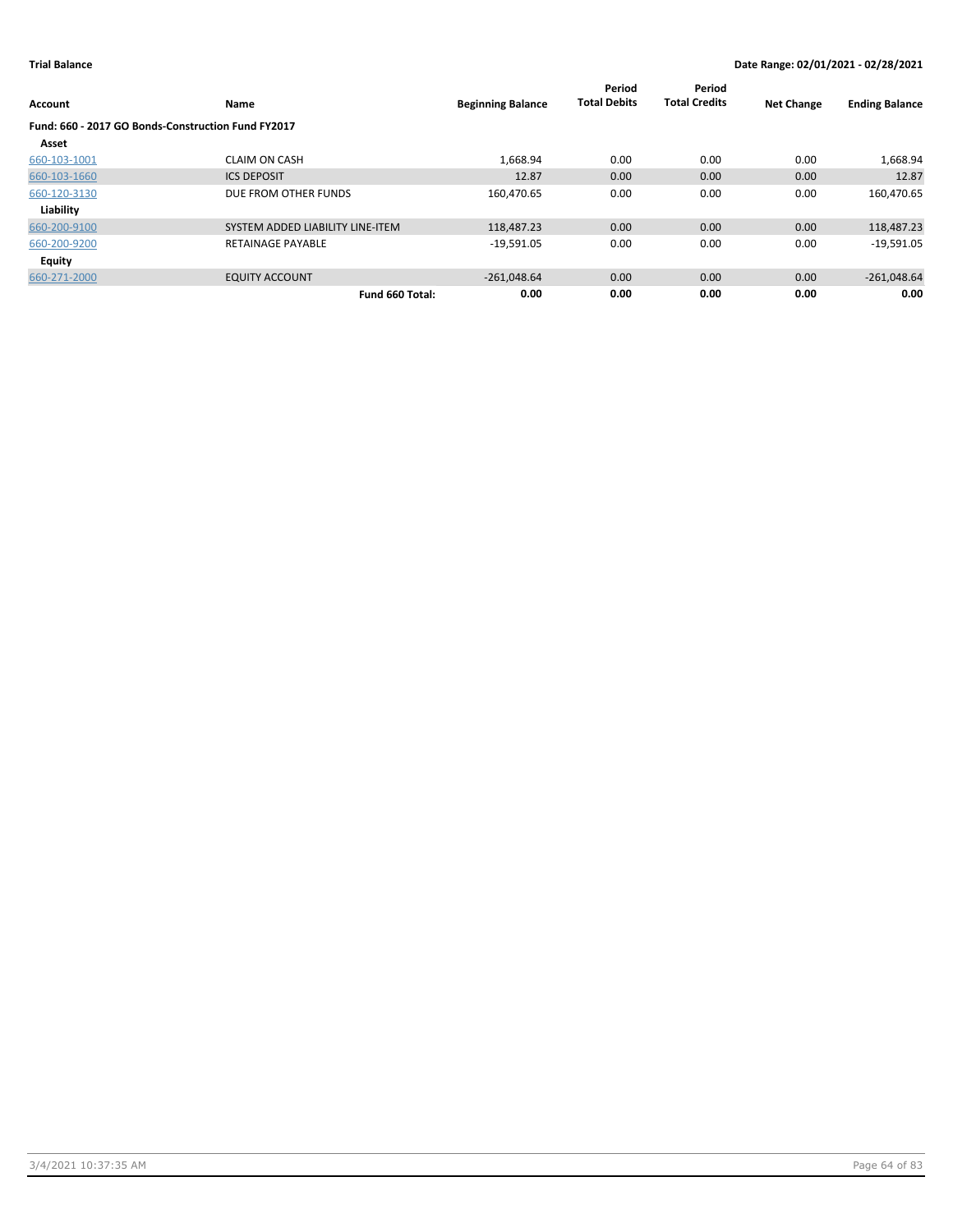| Account                                            | Name                             | <b>Beginning Balance</b> | Period<br><b>Total Debits</b> | Period<br><b>Total Credits</b> | <b>Net Change</b> | <b>Ending Balance</b> |
|----------------------------------------------------|----------------------------------|--------------------------|-------------------------------|--------------------------------|-------------------|-----------------------|
| Fund: 660 - 2017 GO Bonds-Construction Fund FY2017 |                                  |                          |                               |                                |                   |                       |
| Asset                                              |                                  |                          |                               |                                |                   |                       |
| 660-103-1001                                       | <b>CLAIM ON CASH</b>             | 1,668.94                 | 0.00                          | 0.00                           | 0.00              | 1,668.94              |
| 660-103-1660                                       | <b>ICS DEPOSIT</b>               | 12.87                    | 0.00                          | 0.00                           | 0.00              | 12.87                 |
| 660-120-3130                                       | DUE FROM OTHER FUNDS             | 160,470.65               | 0.00                          | 0.00                           | 0.00              | 160,470.65            |
| Liability                                          |                                  |                          |                               |                                |                   |                       |
| 660-200-9100                                       | SYSTEM ADDED LIABILITY LINE-ITEM | 118,487.23               | 0.00                          | 0.00                           | 0.00              | 118,487.23            |
| 660-200-9200                                       | <b>RETAINAGE PAYABLE</b>         | $-19,591.05$             | 0.00                          | 0.00                           | 0.00              | $-19,591.05$          |
| <b>Equity</b>                                      |                                  |                          |                               |                                |                   |                       |
| 660-271-2000                                       | <b>EQUITY ACCOUNT</b>            | $-261,048.64$            | 0.00                          | 0.00                           | 0.00              | $-261,048.64$         |
|                                                    | Fund 660 Total:                  | 0.00                     | 0.00                          | 0.00                           | 0.00              | 0.00                  |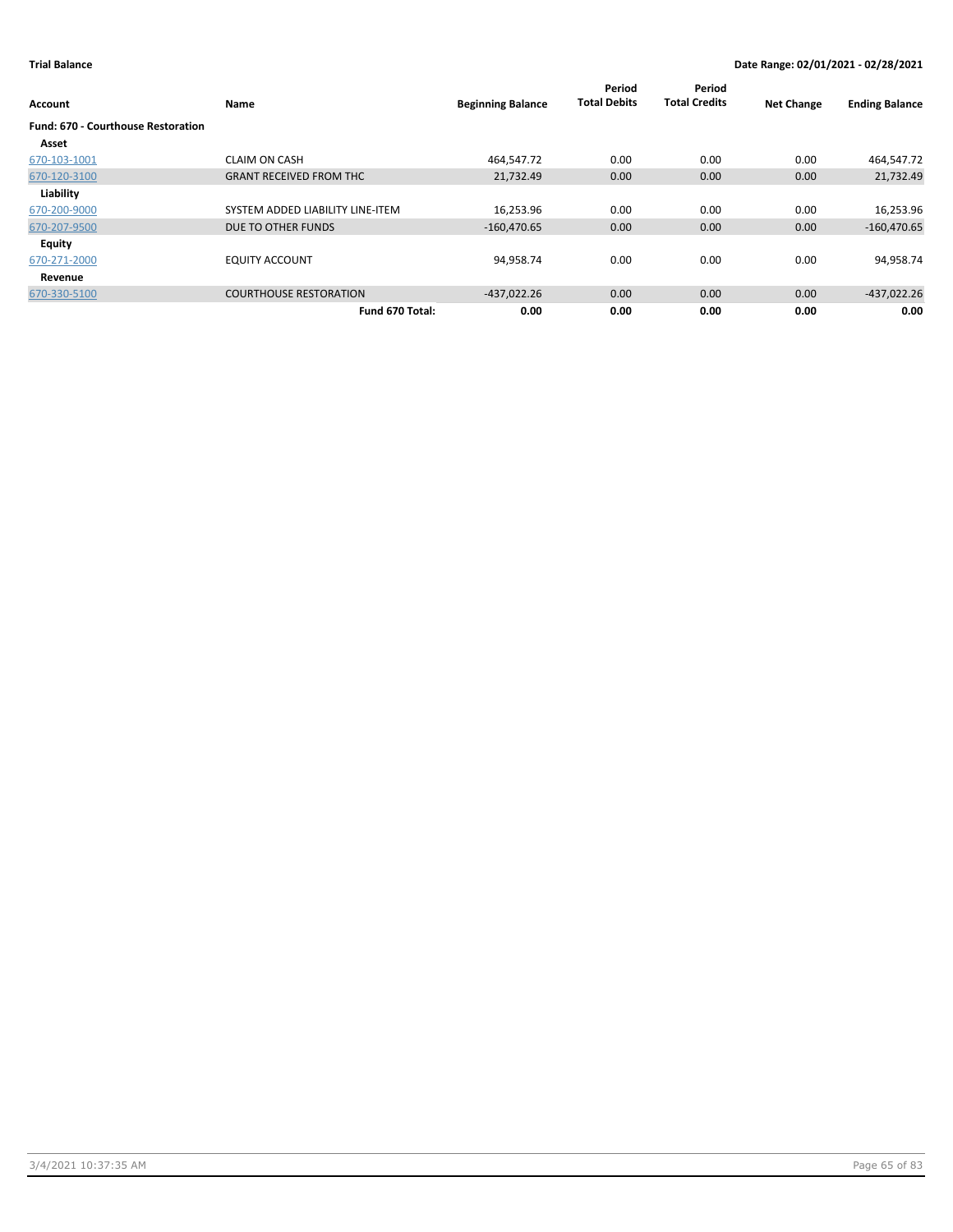| Account                                   | Name                             | <b>Beginning Balance</b> | Period<br><b>Total Debits</b> | Period<br><b>Total Credits</b> | <b>Net Change</b> | <b>Ending Balance</b> |
|-------------------------------------------|----------------------------------|--------------------------|-------------------------------|--------------------------------|-------------------|-----------------------|
| <b>Fund: 670 - Courthouse Restoration</b> |                                  |                          |                               |                                |                   |                       |
| Asset                                     |                                  |                          |                               |                                |                   |                       |
| 670-103-1001                              | <b>CLAIM ON CASH</b>             | 464,547.72               | 0.00                          | 0.00                           | 0.00              | 464,547.72            |
| 670-120-3100                              | <b>GRANT RECEIVED FROM THC</b>   | 21,732.49                | 0.00                          | 0.00                           | 0.00              | 21,732.49             |
| Liability                                 |                                  |                          |                               |                                |                   |                       |
| 670-200-9000                              | SYSTEM ADDED LIABILITY LINE-ITEM | 16,253.96                | 0.00                          | 0.00                           | 0.00              | 16,253.96             |
| 670-207-9500                              | DUE TO OTHER FUNDS               | $-160,470.65$            | 0.00                          | 0.00                           | 0.00              | $-160,470.65$         |
| <b>Equity</b>                             |                                  |                          |                               |                                |                   |                       |
| 670-271-2000                              | <b>EQUITY ACCOUNT</b>            | 94,958.74                | 0.00                          | 0.00                           | 0.00              | 94,958.74             |
| Revenue                                   |                                  |                          |                               |                                |                   |                       |
| 670-330-5100                              | <b>COURTHOUSE RESTORATION</b>    | $-437,022.26$            | 0.00                          | 0.00                           | 0.00              | $-437,022.26$         |
|                                           | Fund 670 Total:                  | 0.00                     | 0.00                          | 0.00                           | 0.00              | 0.00                  |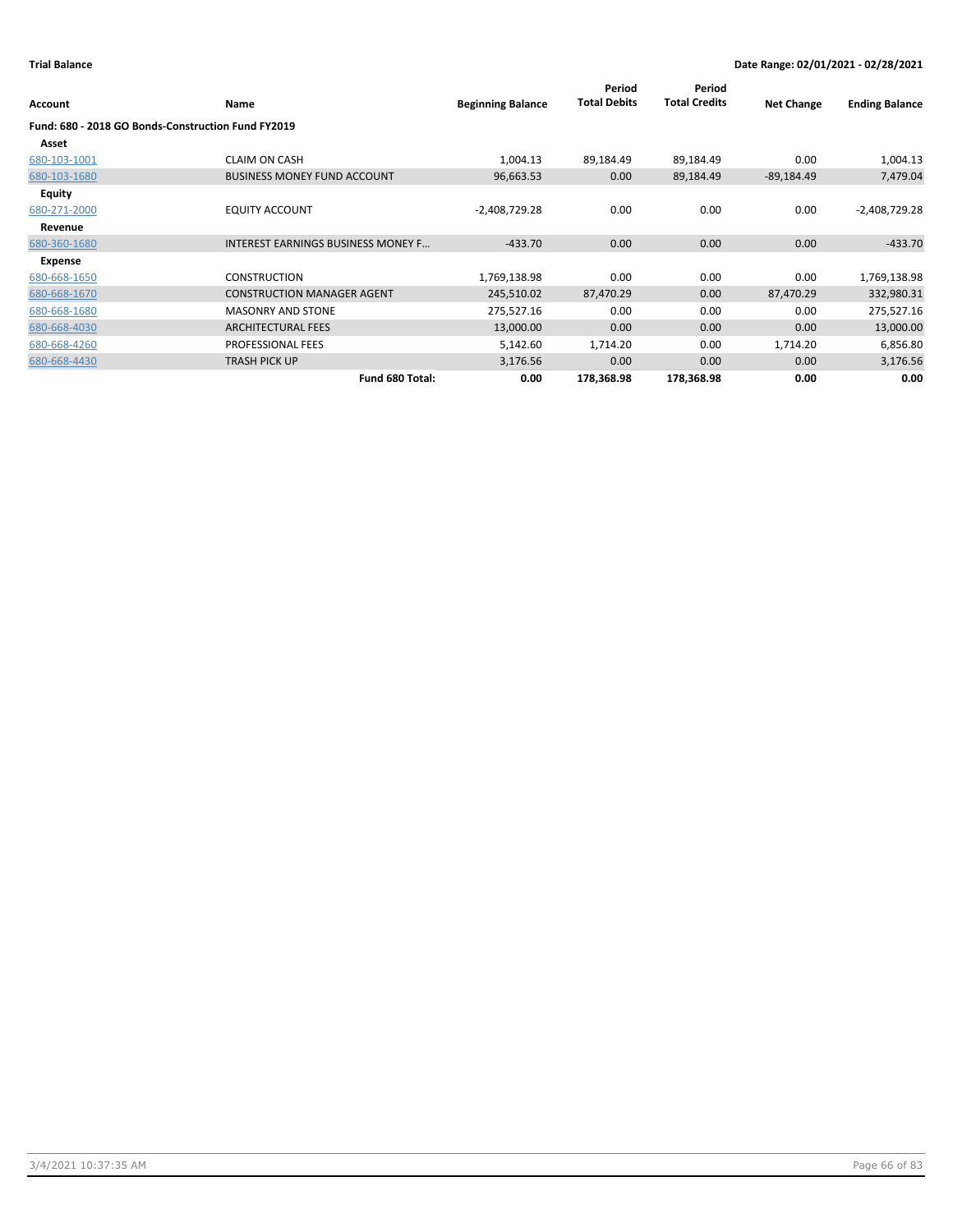|                                                    |                                           |                          | Period              | Period               |                   |                       |
|----------------------------------------------------|-------------------------------------------|--------------------------|---------------------|----------------------|-------------------|-----------------------|
| Account                                            | Name                                      | <b>Beginning Balance</b> | <b>Total Debits</b> | <b>Total Credits</b> | <b>Net Change</b> | <b>Ending Balance</b> |
| Fund: 680 - 2018 GO Bonds-Construction Fund FY2019 |                                           |                          |                     |                      |                   |                       |
| Asset                                              |                                           |                          |                     |                      |                   |                       |
| 680-103-1001                                       | <b>CLAIM ON CASH</b>                      | 1,004.13                 | 89,184.49           | 89,184.49            | 0.00              | 1,004.13              |
| 680-103-1680                                       | <b>BUSINESS MONEY FUND ACCOUNT</b>        | 96,663.53                | 0.00                | 89,184.49            | $-89,184.49$      | 7,479.04              |
| <b>Equity</b>                                      |                                           |                          |                     |                      |                   |                       |
| 680-271-2000                                       | <b>EQUITY ACCOUNT</b>                     | $-2,408,729.28$          | 0.00                | 0.00                 | 0.00              | $-2,408,729.28$       |
| Revenue                                            |                                           |                          |                     |                      |                   |                       |
| 680-360-1680                                       | <b>INTEREST EARNINGS BUSINESS MONEY F</b> | $-433.70$                | 0.00                | 0.00                 | 0.00              | $-433.70$             |
| Expense                                            |                                           |                          |                     |                      |                   |                       |
| 680-668-1650                                       | <b>CONSTRUCTION</b>                       | 1,769,138.98             | 0.00                | 0.00                 | 0.00              | 1,769,138.98          |
| 680-668-1670                                       | <b>CONSTRUCTION MANAGER AGENT</b>         | 245,510.02               | 87,470.29           | 0.00                 | 87,470.29         | 332,980.31            |
| 680-668-1680                                       | <b>MASONRY AND STONE</b>                  | 275,527.16               | 0.00                | 0.00                 | 0.00              | 275,527.16            |
| 680-668-4030                                       | <b>ARCHITECTURAL FEES</b>                 | 13,000.00                | 0.00                | 0.00                 | 0.00              | 13,000.00             |
| 680-668-4260                                       | PROFESSIONAL FEES                         | 5,142.60                 | 1,714.20            | 0.00                 | 1,714.20          | 6,856.80              |
| 680-668-4430                                       | <b>TRASH PICK UP</b>                      | 3,176.56                 | 0.00                | 0.00                 | 0.00              | 3,176.56              |
|                                                    | Fund 680 Total:                           | 0.00                     | 178,368.98          | 178,368.98           | 0.00              | 0.00                  |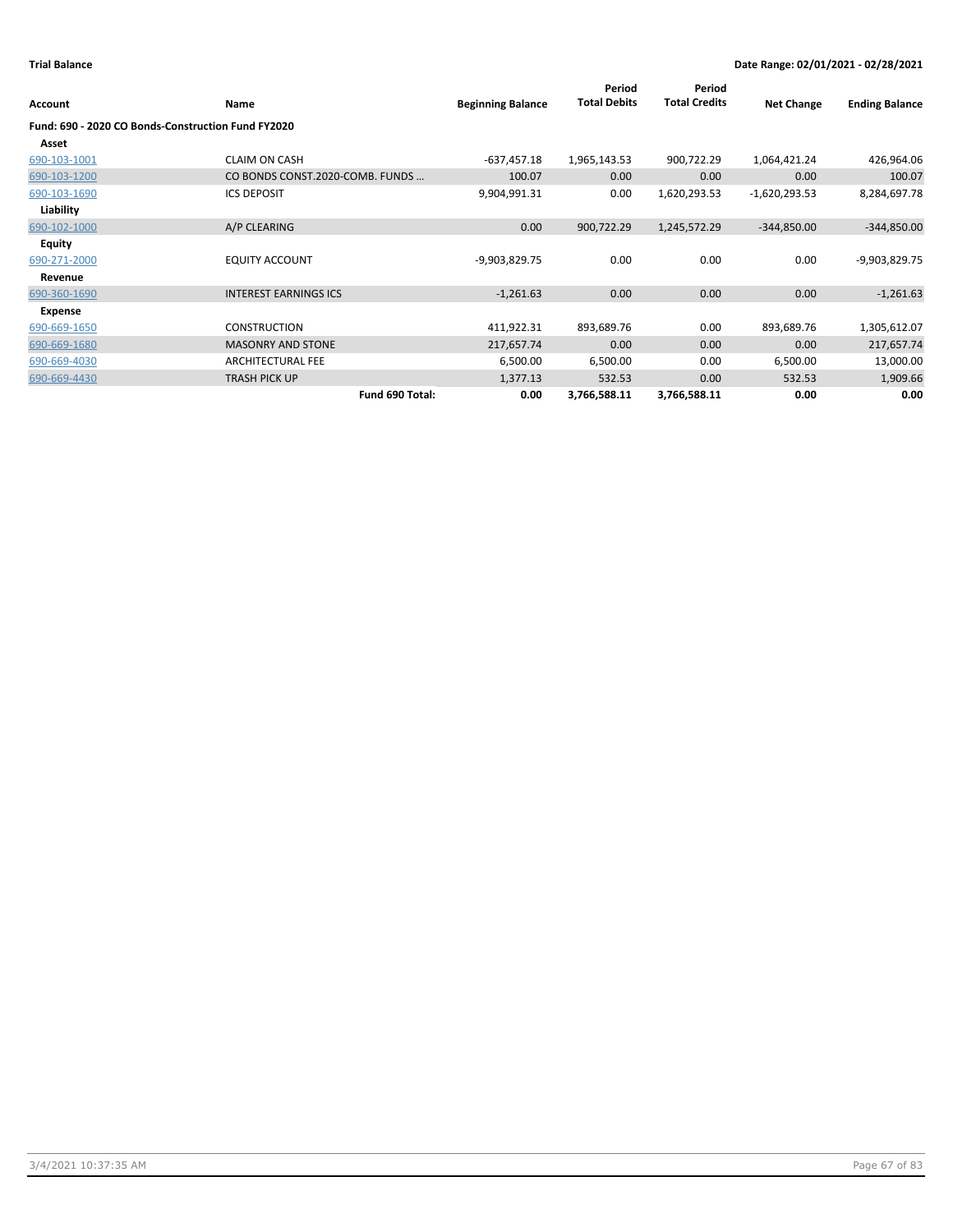| Account                                            | Name                            | <b>Beginning Balance</b> | Period<br><b>Total Debits</b> | Period<br><b>Total Credits</b> | <b>Net Change</b> | <b>Ending Balance</b> |
|----------------------------------------------------|---------------------------------|--------------------------|-------------------------------|--------------------------------|-------------------|-----------------------|
| Fund: 690 - 2020 CO Bonds-Construction Fund FY2020 |                                 |                          |                               |                                |                   |                       |
| Asset                                              |                                 |                          |                               |                                |                   |                       |
| 690-103-1001                                       | <b>CLAIM ON CASH</b>            | $-637,457.18$            | 1,965,143.53                  | 900,722.29                     | 1,064,421.24      | 426,964.06            |
| 690-103-1200                                       | CO BONDS CONST.2020-COMB. FUNDS | 100.07                   | 0.00                          | 0.00                           | 0.00              | 100.07                |
| 690-103-1690                                       | <b>ICS DEPOSIT</b>              | 9,904,991.31             | 0.00                          | 1,620,293.53                   | $-1,620,293.53$   | 8,284,697.78          |
| Liability                                          |                                 |                          |                               |                                |                   |                       |
| 690-102-1000                                       | A/P CLEARING                    | 0.00                     | 900,722.29                    | 1,245,572.29                   | $-344,850.00$     | $-344,850.00$         |
| <b>Equity</b>                                      |                                 |                          |                               |                                |                   |                       |
| 690-271-2000                                       | <b>EQUITY ACCOUNT</b>           | -9,903,829.75            | 0.00                          | 0.00                           | 0.00              | -9,903,829.75         |
| Revenue                                            |                                 |                          |                               |                                |                   |                       |
| 690-360-1690                                       | <b>INTEREST EARNINGS ICS</b>    | $-1,261.63$              | 0.00                          | 0.00                           | 0.00              | $-1,261.63$           |
| Expense                                            |                                 |                          |                               |                                |                   |                       |
| 690-669-1650                                       | <b>CONSTRUCTION</b>             | 411,922.31               | 893,689.76                    | 0.00                           | 893,689.76        | 1,305,612.07          |
| 690-669-1680                                       | <b>MASONRY AND STONE</b>        | 217,657.74               | 0.00                          | 0.00                           | 0.00              | 217,657.74            |
| 690-669-4030                                       | <b>ARCHITECTURAL FEE</b>        | 6,500.00                 | 6,500.00                      | 0.00                           | 6,500.00          | 13,000.00             |
| 690-669-4430                                       | <b>TRASH PICK UP</b>            | 1,377.13                 | 532.53                        | 0.00                           | 532.53            | 1,909.66              |
|                                                    | Fund 690 Total:                 | 0.00                     | 3,766,588.11                  | 3,766,588.11                   | 0.00              | 0.00                  |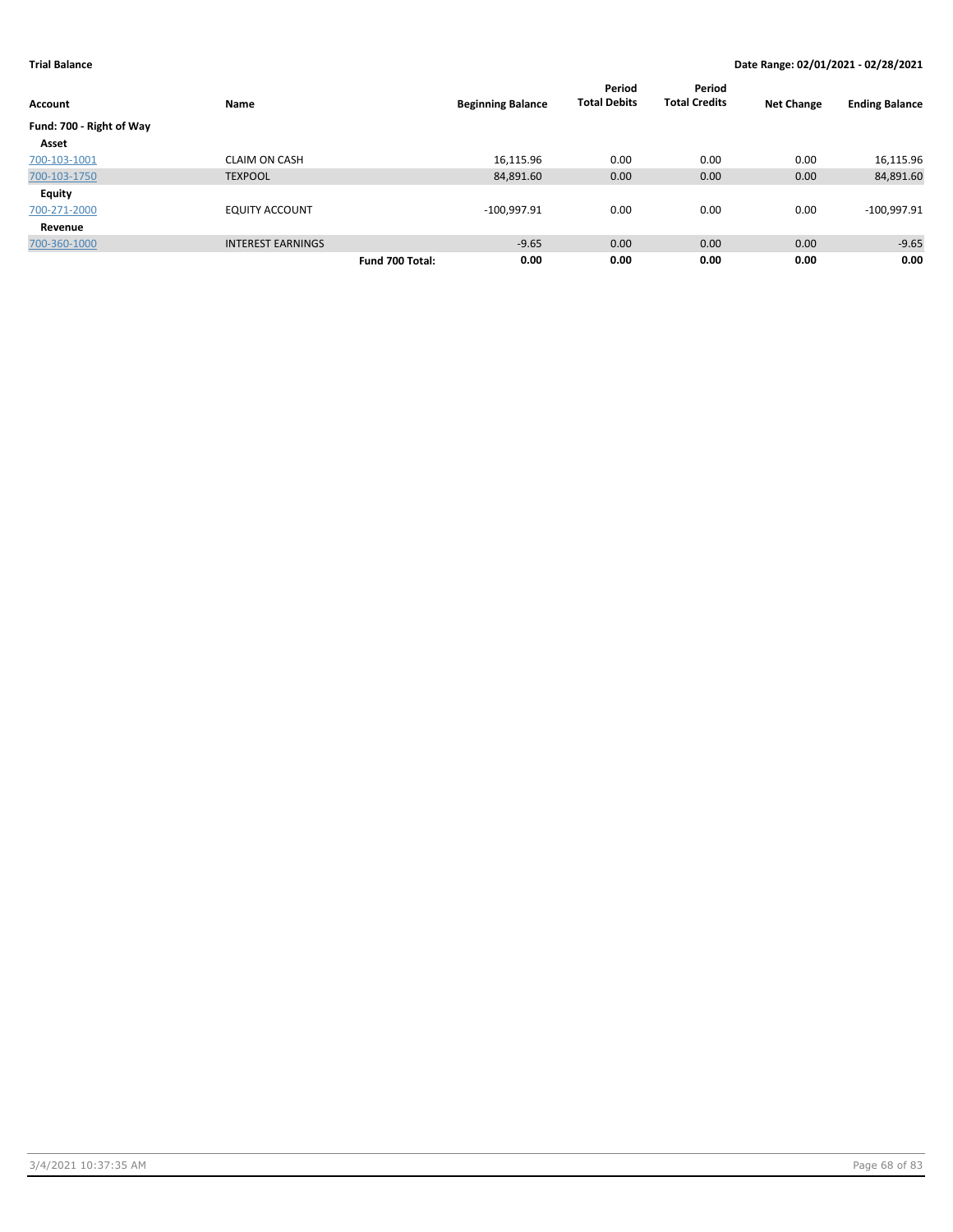| <b>Account</b>           | Name                     | <b>Beginning Balance</b> | Period<br><b>Total Debits</b> | Period<br><b>Total Credits</b> | <b>Net Change</b> | <b>Ending Balance</b> |
|--------------------------|--------------------------|--------------------------|-------------------------------|--------------------------------|-------------------|-----------------------|
| Fund: 700 - Right of Way |                          |                          |                               |                                |                   |                       |
| Asset                    |                          |                          |                               |                                |                   |                       |
| 700-103-1001             | <b>CLAIM ON CASH</b>     | 16,115.96                | 0.00                          | 0.00                           | 0.00              | 16,115.96             |
| 700-103-1750             | <b>TEXPOOL</b>           | 84,891.60                | 0.00                          | 0.00                           | 0.00              | 84,891.60             |
| <b>Equity</b>            |                          |                          |                               |                                |                   |                       |
| 700-271-2000             | <b>EQUITY ACCOUNT</b>    | $-100,997.91$            | 0.00                          | 0.00                           | 0.00              | $-100,997.91$         |
| Revenue                  |                          |                          |                               |                                |                   |                       |
| 700-360-1000             | <b>INTEREST EARNINGS</b> | $-9.65$                  | 0.00                          | 0.00                           | 0.00              | $-9.65$               |
|                          |                          | 0.00<br>Fund 700 Total:  | 0.00                          | 0.00                           | 0.00              | 0.00                  |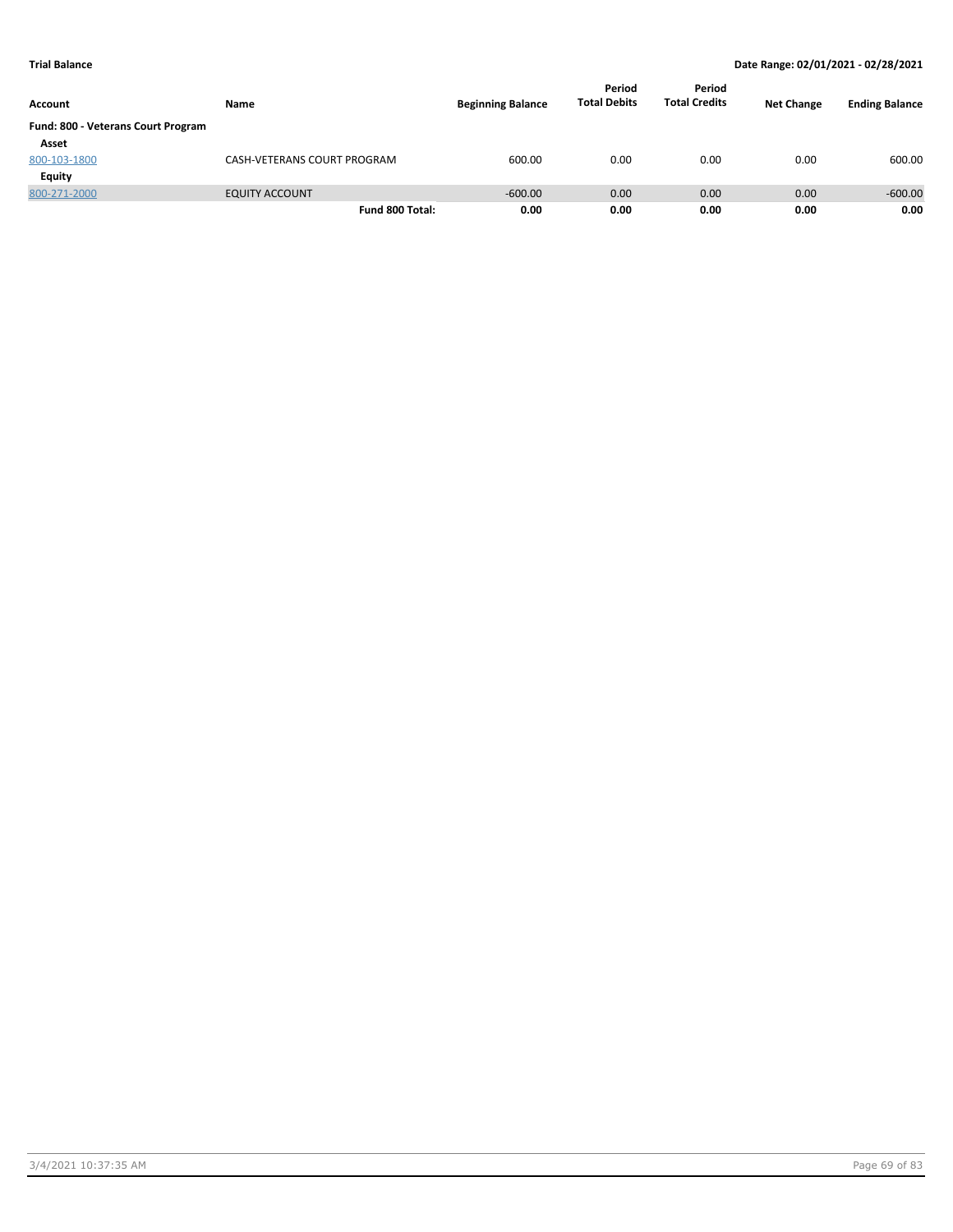| Account                            | Name                        | <b>Beginning Balance</b> | Period<br><b>Total Debits</b> | Period<br><b>Total Credits</b> | <b>Net Change</b> | <b>Ending Balance</b> |
|------------------------------------|-----------------------------|--------------------------|-------------------------------|--------------------------------|-------------------|-----------------------|
| Fund: 800 - Veterans Court Program |                             |                          |                               |                                |                   |                       |
| Asset                              |                             |                          |                               |                                |                   |                       |
| 800-103-1800                       | CASH-VETERANS COURT PROGRAM | 600.00                   | 0.00                          | 0.00                           | 0.00              | 600.00                |
| <b>Equity</b>                      |                             |                          |                               |                                |                   |                       |
| 800-271-2000                       | <b>EQUITY ACCOUNT</b>       | $-600.00$                | 0.00                          | 0.00                           | 0.00              | $-600.00$             |
|                                    | Fund 800 Total:             | 0.00                     | 0.00                          | 0.00                           | 0.00              | 0.00                  |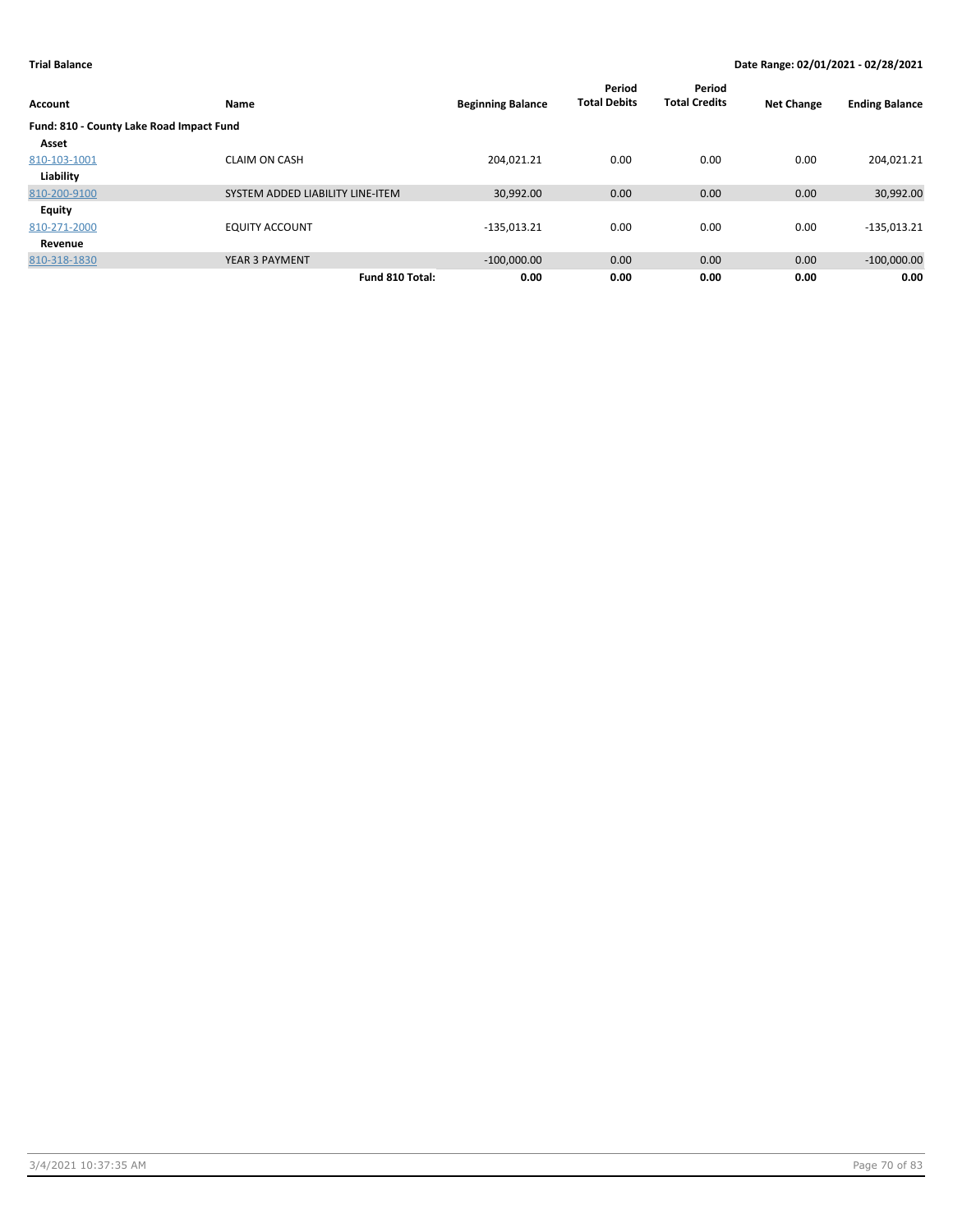| Account                                  | Name                             | <b>Beginning Balance</b> | Period<br><b>Total Debits</b> | Period<br><b>Total Credits</b> | <b>Net Change</b> | <b>Ending Balance</b> |
|------------------------------------------|----------------------------------|--------------------------|-------------------------------|--------------------------------|-------------------|-----------------------|
| Fund: 810 - County Lake Road Impact Fund |                                  |                          |                               |                                |                   |                       |
| Asset                                    |                                  |                          |                               |                                |                   |                       |
| 810-103-1001                             | <b>CLAIM ON CASH</b>             | 204.021.21               | 0.00                          | 0.00                           | 0.00              | 204,021.21            |
| Liability                                |                                  |                          |                               |                                |                   |                       |
| 810-200-9100                             | SYSTEM ADDED LIABILITY LINE-ITEM | 30,992.00                | 0.00                          | 0.00                           | 0.00              | 30,992.00             |
| <b>Equity</b>                            |                                  |                          |                               |                                |                   |                       |
| 810-271-2000                             | <b>EQUITY ACCOUNT</b>            | $-135,013.21$            | 0.00                          | 0.00                           | 0.00              | $-135,013.21$         |
| Revenue                                  |                                  |                          |                               |                                |                   |                       |
| 810-318-1830                             | <b>YEAR 3 PAYMENT</b>            | $-100,000.00$            | 0.00                          | 0.00                           | 0.00              | $-100,000.00$         |
|                                          | Fund 810 Total:                  | 0.00                     | 0.00                          | 0.00                           | 0.00              | 0.00                  |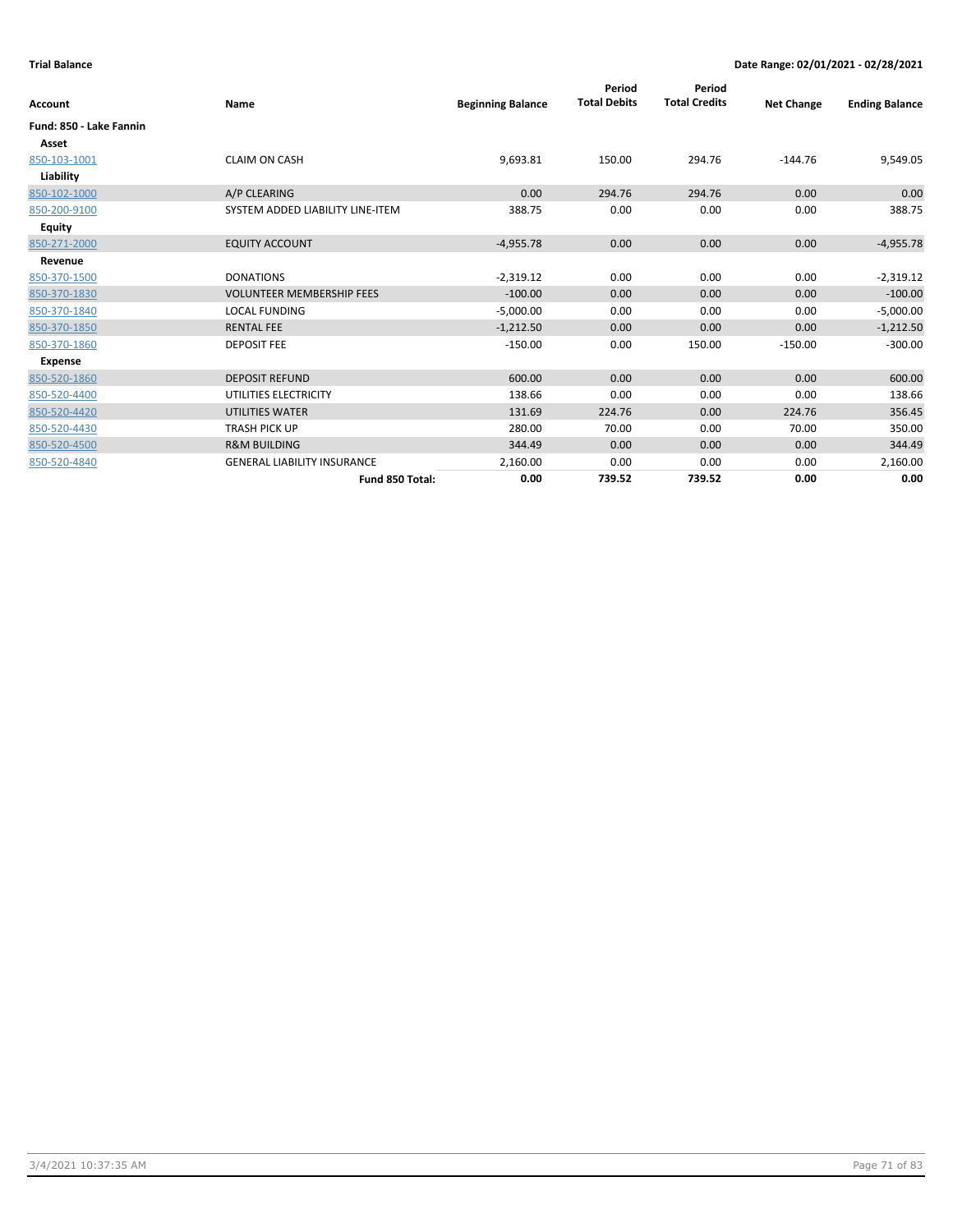| Account                 | <b>Name</b>                        | <b>Beginning Balance</b> | Period<br><b>Total Debits</b> | Period<br><b>Total Credits</b> | <b>Net Change</b> | <b>Ending Balance</b> |
|-------------------------|------------------------------------|--------------------------|-------------------------------|--------------------------------|-------------------|-----------------------|
| Fund: 850 - Lake Fannin |                                    |                          |                               |                                |                   |                       |
| Asset                   |                                    |                          |                               |                                |                   |                       |
| 850-103-1001            | <b>CLAIM ON CASH</b>               | 9,693.81                 | 150.00                        | 294.76                         | $-144.76$         | 9,549.05              |
| Liability               |                                    |                          |                               |                                |                   |                       |
| 850-102-1000            | A/P CLEARING                       | 0.00                     | 294.76                        | 294.76                         | 0.00              | 0.00                  |
| 850-200-9100            | SYSTEM ADDED LIABILITY LINE-ITEM   | 388.75                   | 0.00                          | 0.00                           | 0.00              | 388.75                |
| <b>Equity</b>           |                                    |                          |                               |                                |                   |                       |
| 850-271-2000            | <b>EQUITY ACCOUNT</b>              | $-4,955.78$              | 0.00                          | 0.00                           | 0.00              | $-4,955.78$           |
| Revenue                 |                                    |                          |                               |                                |                   |                       |
| 850-370-1500            | <b>DONATIONS</b>                   | $-2,319.12$              | 0.00                          | 0.00                           | 0.00              | $-2,319.12$           |
| 850-370-1830            | <b>VOLUNTEER MEMBERSHIP FEES</b>   | $-100.00$                | 0.00                          | 0.00                           | 0.00              | $-100.00$             |
| 850-370-1840            | <b>LOCAL FUNDING</b>               | $-5,000.00$              | 0.00                          | 0.00                           | 0.00              | $-5,000.00$           |
| 850-370-1850            | <b>RENTAL FEE</b>                  | $-1,212.50$              | 0.00                          | 0.00                           | 0.00              | $-1,212.50$           |
| 850-370-1860            | <b>DEPOSIT FEE</b>                 | $-150.00$                | 0.00                          | 150.00                         | $-150.00$         | $-300.00$             |
| Expense                 |                                    |                          |                               |                                |                   |                       |
| 850-520-1860            | <b>DEPOSIT REFUND</b>              | 600.00                   | 0.00                          | 0.00                           | 0.00              | 600.00                |
| 850-520-4400            | UTILITIES ELECTRICITY              | 138.66                   | 0.00                          | 0.00                           | 0.00              | 138.66                |
| 850-520-4420            | UTILITIES WATER                    | 131.69                   | 224.76                        | 0.00                           | 224.76            | 356.45                |
| 850-520-4430            | <b>TRASH PICK UP</b>               | 280.00                   | 70.00                         | 0.00                           | 70.00             | 350.00                |
| 850-520-4500            | <b>R&amp;M BUILDING</b>            | 344.49                   | 0.00                          | 0.00                           | 0.00              | 344.49                |
| 850-520-4840            | <b>GENERAL LIABILITY INSURANCE</b> | 2,160.00                 | 0.00                          | 0.00                           | 0.00              | 2,160.00              |
|                         | Fund 850 Total:                    | 0.00                     | 739.52                        | 739.52                         | 0.00              | 0.00                  |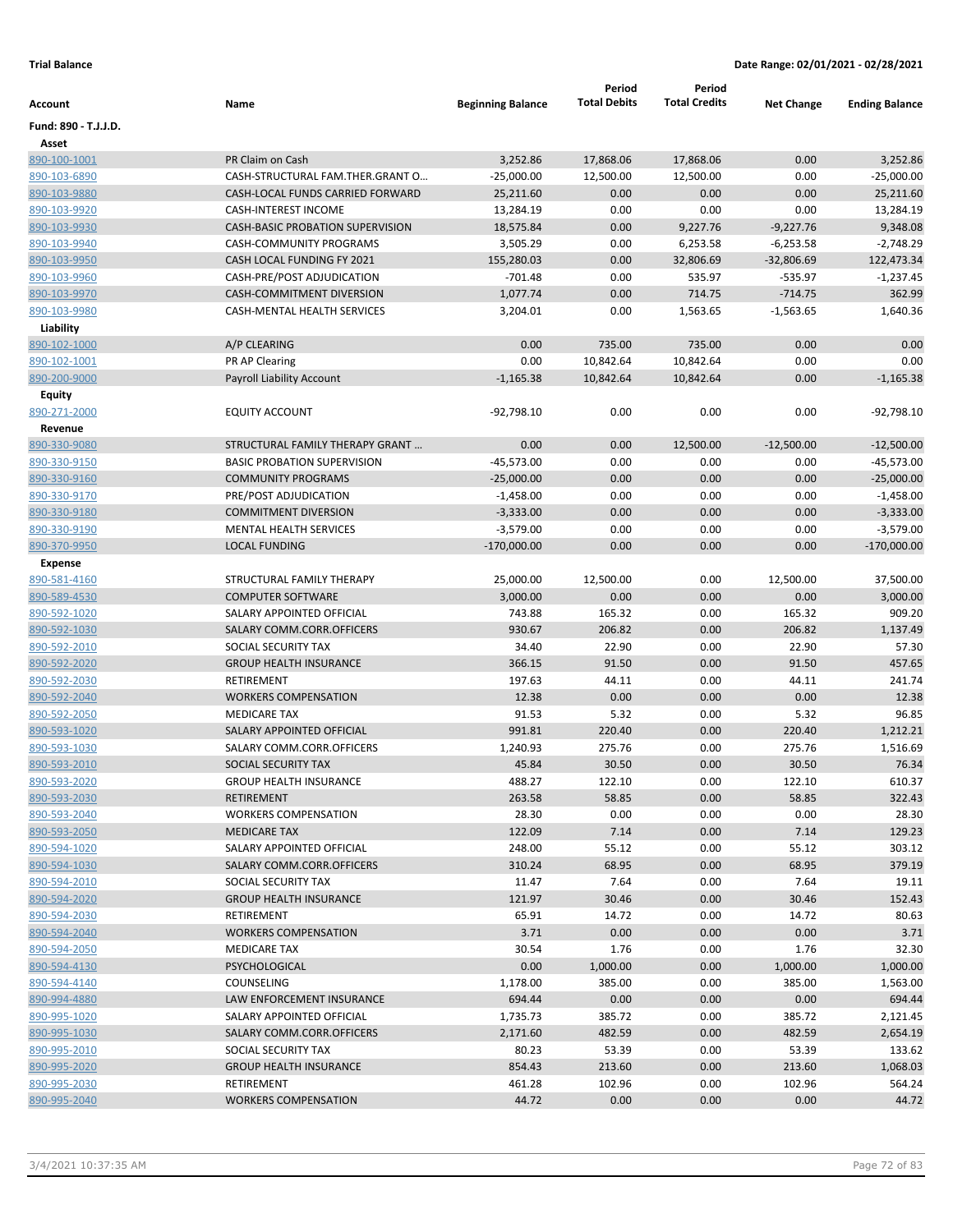|                      |                                         |                          | Period<br><b>Total Debits</b> | Period<br><b>Total Credits</b> |                   |                       |
|----------------------|-----------------------------------------|--------------------------|-------------------------------|--------------------------------|-------------------|-----------------------|
| Account              | Name                                    | <b>Beginning Balance</b> |                               |                                | <b>Net Change</b> | <b>Ending Balance</b> |
| Fund: 890 - T.J.J.D. |                                         |                          |                               |                                |                   |                       |
| Asset                |                                         |                          |                               |                                |                   |                       |
| 890-100-1001         | PR Claim on Cash                        | 3,252.86                 | 17,868.06                     | 17,868.06                      | 0.00              | 3,252.86              |
| 890-103-6890         | CASH-STRUCTURAL FAM.THER.GRANT O        | $-25,000.00$             | 12,500.00                     | 12,500.00                      | 0.00              | $-25,000.00$          |
| 890-103-9880         | CASH-LOCAL FUNDS CARRIED FORWARD        | 25,211.60                | 0.00                          | 0.00                           | 0.00              | 25,211.60             |
| 890-103-9920         | <b>CASH-INTEREST INCOME</b>             | 13,284.19                | 0.00                          | 0.00                           | 0.00              | 13,284.19             |
| 890-103-9930         | <b>CASH-BASIC PROBATION SUPERVISION</b> | 18,575.84                | 0.00                          | 9,227.76                       | $-9,227.76$       | 9,348.08              |
| 890-103-9940         | CASH-COMMUNITY PROGRAMS                 | 3,505.29                 | 0.00                          | 6,253.58                       | $-6,253.58$       | $-2,748.29$           |
| 890-103-9950         | CASH LOCAL FUNDING FY 2021              | 155,280.03               | 0.00                          | 32,806.69                      | $-32,806.69$      | 122,473.34            |
| 890-103-9960         | CASH-PRE/POST ADJUDICATION              | $-701.48$                | 0.00                          | 535.97                         | $-535.97$         | $-1,237.45$           |
| 890-103-9970         | CASH-COMMITMENT DIVERSION               | 1,077.74                 | 0.00                          | 714.75                         | $-714.75$         | 362.99                |
| 890-103-9980         | CASH-MENTAL HEALTH SERVICES             | 3,204.01                 | 0.00                          | 1,563.65                       | $-1,563.65$       | 1,640.36              |
| Liability            |                                         |                          |                               |                                |                   |                       |
| 890-102-1000         | A/P CLEARING                            | 0.00                     | 735.00                        | 735.00                         | 0.00              | 0.00                  |
| 890-102-1001         | PR AP Clearing                          | 0.00                     | 10,842.64                     | 10,842.64                      | 0.00              | 0.00                  |
| 890-200-9000         | Payroll Liability Account               | $-1,165.38$              | 10,842.64                     | 10,842.64                      | 0.00              | $-1,165.38$           |
| Equity               |                                         |                          |                               |                                |                   |                       |
| 890-271-2000         | EQUITY ACCOUNT                          | -92,798.10               | 0.00                          | 0.00                           | 0.00              | $-92,798.10$          |
| Revenue              |                                         |                          |                               |                                |                   |                       |
| 890-330-9080         | STRUCTURAL FAMILY THERAPY GRANT         | 0.00                     | 0.00                          | 12,500.00                      | $-12,500.00$      | $-12,500.00$          |
| 890-330-9150         | <b>BASIC PROBATION SUPERVISION</b>      | $-45,573.00$             | 0.00                          | 0.00                           | 0.00              | $-45,573.00$          |
| 890-330-9160         | <b>COMMUNITY PROGRAMS</b>               | $-25,000.00$             | 0.00                          | 0.00                           | 0.00              | $-25,000.00$          |
| 890-330-9170         | PRE/POST ADJUDICATION                   | $-1,458.00$              | 0.00                          | 0.00                           | 0.00              | $-1,458.00$           |
| 890-330-9180         | <b>COMMITMENT DIVERSION</b>             | $-3,333.00$              | 0.00                          | 0.00                           | 0.00              | $-3,333.00$           |
| 890-330-9190         | MENTAL HEALTH SERVICES                  | $-3,579.00$              | 0.00                          | 0.00                           | 0.00              | $-3,579.00$           |
| 890-370-9950         | <b>LOCAL FUNDING</b>                    | $-170,000.00$            | 0.00                          | 0.00                           | 0.00              | $-170,000.00$         |
| <b>Expense</b>       |                                         |                          |                               |                                |                   |                       |
| 890-581-4160         | STRUCTURAL FAMILY THERAPY               | 25,000.00                | 12,500.00                     | 0.00                           | 12,500.00         | 37,500.00             |
| 890-589-4530         | <b>COMPUTER SOFTWARE</b>                | 3,000.00                 | 0.00                          | 0.00                           | 0.00              | 3,000.00              |
| 890-592-1020         | SALARY APPOINTED OFFICIAL               | 743.88                   | 165.32                        | 0.00                           | 165.32            | 909.20                |
| 890-592-1030         | SALARY COMM.CORR.OFFICERS               | 930.67                   | 206.82                        | 0.00                           | 206.82            | 1,137.49              |
| 890-592-2010         | SOCIAL SECURITY TAX                     | 34.40                    | 22.90                         | 0.00                           | 22.90             | 57.30                 |
| 890-592-2020         | <b>GROUP HEALTH INSURANCE</b>           | 366.15                   | 91.50                         | 0.00                           | 91.50             | 457.65                |
| 890-592-2030         | RETIREMENT                              | 197.63                   | 44.11                         | 0.00                           | 44.11             | 241.74                |
| 890-592-2040         | <b>WORKERS COMPENSATION</b>             | 12.38                    | 0.00                          | 0.00                           | 0.00              | 12.38                 |
| 890-592-2050         | <b>MEDICARE TAX</b>                     | 91.53                    | 5.32                          | 0.00                           | 5.32              | 96.85                 |
| 890-593-1020         | <b>SALARY APPOINTED OFFICIAL</b>        | 991.81                   | 220.40                        | 0.00                           | 220.40            | 1,212.21              |
| 890-593-1030         | SALARY COMM.CORR.OFFICERS               | 1,240.93                 | 275.76                        | 0.00                           | 275.76            | 1,516.69              |
| 890-593-2010         | SOCIAL SECURITY TAX                     | 45.84                    | 30.50                         | 0.00                           | 30.50             | 76.34                 |
| 890-593-2020         | <b>GROUP HEALTH INSURANCE</b>           | 488.27                   | 122.10                        | 0.00                           | 122.10            | 610.37                |
| 890-593-2030         | RETIREMENT                              | 263.58                   | 58.85                         | 0.00                           | 58.85             | 322.43                |
| 890-593-2040         | <b>WORKERS COMPENSATION</b>             | 28.30                    | 0.00                          | 0.00                           | 0.00              | 28.30                 |
| 890-593-2050         | <b>MEDICARE TAX</b>                     | 122.09                   | 7.14                          | 0.00                           | 7.14              | 129.23                |
| 890-594-1020         | SALARY APPOINTED OFFICIAL               | 248.00                   | 55.12                         | 0.00                           | 55.12             | 303.12                |
| 890-594-1030         | SALARY COMM.CORR.OFFICERS               | 310.24                   | 68.95                         | 0.00                           | 68.95             | 379.19                |
| 890-594-2010         | SOCIAL SECURITY TAX                     | 11.47                    | 7.64                          | 0.00                           | 7.64              | 19.11                 |
| 890-594-2020         | <b>GROUP HEALTH INSURANCE</b>           | 121.97                   | 30.46                         | 0.00                           | 30.46             | 152.43                |
|                      |                                         |                          |                               |                                |                   |                       |
| 890-594-2030         | RETIREMENT                              | 65.91                    | 14.72                         | 0.00                           | 14.72             | 80.63                 |
| 890-594-2040         | <b>WORKERS COMPENSATION</b>             | 3.71                     | 0.00                          | 0.00                           | 0.00              | 3.71                  |
| 890-594-2050         | MEDICARE TAX                            | 30.54                    | 1.76                          | 0.00                           | 1.76              | 32.30                 |
| 890-594-4130         | PSYCHOLOGICAL                           | 0.00                     | 1,000.00                      | 0.00                           | 1,000.00          | 1,000.00              |
| 890-594-4140         | <b>COUNSELING</b>                       | 1,178.00                 | 385.00                        | 0.00                           | 385.00            | 1,563.00              |
| 890-994-4880         | LAW ENFORCEMENT INSURANCE               | 694.44                   | 0.00                          | 0.00                           | 0.00              | 694.44                |
| 890-995-1020         | SALARY APPOINTED OFFICIAL               | 1,735.73                 | 385.72                        | 0.00                           | 385.72            | 2,121.45              |
| 890-995-1030         | SALARY COMM.CORR.OFFICERS               | 2,171.60                 | 482.59                        | 0.00                           | 482.59            | 2,654.19              |
| 890-995-2010         | SOCIAL SECURITY TAX                     | 80.23                    | 53.39                         | 0.00                           | 53.39             | 133.62                |
| 890-995-2020         | <b>GROUP HEALTH INSURANCE</b>           | 854.43                   | 213.60                        | 0.00                           | 213.60            | 1,068.03              |
| 890-995-2030         | RETIREMENT                              | 461.28                   | 102.96                        | 0.00                           | 102.96            | 564.24                |
| 890-995-2040         | <b>WORKERS COMPENSATION</b>             | 44.72                    | 0.00                          | 0.00                           | 0.00              | 44.72                 |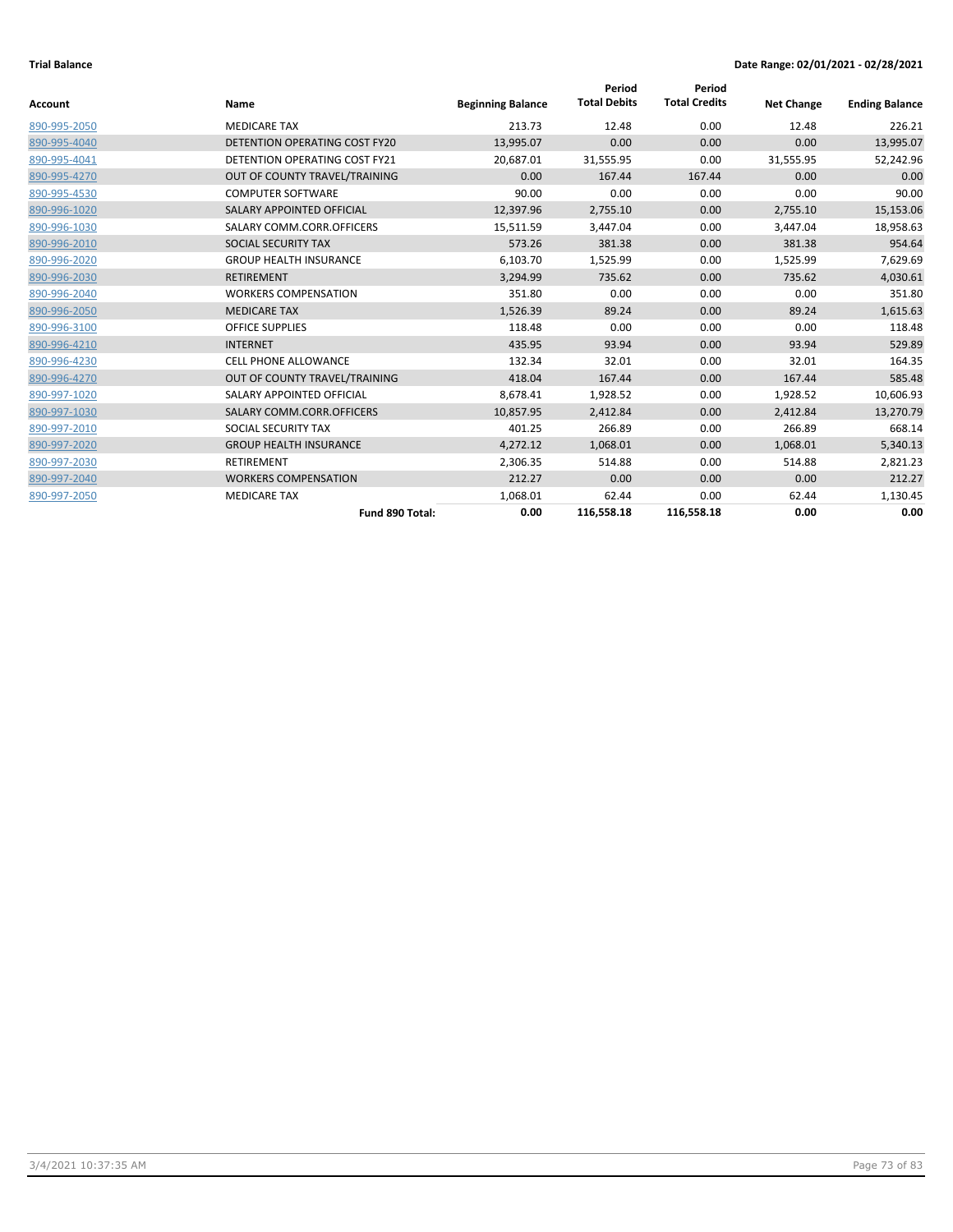|                |                                      |                          | Period              | Period               |                   |                       |
|----------------|--------------------------------------|--------------------------|---------------------|----------------------|-------------------|-----------------------|
| <b>Account</b> | Name                                 | <b>Beginning Balance</b> | <b>Total Debits</b> | <b>Total Credits</b> | <b>Net Change</b> | <b>Ending Balance</b> |
| 890-995-2050   | <b>MEDICARE TAX</b>                  | 213.73                   | 12.48               | 0.00                 | 12.48             | 226.21                |
| 890-995-4040   | <b>DETENTION OPERATING COST FY20</b> | 13,995.07                | 0.00                | 0.00                 | 0.00              | 13,995.07             |
| 890-995-4041   | <b>DETENTION OPERATING COST FY21</b> | 20,687.01                | 31,555.95           | 0.00                 | 31,555.95         | 52,242.96             |
| 890-995-4270   | OUT OF COUNTY TRAVEL/TRAINING        | 0.00                     | 167.44              | 167.44               | 0.00              | 0.00                  |
| 890-995-4530   | <b>COMPUTER SOFTWARE</b>             | 90.00                    | 0.00                | 0.00                 | 0.00              | 90.00                 |
| 890-996-1020   | SALARY APPOINTED OFFICIAL            | 12,397.96                | 2,755.10            | 0.00                 | 2,755.10          | 15,153.06             |
| 890-996-1030   | SALARY COMM.CORR.OFFICERS            | 15,511.59                | 3,447.04            | 0.00                 | 3,447.04          | 18,958.63             |
| 890-996-2010   | SOCIAL SECURITY TAX                  | 573.26                   | 381.38              | 0.00                 | 381.38            | 954.64                |
| 890-996-2020   | <b>GROUP HEALTH INSURANCE</b>        | 6,103.70                 | 1,525.99            | 0.00                 | 1,525.99          | 7,629.69              |
| 890-996-2030   | <b>RETIREMENT</b>                    | 3,294.99                 | 735.62              | 0.00                 | 735.62            | 4,030.61              |
| 890-996-2040   | <b>WORKERS COMPENSATION</b>          | 351.80                   | 0.00                | 0.00                 | 0.00              | 351.80                |
| 890-996-2050   | <b>MEDICARE TAX</b>                  | 1,526.39                 | 89.24               | 0.00                 | 89.24             | 1,615.63              |
| 890-996-3100   | <b>OFFICE SUPPLIES</b>               | 118.48                   | 0.00                | 0.00                 | 0.00              | 118.48                |
| 890-996-4210   | <b>INTERNET</b>                      | 435.95                   | 93.94               | 0.00                 | 93.94             | 529.89                |
| 890-996-4230   | CELL PHONE ALLOWANCE                 | 132.34                   | 32.01               | 0.00                 | 32.01             | 164.35                |
| 890-996-4270   | OUT OF COUNTY TRAVEL/TRAINING        | 418.04                   | 167.44              | 0.00                 | 167.44            | 585.48                |
| 890-997-1020   | SALARY APPOINTED OFFICIAL            | 8,678.41                 | 1,928.52            | 0.00                 | 1,928.52          | 10,606.93             |
| 890-997-1030   | SALARY COMM.CORR.OFFICERS            | 10,857.95                | 2,412.84            | 0.00                 | 2,412.84          | 13,270.79             |
| 890-997-2010   | SOCIAL SECURITY TAX                  | 401.25                   | 266.89              | 0.00                 | 266.89            | 668.14                |
| 890-997-2020   | <b>GROUP HEALTH INSURANCE</b>        | 4,272.12                 | 1,068.01            | 0.00                 | 1,068.01          | 5,340.13              |
| 890-997-2030   | <b>RETIREMENT</b>                    | 2,306.35                 | 514.88              | 0.00                 | 514.88            | 2,821.23              |
| 890-997-2040   | <b>WORKERS COMPENSATION</b>          | 212.27                   | 0.00                | 0.00                 | 0.00              | 212.27                |
| 890-997-2050   | <b>MEDICARE TAX</b>                  | 1,068.01                 | 62.44               | 0.00                 | 62.44             | 1,130.45              |
|                | Fund 890 Total:                      | 0.00                     | 116,558.18          | 116,558.18           | 0.00              | 0.00                  |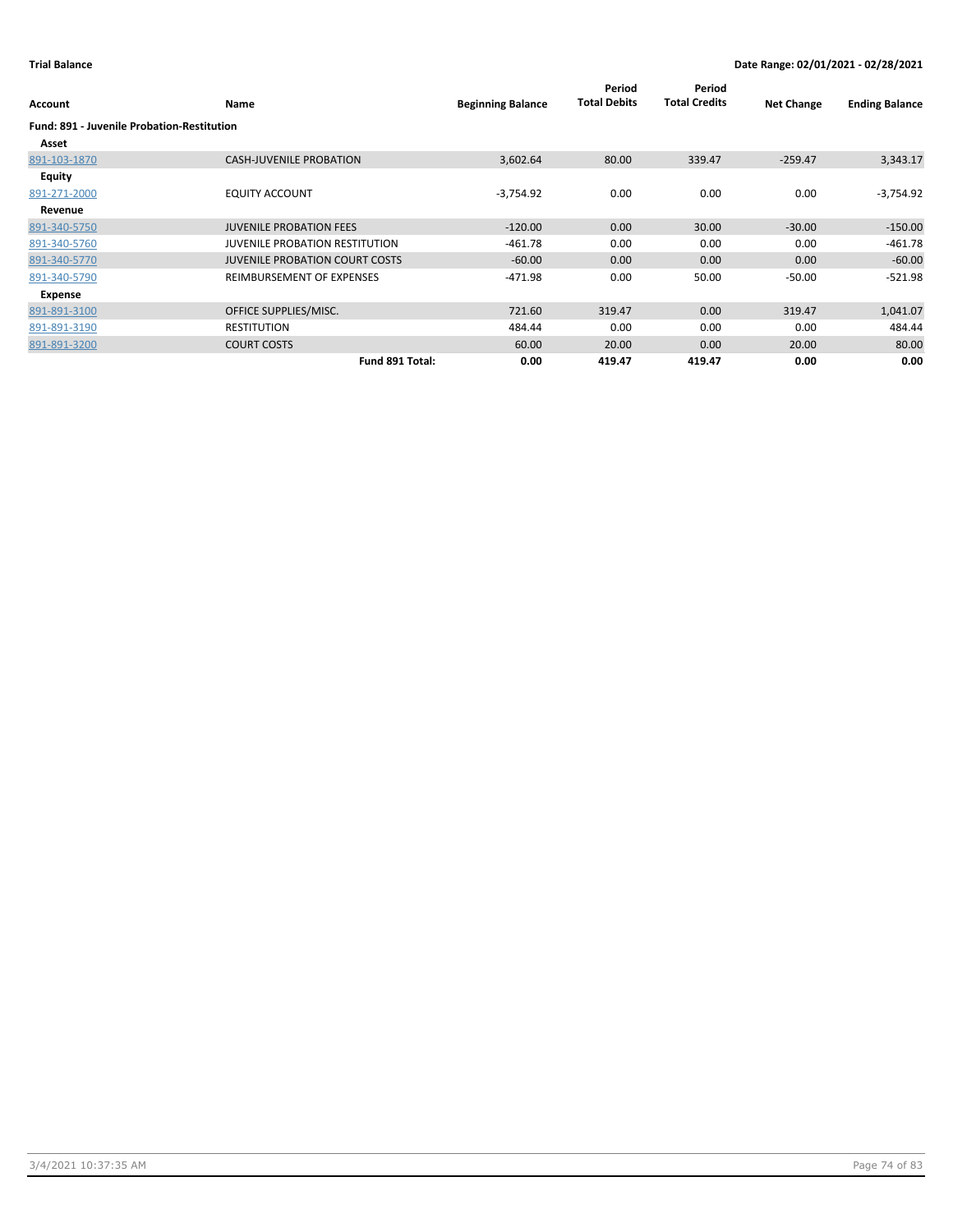| Account                                           | Name                                  | <b>Beginning Balance</b> | Period<br><b>Total Debits</b> | Period<br><b>Total Credits</b> | <b>Net Change</b> | <b>Ending Balance</b> |
|---------------------------------------------------|---------------------------------------|--------------------------|-------------------------------|--------------------------------|-------------------|-----------------------|
| <b>Fund: 891 - Juvenile Probation-Restitution</b> |                                       |                          |                               |                                |                   |                       |
| Asset                                             |                                       |                          |                               |                                |                   |                       |
| 891-103-1870                                      | <b>CASH-JUVENILE PROBATION</b>        | 3,602.64                 | 80.00                         | 339.47                         | $-259.47$         | 3,343.17              |
| <b>Equity</b>                                     |                                       |                          |                               |                                |                   |                       |
| 891-271-2000                                      | <b>EQUITY ACCOUNT</b>                 | $-3,754.92$              | 0.00                          | 0.00                           | 0.00              | $-3,754.92$           |
| Revenue                                           |                                       |                          |                               |                                |                   |                       |
| 891-340-5750                                      | <b>JUVENILE PROBATION FEES</b>        | $-120.00$                | 0.00                          | 30.00                          | $-30.00$          | $-150.00$             |
| 891-340-5760                                      | <b>JUVENILE PROBATION RESTITUTION</b> | $-461.78$                | 0.00                          | 0.00                           | 0.00              | $-461.78$             |
| 891-340-5770                                      | <b>JUVENILE PROBATION COURT COSTS</b> | $-60.00$                 | 0.00                          | 0.00                           | 0.00              | $-60.00$              |
| 891-340-5790                                      | REIMBURSEMENT OF EXPENSES             | $-471.98$                | 0.00                          | 50.00                          | $-50.00$          | $-521.98$             |
| Expense                                           |                                       |                          |                               |                                |                   |                       |
| 891-891-3100                                      | OFFICE SUPPLIES/MISC.                 | 721.60                   | 319.47                        | 0.00                           | 319.47            | 1,041.07              |
| 891-891-3190                                      | <b>RESTITUTION</b>                    | 484.44                   | 0.00                          | 0.00                           | 0.00              | 484.44                |
| 891-891-3200                                      | <b>COURT COSTS</b>                    | 60.00                    | 20.00                         | 0.00                           | 20.00             | 80.00                 |
|                                                   | Fund 891 Total:                       | 0.00                     | 419.47                        | 419.47                         | 0.00              | 0.00                  |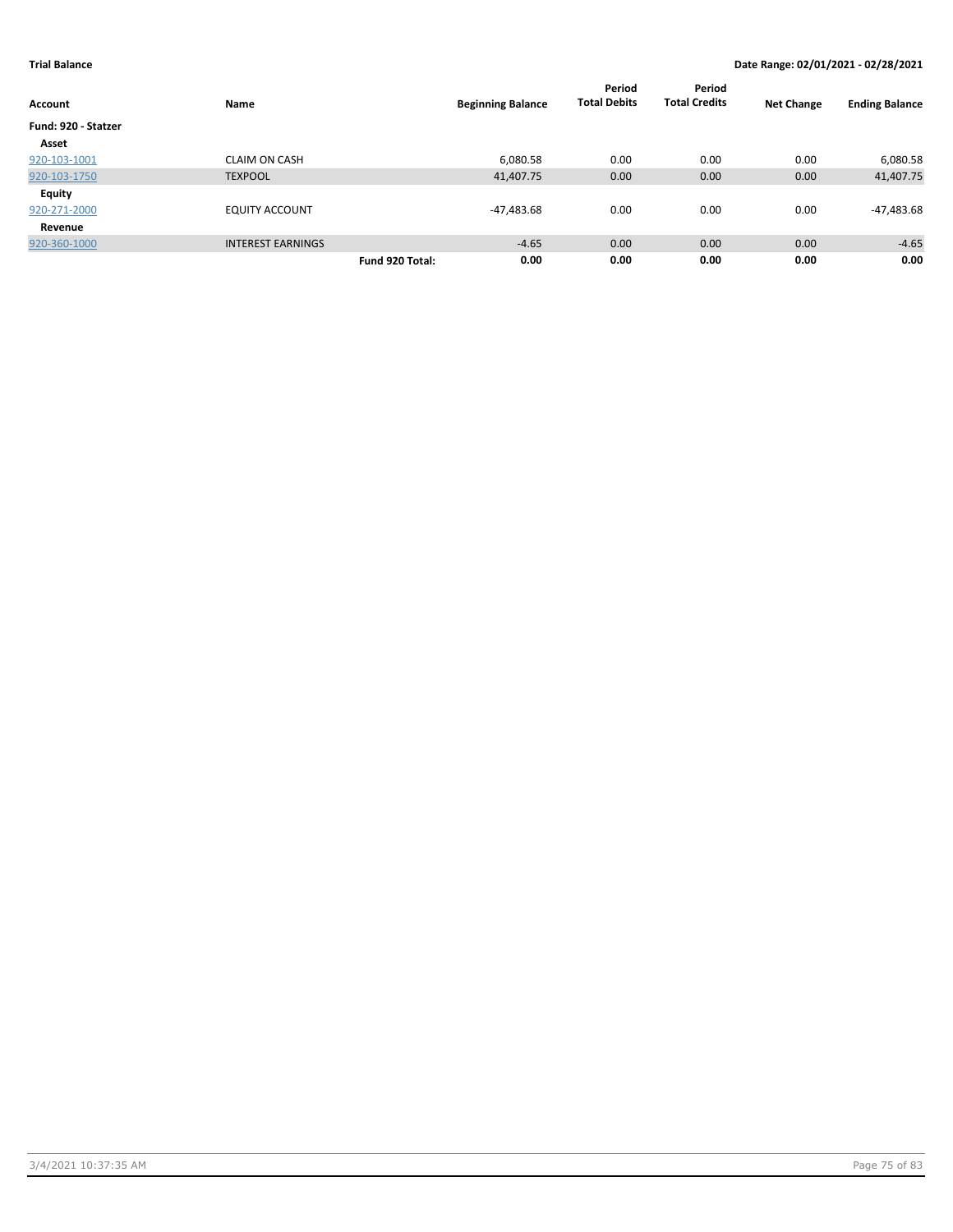| <b>Account</b>      | Name                     | <b>Beginning Balance</b> | Period<br><b>Total Debits</b> | Period<br><b>Total Credits</b> | <b>Net Change</b> | <b>Ending Balance</b> |
|---------------------|--------------------------|--------------------------|-------------------------------|--------------------------------|-------------------|-----------------------|
| Fund: 920 - Statzer |                          |                          |                               |                                |                   |                       |
| Asset               |                          |                          |                               |                                |                   |                       |
| 920-103-1001        | <b>CLAIM ON CASH</b>     | 6,080.58                 | 0.00                          | 0.00                           | 0.00              | 6,080.58              |
| 920-103-1750        | <b>TEXPOOL</b>           | 41,407.75                | 0.00                          | 0.00                           | 0.00              | 41,407.75             |
| Equity              |                          |                          |                               |                                |                   |                       |
| 920-271-2000        | <b>EQUITY ACCOUNT</b>    | -47,483.68               | 0.00                          | 0.00                           | 0.00              | -47,483.68            |
| Revenue             |                          |                          |                               |                                |                   |                       |
| 920-360-1000        | <b>INTEREST EARNINGS</b> | $-4.65$                  | 0.00                          | 0.00                           | 0.00              | $-4.65$               |
|                     |                          | 0.00<br>Fund 920 Total:  | 0.00                          | 0.00                           | 0.00              | 0.00                  |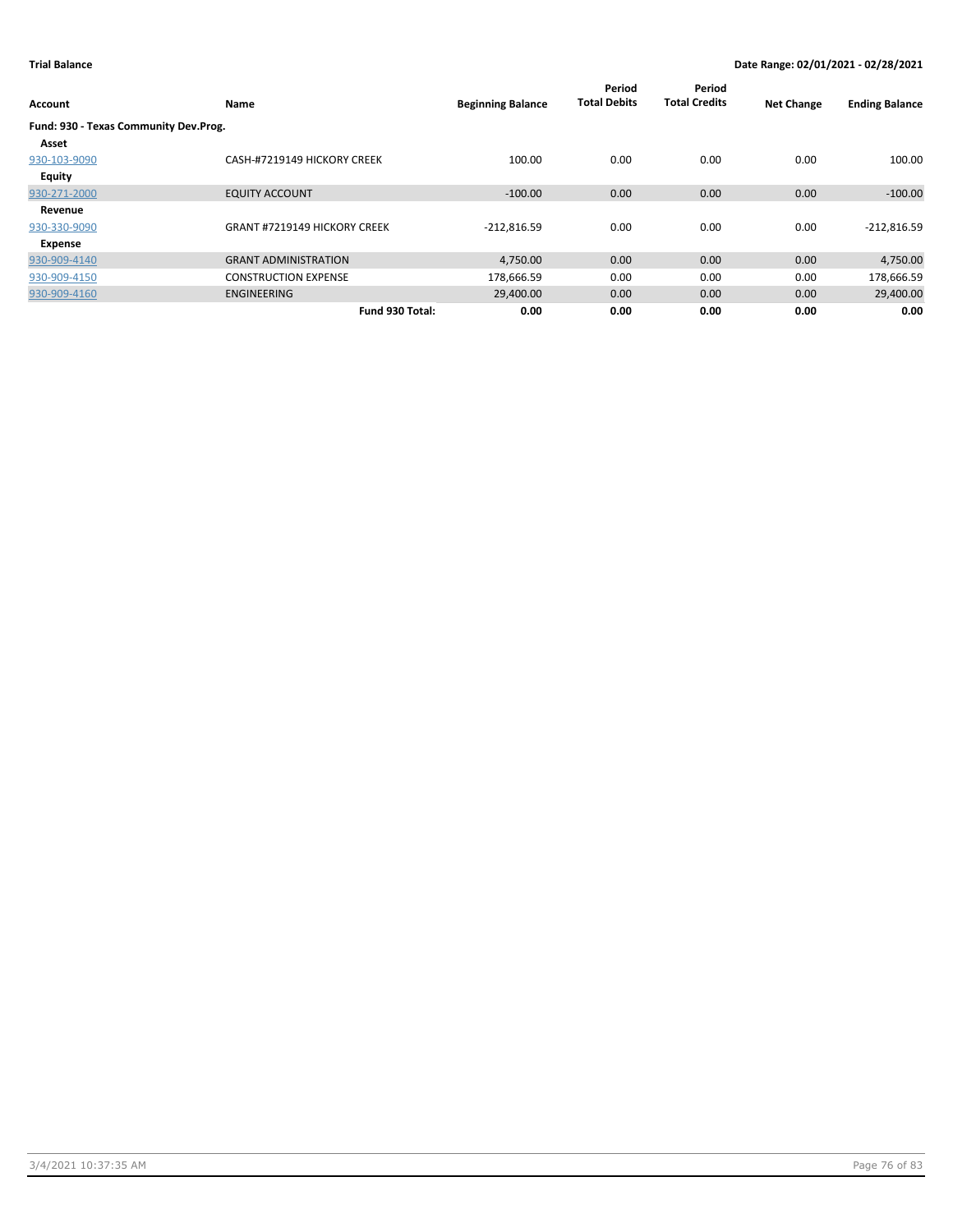| Account                               | Name                                | <b>Beginning Balance</b> | Period<br><b>Total Debits</b> | Period<br><b>Total Credits</b> | <b>Net Change</b> | <b>Ending Balance</b> |
|---------------------------------------|-------------------------------------|--------------------------|-------------------------------|--------------------------------|-------------------|-----------------------|
| Fund: 930 - Texas Community Dev.Prog. |                                     |                          |                               |                                |                   |                       |
| Asset                                 |                                     |                          |                               |                                |                   |                       |
| 930-103-9090                          | CASH-#7219149 HICKORY CREEK         | 100.00                   | 0.00                          | 0.00                           | 0.00              | 100.00                |
| <b>Equity</b>                         |                                     |                          |                               |                                |                   |                       |
| 930-271-2000                          | <b>EQUITY ACCOUNT</b>               | $-100.00$                | 0.00                          | 0.00                           | 0.00              | $-100.00$             |
| Revenue                               |                                     |                          |                               |                                |                   |                       |
| 930-330-9090                          | <b>GRANT #7219149 HICKORY CREEK</b> | $-212,816.59$            | 0.00                          | 0.00                           | 0.00              | $-212,816.59$         |
| Expense                               |                                     |                          |                               |                                |                   |                       |
| 930-909-4140                          | <b>GRANT ADMINISTRATION</b>         | 4,750.00                 | 0.00                          | 0.00                           | 0.00              | 4,750.00              |
| 930-909-4150                          | <b>CONSTRUCTION EXPENSE</b>         | 178,666.59               | 0.00                          | 0.00                           | 0.00              | 178,666.59            |
| 930-909-4160                          | <b>ENGINEERING</b>                  | 29,400.00                | 0.00                          | 0.00                           | 0.00              | 29,400.00             |
|                                       | Fund 930 Total:                     | 0.00                     | 0.00                          | 0.00                           | 0.00              | 0.00                  |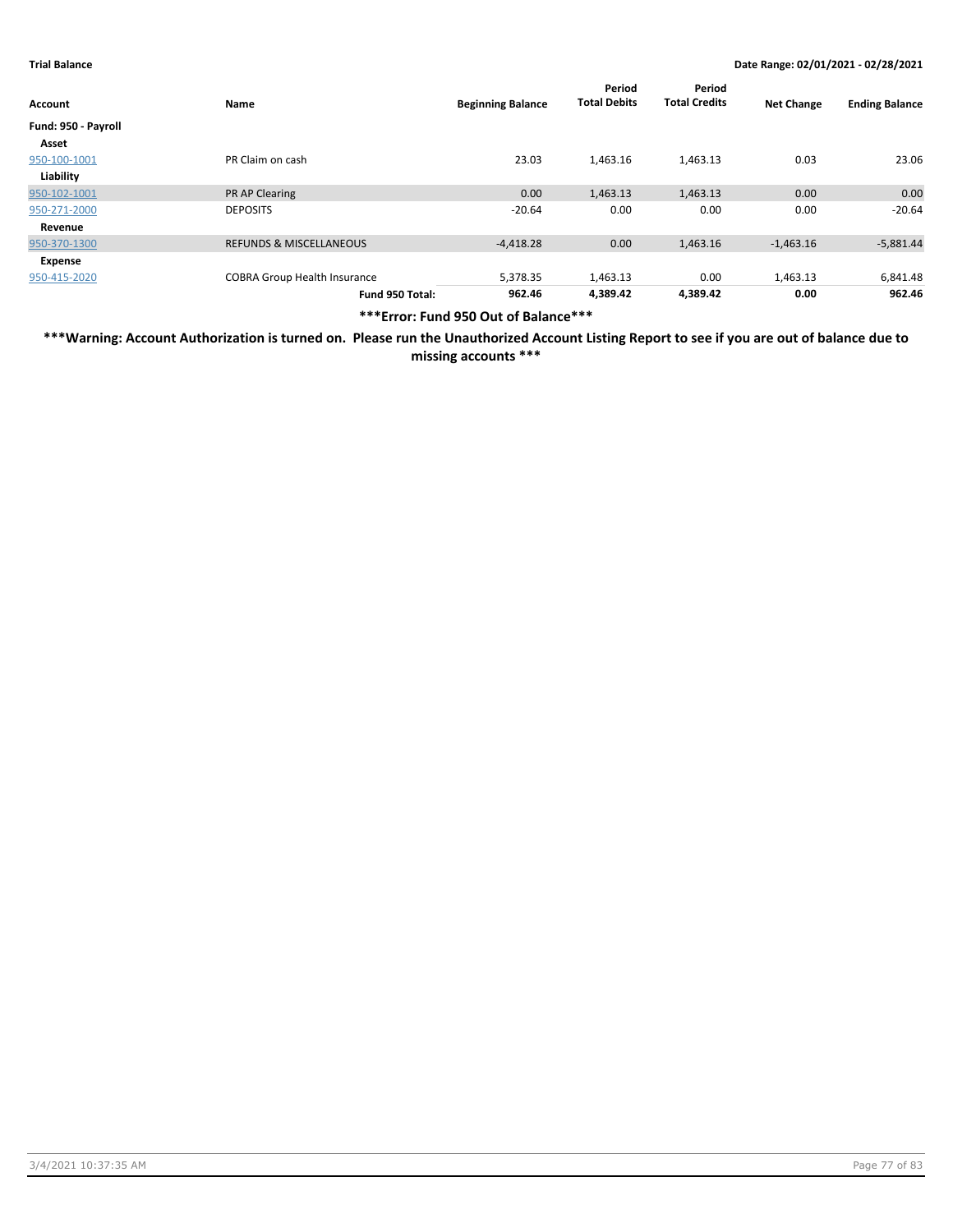| Account             | Name                                | <b>Beginning Balance</b> | Period<br><b>Total Debits</b> | Period<br><b>Total Credits</b> | <b>Net Change</b> | <b>Ending Balance</b> |
|---------------------|-------------------------------------|--------------------------|-------------------------------|--------------------------------|-------------------|-----------------------|
| Fund: 950 - Payroll |                                     |                          |                               |                                |                   |                       |
| Asset               |                                     |                          |                               |                                |                   |                       |
| 950-100-1001        | PR Claim on cash                    | 23.03                    | 1,463.16                      | 1,463.13                       | 0.03              | 23.06                 |
| Liability           |                                     |                          |                               |                                |                   |                       |
| 950-102-1001        | <b>PR AP Clearing</b>               | 0.00                     | 1,463.13                      | 1,463.13                       | 0.00              | 0.00                  |
| 950-271-2000        | <b>DEPOSITS</b>                     | $-20.64$                 | 0.00                          | 0.00                           | 0.00              | $-20.64$              |
| Revenue             |                                     |                          |                               |                                |                   |                       |
| 950-370-1300        | <b>REFUNDS &amp; MISCELLANEOUS</b>  | $-4,418.28$              | 0.00                          | 1,463.16                       | $-1,463.16$       | $-5,881.44$           |
| Expense             |                                     |                          |                               |                                |                   |                       |
| 950-415-2020        | <b>COBRA Group Health Insurance</b> | 5,378.35                 | 1,463.13                      | 0.00                           | 1,463.13          | 6,841.48              |
|                     | Fund 950 Total:                     | 962.46                   | 4,389.42                      | 4,389.42                       | 0.00              | 962.46                |

**\*\*\*Error: Fund 950 Out of Balance\*\*\***

**\*\*\*Warning: Account Authorization is turned on. Please run the Unauthorized Account Listing Report to see if you are out of balance due to missing accounts \*\*\***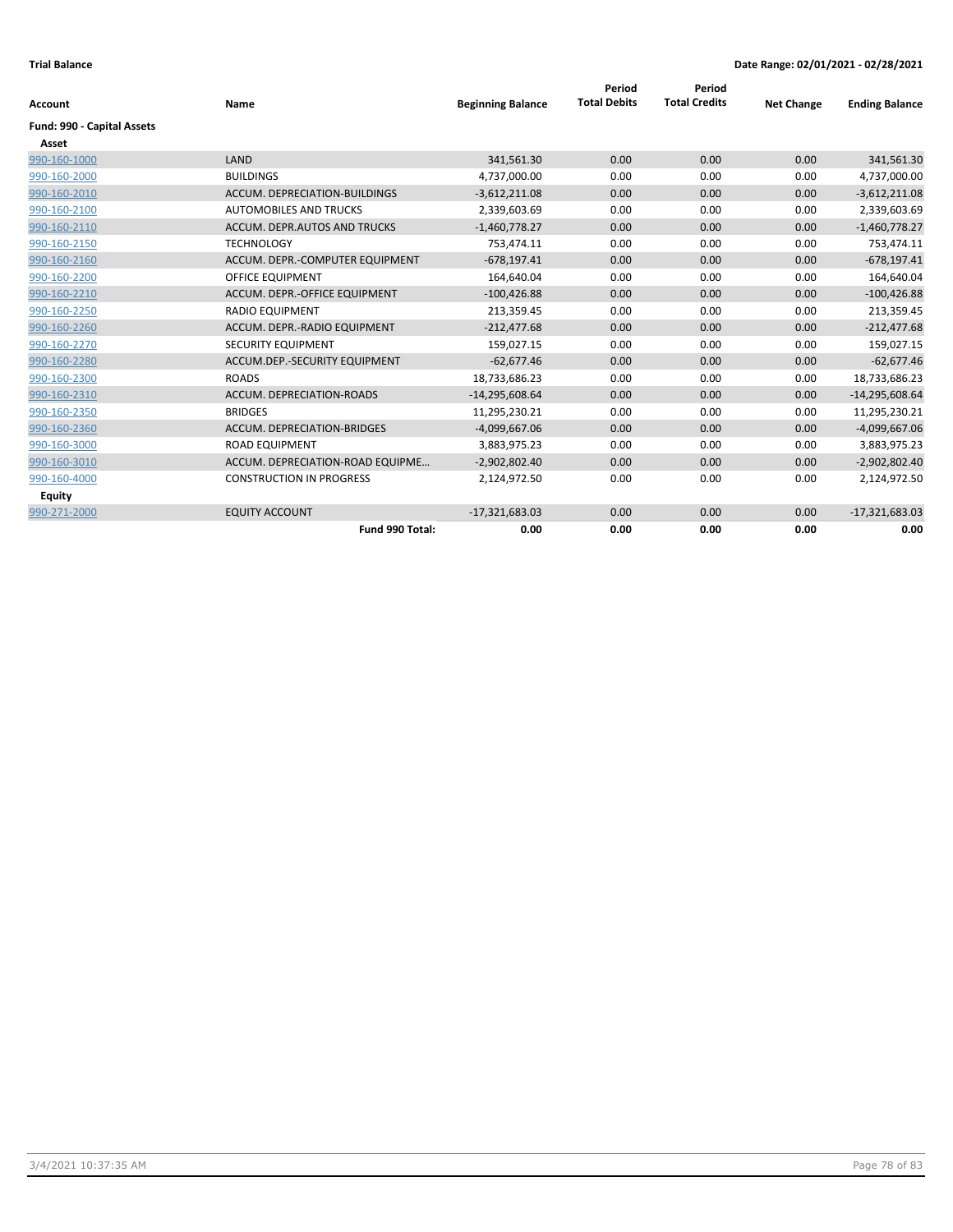|                            | Name                             | <b>Beginning Balance</b> | Period<br><b>Total Debits</b> | Period<br><b>Total Credits</b> | <b>Net Change</b> |                       |
|----------------------------|----------------------------------|--------------------------|-------------------------------|--------------------------------|-------------------|-----------------------|
| <b>Account</b>             |                                  |                          |                               |                                |                   | <b>Ending Balance</b> |
| Fund: 990 - Capital Assets |                                  |                          |                               |                                |                   |                       |
| Asset                      |                                  |                          |                               |                                |                   |                       |
| 990-160-1000               | LAND                             | 341,561.30               | 0.00                          | 0.00                           | 0.00              | 341,561.30            |
| 990-160-2000               | <b>BUILDINGS</b>                 | 4,737,000.00             | 0.00                          | 0.00                           | 0.00              | 4,737,000.00          |
| 990-160-2010               | ACCUM. DEPRECIATION-BUILDINGS    | $-3,612,211.08$          | 0.00                          | 0.00                           | 0.00              | $-3,612,211.08$       |
| 990-160-2100               | <b>AUTOMOBILES AND TRUCKS</b>    | 2,339,603.69             | 0.00                          | 0.00                           | 0.00              | 2,339,603.69          |
| 990-160-2110               | ACCUM. DEPR.AUTOS AND TRUCKS     | $-1,460,778.27$          | 0.00                          | 0.00                           | 0.00              | $-1,460,778.27$       |
| 990-160-2150               | <b>TECHNOLOGY</b>                | 753,474.11               | 0.00                          | 0.00                           | 0.00              | 753,474.11            |
| 990-160-2160               | ACCUM. DEPR.-COMPUTER EQUIPMENT  | $-678,197.41$            | 0.00                          | 0.00                           | 0.00              | $-678,197.41$         |
| 990-160-2200               | <b>OFFICE EQUIPMENT</b>          | 164,640.04               | 0.00                          | 0.00                           | 0.00              | 164,640.04            |
| 990-160-2210               | ACCUM. DEPR.-OFFICE EQUIPMENT    | $-100,426.88$            | 0.00                          | 0.00                           | 0.00              | $-100,426.88$         |
| 990-160-2250               | <b>RADIO EQUIPMENT</b>           | 213,359.45               | 0.00                          | 0.00                           | 0.00              | 213,359.45            |
| 990-160-2260               | ACCUM. DEPR.-RADIO EQUIPMENT     | $-212,477.68$            | 0.00                          | 0.00                           | 0.00              | $-212,477.68$         |
| 990-160-2270               | SECURITY EQUIPMENT               | 159,027.15               | 0.00                          | 0.00                           | 0.00              | 159,027.15            |
| 990-160-2280               | ACCUM.DEP.-SECURITY EQUIPMENT    | $-62,677.46$             | 0.00                          | 0.00                           | 0.00              | $-62,677.46$          |
| 990-160-2300               | <b>ROADS</b>                     | 18,733,686.23            | 0.00                          | 0.00                           | 0.00              | 18,733,686.23         |
| 990-160-2310               | ACCUM. DEPRECIATION-ROADS        | $-14,295,608.64$         | 0.00                          | 0.00                           | 0.00              | $-14,295,608.64$      |
| 990-160-2350               | <b>BRIDGES</b>                   | 11,295,230.21            | 0.00                          | 0.00                           | 0.00              | 11,295,230.21         |
| 990-160-2360               | ACCUM. DEPRECIATION-BRIDGES      | $-4,099,667.06$          | 0.00                          | 0.00                           | 0.00              | $-4,099,667.06$       |
| 990-160-3000               | <b>ROAD EQUIPMENT</b>            | 3,883,975.23             | 0.00                          | 0.00                           | 0.00              | 3,883,975.23          |
| 990-160-3010               | ACCUM. DEPRECIATION-ROAD EQUIPME | $-2,902,802.40$          | 0.00                          | 0.00                           | 0.00              | $-2,902,802.40$       |
| 990-160-4000               | <b>CONSTRUCTION IN PROGRESS</b>  | 2,124,972.50             | 0.00                          | 0.00                           | 0.00              | 2,124,972.50          |
| <b>Equity</b>              |                                  |                          |                               |                                |                   |                       |
| 990-271-2000               | <b>EQUITY ACCOUNT</b>            | $-17,321,683.03$         | 0.00                          | 0.00                           | 0.00              | $-17,321,683.03$      |
|                            | Fund 990 Total:                  | 0.00                     | 0.00                          | 0.00                           | 0.00              | 0.00                  |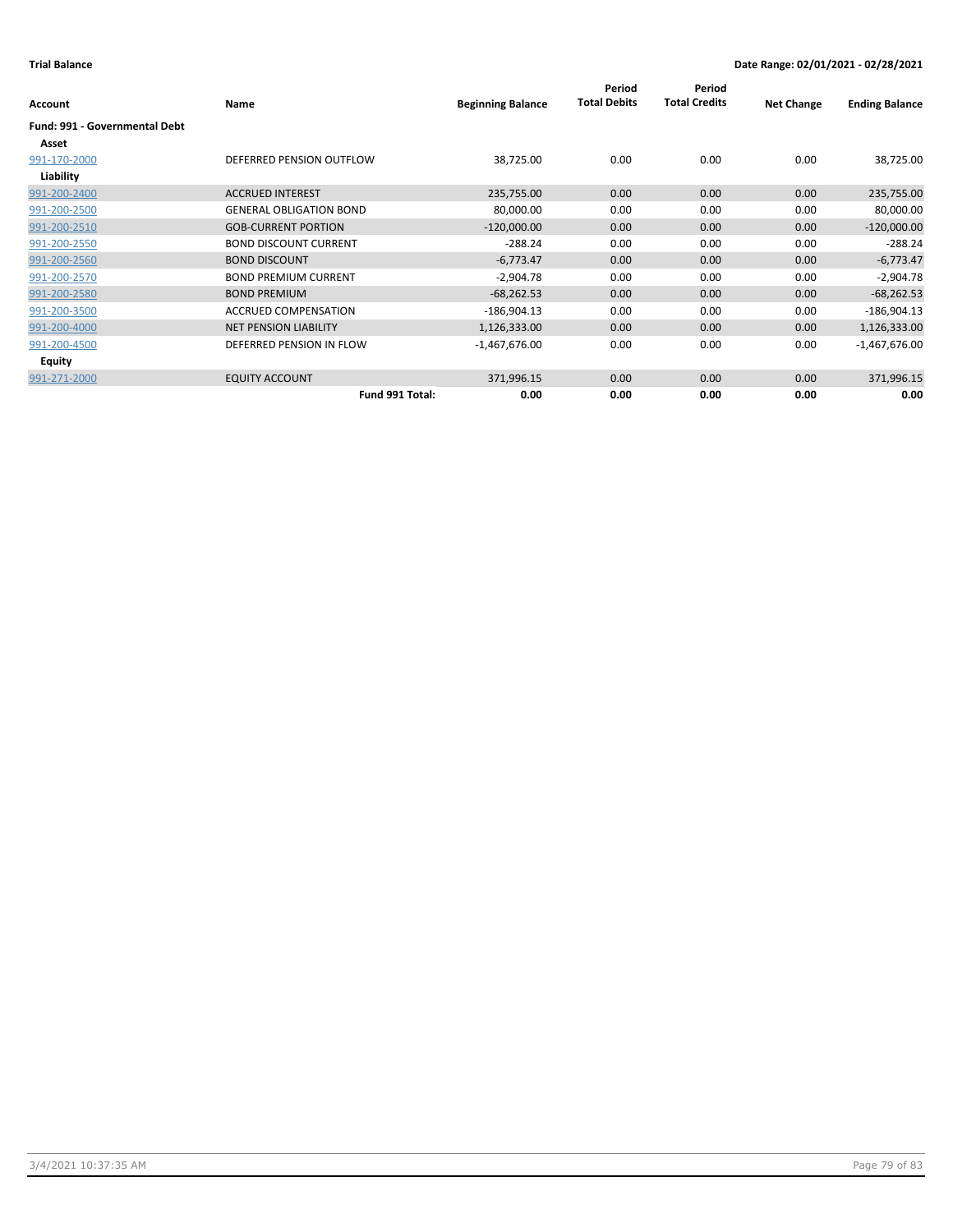|                                      |                                |                          | Period<br><b>Total Debits</b> | Period<br><b>Total Credits</b> |                   |                       |
|--------------------------------------|--------------------------------|--------------------------|-------------------------------|--------------------------------|-------------------|-----------------------|
| <b>Account</b>                       | Name                           | <b>Beginning Balance</b> |                               |                                | <b>Net Change</b> | <b>Ending Balance</b> |
| <b>Fund: 991 - Governmental Debt</b> |                                |                          |                               |                                |                   |                       |
| Asset                                |                                |                          |                               |                                |                   |                       |
| 991-170-2000                         | DEFERRED PENSION OUTFLOW       | 38,725.00                | 0.00                          | 0.00                           | 0.00              | 38,725.00             |
| Liability                            |                                |                          |                               |                                |                   |                       |
| 991-200-2400                         | <b>ACCRUED INTEREST</b>        | 235,755.00               | 0.00                          | 0.00                           | 0.00              | 235,755.00            |
| 991-200-2500                         | <b>GENERAL OBLIGATION BOND</b> | 80,000.00                | 0.00                          | 0.00                           | 0.00              | 80,000.00             |
| 991-200-2510                         | <b>GOB-CURRENT PORTION</b>     | $-120,000.00$            | 0.00                          | 0.00                           | 0.00              | $-120,000.00$         |
| 991-200-2550                         | <b>BOND DISCOUNT CURRENT</b>   | $-288.24$                | 0.00                          | 0.00                           | 0.00              | $-288.24$             |
| 991-200-2560                         | <b>BOND DISCOUNT</b>           | $-6,773.47$              | 0.00                          | 0.00                           | 0.00              | $-6,773.47$           |
| 991-200-2570                         | <b>BOND PREMIUM CURRENT</b>    | $-2,904.78$              | 0.00                          | 0.00                           | 0.00              | $-2,904.78$           |
| 991-200-2580                         | <b>BOND PREMIUM</b>            | $-68,262.53$             | 0.00                          | 0.00                           | 0.00              | $-68,262.53$          |
| 991-200-3500                         | <b>ACCRUED COMPENSATION</b>    | $-186,904.13$            | 0.00                          | 0.00                           | 0.00              | $-186,904.13$         |
| 991-200-4000                         | <b>NET PENSION LIABILITY</b>   | 1,126,333.00             | 0.00                          | 0.00                           | 0.00              | 1,126,333.00          |
| 991-200-4500                         | DEFERRED PENSION IN FLOW       | $-1,467,676.00$          | 0.00                          | 0.00                           | 0.00              | $-1,467,676.00$       |
| Equity                               |                                |                          |                               |                                |                   |                       |
| 991-271-2000                         | <b>EQUITY ACCOUNT</b>          | 371,996.15               | 0.00                          | 0.00                           | 0.00              | 371,996.15            |
|                                      | Fund 991 Total:                | 0.00                     | 0.00                          | 0.00                           | 0.00              | 0.00                  |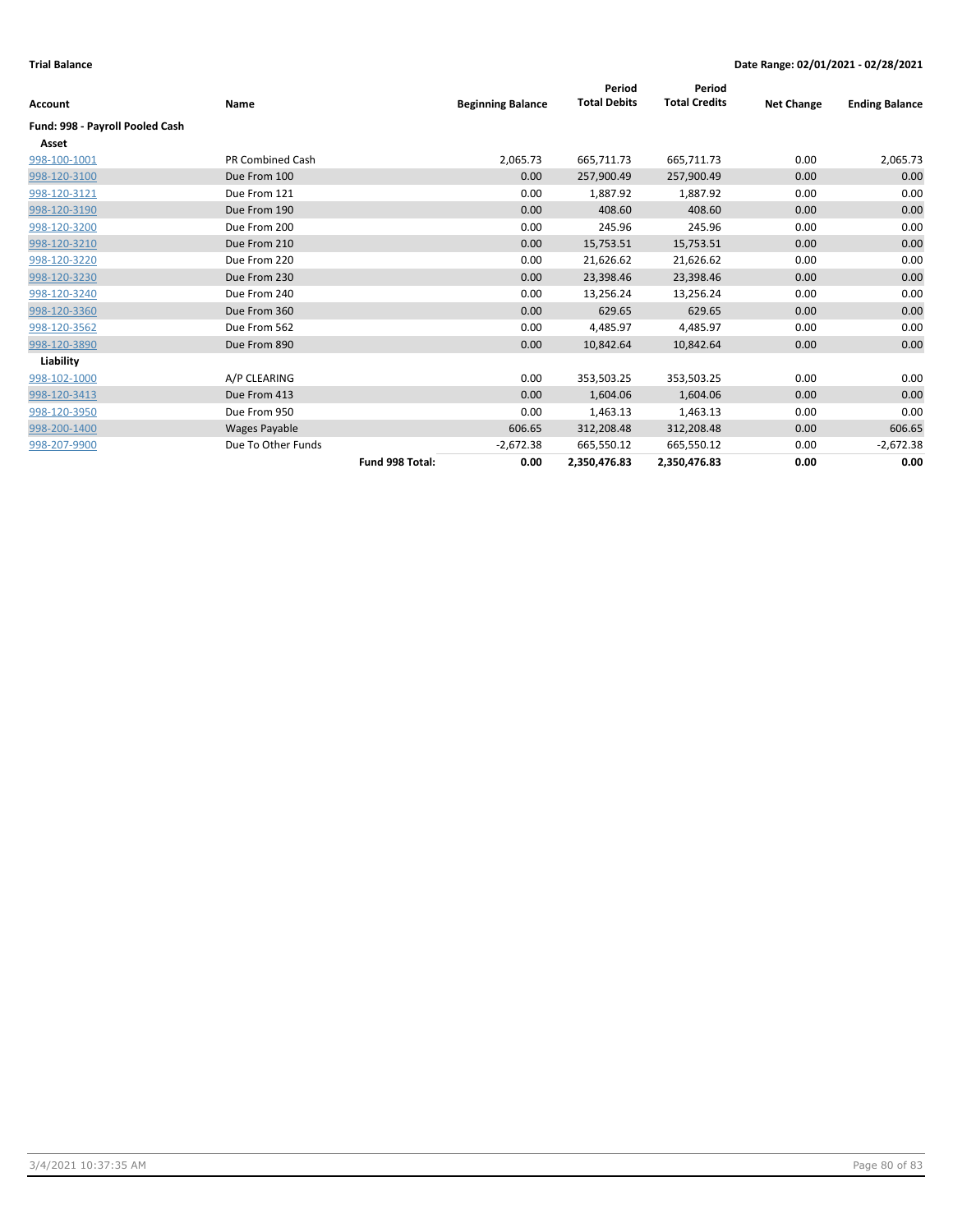|                                 |                         |                 |                          | Period              | Period               |                   |                       |
|---------------------------------|-------------------------|-----------------|--------------------------|---------------------|----------------------|-------------------|-----------------------|
| <b>Account</b>                  | Name                    |                 | <b>Beginning Balance</b> | <b>Total Debits</b> | <b>Total Credits</b> | <b>Net Change</b> | <b>Ending Balance</b> |
| Fund: 998 - Payroll Pooled Cash |                         |                 |                          |                     |                      |                   |                       |
| Asset                           |                         |                 |                          |                     |                      |                   |                       |
| 998-100-1001                    | <b>PR Combined Cash</b> |                 | 2,065.73                 | 665,711.73          | 665,711.73           | 0.00              | 2,065.73              |
| 998-120-3100                    | Due From 100            |                 | 0.00                     | 257,900.49          | 257,900.49           | 0.00              | 0.00                  |
| 998-120-3121                    | Due From 121            |                 | 0.00                     | 1,887.92            | 1,887.92             | 0.00              | 0.00                  |
| 998-120-3190                    | Due From 190            |                 | 0.00                     | 408.60              | 408.60               | 0.00              | 0.00                  |
| 998-120-3200                    | Due From 200            |                 | 0.00                     | 245.96              | 245.96               | 0.00              | 0.00                  |
| 998-120-3210                    | Due From 210            |                 | 0.00                     | 15,753.51           | 15,753.51            | 0.00              | 0.00                  |
| 998-120-3220                    | Due From 220            |                 | 0.00                     | 21,626.62           | 21,626.62            | 0.00              | 0.00                  |
| 998-120-3230                    | Due From 230            |                 | 0.00                     | 23,398.46           | 23,398.46            | 0.00              | 0.00                  |
| 998-120-3240                    | Due From 240            |                 | 0.00                     | 13,256.24           | 13,256.24            | 0.00              | 0.00                  |
| 998-120-3360                    | Due From 360            |                 | 0.00                     | 629.65              | 629.65               | 0.00              | 0.00                  |
| 998-120-3562                    | Due From 562            |                 | 0.00                     | 4,485.97            | 4,485.97             | 0.00              | 0.00                  |
| 998-120-3890                    | Due From 890            |                 | 0.00                     | 10,842.64           | 10,842.64            | 0.00              | 0.00                  |
| Liability                       |                         |                 |                          |                     |                      |                   |                       |
| 998-102-1000                    | A/P CLEARING            |                 | 0.00                     | 353,503.25          | 353,503.25           | 0.00              | 0.00                  |
| 998-120-3413                    | Due From 413            |                 | 0.00                     | 1,604.06            | 1,604.06             | 0.00              | 0.00                  |
| 998-120-3950                    | Due From 950            |                 | 0.00                     | 1,463.13            | 1,463.13             | 0.00              | 0.00                  |
| 998-200-1400                    | Wages Payable           |                 | 606.65                   | 312,208.48          | 312,208.48           | 0.00              | 606.65                |
| 998-207-9900                    | Due To Other Funds      |                 | $-2,672.38$              | 665,550.12          | 665,550.12           | 0.00              | $-2,672.38$           |
|                                 |                         | Fund 998 Total: | 0.00                     | 2,350,476.83        | 2,350,476.83         | 0.00              | 0.00                  |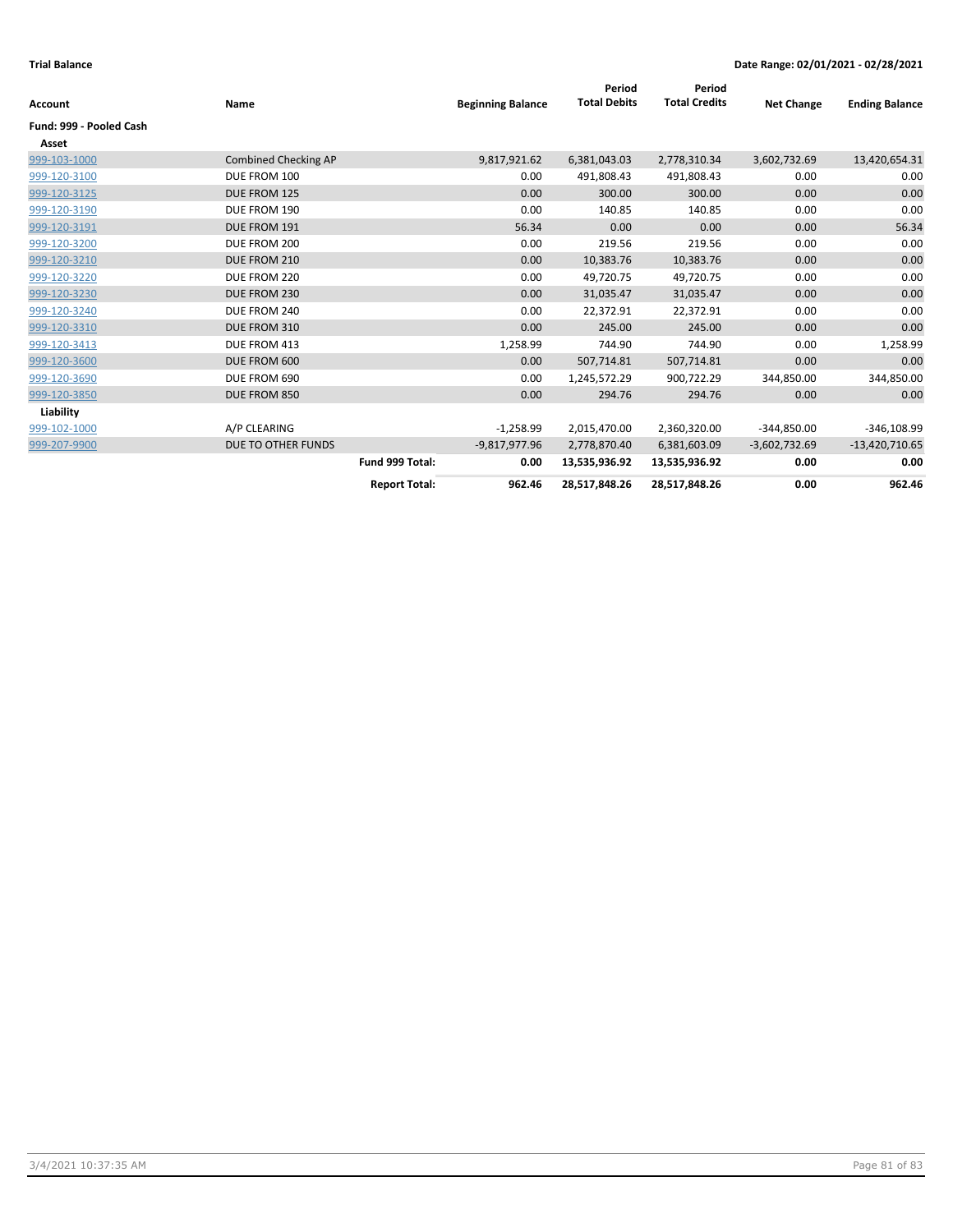| Account                 | Name                        |                      | <b>Beginning Balance</b> | Period<br><b>Total Debits</b> | Period<br><b>Total Credits</b> | <b>Net Change</b> | <b>Ending Balance</b> |
|-------------------------|-----------------------------|----------------------|--------------------------|-------------------------------|--------------------------------|-------------------|-----------------------|
| Fund: 999 - Pooled Cash |                             |                      |                          |                               |                                |                   |                       |
| Asset                   |                             |                      |                          |                               |                                |                   |                       |
| 999-103-1000            | <b>Combined Checking AP</b> |                      | 9,817,921.62             | 6,381,043.03                  | 2,778,310.34                   | 3,602,732.69      | 13,420,654.31         |
| 999-120-3100            | DUE FROM 100                |                      | 0.00                     | 491,808.43                    | 491,808.43                     | 0.00              | 0.00                  |
| 999-120-3125            | DUE FROM 125                |                      | 0.00                     | 300.00                        | 300.00                         | 0.00              | 0.00                  |
| 999-120-3190            | DUE FROM 190                |                      | 0.00                     | 140.85                        | 140.85                         | 0.00              | 0.00                  |
| 999-120-3191            | DUE FROM 191                |                      | 56.34                    | 0.00                          | 0.00                           | 0.00              | 56.34                 |
| 999-120-3200            | DUE FROM 200                |                      | 0.00                     | 219.56                        | 219.56                         | 0.00              | 0.00                  |
| 999-120-3210            | DUE FROM 210                |                      | 0.00                     | 10,383.76                     | 10,383.76                      | 0.00              | 0.00                  |
| 999-120-3220            | DUE FROM 220                |                      | 0.00                     | 49,720.75                     | 49,720.75                      | 0.00              | 0.00                  |
| 999-120-3230            | DUE FROM 230                |                      | 0.00                     | 31,035.47                     | 31,035.47                      | 0.00              | 0.00                  |
| 999-120-3240            | DUE FROM 240                |                      | 0.00                     | 22,372.91                     | 22,372.91                      | 0.00              | 0.00                  |
| 999-120-3310            | DUE FROM 310                |                      | 0.00                     | 245.00                        | 245.00                         | 0.00              | 0.00                  |
| 999-120-3413            | DUE FROM 413                |                      | 1,258.99                 | 744.90                        | 744.90                         | 0.00              | 1,258.99              |
| 999-120-3600            | DUE FROM 600                |                      | 0.00                     | 507,714.81                    | 507,714.81                     | 0.00              | 0.00                  |
| 999-120-3690            | DUE FROM 690                |                      | 0.00                     | 1,245,572.29                  | 900,722.29                     | 344,850.00        | 344,850.00            |
| 999-120-3850            | DUE FROM 850                |                      | 0.00                     | 294.76                        | 294.76                         | 0.00              | 0.00                  |
| Liability               |                             |                      |                          |                               |                                |                   |                       |
| 999-102-1000            | A/P CLEARING                |                      | $-1,258.99$              | 2,015,470.00                  | 2,360,320.00                   | $-344,850.00$     | $-346,108.99$         |
| 999-207-9900            | DUE TO OTHER FUNDS          |                      | $-9,817,977.96$          | 2,778,870.40                  | 6,381,603.09                   | $-3,602,732.69$   | $-13,420,710.65$      |
|                         |                             | Fund 999 Total:      | 0.00                     | 13,535,936.92                 | 13,535,936.92                  | 0.00              | 0.00                  |
|                         |                             | <b>Report Total:</b> | 962.46                   | 28,517,848.26                 | 28,517,848.26                  | 0.00              | 962.46                |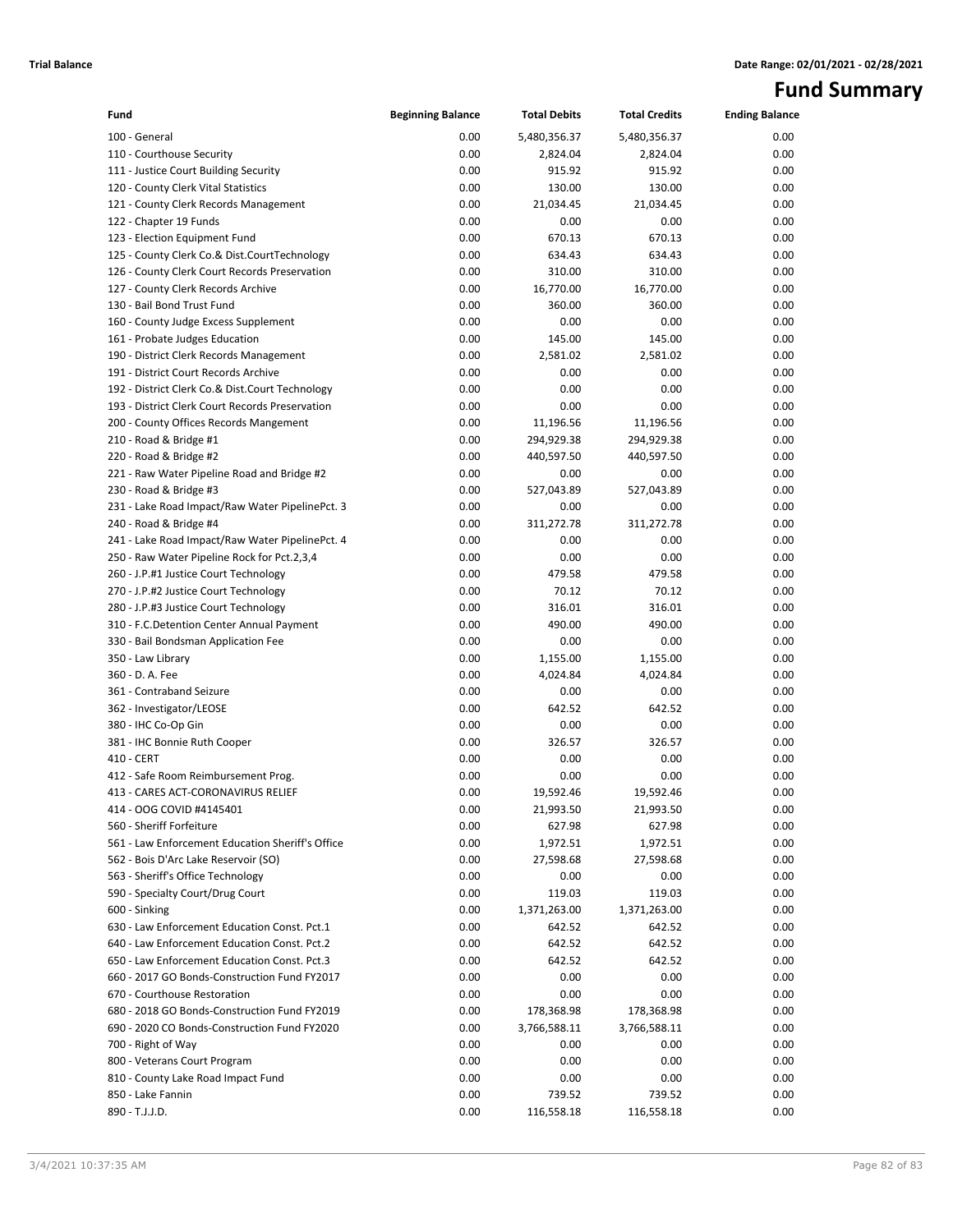# **Fund Summary**

| Fund                                                 | <b>Beginning Balance</b> | <b>Total Debits</b> | <b>Total Credits</b> | <b>Ending Balance</b> |
|------------------------------------------------------|--------------------------|---------------------|----------------------|-----------------------|
| 100 - General                                        | 0.00                     | 5,480,356.37        | 5,480,356.37         | 0.00                  |
| 110 - Courthouse Security                            | 0.00                     | 2,824.04            | 2,824.04             | 0.00                  |
| 111 - Justice Court Building Security                | 0.00                     | 915.92              | 915.92               | 0.00                  |
| 120 - County Clerk Vital Statistics                  | 0.00                     | 130.00              | 130.00               | 0.00                  |
| 121 - County Clerk Records Management                | 0.00                     | 21,034.45           | 21,034.45            | 0.00                  |
| 122 - Chapter 19 Funds                               | 0.00                     | 0.00                | 0.00                 | 0.00                  |
| 123 - Election Equipment Fund                        | 0.00                     | 670.13              | 670.13               | 0.00                  |
| 125 - County Clerk Co.& Dist.CourtTechnology         | 0.00                     | 634.43              | 634.43               | 0.00                  |
| 126 - County Clerk Court Records Preservation        | 0.00                     | 310.00              | 310.00               | 0.00                  |
| 127 - County Clerk Records Archive                   | 0.00                     | 16,770.00           | 16,770.00            | 0.00                  |
| 130 - Bail Bond Trust Fund                           | 0.00                     | 360.00              | 360.00               | 0.00                  |
| 160 - County Judge Excess Supplement                 | 0.00                     | 0.00                | 0.00                 | 0.00                  |
| 161 - Probate Judges Education                       | 0.00                     | 145.00              | 145.00               | 0.00                  |
| 190 - District Clerk Records Management              | 0.00                     | 2,581.02            | 2,581.02             | 0.00                  |
| 191 - District Court Records Archive                 | 0.00                     | 0.00                | 0.00                 | 0.00                  |
| 192 - District Clerk Co.& Dist.Court Technology      | 0.00                     | 0.00                | 0.00                 | 0.00                  |
| 193 - District Clerk Court Records Preservation      | 0.00                     | 0.00                | 0.00                 | 0.00                  |
| 200 - County Offices Records Mangement               | 0.00                     | 11,196.56           | 11,196.56            | 0.00                  |
| 210 - Road & Bridge #1                               | 0.00                     | 294,929.38          | 294,929.38           | 0.00                  |
| 220 - Road & Bridge #2                               | 0.00                     | 440,597.50          | 440,597.50           | 0.00                  |
| 221 - Raw Water Pipeline Road and Bridge #2          | 0.00                     | 0.00                | 0.00                 | 0.00                  |
| 230 - Road & Bridge #3                               | 0.00                     | 527,043.89          | 527,043.89           | 0.00                  |
| 231 - Lake Road Impact/Raw Water PipelinePct. 3      | 0.00                     | 0.00                | 0.00                 | 0.00                  |
| 240 - Road & Bridge #4                               | 0.00                     | 311,272.78          | 311,272.78           | 0.00                  |
| 241 - Lake Road Impact/Raw Water PipelinePct. 4      | 0.00                     | 0.00                | 0.00                 | 0.00                  |
| 250 - Raw Water Pipeline Rock for Pct.2,3,4          | 0.00                     | 0.00                | 0.00                 | 0.00                  |
| 260 - J.P.#1 Justice Court Technology                | 0.00                     | 479.58              | 479.58               | 0.00                  |
| 270 - J.P.#2 Justice Court Technology                | 0.00                     | 70.12               | 70.12                | 0.00                  |
| 280 - J.P.#3 Justice Court Technology                | 0.00                     | 316.01              | 316.01               | 0.00                  |
| 310 - F.C.Detention Center Annual Payment            | 0.00                     | 490.00              | 490.00               | 0.00                  |
| 330 - Bail Bondsman Application Fee                  | 0.00                     | 0.00                | 0.00                 | 0.00                  |
| 350 - Law Library<br>360 - D. A. Fee                 | 0.00<br>0.00             | 1,155.00            | 1,155.00             | 0.00<br>0.00          |
|                                                      | 0.00                     | 4,024.84            | 4,024.84<br>0.00     | 0.00                  |
| 361 - Contraband Seizure<br>362 - Investigator/LEOSE | 0.00                     | 0.00<br>642.52      | 642.52               | 0.00                  |
| 380 - IHC Co-Op Gin                                  | 0.00                     | 0.00                | 0.00                 | 0.00                  |
| 381 - IHC Bonnie Ruth Cooper                         | 0.00                     | 326.57              | 326.57               | 0.00                  |
| 410 - CERT                                           | 0.00                     | 0.00                | 0.00                 | 0.00                  |
| 412 - Safe Room Reimbursement Prog.                  | 0.00                     | 0.00                | 0.00                 | 0.00                  |
| 413 - CARES ACT-CORONAVIRUS RELIEF                   | 0.00                     | 19,592.46           | 19,592.46            | 0.00                  |
| 414 - OOG COVID #4145401                             | 0.00                     | 21,993.50           | 21,993.50            | 0.00                  |
| 560 - Sheriff Forfeiture                             | 0.00                     | 627.98              | 627.98               | 0.00                  |
| 561 - Law Enforcement Education Sheriff's Office     | 0.00                     | 1,972.51            | 1,972.51             | 0.00                  |
| 562 - Bois D'Arc Lake Reservoir (SO)                 | 0.00                     | 27,598.68           | 27,598.68            | 0.00                  |
| 563 - Sheriff's Office Technology                    | 0.00                     | 0.00                | 0.00                 | 0.00                  |
| 590 - Specialty Court/Drug Court                     | 0.00                     | 119.03              | 119.03               | 0.00                  |
| 600 - Sinking                                        | 0.00                     | 1,371,263.00        | 1,371,263.00         | 0.00                  |
| 630 - Law Enforcement Education Const. Pct.1         | 0.00                     | 642.52              | 642.52               | 0.00                  |
| 640 - Law Enforcement Education Const. Pct.2         | 0.00                     | 642.52              | 642.52               | 0.00                  |
| 650 - Law Enforcement Education Const. Pct.3         | 0.00                     | 642.52              | 642.52               | 0.00                  |
| 660 - 2017 GO Bonds-Construction Fund FY2017         | 0.00                     | 0.00                | 0.00                 | 0.00                  |
| 670 - Courthouse Restoration                         | 0.00                     | 0.00                | 0.00                 | 0.00                  |
| 680 - 2018 GO Bonds-Construction Fund FY2019         | 0.00                     | 178,368.98          | 178,368.98           | 0.00                  |
| 690 - 2020 CO Bonds-Construction Fund FY2020         | 0.00                     | 3,766,588.11        | 3,766,588.11         | 0.00                  |
| 700 - Right of Way                                   | 0.00                     | 0.00                | 0.00                 | 0.00                  |
| 800 - Veterans Court Program                         | 0.00                     | 0.00                | 0.00                 | 0.00                  |
| 810 - County Lake Road Impact Fund                   | 0.00                     | 0.00                | 0.00                 | 0.00                  |
| 850 - Lake Fannin                                    | 0.00                     | 739.52              | 739.52               | 0.00                  |
| 890 - T.J.J.D.                                       | 0.00                     | 116,558.18          | 116,558.18           | 0.00                  |